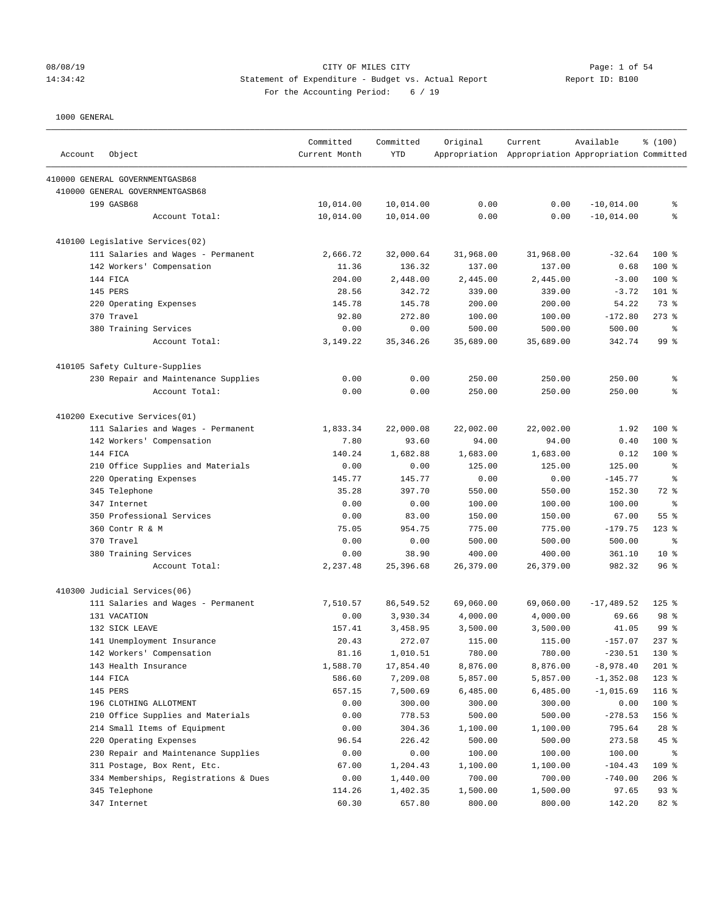# 08/08/19 CITY OF MILES CITY<br>14:34:42 14:34:42 Statement of Expenditure - Budget vs. Actual Report<br>19: B100 14:34:42 Statement of Expenditure - Budget vs. Actual Report For the Accounting Period: 6 / 19

| Account | Object                                | Committed<br>Current Month | Committed<br><b>YTD</b> | Original  | Current<br>Appropriation Appropriation Appropriation Committed | Available    | % (100)         |
|---------|---------------------------------------|----------------------------|-------------------------|-----------|----------------------------------------------------------------|--------------|-----------------|
|         | 410000 GENERAL GOVERNMENTGASB68       |                            |                         |           |                                                                |              |                 |
|         | 410000 GENERAL GOVERNMENTGASB68       |                            |                         |           |                                                                |              |                 |
|         | 199 GASB68                            | 10,014.00                  | 10,014.00               | 0.00      | 0.00                                                           | $-10,014.00$ | နွ              |
|         | Account Total:                        | 10,014.00                  | 10,014.00               | 0.00      | 0.00                                                           | $-10,014.00$ | ి               |
|         | 410100 Legislative Services(02)       |                            |                         |           |                                                                |              |                 |
|         | 111 Salaries and Wages - Permanent    | 2,666.72                   | 32,000.64               | 31,968.00 | 31,968.00                                                      | $-32.64$     | $100$ %         |
|         | 142 Workers' Compensation             | 11.36                      | 136.32                  | 137.00    | 137.00                                                         | 0.68         | $100*$          |
|         | 144 FICA                              | 204.00                     | 2,448.00                | 2,445.00  | 2,445.00                                                       | $-3.00$      | $100*$          |
|         | 145 PERS                              | 28.56                      | 342.72                  | 339.00    | 339.00                                                         | $-3.72$      | 101 %           |
|         | 220 Operating Expenses                | 145.78                     | 145.78                  | 200.00    | 200.00                                                         | 54.22        | 73 %            |
|         | 370 Travel                            | 92.80                      | 272.80                  | 100.00    | 100.00                                                         | $-172.80$    | $273$ $%$       |
|         | 380 Training Services                 | 0.00                       | 0.00                    | 500.00    | 500.00                                                         | 500.00       | ႜ               |
|         | Account Total:                        | 3, 149. 22                 | 35, 346.26              | 35,689.00 | 35,689.00                                                      | 342.74       | 99 %            |
|         | 410105 Safety Culture-Supplies        |                            |                         |           |                                                                |              |                 |
|         | 230 Repair and Maintenance Supplies   | 0.00                       | 0.00                    | 250.00    | 250.00                                                         | 250.00       | နွ              |
|         | Account Total:                        | 0.00                       | 0.00                    | 250.00    | 250.00                                                         | 250.00       | ి               |
|         | 410200 Executive Services(01)         |                            |                         |           |                                                                |              |                 |
|         | 111 Salaries and Wages - Permanent    | 1,833.34                   | 22,000.08               | 22,002.00 | 22,002.00                                                      | 1.92         | 100 %           |
|         | 142 Workers' Compensation             | 7.80                       | 93.60                   | 94.00     | 94.00                                                          | 0.40         | $100*$          |
|         | 144 FICA                              | 140.24                     | 1,682.88                | 1,683.00  | 1,683.00                                                       | 0.12         | $100*$          |
|         | 210 Office Supplies and Materials     | 0.00                       | 0.00                    | 125.00    | 125.00                                                         | 125.00       | နွ              |
|         | 220 Operating Expenses                | 145.77                     | 145.77                  | 0.00      | 0.00                                                           | $-145.77$    | နွ              |
|         | 345 Telephone                         | 35.28                      | 397.70                  | 550.00    | 550.00                                                         | 152.30       | 72 %            |
|         | 347 Internet                          | 0.00                       | 0.00                    | 100.00    | 100.00                                                         | 100.00       | ႜ               |
|         | 350 Professional Services             | 0.00                       | 83.00                   | 150.00    | 150.00                                                         | 67.00        | 55 %            |
|         | 360 Contr R & M                       | 75.05                      | 954.75                  | 775.00    | 775.00                                                         | $-179.75$    | $123$ $%$       |
|         | 370 Travel                            | 0.00                       | 0.00                    | 500.00    | 500.00                                                         | 500.00       | $\epsilon$      |
|         | 380 Training Services                 | 0.00                       | 38.90                   | 400.00    | 400.00                                                         | 361.10       | $10*$           |
|         | Account Total:                        | 2,237.48                   | 25,396.68               | 26,379.00 | 26,379.00                                                      | 982.32       | 96%             |
|         | 410300 Judicial Services(06)          |                            |                         |           |                                                                |              |                 |
|         | 111 Salaries and Wages - Permanent    | 7,510.57                   | 86,549.52               | 69,060.00 | 69,060.00                                                      | $-17,489.52$ | $125$ %         |
|         | 131 VACATION                          | 0.00                       | 3,930.34                | 4,000.00  | 4,000.00                                                       | 69.66        | 98 %            |
|         | 132 SICK LEAVE                        | 157.41                     | 3,458.95                | 3,500.00  | 3,500.00                                                       | 41.05        | 99 <sup>8</sup> |
|         | 141 Unemployment Insurance            | 20.43                      | 272.07                  | 115.00    | 115.00                                                         | $-157.07$    | $237$ $%$       |
|         | 142 Workers' Compensation             | 81.16                      | 1,010.51                | 780.00    | 780.00                                                         | $-230.51$    | 130 %           |
|         | 143 Health Insurance                  | 1,588.70                   | 17,854.40               | 8,876.00  | 8,876.00                                                       | $-8,978.40$  | 201 %           |
|         | 144 FICA                              | 586.60                     | 7,209.08                | 5,857.00  | 5,857.00                                                       | $-1, 352.08$ | $123$ %         |
|         | 145 PERS                              | 657.15                     | 7,500.69                | 6,485.00  | 6,485.00                                                       | $-1,015.69$  | $116$ %         |
|         | 196 CLOTHING ALLOTMENT                | 0.00                       | 300.00                  | 300.00    | 300.00                                                         | 0.00         | 100 %           |
|         | 210 Office Supplies and Materials     | 0.00                       | 778.53                  | 500.00    | 500.00                                                         | $-278.53$    | 156 %           |
|         | 214 Small Items of Equipment          | 0.00                       | 304.36                  | 1,100.00  | 1,100.00                                                       | 795.64       | $28$ %          |
|         | 220 Operating Expenses                | 96.54                      | 226.42                  | 500.00    | 500.00                                                         | 273.58       | 45 %            |
|         | 230 Repair and Maintenance Supplies   | 0.00                       | 0.00                    | 100.00    | 100.00                                                         | 100.00       | ႜ               |
|         | 311 Postage, Box Rent, Etc.           | 67.00                      | 1,204.43                | 1,100.00  | 1,100.00                                                       | $-104.43$    | 109 %           |
|         | 334 Memberships, Registrations & Dues | 0.00                       | 1,440.00                | 700.00    | 700.00                                                         | $-740.00$    | $206$ %         |
|         | 345 Telephone                         | 114.26                     | 1,402.35                | 1,500.00  | 1,500.00                                                       | 97.65        | 93%             |
|         | 347 Internet                          | 60.30                      | 657.80                  | 800.00    | 800.00                                                         | 142.20       | 82 %            |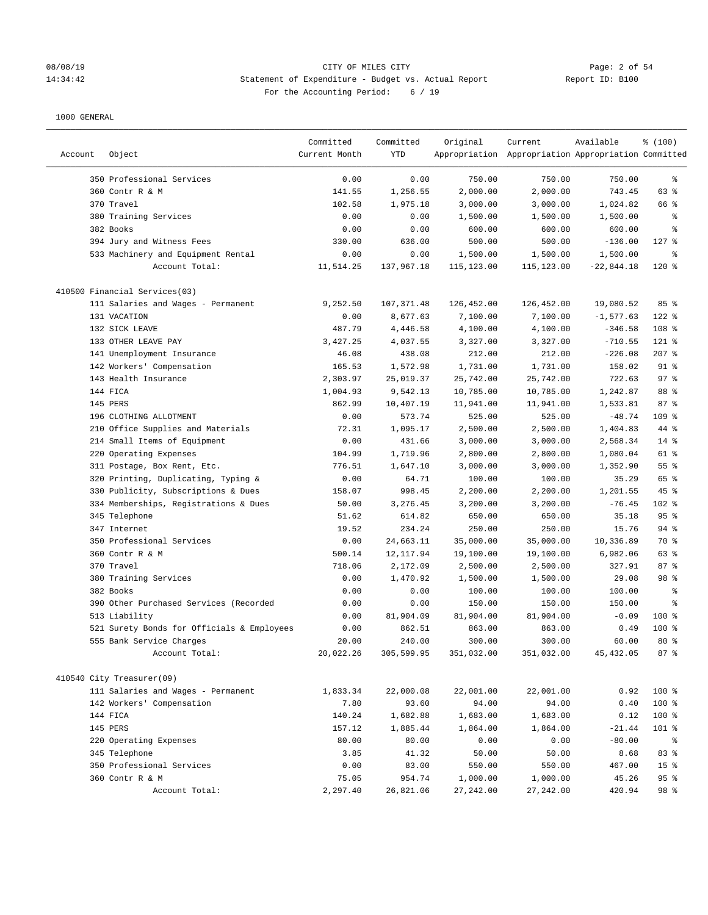### 08/08/19 Page: 2 of 54 14:34:42 Statement of Expenditure - Budget vs. Actual Report Report ID: B100 For the Accounting Period: 6 / 19

|         |                                            | Committed     | Committed  | Original   | Current                                             | Available    | % (100)         |
|---------|--------------------------------------------|---------------|------------|------------|-----------------------------------------------------|--------------|-----------------|
| Account | Object                                     | Current Month | YTD        |            | Appropriation Appropriation Appropriation Committed |              |                 |
|         |                                            |               |            |            |                                                     |              |                 |
|         | 350 Professional Services                  | 0.00          | 0.00       | 750.00     | 750.00                                              | 750.00       | $\epsilon$      |
|         | 360 Contr R & M                            | 141.55        | 1,256.55   | 2,000.00   | 2,000.00                                            | 743.45       | 63 %            |
|         | 370 Travel                                 | 102.58        | 1,975.18   | 3,000.00   | 3,000.00                                            | 1,024.82     | 66 %            |
|         | 380 Training Services                      | 0.00          | 0.00       | 1,500.00   | 1,500.00                                            | 1,500.00     | နွ              |
|         | 382 Books                                  | 0.00          | 0.00       | 600.00     | 600.00                                              | 600.00       | る               |
|         | 394 Jury and Witness Fees                  | 330.00        | 636.00     | 500.00     | 500.00                                              | $-136.00$    | $127$ %         |
|         | 533 Machinery and Equipment Rental         | 0.00          | 0.00       | 1,500.00   | 1,500.00                                            | 1,500.00     | နွ              |
|         | Account Total:                             | 11,514.25     | 137,967.18 | 115,123.00 | 115,123.00                                          | $-22,844.18$ | $120*$          |
|         | 410500 Financial Services(03)              |               |            |            |                                                     |              |                 |
|         | 111 Salaries and Wages - Permanent         | 9,252.50      | 107,371.48 | 126,452.00 | 126,452.00                                          | 19,080.52    | 85%             |
|         | 131 VACATION                               | 0.00          | 8,677.63   | 7,100.00   | 7,100.00                                            | $-1, 577.63$ | $122$ %         |
|         | 132 SICK LEAVE                             | 487.79        | 4,446.58   | 4,100.00   | 4,100.00                                            | $-346.58$    | 108 %           |
|         | 133 OTHER LEAVE PAY                        | 3,427.25      | 4,037.55   | 3,327.00   | 3,327.00                                            | $-710.55$    | $121$ %         |
|         | 141 Unemployment Insurance                 | 46.08         | 438.08     | 212.00     | 212.00                                              | $-226.08$    | $207$ %         |
|         | 142 Workers' Compensation                  | 165.53        | 1,572.98   | 1,731.00   | 1,731.00                                            | 158.02       | $91$ %          |
|         | 143 Health Insurance                       | 2,303.97      | 25,019.37  | 25,742.00  | 25,742.00                                           | 722.63       | 97%             |
|         | 144 FICA                                   | 1,004.93      | 9,542.13   | 10,785.00  | 10,785.00                                           | 1,242.87     | 88 %            |
|         | 145 PERS                                   | 862.99        | 10,407.19  | 11,941.00  | 11,941.00                                           | 1,533.81     | 87%             |
|         | 196 CLOTHING ALLOTMENT                     | 0.00          | 573.74     | 525.00     | 525.00                                              | $-48.74$     | 109 %           |
|         | 210 Office Supplies and Materials          | 72.31         | 1,095.17   | 2,500.00   | 2,500.00                                            | 1,404.83     | 44 %            |
|         | 214 Small Items of Equipment               | 0.00          | 431.66     | 3,000.00   | 3,000.00                                            | 2,568.34     | $14$ %          |
|         | 220 Operating Expenses                     | 104.99        | 1,719.96   | 2,800.00   | 2,800.00                                            | 1,080.04     | 61 %            |
|         | 311 Postage, Box Rent, Etc.                | 776.51        | 1,647.10   | 3,000.00   | 3,000.00                                            | 1,352.90     | 55 %            |
|         | 320 Printing, Duplicating, Typing &        | 0.00          | 64.71      | 100.00     | 100.00                                              | 35.29        | 65 %            |
|         | 330 Publicity, Subscriptions & Dues        | 158.07        | 998.45     | 2,200.00   | 2,200.00                                            | 1,201.55     | 45 %            |
|         | 334 Memberships, Registrations & Dues      | 50.00         | 3,276.45   | 3,200.00   | 3,200.00                                            | $-76.45$     | 102 %           |
|         | 345 Telephone                              | 51.62         | 614.82     | 650.00     | 650.00                                              | 35.18        | 95%             |
|         | 347 Internet                               | 19.52         | 234.24     | 250.00     | 250.00                                              | 15.76        | 94%             |
|         | 350 Professional Services                  | 0.00          | 24,663.11  | 35,000.00  | 35,000.00                                           | 10,336.89    | 70 %            |
|         | 360 Contr R & M                            | 500.14        | 12, 117.94 | 19,100.00  | 19,100.00                                           | 6,982.06     | 63 %            |
|         | 370 Travel                                 | 718.06        | 2,172.09   | 2,500.00   | 2,500.00                                            | 327.91       | 87%             |
|         | 380 Training Services                      | 0.00          | 1,470.92   | 1,500.00   | 1,500.00                                            | 29.08        | 98 %            |
|         | 382 Books                                  | 0.00          | 0.00       | 100.00     | 100.00                                              | 100.00       | နွ              |
|         | 390 Other Purchased Services (Recorded     | 0.00          | 0.00       | 150.00     | 150.00                                              | 150.00       | る               |
|         | 513 Liability                              | 0.00          | 81,904.09  | 81,904.00  | 81,904.00                                           | $-0.09$      | $100*$          |
|         | 521 Surety Bonds for Officials & Employees | 0.00          | 862.51     | 863.00     | 863.00                                              | 0.49         | $100$ %         |
|         | 555 Bank Service Charges                   | 20.00         | 240.00     | 300.00     | 300.00                                              | 60.00        | $80*$           |
|         | Account Total:                             | 20,022.26     | 305,599.95 | 351,032.00 | 351,032.00                                          | 45, 432.05   | 87%             |
|         |                                            |               |            |            |                                                     |              |                 |
|         | 410540 City Treasurer(09)                  |               |            |            |                                                     |              |                 |
|         | 111 Salaries and Wages - Permanent         | 1,833.34      | 22,000.08  | 22,001.00  | 22,001.00                                           | 0.92         | 100 %           |
|         | 142 Workers' Compensation                  | 7.80          | 93.60      | 94.00      | 94.00                                               | 0.40         | 100 %           |
|         | 144 FICA                                   | 140.24        | 1,682.88   | 1,683.00   | 1,683.00                                            | 0.12         | 100 %           |
|         | 145 PERS                                   | 157.12        | 1,885.44   | 1,864.00   | 1,864.00                                            | $-21.44$     | 101 %           |
|         | 220 Operating Expenses                     | 80.00         | 80.00      | 0.00       | 0.00                                                | $-80.00$     | ိ               |
|         | 345 Telephone                              | 3.85          | 41.32      | 50.00      | 50.00                                               | 8.68         | 83%             |
|         | 350 Professional Services                  | 0.00          | 83.00      | 550.00     | 550.00                                              | 467.00       | 15 <sup>°</sup> |
|         | 360 Contr R & M                            | 75.05         | 954.74     | 1,000.00   | 1,000.00                                            | 45.26        | 95%             |
|         | Account Total:                             | 2,297.40      | 26,821.06  | 27, 242.00 | 27,242.00                                           | 420.94       | 98 %            |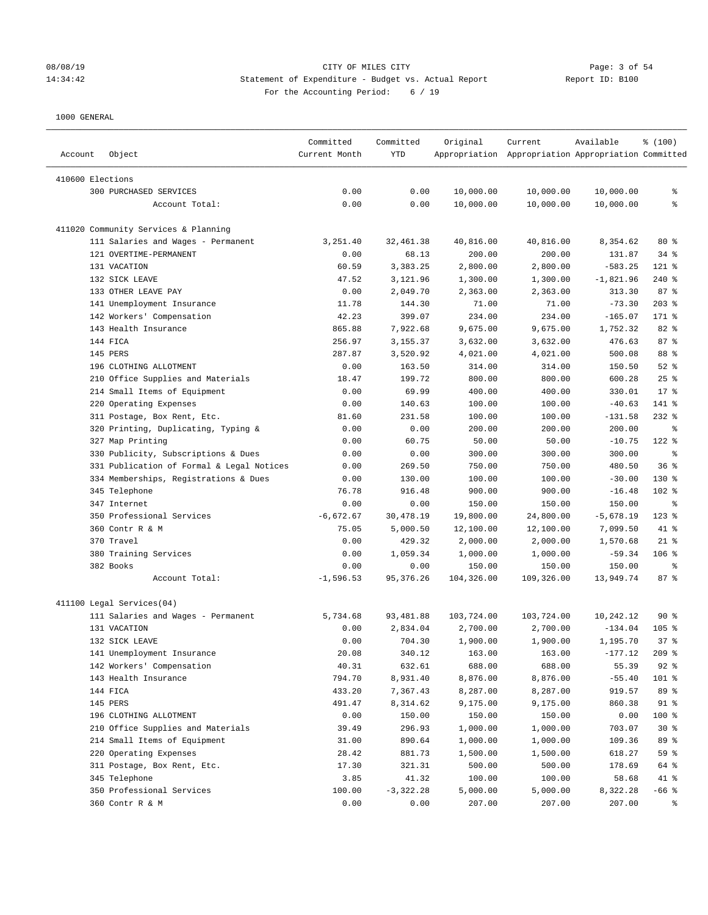### 08/08/19 Page: 3 of 54 14:34:42 Statement of Expenditure - Budget vs. Actual Report Report ID: B100 For the Accounting Period: 6 / 19

| 410600 Elections<br>0.00<br>300 PURCHASED SERVICES<br>0.00<br>10,000.00<br>10,000.00<br>10,000.00<br>နွ<br>Account Total:<br>0.00<br>0.00<br>10,000.00<br>10,000.00<br>10,000.00<br>ి<br>411020 Community Services & Planning<br>111 Salaries and Wages - Permanent<br>40,816.00<br>$80*$<br>3,251.40<br>32,461.38<br>40,816.00<br>8,354.62<br>121 OVERTIME-PERMANENT<br>68.13<br>200.00<br>200.00<br>34%<br>0.00<br>131.87<br>131 VACATION<br>60.59<br>3,383.25<br>2,800.00<br>2,800.00<br>$-583.25$<br>$121$ %<br>132 SICK LEAVE<br>47.52<br>3,121.96<br>1,300.00<br>1,300.00<br>$-1,821.96$<br>$240$ %<br>87%<br>133 OTHER LEAVE PAY<br>0.00<br>2,049.70<br>2,363.00<br>2,363.00<br>313.30<br>11.78<br>$203$ %<br>141 Unemployment Insurance<br>144.30<br>71.00<br>71.00<br>$-73.30$<br>42.23<br>142 Workers' Compensation<br>399.07<br>234.00<br>$-165.07$<br>171 %<br>234.00<br>143 Health Insurance<br>865.88<br>7,922.68<br>9,675.00<br>9,675.00<br>1,752.32<br>82 %<br>87%<br>144 FICA<br>256.97<br>3,155.37<br>3,632.00<br>3,632.00<br>476.63<br>88 %<br>145 PERS<br>287.87<br>3,520.92<br>4,021.00<br>4,021.00<br>500.08<br>196 CLOTHING ALLOTMENT<br>0.00<br>163.50<br>314.00<br>314.00<br>150.50<br>$52$ $%$<br>25%<br>210 Office Supplies and Materials<br>18.47<br>199.72<br>800.00<br>800.00<br>600.28<br>214 Small Items of Equipment<br>0.00<br>69.99<br>400.00<br>400.00<br>330.01<br>$17*$<br>220 Operating Expenses<br>0.00<br>140.63<br>100.00<br>100.00<br>$-40.63$<br>141 %<br>311 Postage, Box Rent, Etc.<br>231.58<br>100.00<br>100.00<br>$232$ %<br>81.60<br>$-131.58$<br>320 Printing, Duplicating, Typing &<br>0.00<br>0.00<br>200.00<br>200.00<br>200.00<br>နွ<br>327 Map Printing<br>0.00<br>60.75<br>50.00<br>50.00<br>$122$ %<br>$-10.75$<br>330 Publicity, Subscriptions & Dues<br>0.00<br>0.00<br>300.00<br>300.00<br>300.00<br>နွ<br>36%<br>331 Publication of Formal & Legal Notices<br>0.00<br>269.50<br>750.00<br>750.00<br>480.50<br>334 Memberships, Registrations & Dues<br>0.00<br>130.00<br>100.00<br>100.00<br>$-30.00$<br>130 %<br>345 Telephone<br>76.78<br>916.48<br>900.00<br>900.00<br>$-16.48$<br>$102$ %<br>347 Internet<br>0.00<br>150.00<br>150.00<br>0.00<br>150.00<br>နွ<br>350 Professional Services<br>$-6,672.67$<br>30,478.19<br>19,800.00<br>24,800.00<br>$-5,678.19$<br>$123$ %<br>360 Contr R & M<br>75.05<br>5,000.50<br>12,100.00<br>12,100.00<br>7,099.50<br>41 %<br>370 Travel<br>429.32<br>2,000.00<br>2,000.00<br>$21$ %<br>0.00<br>1,570.68<br>380 Training Services<br>0.00<br>1,059.34<br>1,000.00<br>1,000.00<br>$106$ %<br>$-59.34$<br>382 Books<br>0.00<br>0.00<br>150.00<br>150.00<br>150.00<br>နွ<br>Account Total:<br>$-1,596.53$<br>95, 376.26<br>104,326.00<br>109,326.00<br>13,949.74<br>87%<br>411100 Legal Services(04)<br>111 Salaries and Wages - Permanent<br>5,734.68<br>103,724.00<br>90%<br>93,481.88<br>103,724.00<br>10,242.12<br>131 VACATION<br>0.00<br>2,834.04<br>2,700.00<br>2,700.00<br>$-134.04$<br>$105$ %<br>132 SICK LEAVE<br>0.00<br>704.30<br>1,900.00<br>1,900.00<br>1,195.70<br>378<br>141 Unemployment Insurance<br>20.08<br>340.12<br>163.00<br>163.00<br>$-177.12$<br>$209$ %<br>142 Workers' Compensation<br>40.31<br>632.61<br>688.00<br>688.00<br>55.39<br>$92$ $%$<br>794.70<br>8,876.00<br>$-55.40$<br>101 %<br>143 Health Insurance<br>8,931.40<br>8,876.00<br>144 FICA<br>433.20<br>89 %<br>7,367.43<br>8,287.00<br>8,287.00<br>919.57<br>145 PERS<br>491.47<br>9,175.00<br>91 %<br>8,314.62<br>9,175.00<br>860.38<br>196 CLOTHING ALLOTMENT<br>0.00<br>150.00<br>150.00<br>150.00<br>100 %<br>0.00<br>210 Office Supplies and Materials<br>39.49<br>296.93<br>1,000.00<br>1,000.00<br>$30*$<br>703.07<br>214 Small Items of Equipment<br>31.00<br>89 %<br>890.64<br>1,000.00<br>1,000.00<br>109.36<br>220 Operating Expenses<br>28.42<br>59 %<br>881.73<br>1,500.00<br>1,500.00<br>618.27<br>311 Postage, Box Rent, Etc.<br>17.30<br>321.31<br>500.00<br>64 %<br>500.00<br>178.69<br>345 Telephone<br>3.85<br>41.32<br>100.00<br>100.00<br>58.68<br>41 %<br>350 Professional Services<br>100.00<br>$-3,322.28$<br>5,000.00<br>5,000.00<br>8,322.28<br>$-66$ % | Account | Object | Committed<br>Current Month | Committed<br>YTD | Original | Current<br>Appropriation Appropriation Appropriation Committed | Available | \$(100) |
|----------------------------------------------------------------------------------------------------------------------------------------------------------------------------------------------------------------------------------------------------------------------------------------------------------------------------------------------------------------------------------------------------------------------------------------------------------------------------------------------------------------------------------------------------------------------------------------------------------------------------------------------------------------------------------------------------------------------------------------------------------------------------------------------------------------------------------------------------------------------------------------------------------------------------------------------------------------------------------------------------------------------------------------------------------------------------------------------------------------------------------------------------------------------------------------------------------------------------------------------------------------------------------------------------------------------------------------------------------------------------------------------------------------------------------------------------------------------------------------------------------------------------------------------------------------------------------------------------------------------------------------------------------------------------------------------------------------------------------------------------------------------------------------------------------------------------------------------------------------------------------------------------------------------------------------------------------------------------------------------------------------------------------------------------------------------------------------------------------------------------------------------------------------------------------------------------------------------------------------------------------------------------------------------------------------------------------------------------------------------------------------------------------------------------------------------------------------------------------------------------------------------------------------------------------------------------------------------------------------------------------------------------------------------------------------------------------------------------------------------------------------------------------------------------------------------------------------------------------------------------------------------------------------------------------------------------------------------------------------------------------------------------------------------------------------------------------------------------------------------------------------------------------------------------------------------------------------------------------------------------------------------------------------------------------------------------------------------------------------------------------------------------------------------------------------------------------------------------------------------------------------------------------------------------------------------------------------------------------------------------------------------------------------------------------------------------------------------------------------------------------------------------------------------------------------------------------------------------------------------------------------------------------------------------------------------------------------------------------------------------------------------------------------------------------------------------------------------------------------------------------------------------------------------------------|---------|--------|----------------------------|------------------|----------|----------------------------------------------------------------|-----------|---------|
|                                                                                                                                                                                                                                                                                                                                                                                                                                                                                                                                                                                                                                                                                                                                                                                                                                                                                                                                                                                                                                                                                                                                                                                                                                                                                                                                                                                                                                                                                                                                                                                                                                                                                                                                                                                                                                                                                                                                                                                                                                                                                                                                                                                                                                                                                                                                                                                                                                                                                                                                                                                                                                                                                                                                                                                                                                                                                                                                                                                                                                                                                                                                                                                                                                                                                                                                                                                                                                                                                                                                                                                                                                                                                                                                                                                                                                                                                                                                                                                                                                                                                                                                                                                  |         |        |                            |                  |          |                                                                |           |         |
|                                                                                                                                                                                                                                                                                                                                                                                                                                                                                                                                                                                                                                                                                                                                                                                                                                                                                                                                                                                                                                                                                                                                                                                                                                                                                                                                                                                                                                                                                                                                                                                                                                                                                                                                                                                                                                                                                                                                                                                                                                                                                                                                                                                                                                                                                                                                                                                                                                                                                                                                                                                                                                                                                                                                                                                                                                                                                                                                                                                                                                                                                                                                                                                                                                                                                                                                                                                                                                                                                                                                                                                                                                                                                                                                                                                                                                                                                                                                                                                                                                                                                                                                                                                  |         |        |                            |                  |          |                                                                |           |         |
|                                                                                                                                                                                                                                                                                                                                                                                                                                                                                                                                                                                                                                                                                                                                                                                                                                                                                                                                                                                                                                                                                                                                                                                                                                                                                                                                                                                                                                                                                                                                                                                                                                                                                                                                                                                                                                                                                                                                                                                                                                                                                                                                                                                                                                                                                                                                                                                                                                                                                                                                                                                                                                                                                                                                                                                                                                                                                                                                                                                                                                                                                                                                                                                                                                                                                                                                                                                                                                                                                                                                                                                                                                                                                                                                                                                                                                                                                                                                                                                                                                                                                                                                                                                  |         |        |                            |                  |          |                                                                |           |         |
|                                                                                                                                                                                                                                                                                                                                                                                                                                                                                                                                                                                                                                                                                                                                                                                                                                                                                                                                                                                                                                                                                                                                                                                                                                                                                                                                                                                                                                                                                                                                                                                                                                                                                                                                                                                                                                                                                                                                                                                                                                                                                                                                                                                                                                                                                                                                                                                                                                                                                                                                                                                                                                                                                                                                                                                                                                                                                                                                                                                                                                                                                                                                                                                                                                                                                                                                                                                                                                                                                                                                                                                                                                                                                                                                                                                                                                                                                                                                                                                                                                                                                                                                                                                  |         |        |                            |                  |          |                                                                |           |         |
|                                                                                                                                                                                                                                                                                                                                                                                                                                                                                                                                                                                                                                                                                                                                                                                                                                                                                                                                                                                                                                                                                                                                                                                                                                                                                                                                                                                                                                                                                                                                                                                                                                                                                                                                                                                                                                                                                                                                                                                                                                                                                                                                                                                                                                                                                                                                                                                                                                                                                                                                                                                                                                                                                                                                                                                                                                                                                                                                                                                                                                                                                                                                                                                                                                                                                                                                                                                                                                                                                                                                                                                                                                                                                                                                                                                                                                                                                                                                                                                                                                                                                                                                                                                  |         |        |                            |                  |          |                                                                |           |         |
|                                                                                                                                                                                                                                                                                                                                                                                                                                                                                                                                                                                                                                                                                                                                                                                                                                                                                                                                                                                                                                                                                                                                                                                                                                                                                                                                                                                                                                                                                                                                                                                                                                                                                                                                                                                                                                                                                                                                                                                                                                                                                                                                                                                                                                                                                                                                                                                                                                                                                                                                                                                                                                                                                                                                                                                                                                                                                                                                                                                                                                                                                                                                                                                                                                                                                                                                                                                                                                                                                                                                                                                                                                                                                                                                                                                                                                                                                                                                                                                                                                                                                                                                                                                  |         |        |                            |                  |          |                                                                |           |         |
|                                                                                                                                                                                                                                                                                                                                                                                                                                                                                                                                                                                                                                                                                                                                                                                                                                                                                                                                                                                                                                                                                                                                                                                                                                                                                                                                                                                                                                                                                                                                                                                                                                                                                                                                                                                                                                                                                                                                                                                                                                                                                                                                                                                                                                                                                                                                                                                                                                                                                                                                                                                                                                                                                                                                                                                                                                                                                                                                                                                                                                                                                                                                                                                                                                                                                                                                                                                                                                                                                                                                                                                                                                                                                                                                                                                                                                                                                                                                                                                                                                                                                                                                                                                  |         |        |                            |                  |          |                                                                |           |         |
|                                                                                                                                                                                                                                                                                                                                                                                                                                                                                                                                                                                                                                                                                                                                                                                                                                                                                                                                                                                                                                                                                                                                                                                                                                                                                                                                                                                                                                                                                                                                                                                                                                                                                                                                                                                                                                                                                                                                                                                                                                                                                                                                                                                                                                                                                                                                                                                                                                                                                                                                                                                                                                                                                                                                                                                                                                                                                                                                                                                                                                                                                                                                                                                                                                                                                                                                                                                                                                                                                                                                                                                                                                                                                                                                                                                                                                                                                                                                                                                                                                                                                                                                                                                  |         |        |                            |                  |          |                                                                |           |         |
|                                                                                                                                                                                                                                                                                                                                                                                                                                                                                                                                                                                                                                                                                                                                                                                                                                                                                                                                                                                                                                                                                                                                                                                                                                                                                                                                                                                                                                                                                                                                                                                                                                                                                                                                                                                                                                                                                                                                                                                                                                                                                                                                                                                                                                                                                                                                                                                                                                                                                                                                                                                                                                                                                                                                                                                                                                                                                                                                                                                                                                                                                                                                                                                                                                                                                                                                                                                                                                                                                                                                                                                                                                                                                                                                                                                                                                                                                                                                                                                                                                                                                                                                                                                  |         |        |                            |                  |          |                                                                |           |         |
|                                                                                                                                                                                                                                                                                                                                                                                                                                                                                                                                                                                                                                                                                                                                                                                                                                                                                                                                                                                                                                                                                                                                                                                                                                                                                                                                                                                                                                                                                                                                                                                                                                                                                                                                                                                                                                                                                                                                                                                                                                                                                                                                                                                                                                                                                                                                                                                                                                                                                                                                                                                                                                                                                                                                                                                                                                                                                                                                                                                                                                                                                                                                                                                                                                                                                                                                                                                                                                                                                                                                                                                                                                                                                                                                                                                                                                                                                                                                                                                                                                                                                                                                                                                  |         |        |                            |                  |          |                                                                |           |         |
|                                                                                                                                                                                                                                                                                                                                                                                                                                                                                                                                                                                                                                                                                                                                                                                                                                                                                                                                                                                                                                                                                                                                                                                                                                                                                                                                                                                                                                                                                                                                                                                                                                                                                                                                                                                                                                                                                                                                                                                                                                                                                                                                                                                                                                                                                                                                                                                                                                                                                                                                                                                                                                                                                                                                                                                                                                                                                                                                                                                                                                                                                                                                                                                                                                                                                                                                                                                                                                                                                                                                                                                                                                                                                                                                                                                                                                                                                                                                                                                                                                                                                                                                                                                  |         |        |                            |                  |          |                                                                |           |         |
|                                                                                                                                                                                                                                                                                                                                                                                                                                                                                                                                                                                                                                                                                                                                                                                                                                                                                                                                                                                                                                                                                                                                                                                                                                                                                                                                                                                                                                                                                                                                                                                                                                                                                                                                                                                                                                                                                                                                                                                                                                                                                                                                                                                                                                                                                                                                                                                                                                                                                                                                                                                                                                                                                                                                                                                                                                                                                                                                                                                                                                                                                                                                                                                                                                                                                                                                                                                                                                                                                                                                                                                                                                                                                                                                                                                                                                                                                                                                                                                                                                                                                                                                                                                  |         |        |                            |                  |          |                                                                |           |         |
|                                                                                                                                                                                                                                                                                                                                                                                                                                                                                                                                                                                                                                                                                                                                                                                                                                                                                                                                                                                                                                                                                                                                                                                                                                                                                                                                                                                                                                                                                                                                                                                                                                                                                                                                                                                                                                                                                                                                                                                                                                                                                                                                                                                                                                                                                                                                                                                                                                                                                                                                                                                                                                                                                                                                                                                                                                                                                                                                                                                                                                                                                                                                                                                                                                                                                                                                                                                                                                                                                                                                                                                                                                                                                                                                                                                                                                                                                                                                                                                                                                                                                                                                                                                  |         |        |                            |                  |          |                                                                |           |         |
|                                                                                                                                                                                                                                                                                                                                                                                                                                                                                                                                                                                                                                                                                                                                                                                                                                                                                                                                                                                                                                                                                                                                                                                                                                                                                                                                                                                                                                                                                                                                                                                                                                                                                                                                                                                                                                                                                                                                                                                                                                                                                                                                                                                                                                                                                                                                                                                                                                                                                                                                                                                                                                                                                                                                                                                                                                                                                                                                                                                                                                                                                                                                                                                                                                                                                                                                                                                                                                                                                                                                                                                                                                                                                                                                                                                                                                                                                                                                                                                                                                                                                                                                                                                  |         |        |                            |                  |          |                                                                |           |         |
|                                                                                                                                                                                                                                                                                                                                                                                                                                                                                                                                                                                                                                                                                                                                                                                                                                                                                                                                                                                                                                                                                                                                                                                                                                                                                                                                                                                                                                                                                                                                                                                                                                                                                                                                                                                                                                                                                                                                                                                                                                                                                                                                                                                                                                                                                                                                                                                                                                                                                                                                                                                                                                                                                                                                                                                                                                                                                                                                                                                                                                                                                                                                                                                                                                                                                                                                                                                                                                                                                                                                                                                                                                                                                                                                                                                                                                                                                                                                                                                                                                                                                                                                                                                  |         |        |                            |                  |          |                                                                |           |         |
|                                                                                                                                                                                                                                                                                                                                                                                                                                                                                                                                                                                                                                                                                                                                                                                                                                                                                                                                                                                                                                                                                                                                                                                                                                                                                                                                                                                                                                                                                                                                                                                                                                                                                                                                                                                                                                                                                                                                                                                                                                                                                                                                                                                                                                                                                                                                                                                                                                                                                                                                                                                                                                                                                                                                                                                                                                                                                                                                                                                                                                                                                                                                                                                                                                                                                                                                                                                                                                                                                                                                                                                                                                                                                                                                                                                                                                                                                                                                                                                                                                                                                                                                                                                  |         |        |                            |                  |          |                                                                |           |         |
|                                                                                                                                                                                                                                                                                                                                                                                                                                                                                                                                                                                                                                                                                                                                                                                                                                                                                                                                                                                                                                                                                                                                                                                                                                                                                                                                                                                                                                                                                                                                                                                                                                                                                                                                                                                                                                                                                                                                                                                                                                                                                                                                                                                                                                                                                                                                                                                                                                                                                                                                                                                                                                                                                                                                                                                                                                                                                                                                                                                                                                                                                                                                                                                                                                                                                                                                                                                                                                                                                                                                                                                                                                                                                                                                                                                                                                                                                                                                                                                                                                                                                                                                                                                  |         |        |                            |                  |          |                                                                |           |         |
|                                                                                                                                                                                                                                                                                                                                                                                                                                                                                                                                                                                                                                                                                                                                                                                                                                                                                                                                                                                                                                                                                                                                                                                                                                                                                                                                                                                                                                                                                                                                                                                                                                                                                                                                                                                                                                                                                                                                                                                                                                                                                                                                                                                                                                                                                                                                                                                                                                                                                                                                                                                                                                                                                                                                                                                                                                                                                                                                                                                                                                                                                                                                                                                                                                                                                                                                                                                                                                                                                                                                                                                                                                                                                                                                                                                                                                                                                                                                                                                                                                                                                                                                                                                  |         |        |                            |                  |          |                                                                |           |         |
|                                                                                                                                                                                                                                                                                                                                                                                                                                                                                                                                                                                                                                                                                                                                                                                                                                                                                                                                                                                                                                                                                                                                                                                                                                                                                                                                                                                                                                                                                                                                                                                                                                                                                                                                                                                                                                                                                                                                                                                                                                                                                                                                                                                                                                                                                                                                                                                                                                                                                                                                                                                                                                                                                                                                                                                                                                                                                                                                                                                                                                                                                                                                                                                                                                                                                                                                                                                                                                                                                                                                                                                                                                                                                                                                                                                                                                                                                                                                                                                                                                                                                                                                                                                  |         |        |                            |                  |          |                                                                |           |         |
|                                                                                                                                                                                                                                                                                                                                                                                                                                                                                                                                                                                                                                                                                                                                                                                                                                                                                                                                                                                                                                                                                                                                                                                                                                                                                                                                                                                                                                                                                                                                                                                                                                                                                                                                                                                                                                                                                                                                                                                                                                                                                                                                                                                                                                                                                                                                                                                                                                                                                                                                                                                                                                                                                                                                                                                                                                                                                                                                                                                                                                                                                                                                                                                                                                                                                                                                                                                                                                                                                                                                                                                                                                                                                                                                                                                                                                                                                                                                                                                                                                                                                                                                                                                  |         |        |                            |                  |          |                                                                |           |         |
|                                                                                                                                                                                                                                                                                                                                                                                                                                                                                                                                                                                                                                                                                                                                                                                                                                                                                                                                                                                                                                                                                                                                                                                                                                                                                                                                                                                                                                                                                                                                                                                                                                                                                                                                                                                                                                                                                                                                                                                                                                                                                                                                                                                                                                                                                                                                                                                                                                                                                                                                                                                                                                                                                                                                                                                                                                                                                                                                                                                                                                                                                                                                                                                                                                                                                                                                                                                                                                                                                                                                                                                                                                                                                                                                                                                                                                                                                                                                                                                                                                                                                                                                                                                  |         |        |                            |                  |          |                                                                |           |         |
|                                                                                                                                                                                                                                                                                                                                                                                                                                                                                                                                                                                                                                                                                                                                                                                                                                                                                                                                                                                                                                                                                                                                                                                                                                                                                                                                                                                                                                                                                                                                                                                                                                                                                                                                                                                                                                                                                                                                                                                                                                                                                                                                                                                                                                                                                                                                                                                                                                                                                                                                                                                                                                                                                                                                                                                                                                                                                                                                                                                                                                                                                                                                                                                                                                                                                                                                                                                                                                                                                                                                                                                                                                                                                                                                                                                                                                                                                                                                                                                                                                                                                                                                                                                  |         |        |                            |                  |          |                                                                |           |         |
|                                                                                                                                                                                                                                                                                                                                                                                                                                                                                                                                                                                                                                                                                                                                                                                                                                                                                                                                                                                                                                                                                                                                                                                                                                                                                                                                                                                                                                                                                                                                                                                                                                                                                                                                                                                                                                                                                                                                                                                                                                                                                                                                                                                                                                                                                                                                                                                                                                                                                                                                                                                                                                                                                                                                                                                                                                                                                                                                                                                                                                                                                                                                                                                                                                                                                                                                                                                                                                                                                                                                                                                                                                                                                                                                                                                                                                                                                                                                                                                                                                                                                                                                                                                  |         |        |                            |                  |          |                                                                |           |         |
|                                                                                                                                                                                                                                                                                                                                                                                                                                                                                                                                                                                                                                                                                                                                                                                                                                                                                                                                                                                                                                                                                                                                                                                                                                                                                                                                                                                                                                                                                                                                                                                                                                                                                                                                                                                                                                                                                                                                                                                                                                                                                                                                                                                                                                                                                                                                                                                                                                                                                                                                                                                                                                                                                                                                                                                                                                                                                                                                                                                                                                                                                                                                                                                                                                                                                                                                                                                                                                                                                                                                                                                                                                                                                                                                                                                                                                                                                                                                                                                                                                                                                                                                                                                  |         |        |                            |                  |          |                                                                |           |         |
|                                                                                                                                                                                                                                                                                                                                                                                                                                                                                                                                                                                                                                                                                                                                                                                                                                                                                                                                                                                                                                                                                                                                                                                                                                                                                                                                                                                                                                                                                                                                                                                                                                                                                                                                                                                                                                                                                                                                                                                                                                                                                                                                                                                                                                                                                                                                                                                                                                                                                                                                                                                                                                                                                                                                                                                                                                                                                                                                                                                                                                                                                                                                                                                                                                                                                                                                                                                                                                                                                                                                                                                                                                                                                                                                                                                                                                                                                                                                                                                                                                                                                                                                                                                  |         |        |                            |                  |          |                                                                |           |         |
|                                                                                                                                                                                                                                                                                                                                                                                                                                                                                                                                                                                                                                                                                                                                                                                                                                                                                                                                                                                                                                                                                                                                                                                                                                                                                                                                                                                                                                                                                                                                                                                                                                                                                                                                                                                                                                                                                                                                                                                                                                                                                                                                                                                                                                                                                                                                                                                                                                                                                                                                                                                                                                                                                                                                                                                                                                                                                                                                                                                                                                                                                                                                                                                                                                                                                                                                                                                                                                                                                                                                                                                                                                                                                                                                                                                                                                                                                                                                                                                                                                                                                                                                                                                  |         |        |                            |                  |          |                                                                |           |         |
|                                                                                                                                                                                                                                                                                                                                                                                                                                                                                                                                                                                                                                                                                                                                                                                                                                                                                                                                                                                                                                                                                                                                                                                                                                                                                                                                                                                                                                                                                                                                                                                                                                                                                                                                                                                                                                                                                                                                                                                                                                                                                                                                                                                                                                                                                                                                                                                                                                                                                                                                                                                                                                                                                                                                                                                                                                                                                                                                                                                                                                                                                                                                                                                                                                                                                                                                                                                                                                                                                                                                                                                                                                                                                                                                                                                                                                                                                                                                                                                                                                                                                                                                                                                  |         |        |                            |                  |          |                                                                |           |         |
|                                                                                                                                                                                                                                                                                                                                                                                                                                                                                                                                                                                                                                                                                                                                                                                                                                                                                                                                                                                                                                                                                                                                                                                                                                                                                                                                                                                                                                                                                                                                                                                                                                                                                                                                                                                                                                                                                                                                                                                                                                                                                                                                                                                                                                                                                                                                                                                                                                                                                                                                                                                                                                                                                                                                                                                                                                                                                                                                                                                                                                                                                                                                                                                                                                                                                                                                                                                                                                                                                                                                                                                                                                                                                                                                                                                                                                                                                                                                                                                                                                                                                                                                                                                  |         |        |                            |                  |          |                                                                |           |         |
|                                                                                                                                                                                                                                                                                                                                                                                                                                                                                                                                                                                                                                                                                                                                                                                                                                                                                                                                                                                                                                                                                                                                                                                                                                                                                                                                                                                                                                                                                                                                                                                                                                                                                                                                                                                                                                                                                                                                                                                                                                                                                                                                                                                                                                                                                                                                                                                                                                                                                                                                                                                                                                                                                                                                                                                                                                                                                                                                                                                                                                                                                                                                                                                                                                                                                                                                                                                                                                                                                                                                                                                                                                                                                                                                                                                                                                                                                                                                                                                                                                                                                                                                                                                  |         |        |                            |                  |          |                                                                |           |         |
|                                                                                                                                                                                                                                                                                                                                                                                                                                                                                                                                                                                                                                                                                                                                                                                                                                                                                                                                                                                                                                                                                                                                                                                                                                                                                                                                                                                                                                                                                                                                                                                                                                                                                                                                                                                                                                                                                                                                                                                                                                                                                                                                                                                                                                                                                                                                                                                                                                                                                                                                                                                                                                                                                                                                                                                                                                                                                                                                                                                                                                                                                                                                                                                                                                                                                                                                                                                                                                                                                                                                                                                                                                                                                                                                                                                                                                                                                                                                                                                                                                                                                                                                                                                  |         |        |                            |                  |          |                                                                |           |         |
|                                                                                                                                                                                                                                                                                                                                                                                                                                                                                                                                                                                                                                                                                                                                                                                                                                                                                                                                                                                                                                                                                                                                                                                                                                                                                                                                                                                                                                                                                                                                                                                                                                                                                                                                                                                                                                                                                                                                                                                                                                                                                                                                                                                                                                                                                                                                                                                                                                                                                                                                                                                                                                                                                                                                                                                                                                                                                                                                                                                                                                                                                                                                                                                                                                                                                                                                                                                                                                                                                                                                                                                                                                                                                                                                                                                                                                                                                                                                                                                                                                                                                                                                                                                  |         |        |                            |                  |          |                                                                |           |         |
|                                                                                                                                                                                                                                                                                                                                                                                                                                                                                                                                                                                                                                                                                                                                                                                                                                                                                                                                                                                                                                                                                                                                                                                                                                                                                                                                                                                                                                                                                                                                                                                                                                                                                                                                                                                                                                                                                                                                                                                                                                                                                                                                                                                                                                                                                                                                                                                                                                                                                                                                                                                                                                                                                                                                                                                                                                                                                                                                                                                                                                                                                                                                                                                                                                                                                                                                                                                                                                                                                                                                                                                                                                                                                                                                                                                                                                                                                                                                                                                                                                                                                                                                                                                  |         |        |                            |                  |          |                                                                |           |         |
|                                                                                                                                                                                                                                                                                                                                                                                                                                                                                                                                                                                                                                                                                                                                                                                                                                                                                                                                                                                                                                                                                                                                                                                                                                                                                                                                                                                                                                                                                                                                                                                                                                                                                                                                                                                                                                                                                                                                                                                                                                                                                                                                                                                                                                                                                                                                                                                                                                                                                                                                                                                                                                                                                                                                                                                                                                                                                                                                                                                                                                                                                                                                                                                                                                                                                                                                                                                                                                                                                                                                                                                                                                                                                                                                                                                                                                                                                                                                                                                                                                                                                                                                                                                  |         |        |                            |                  |          |                                                                |           |         |
|                                                                                                                                                                                                                                                                                                                                                                                                                                                                                                                                                                                                                                                                                                                                                                                                                                                                                                                                                                                                                                                                                                                                                                                                                                                                                                                                                                                                                                                                                                                                                                                                                                                                                                                                                                                                                                                                                                                                                                                                                                                                                                                                                                                                                                                                                                                                                                                                                                                                                                                                                                                                                                                                                                                                                                                                                                                                                                                                                                                                                                                                                                                                                                                                                                                                                                                                                                                                                                                                                                                                                                                                                                                                                                                                                                                                                                                                                                                                                                                                                                                                                                                                                                                  |         |        |                            |                  |          |                                                                |           |         |
|                                                                                                                                                                                                                                                                                                                                                                                                                                                                                                                                                                                                                                                                                                                                                                                                                                                                                                                                                                                                                                                                                                                                                                                                                                                                                                                                                                                                                                                                                                                                                                                                                                                                                                                                                                                                                                                                                                                                                                                                                                                                                                                                                                                                                                                                                                                                                                                                                                                                                                                                                                                                                                                                                                                                                                                                                                                                                                                                                                                                                                                                                                                                                                                                                                                                                                                                                                                                                                                                                                                                                                                                                                                                                                                                                                                                                                                                                                                                                                                                                                                                                                                                                                                  |         |        |                            |                  |          |                                                                |           |         |
|                                                                                                                                                                                                                                                                                                                                                                                                                                                                                                                                                                                                                                                                                                                                                                                                                                                                                                                                                                                                                                                                                                                                                                                                                                                                                                                                                                                                                                                                                                                                                                                                                                                                                                                                                                                                                                                                                                                                                                                                                                                                                                                                                                                                                                                                                                                                                                                                                                                                                                                                                                                                                                                                                                                                                                                                                                                                                                                                                                                                                                                                                                                                                                                                                                                                                                                                                                                                                                                                                                                                                                                                                                                                                                                                                                                                                                                                                                                                                                                                                                                                                                                                                                                  |         |        |                            |                  |          |                                                                |           |         |
|                                                                                                                                                                                                                                                                                                                                                                                                                                                                                                                                                                                                                                                                                                                                                                                                                                                                                                                                                                                                                                                                                                                                                                                                                                                                                                                                                                                                                                                                                                                                                                                                                                                                                                                                                                                                                                                                                                                                                                                                                                                                                                                                                                                                                                                                                                                                                                                                                                                                                                                                                                                                                                                                                                                                                                                                                                                                                                                                                                                                                                                                                                                                                                                                                                                                                                                                                                                                                                                                                                                                                                                                                                                                                                                                                                                                                                                                                                                                                                                                                                                                                                                                                                                  |         |        |                            |                  |          |                                                                |           |         |
|                                                                                                                                                                                                                                                                                                                                                                                                                                                                                                                                                                                                                                                                                                                                                                                                                                                                                                                                                                                                                                                                                                                                                                                                                                                                                                                                                                                                                                                                                                                                                                                                                                                                                                                                                                                                                                                                                                                                                                                                                                                                                                                                                                                                                                                                                                                                                                                                                                                                                                                                                                                                                                                                                                                                                                                                                                                                                                                                                                                                                                                                                                                                                                                                                                                                                                                                                                                                                                                                                                                                                                                                                                                                                                                                                                                                                                                                                                                                                                                                                                                                                                                                                                                  |         |        |                            |                  |          |                                                                |           |         |
|                                                                                                                                                                                                                                                                                                                                                                                                                                                                                                                                                                                                                                                                                                                                                                                                                                                                                                                                                                                                                                                                                                                                                                                                                                                                                                                                                                                                                                                                                                                                                                                                                                                                                                                                                                                                                                                                                                                                                                                                                                                                                                                                                                                                                                                                                                                                                                                                                                                                                                                                                                                                                                                                                                                                                                                                                                                                                                                                                                                                                                                                                                                                                                                                                                                                                                                                                                                                                                                                                                                                                                                                                                                                                                                                                                                                                                                                                                                                                                                                                                                                                                                                                                                  |         |        |                            |                  |          |                                                                |           |         |
|                                                                                                                                                                                                                                                                                                                                                                                                                                                                                                                                                                                                                                                                                                                                                                                                                                                                                                                                                                                                                                                                                                                                                                                                                                                                                                                                                                                                                                                                                                                                                                                                                                                                                                                                                                                                                                                                                                                                                                                                                                                                                                                                                                                                                                                                                                                                                                                                                                                                                                                                                                                                                                                                                                                                                                                                                                                                                                                                                                                                                                                                                                                                                                                                                                                                                                                                                                                                                                                                                                                                                                                                                                                                                                                                                                                                                                                                                                                                                                                                                                                                                                                                                                                  |         |        |                            |                  |          |                                                                |           |         |
|                                                                                                                                                                                                                                                                                                                                                                                                                                                                                                                                                                                                                                                                                                                                                                                                                                                                                                                                                                                                                                                                                                                                                                                                                                                                                                                                                                                                                                                                                                                                                                                                                                                                                                                                                                                                                                                                                                                                                                                                                                                                                                                                                                                                                                                                                                                                                                                                                                                                                                                                                                                                                                                                                                                                                                                                                                                                                                                                                                                                                                                                                                                                                                                                                                                                                                                                                                                                                                                                                                                                                                                                                                                                                                                                                                                                                                                                                                                                                                                                                                                                                                                                                                                  |         |        |                            |                  |          |                                                                |           |         |
|                                                                                                                                                                                                                                                                                                                                                                                                                                                                                                                                                                                                                                                                                                                                                                                                                                                                                                                                                                                                                                                                                                                                                                                                                                                                                                                                                                                                                                                                                                                                                                                                                                                                                                                                                                                                                                                                                                                                                                                                                                                                                                                                                                                                                                                                                                                                                                                                                                                                                                                                                                                                                                                                                                                                                                                                                                                                                                                                                                                                                                                                                                                                                                                                                                                                                                                                                                                                                                                                                                                                                                                                                                                                                                                                                                                                                                                                                                                                                                                                                                                                                                                                                                                  |         |        |                            |                  |          |                                                                |           |         |
|                                                                                                                                                                                                                                                                                                                                                                                                                                                                                                                                                                                                                                                                                                                                                                                                                                                                                                                                                                                                                                                                                                                                                                                                                                                                                                                                                                                                                                                                                                                                                                                                                                                                                                                                                                                                                                                                                                                                                                                                                                                                                                                                                                                                                                                                                                                                                                                                                                                                                                                                                                                                                                                                                                                                                                                                                                                                                                                                                                                                                                                                                                                                                                                                                                                                                                                                                                                                                                                                                                                                                                                                                                                                                                                                                                                                                                                                                                                                                                                                                                                                                                                                                                                  |         |        |                            |                  |          |                                                                |           |         |
|                                                                                                                                                                                                                                                                                                                                                                                                                                                                                                                                                                                                                                                                                                                                                                                                                                                                                                                                                                                                                                                                                                                                                                                                                                                                                                                                                                                                                                                                                                                                                                                                                                                                                                                                                                                                                                                                                                                                                                                                                                                                                                                                                                                                                                                                                                                                                                                                                                                                                                                                                                                                                                                                                                                                                                                                                                                                                                                                                                                                                                                                                                                                                                                                                                                                                                                                                                                                                                                                                                                                                                                                                                                                                                                                                                                                                                                                                                                                                                                                                                                                                                                                                                                  |         |        |                            |                  |          |                                                                |           |         |
|                                                                                                                                                                                                                                                                                                                                                                                                                                                                                                                                                                                                                                                                                                                                                                                                                                                                                                                                                                                                                                                                                                                                                                                                                                                                                                                                                                                                                                                                                                                                                                                                                                                                                                                                                                                                                                                                                                                                                                                                                                                                                                                                                                                                                                                                                                                                                                                                                                                                                                                                                                                                                                                                                                                                                                                                                                                                                                                                                                                                                                                                                                                                                                                                                                                                                                                                                                                                                                                                                                                                                                                                                                                                                                                                                                                                                                                                                                                                                                                                                                                                                                                                                                                  |         |        |                            |                  |          |                                                                |           |         |
|                                                                                                                                                                                                                                                                                                                                                                                                                                                                                                                                                                                                                                                                                                                                                                                                                                                                                                                                                                                                                                                                                                                                                                                                                                                                                                                                                                                                                                                                                                                                                                                                                                                                                                                                                                                                                                                                                                                                                                                                                                                                                                                                                                                                                                                                                                                                                                                                                                                                                                                                                                                                                                                                                                                                                                                                                                                                                                                                                                                                                                                                                                                                                                                                                                                                                                                                                                                                                                                                                                                                                                                                                                                                                                                                                                                                                                                                                                                                                                                                                                                                                                                                                                                  |         |        |                            |                  |          |                                                                |           |         |
|                                                                                                                                                                                                                                                                                                                                                                                                                                                                                                                                                                                                                                                                                                                                                                                                                                                                                                                                                                                                                                                                                                                                                                                                                                                                                                                                                                                                                                                                                                                                                                                                                                                                                                                                                                                                                                                                                                                                                                                                                                                                                                                                                                                                                                                                                                                                                                                                                                                                                                                                                                                                                                                                                                                                                                                                                                                                                                                                                                                                                                                                                                                                                                                                                                                                                                                                                                                                                                                                                                                                                                                                                                                                                                                                                                                                                                                                                                                                                                                                                                                                                                                                                                                  |         |        |                            |                  |          |                                                                |           |         |
|                                                                                                                                                                                                                                                                                                                                                                                                                                                                                                                                                                                                                                                                                                                                                                                                                                                                                                                                                                                                                                                                                                                                                                                                                                                                                                                                                                                                                                                                                                                                                                                                                                                                                                                                                                                                                                                                                                                                                                                                                                                                                                                                                                                                                                                                                                                                                                                                                                                                                                                                                                                                                                                                                                                                                                                                                                                                                                                                                                                                                                                                                                                                                                                                                                                                                                                                                                                                                                                                                                                                                                                                                                                                                                                                                                                                                                                                                                                                                                                                                                                                                                                                                                                  |         |        |                            |                  |          |                                                                |           |         |
|                                                                                                                                                                                                                                                                                                                                                                                                                                                                                                                                                                                                                                                                                                                                                                                                                                                                                                                                                                                                                                                                                                                                                                                                                                                                                                                                                                                                                                                                                                                                                                                                                                                                                                                                                                                                                                                                                                                                                                                                                                                                                                                                                                                                                                                                                                                                                                                                                                                                                                                                                                                                                                                                                                                                                                                                                                                                                                                                                                                                                                                                                                                                                                                                                                                                                                                                                                                                                                                                                                                                                                                                                                                                                                                                                                                                                                                                                                                                                                                                                                                                                                                                                                                  |         |        |                            |                  |          |                                                                |           |         |
| 0.00<br>0.00<br>360 Contr R & M<br>207.00<br>207.00<br>207.00<br>ႜ                                                                                                                                                                                                                                                                                                                                                                                                                                                                                                                                                                                                                                                                                                                                                                                                                                                                                                                                                                                                                                                                                                                                                                                                                                                                                                                                                                                                                                                                                                                                                                                                                                                                                                                                                                                                                                                                                                                                                                                                                                                                                                                                                                                                                                                                                                                                                                                                                                                                                                                                                                                                                                                                                                                                                                                                                                                                                                                                                                                                                                                                                                                                                                                                                                                                                                                                                                                                                                                                                                                                                                                                                                                                                                                                                                                                                                                                                                                                                                                                                                                                                                               |         |        |                            |                  |          |                                                                |           |         |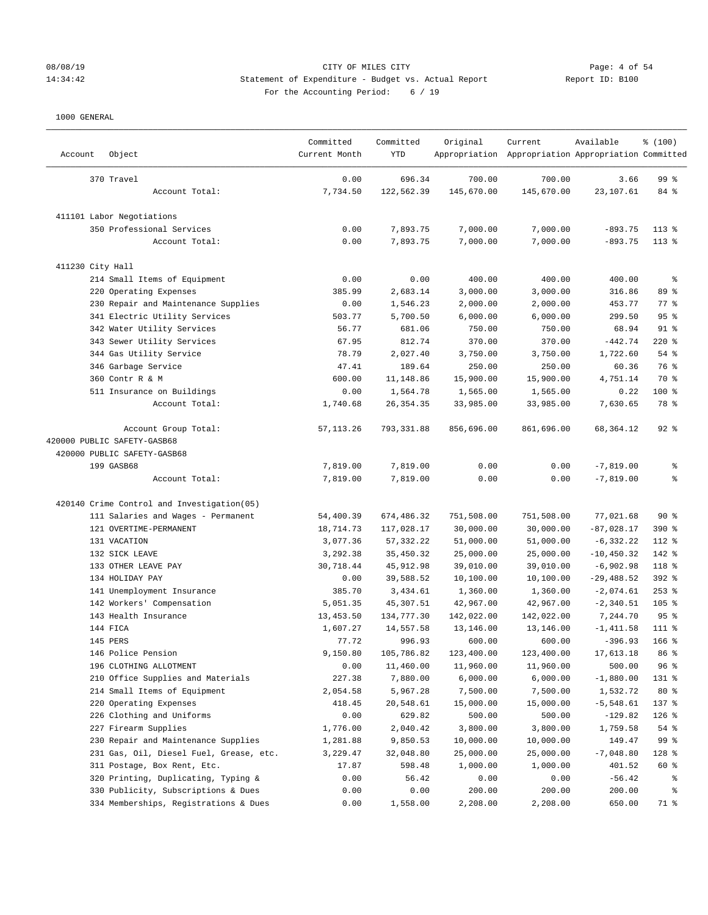# 08/08/19 CITY OF MILES CITY<br>14:34:42 14:34:42 Statement of Expenditure - Budget vs. Actual Report<br>19: B100 Page: 4 Of 54 14:34:42 Statement of Expenditure - Budget vs. Actual Report For the Accounting Period: 6 / 19

| Account          | Object                                     | Committed<br>Current Month | Committed<br>YTD     | Original     | Current<br>Appropriation Appropriation Appropriation Committed | Available                  | % (100)            |
|------------------|--------------------------------------------|----------------------------|----------------------|--------------|----------------------------------------------------------------|----------------------------|--------------------|
|                  | 370 Travel                                 | 0.00                       | 696.34               | 700.00       | 700.00                                                         | 3.66                       | 99 %               |
|                  | Account Total:                             | 7,734.50                   | 122,562.39           | 145,670.00   | 145,670.00                                                     | 23,107.61                  | 84 %               |
|                  | 411101 Labor Negotiations                  |                            |                      |              |                                                                |                            |                    |
|                  | 350 Professional Services                  | 0.00                       | 7,893.75             | 7,000.00     | 7,000.00                                                       | $-893.75$                  | $113*$             |
|                  | Account Total:                             | 0.00                       | 7,893.75             | 7,000.00     | 7,000.00                                                       | $-893.75$                  | $113*$             |
| 411230 City Hall |                                            |                            |                      |              |                                                                |                            |                    |
|                  | 214 Small Items of Equipment               | 0.00                       | 0.00                 | 400.00       | 400.00                                                         | 400.00                     | ್ಠಿ                |
|                  | 220 Operating Expenses                     | 385.99                     | 2,683.14             | 3,000.00     | 3,000.00                                                       | 316.86                     | 89 %               |
|                  | 230 Repair and Maintenance Supplies        | 0.00                       | 1,546.23             | 2,000.00     | 2,000.00                                                       | 453.77                     | $77$ $\frac{6}{9}$ |
|                  | 341 Electric Utility Services              | 503.77                     | 5,700.50             | 6,000.00     | 6,000.00                                                       | 299.50                     | 95%                |
|                  | 342 Water Utility Services                 | 56.77                      | 681.06               | 750.00       | 750.00                                                         | 68.94                      | $91$ %             |
|                  | 343 Sewer Utility Services                 | 67.95                      | 812.74               | 370.00       | 370.00                                                         | $-442.74$                  | $220$ %            |
|                  | 344 Gas Utility Service                    | 78.79                      | 2,027.40             | 3,750.00     | 3,750.00                                                       | 1,722.60                   | 54 %               |
|                  | 346 Garbage Service                        | 47.41                      | 189.64               | 250.00       | 250.00                                                         | 60.36                      | 76 %               |
|                  | 360 Contr R & M                            | 600.00                     | 11,148.86            | 15,900.00    | 15,900.00                                                      | 4,751.14                   | 70 %               |
|                  | 511 Insurance on Buildings                 | 0.00                       | 1,564.78             | 1,565.00     | 1,565.00                                                       | 0.22                       | $100$ %            |
|                  | Account Total:                             | 1,740.68                   | 26, 354.35           | 33,985.00    | 33,985.00                                                      | 7,630.65                   | 78 %               |
|                  | Account Group Total:                       | 57, 113.26                 | 793, 331.88          | 856,696.00   | 861,696.00                                                     | 68,364.12                  | $92$ $%$           |
|                  | 420000 PUBLIC SAFETY-GASB68                |                            |                      |              |                                                                |                            |                    |
|                  | 420000 PUBLIC SAFETY-GASB68                |                            |                      |              |                                                                |                            |                    |
|                  | 199 GASB68<br>Account Total:               | 7,819.00<br>7,819.00       | 7,819.00<br>7,819.00 | 0.00<br>0.00 | 0.00<br>0.00                                                   | $-7,819.00$<br>$-7,819.00$ | ್ಠಿ<br>နွ          |
|                  |                                            |                            |                      |              |                                                                |                            |                    |
|                  | 420140 Crime Control and Investigation(05) |                            |                      |              |                                                                |                            |                    |
|                  | 111 Salaries and Wages - Permanent         | 54,400.39                  | 674,486.32           | 751,508.00   | 751,508.00                                                     | 77,021.68                  | $90*$              |
|                  | 121 OVERTIME-PERMANENT                     | 18,714.73                  | 117,028.17           | 30,000.00    | 30,000.00                                                      | $-87,028.17$               | 390 %              |
|                  | 131 VACATION                               | 3,077.36                   | 57, 332.22           | 51,000.00    | 51,000.00                                                      | $-6, 332.22$               | 112 %              |
|                  | 132 SICK LEAVE                             | 3,292.38                   | 35,450.32            | 25,000.00    | 25,000.00                                                      | $-10, 450.32$              | 142 %              |
|                  | 133 OTHER LEAVE PAY                        | 30,718.44                  | 45,912.98            | 39,010.00    | 39,010.00                                                      | $-6,902.98$                | 118 %              |
|                  | 134 HOLIDAY PAY                            | 0.00                       | 39,588.52            | 10,100.00    | 10,100.00                                                      | $-29,488.52$               | 392 %              |
|                  | 141 Unemployment Insurance                 | 385.70                     | 3,434.61             | 1,360.00     | 1,360.00                                                       | $-2,074.61$                | $253$ %            |
|                  | 142 Workers' Compensation                  | 5,051.35                   | 45,307.51            | 42,967.00    | 42,967.00                                                      | $-2,340.51$                | $105$ %            |
|                  | 143 Health Insurance                       | 13, 453.50                 | 134,777.30           | 142,022.00   | 142,022.00                                                     | 7,244.70                   | 95%                |
|                  | 144 FICA                                   | 1,607.27                   | 14,557.58            | 13,146.00    | 13,146.00                                                      | $-1, 411.58$               | 111 %              |
|                  | 145 PERS                                   | 77.72                      | 996.93               | 600.00       | 600.00                                                         | $-396.93$                  | $166$ %            |
|                  | 146 Police Pension                         | 9,150.80                   | 105,786.82           | 123,400.00   | 123,400.00                                                     | 17,613.18                  | 86 %               |
|                  | 196 CLOTHING ALLOTMENT                     | 0.00                       | 11,460.00            | 11,960.00    | 11,960.00                                                      | 500.00                     | 96%                |
|                  | 210 Office Supplies and Materials          | 227.38                     | 7,880.00             | 6,000.00     | 6,000.00                                                       | $-1,880.00$                | 131 %              |
|                  | 214 Small Items of Equipment               | 2,054.58                   | 5,967.28             | 7,500.00     | 7,500.00                                                       | 1,532.72                   | $80*$              |
|                  | 220 Operating Expenses                     | 418.45                     | 20,548.61            | 15,000.00    | 15,000.00                                                      | $-5,548.61$                | 137 %              |
|                  | 226 Clothing and Uniforms                  | 0.00                       | 629.82               | 500.00       | 500.00                                                         | $-129.82$                  | $126$ %            |
|                  | 227 Firearm Supplies                       | 1,776.00                   | 2,040.42             | 3,800.00     | 3,800.00                                                       | 1,759.58                   | $54$ $%$           |
|                  | 230 Repair and Maintenance Supplies        | 1,281.88                   | 9,850.53             | 10,000.00    | 10,000.00                                                      | 149.47                     | 99 %               |
|                  | 231 Gas, Oil, Diesel Fuel, Grease, etc.    | 3,229.47                   | 32,048.80            | 25,000.00    | 25,000.00                                                      | $-7,048.80$                | 128 %              |
|                  | 311 Postage, Box Rent, Etc.                | 17.87                      | 598.48               | 1,000.00     | 1,000.00                                                       | 401.52                     | 60 %               |
|                  | 320 Printing, Duplicating, Typing &        | 0.00                       | 56.42                | 0.00         | 0.00                                                           | $-56.42$                   | ိစ                 |
|                  | 330 Publicity, Subscriptions & Dues        | 0.00                       | 0.00                 | 200.00       | 200.00                                                         | 200.00                     | ိစ                 |
|                  | 334 Memberships, Registrations & Dues      | 0.00                       | 1,558.00             | 2,208.00     | 2,208.00                                                       | 650.00                     | 71 %               |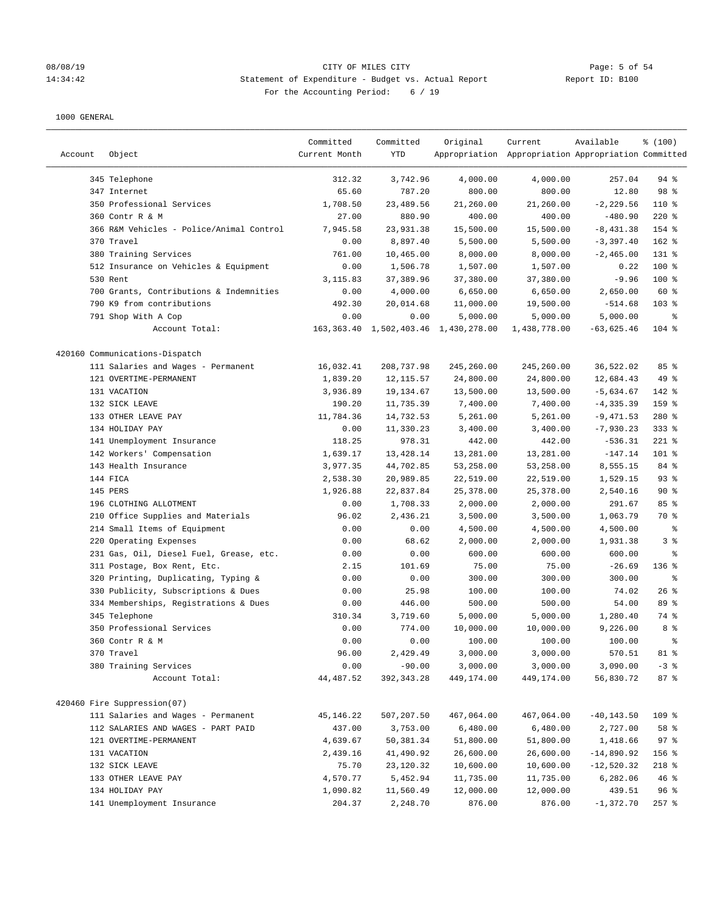### 08/08/19 Page: 5 of 54 14:34:42 Statement of Expenditure - Budget vs. Actual Report Report ID: B100 For the Accounting Period: 6 / 19

| Account | Object                                   | Committed<br>Current Month | Committed<br>YTD | Original                                  | Current<br>Appropriation Appropriation Appropriation Committed | Available     | % (100)    |
|---------|------------------------------------------|----------------------------|------------------|-------------------------------------------|----------------------------------------------------------------|---------------|------------|
|         | 345 Telephone                            | 312.32                     | 3,742.96         | 4,000.00                                  | 4,000.00                                                       | 257.04        | $94$ %     |
|         | 347 Internet                             | 65.60                      | 787.20           | 800.00                                    | 800.00                                                         | 12.80         | 98 %       |
|         | 350 Professional Services                | 1,708.50                   | 23,489.56        | 21,260.00                                 | 21,260.00                                                      | $-2, 229.56$  | $110*$     |
|         | 360 Contr R & M                          | 27.00                      | 880.90           | 400.00                                    | 400.00                                                         | $-480.90$     | $220$ %    |
|         | 366 R&M Vehicles - Police/Animal Control | 7,945.58                   | 23,931.38        | 15,500.00                                 | 15,500.00                                                      | $-8,431.38$   | 154 %      |
|         | 370 Travel                               | 0.00                       | 8,897.40         | 5,500.00                                  | 5,500.00                                                       | $-3,397.40$   | 162 %      |
|         | 380 Training Services                    | 761.00                     | 10,465.00        | 8,000.00                                  | 8,000.00                                                       | $-2, 465.00$  | 131 %      |
|         | 512 Insurance on Vehicles & Equipment    | 0.00                       | 1,506.78         | 1,507.00                                  | 1,507.00                                                       | 0.22          | 100 %      |
|         | 530 Rent                                 | 3, 115.83                  | 37,389.96        | 37,380.00                                 | 37,380.00                                                      | $-9.96$       | 100 %      |
|         | 700 Grants, Contributions & Indemnities  | 0.00                       | 4,000.00         | 6,650.00                                  | 6,650.00                                                       | 2,650.00      | 60 %       |
|         | 790 K9 from contributions                | 492.30                     | 20,014.68        | 11,000.00                                 | 19,500.00                                                      | $-514.68$     | $103$ %    |
|         | 791 Shop With A Cop                      | 0.00                       | 0.00             | 5,000.00                                  | 5,000.00                                                       | 5,000.00      | နွ         |
|         | Account Total:                           |                            |                  | 163, 363.40 1, 502, 403.46 1, 430, 278.00 | 1,438,778.00                                                   | $-63,625.46$  | 104 %      |
|         | 420160 Communications-Dispatch           |                            |                  |                                           |                                                                |               |            |
|         | 111 Salaries and Wages - Permanent       | 16,032.41                  | 208,737.98       | 245,260.00                                | 245,260.00                                                     | 36,522.02     | 85%        |
|         | 121 OVERTIME-PERMANENT                   | 1,839.20                   | 12, 115.57       | 24,800.00                                 | 24,800.00                                                      | 12,684.43     | 49 %       |
|         | 131 VACATION                             | 3,936.89                   | 19,134.67        | 13,500.00                                 | 13,500.00                                                      | $-5,634.67$   | 142 %      |
|         | 132 SICK LEAVE                           | 190.20                     | 11,735.39        | 7,400.00                                  | 7,400.00                                                       | $-4, 335.39$  | 159 %      |
|         | 133 OTHER LEAVE PAY                      | 11,784.36                  | 14,732.53        | 5,261.00                                  | 5,261.00                                                       | $-9,471.53$   | 280 %      |
|         | 134 HOLIDAY PAY                          | 0.00                       | 11,330.23        | 3,400.00                                  | 3,400.00                                                       | $-7,930.23$   | $333$ $%$  |
|         | 141 Unemployment Insurance               | 118.25                     | 978.31           | 442.00                                    | 442.00                                                         | $-536.31$     | $221$ %    |
|         | 142 Workers' Compensation                | 1,639.17                   | 13, 428.14       | 13,281.00                                 | 13,281.00                                                      | $-147.14$     | 101 %      |
|         | 143 Health Insurance                     | 3,977.35                   | 44,702.85        | 53,258.00                                 | 53,258.00                                                      | 8,555.15      | 84 %       |
|         | 144 FICA                                 | 2,538.30                   | 20,989.85        | 22,519.00                                 | 22,519.00                                                      | 1,529.15      | 93%        |
|         | 145 PERS                                 | 1,926.88                   | 22,837.84        | 25,378.00                                 | 25,378.00                                                      | 2,540.16      | $90*$      |
|         | 196 CLOTHING ALLOTMENT                   | 0.00                       | 1,708.33         | 2,000.00                                  | 2,000.00                                                       | 291.67        | 85%        |
|         | 210 Office Supplies and Materials        | 96.02                      | 2,436.21         | 3,500.00                                  | 3,500.00                                                       | 1,063.79      | 70 %       |
|         | 214 Small Items of Equipment             | 0.00                       | 0.00             | 4,500.00                                  | 4,500.00                                                       | 4,500.00      | $\epsilon$ |
|         | 220 Operating Expenses                   | 0.00                       | 68.62            | 2,000.00                                  | 2,000.00                                                       | 1,931.38      | 3%         |
|         | 231 Gas, Oil, Diesel Fuel, Grease, etc.  | 0.00                       | 0.00             | 600.00                                    | 600.00                                                         | 600.00        | နွ         |
|         | 311 Postage, Box Rent, Etc.              | 2.15                       | 101.69           | 75.00                                     | 75.00                                                          | $-26.69$      | 136%       |
|         | 320 Printing, Duplicating, Typing &      | 0.00                       | 0.00             | 300.00                                    | 300.00                                                         | 300.00        | နွ         |
|         | 330 Publicity, Subscriptions & Dues      | 0.00                       | 25.98            | 100.00                                    | 100.00                                                         | 74.02         | 26%        |
|         | 334 Memberships, Registrations & Dues    | 0.00                       | 446.00           | 500.00                                    | 500.00                                                         | 54.00         | 89 %       |
|         | 345 Telephone                            | 310.34                     | 3,719.60         | 5,000.00                                  | 5,000.00                                                       | 1,280.40      | 74 %       |
|         | 350 Professional Services                | 0.00                       | 774.00           | 10,000.00                                 | 10,000.00                                                      | 9,226.00      | 8 %        |
|         | 360 Contr R & M                          | 0.00                       | 0.00             | 100.00                                    | 100.00                                                         | 100.00        | 昙          |
|         | 370 Travel                               | 96.00                      | 2,429.49         | 3,000.00                                  | 3,000.00                                                       | 570.51        | 81 %       |
|         | 380 Training Services                    | 0.00                       | $-90.00$         | 3,000.00                                  | 3,000.00                                                       | 3,090.00      | $-3$ $%$   |
|         | Account Total:                           | 44,487.52                  | 392,343.28       | 449,174.00                                | 449,174.00                                                     | 56,830.72     | 87%        |
|         | 420460 Fire Suppression(07)              |                            |                  |                                           |                                                                |               |            |
|         | 111 Salaries and Wages - Permanent       | 45,146.22                  | 507,207.50       | 467,064.00                                | 467,064.00                                                     | $-40, 143.50$ | 109 %      |
|         | 112 SALARIES AND WAGES - PART PAID       | 437.00                     | 3,753.00         | 6,480.00                                  | 6,480.00                                                       | 2,727.00      | 58 %       |
|         | 121 OVERTIME-PERMANENT                   | 4,639.67                   | 50,381.34        | 51,800.00                                 | 51,800.00                                                      | 1,418.66      | 97%        |
|         | 131 VACATION                             | 2,439.16                   | 41,490.92        | 26,600.00                                 | 26,600.00                                                      | $-14,890.92$  | $156$ %    |
|         | 132 SICK LEAVE                           | 75.70                      | 23,120.32        | 10,600.00                                 | 10,600.00                                                      | $-12,520.32$  | 218 %      |
|         | 133 OTHER LEAVE PAY                      | 4,570.77                   | 5,452.94         | 11,735.00                                 | 11,735.00                                                      | 6,282.06      | 46%        |
|         | 134 HOLIDAY PAY                          | 1,090.82                   | 11,560.49        | 12,000.00                                 | 12,000.00                                                      | 439.51        | 96%        |
|         | 141 Unemployment Insurance               | 204.37                     | 2,248.70         | 876.00                                    | 876.00                                                         | $-1,372.70$   | $257$ %    |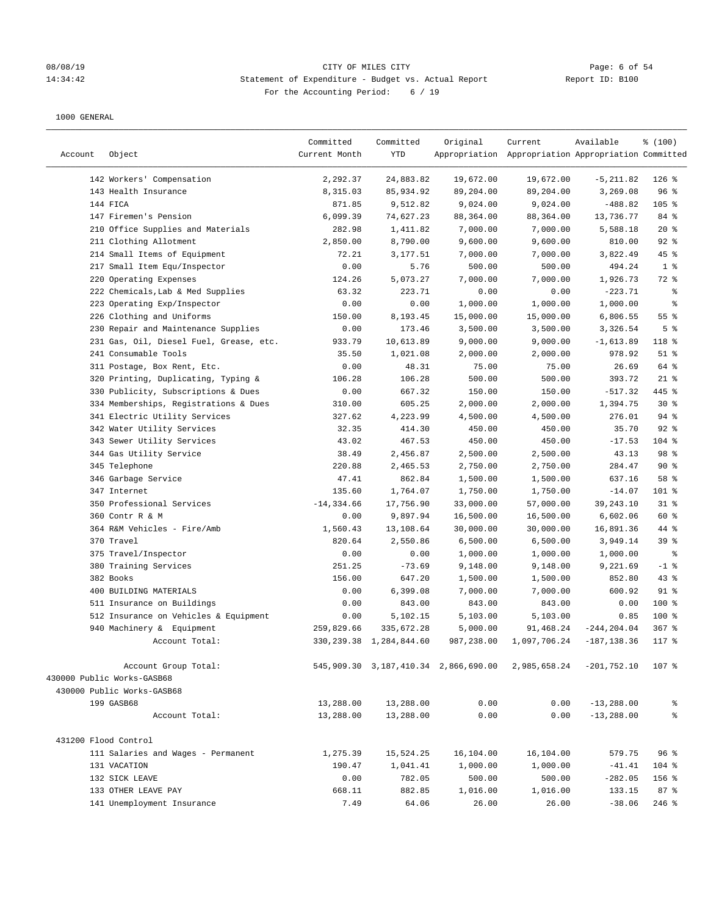# 08/08/19 CITY OF MILES CITY Page: 6 of 54 14:34:42 Statement of Expenditure - Budget vs. Actual Report Changer Report ID: B100 For the Accounting Period: 6 / 19

| Account              | Object                                  | Committed<br>Current Month | Committed<br>YTD           | Original   | Current<br>Appropriation Appropriation Appropriation Committed | Available      | % (100)        |
|----------------------|-----------------------------------------|----------------------------|----------------------------|------------|----------------------------------------------------------------|----------------|----------------|
|                      | 142 Workers' Compensation               | 2,292.37                   | 24,883.82                  | 19,672.00  | 19,672.00                                                      | $-5, 211.82$   | $126$ %        |
|                      | 143 Health Insurance                    | 8,315.03                   | 85, 934.92                 | 89,204.00  | 89,204.00                                                      | 3,269.08       | 96%            |
|                      | 144 FICA                                | 871.85                     | 9,512.82                   | 9,024.00   | 9,024.00                                                       | $-488.82$      | 105 %          |
|                      | 147 Firemen's Pension                   | 6,099.39                   | 74,627.23                  | 88,364.00  | 88,364.00                                                      | 13,736.77      | 84 %           |
|                      | 210 Office Supplies and Materials       | 282.98                     | 1,411.82                   | 7,000.00   | 7,000.00                                                       | 5,588.18       | $20*$          |
|                      | 211 Clothing Allotment                  | 2,850.00                   | 8,790.00                   | 9,600.00   | 9,600.00                                                       | 810.00         | $92$ %         |
|                      | 214 Small Items of Equipment            | 72.21                      | 3,177.51                   | 7,000.00   | 7,000.00                                                       | 3,822.49       | 45 %           |
|                      | 217 Small Item Equ/Inspector            | 0.00                       | 5.76                       | 500.00     | 500.00                                                         | 494.24         | 1 <sup>°</sup> |
|                      | 220 Operating Expenses                  | 124.26                     | 5,073.27                   | 7,000.00   | 7,000.00                                                       | 1,926.73       | 72 %           |
|                      | 222 Chemicals, Lab & Med Supplies       | 63.32                      | 223.71                     | 0.00       | 0.00                                                           | $-223.71$      | ್ಠಿ            |
|                      | 223 Operating Exp/Inspector             | 0.00                       | 0.00                       | 1,000.00   | 1,000.00                                                       | 1,000.00       | $\epsilon$     |
|                      | 226 Clothing and Uniforms               | 150.00                     | 8,193.45                   | 15,000.00  | 15,000.00                                                      | 6,806.55       | $55$ $%$       |
|                      | 230 Repair and Maintenance Supplies     | 0.00                       | 173.46                     | 3,500.00   | 3,500.00                                                       | 3,326.54       | 5 <sup>°</sup> |
|                      | 231 Gas, Oil, Diesel Fuel, Grease, etc. | 933.79                     | 10,613.89                  | 9,000.00   | 9,000.00                                                       | $-1,613.89$    | 118 %          |
|                      | 241 Consumable Tools                    | 35.50                      | 1,021.08                   | 2,000.00   | 2,000.00                                                       | 978.92         | $51$ %         |
|                      | 311 Postage, Box Rent, Etc.             | 0.00                       | 48.31                      | 75.00      | 75.00                                                          | 26.69          | 64 %           |
|                      | 320 Printing, Duplicating, Typing &     | 106.28                     | 106.28                     | 500.00     | 500.00                                                         | 393.72         | $21$ %         |
|                      | 330 Publicity, Subscriptions & Dues     | 0.00                       | 667.32                     | 150.00     | 150.00                                                         | $-517.32$      | 445 %          |
|                      | 334 Memberships, Registrations & Dues   | 310.00                     | 605.25                     | 2,000.00   | 2,000.00                                                       | 1,394.75       | $30*$          |
|                      | 341 Electric Utility Services           | 327.62                     | 4,223.99                   | 4,500.00   | 4,500.00                                                       | 276.01         | $94$ %         |
|                      | 342 Water Utility Services              | 32.35                      | 414.30                     | 450.00     | 450.00                                                         | 35.70          | 92%            |
|                      | 343 Sewer Utility Services              | 43.02                      | 467.53                     | 450.00     | 450.00                                                         | $-17.53$       | $104$ %        |
|                      | 344 Gas Utility Service                 | 38.49                      | 2,456.87                   | 2,500.00   | 2,500.00                                                       | 43.13          | 98 %           |
|                      | 345 Telephone                           | 220.88                     | 2,465.53                   | 2,750.00   | 2,750.00                                                       | 284.47         | 90%            |
|                      | 346 Garbage Service                     | 47.41                      | 862.84                     | 1,500.00   | 1,500.00                                                       | 637.16         | 58 %           |
|                      | 347 Internet                            | 135.60                     | 1,764.07                   | 1,750.00   | 1,750.00                                                       | $-14.07$       | 101 %          |
|                      | 350 Professional Services               | $-14, 334.66$              | 17,756.90                  | 33,000.00  | 57,000.00                                                      | 39, 243. 10    | $31$ %         |
|                      | 360 Contr R & M                         | 0.00                       | 9,897.94                   | 16,500.00  | 16,500.00                                                      | 6,602.06       | 60 %           |
|                      | 364 R&M Vehicles - Fire/Amb             | 1,560.43                   | 13,108.64                  | 30,000.00  | 30,000.00                                                      | 16,891.36      | 44 %           |
|                      | 370 Travel                              | 820.64                     | 2,550.86                   | 6,500.00   | 6,500.00                                                       | 3,949.14       | 39%            |
|                      | 375 Travel/Inspector                    | 0.00                       | 0.00                       | 1,000.00   | 1,000.00                                                       | 1,000.00       | $\epsilon$     |
|                      | 380 Training Services                   | 251.25                     | $-73.69$                   | 9,148.00   | 9,148.00                                                       | 9,221.69       | $-1$ %         |
|                      | 382 Books                               | 156.00                     | 647.20                     | 1,500.00   | 1,500.00                                                       | 852.80         | $43$ %         |
|                      | 400 BUILDING MATERIALS                  | 0.00                       | 6,399.08                   | 7,000.00   | 7,000.00                                                       | 600.92         | $91$ %         |
|                      | 511 Insurance on Buildings              | 0.00                       | 843.00                     | 843.00     | 843.00                                                         | 0.00           | 100 %          |
|                      | 512 Insurance on Vehicles & Equipment   | 0.00                       | 5,102.15                   | 5,103.00   | 5,103.00                                                       | 0.85           | 100 %          |
|                      | 940 Machinery & Equipment               | 259,829.66                 | 335,672.28                 | 5,000.00   | 91,468.24                                                      | $-244, 204.04$ | $367$ $%$      |
|                      | Account Total:                          |                            | 330, 239.38 1, 284, 844.60 | 987,238.00 | 1,097,706.24                                                   | $-187, 138.36$ | $117*$         |
|                      | Account Group Total:                    |                            |                            |            | 545,909.30  3,187,410.34  2,866,690.00  2,985,658.24           | $-201,752.10$  | 107 %          |
|                      | 430000 Public Works-GASB68              |                            |                            |            |                                                                |                |                |
|                      | 430000 Public Works-GASB68              |                            |                            |            |                                                                |                |                |
|                      | 199 GASB68                              | 13,288.00                  | 13,288.00                  | 0.00       | 0.00                                                           | $-13, 288.00$  | g,             |
|                      | Account Total:                          | 13,288.00                  | 13,288.00                  | 0.00       | 0.00                                                           | $-13, 288.00$  | る              |
| 431200 Flood Control |                                         |                            |                            |            |                                                                |                |                |
|                      | 111 Salaries and Wages - Permanent      | 1,275.39                   | 15,524.25                  | 16,104.00  | 16,104.00                                                      | 579.75         | 96%            |
|                      | 131 VACATION                            | 190.47                     | 1,041.41                   | 1,000.00   | 1,000.00                                                       | $-41.41$       | $104$ %        |
|                      | 132 SICK LEAVE                          | 0.00                       | 782.05                     | 500.00     | 500.00                                                         | $-282.05$      | $156$ %        |
|                      | 133 OTHER LEAVE PAY                     | 668.11                     | 882.85                     | 1,016.00   | 1,016.00                                                       | 133.15         | 87%            |
|                      | 141 Unemployment Insurance              | 7.49                       | 64.06                      | 26.00      | 26.00                                                          | $-38.06$       | $246$ %        |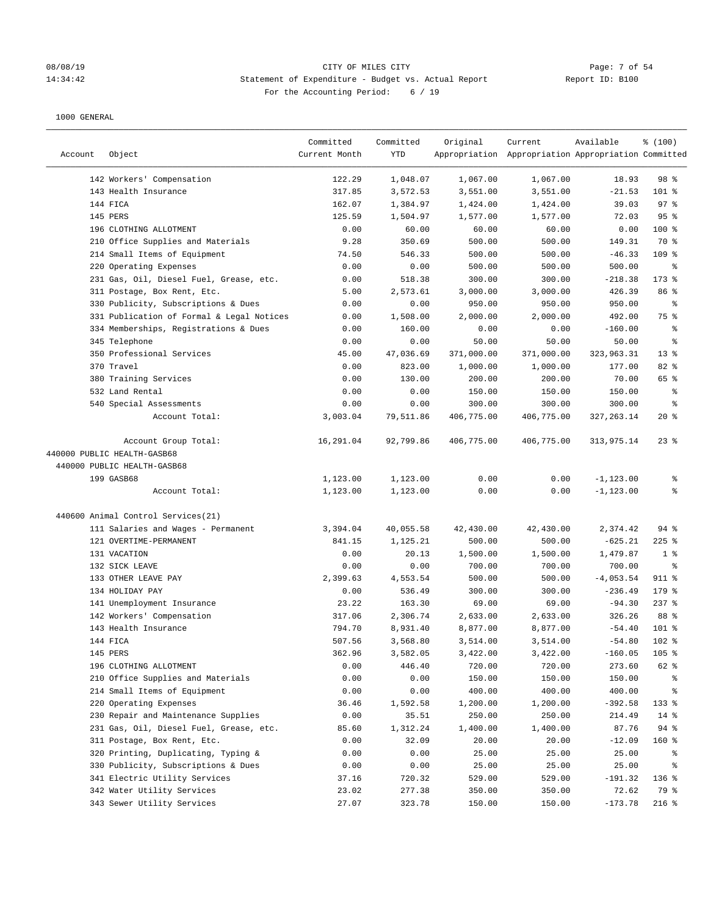### 08/08/19 Page: 7 of 54 14:34:42 Statement of Expenditure - Budget vs. Actual Report Report ID: B100 For the Accounting Period: 6 / 19

| Account | Object                                    | Committed<br>Current Month | Committed<br><b>YTD</b> | Original   | Current<br>Appropriation Appropriation Appropriation Committed | Available    | % (100)         |
|---------|-------------------------------------------|----------------------------|-------------------------|------------|----------------------------------------------------------------|--------------|-----------------|
|         | 142 Workers' Compensation                 | 122.29                     | 1,048.07                | 1,067.00   | 1,067.00                                                       | 18.93        | 98 %            |
|         | 143 Health Insurance                      | 317.85                     | 3,572.53                | 3,551.00   | 3,551.00                                                       | $-21.53$     | 101 %           |
|         | 144 FICA                                  | 162.07                     | 1,384.97                | 1,424.00   | 1,424.00                                                       | 39.03        | $97$ %          |
|         | 145 PERS                                  | 125.59                     | 1,504.97                | 1,577.00   | 1,577.00                                                       | 72.03        | 95%             |
|         | 196 CLOTHING ALLOTMENT                    | 0.00                       | 60.00                   | 60.00      | 60.00                                                          | 0.00         | 100 %           |
|         | 210 Office Supplies and Materials         | 9.28                       | 350.69                  | 500.00     | 500.00                                                         | 149.31       | 70 %            |
|         | 214 Small Items of Equipment              | 74.50                      | 546.33                  | 500.00     | 500.00                                                         | $-46.33$     | 109 %           |
|         | 220 Operating Expenses                    | 0.00                       | 0.00                    | 500.00     | 500.00                                                         | 500.00       | ႜ               |
|         | 231 Gas, Oil, Diesel Fuel, Grease, etc.   | 0.00                       | 518.38                  | 300.00     | 300.00                                                         | $-218.38$    | $173$ %         |
|         | 311 Postage, Box Rent, Etc.               | 5.00                       | 2,573.61                | 3,000.00   | 3,000.00                                                       | 426.39       | 86 <sup>8</sup> |
|         | 330 Publicity, Subscriptions & Dues       | 0.00                       | 0.00                    | 950.00     | 950.00                                                         | 950.00       | ႜ               |
|         | 331 Publication of Formal & Legal Notices | 0.00                       | 1,508.00                | 2,000.00   | 2,000.00                                                       | 492.00       | 75 %            |
|         | 334 Memberships, Registrations & Dues     | 0.00                       | 160.00                  | 0.00       | 0.00                                                           | $-160.00$    | ႜ               |
|         | 345 Telephone                             | 0.00                       | 0.00                    | 50.00      | 50.00                                                          | 50.00        | နွ              |
|         | 350 Professional Services                 | 45.00                      | 47,036.69               | 371,000.00 | 371,000.00                                                     | 323,963.31   | $13*$           |
|         | 370 Travel                                | 0.00                       | 823.00                  | 1,000.00   | 1,000.00                                                       | 177.00       | 82 %            |
|         | 380 Training Services                     | 0.00                       | 130.00                  | 200.00     | 200.00                                                         | 70.00        | 65 %            |
|         | 532 Land Rental                           | 0.00                       | 0.00                    | 150.00     | 150.00                                                         | 150.00       | နွ              |
|         | 540 Special Assessments                   | 0.00                       | 0.00                    | 300.00     | 300.00                                                         | 300.00       | $\epsilon$      |
|         | Account Total:                            | 3,003.04                   | 79,511.86               | 406,775.00 | 406,775.00                                                     | 327, 263. 14 | $20*$           |
|         | Account Group Total:                      | 16,291.04                  | 92,799.86               | 406,775.00 | 406,775.00                                                     | 313,975.14   | $23$ $%$        |
|         | 440000 PUBLIC HEALTH-GASB68               |                            |                         |            |                                                                |              |                 |
|         | 440000 PUBLIC HEALTH-GASB68               |                            |                         |            |                                                                |              |                 |
|         | 199 GASB68                                | 1,123.00                   | 1,123.00                | 0.00       | 0.00                                                           | $-1, 123.00$ | နွ              |
|         | Account Total:                            | 1,123.00                   | 1,123.00                | 0.00       | 0.00                                                           | $-1, 123.00$ | ి               |
|         | 440600 Animal Control Services(21)        |                            |                         |            |                                                                |              |                 |
|         | 111 Salaries and Wages - Permanent        | 3,394.04                   | 40,055.58               | 42,430.00  | 42,430.00                                                      | 2,374.42     | $94$ %          |
|         | 121 OVERTIME-PERMANENT                    | 841.15                     | 1,125.21                | 500.00     | 500.00                                                         | $-625.21$    | $225$ %         |
|         | 131 VACATION                              | 0.00                       | 20.13                   | 1,500.00   | 1,500.00                                                       | 1,479.87     | 1 <sup>8</sup>  |
|         | 132 SICK LEAVE                            | 0.00                       | 0.00                    | 700.00     | 700.00                                                         | 700.00       | ႜ               |
|         | 133 OTHER LEAVE PAY                       | 2,399.63                   | 4,553.54                | 500.00     | 500.00                                                         | $-4,053.54$  | 911 %           |
|         | 134 HOLIDAY PAY                           | 0.00                       | 536.49                  | 300.00     | 300.00                                                         | $-236.49$    | 179 %           |
|         | 141 Unemployment Insurance                | 23.22                      | 163.30                  | 69.00      | 69.00                                                          | $-94.30$     | $237$ %         |
|         | 142 Workers' Compensation                 | 317.06                     | 2,306.74                | 2,633.00   | 2,633.00                                                       | 326.26       | 88 %            |
|         | 143 Health Insurance                      | 794.70                     | 8,931.40                | 8,877.00   | 8,877.00                                                       | $-54.40$     | $101$ %         |
|         | 144 FICA                                  | 507.56                     | 3,568.80                | 3,514.00   | 3,514.00                                                       | $-54.80$     | $102$ %         |
|         | 145 PERS                                  | 362.96                     | 3,582.05                | 3,422.00   | 3,422.00                                                       | $-160.05$    | 105 %           |
|         | 196 CLOTHING ALLOTMENT                    | 0.00                       | 446.40                  | 720.00     | 720.00                                                         | 273.60       | 62 %            |
|         | 210 Office Supplies and Materials         | 0.00                       | 0.00                    | 150.00     | 150.00                                                         | 150.00       | ႜွ              |
|         | 214 Small Items of Equipment              | 0.00                       | 0.00                    | 400.00     | 400.00                                                         | 400.00       | ိစ              |
|         | 220 Operating Expenses                    | 36.46                      | 1,592.58                | 1,200.00   | 1,200.00                                                       | $-392.58$    | 133 %           |
|         | 230 Repair and Maintenance Supplies       | 0.00                       | 35.51                   | 250.00     | 250.00                                                         | 214.49       | $14$ %          |
|         | 231 Gas, Oil, Diesel Fuel, Grease, etc.   | 85.60                      | 1,312.24                | 1,400.00   | 1,400.00                                                       | 87.76        | 94%             |
|         | 311 Postage, Box Rent, Etc.               | 0.00                       | 32.09                   | 20.00      | 20.00                                                          | $-12.09$     | 160 %           |
|         | 320 Printing, Duplicating, Typing &       | 0.00                       | 0.00                    | 25.00      | 25.00                                                          | 25.00        | ႜ               |
|         | 330 Publicity, Subscriptions & Dues       | 0.00                       | 0.00                    | 25.00      | 25.00                                                          | 25.00        | ႜ               |
|         | 341 Electric Utility Services             | 37.16                      | 720.32                  | 529.00     | 529.00                                                         | $-191.32$    | 136 %           |
|         | 342 Water Utility Services                | 23.02                      | 277.38                  | 350.00     | 350.00                                                         | 72.62        | 79 %            |
|         | 343 Sewer Utility Services                | 27.07                      | 323.78                  | 150.00     | 150.00                                                         | $-173.78$    | $216$ %         |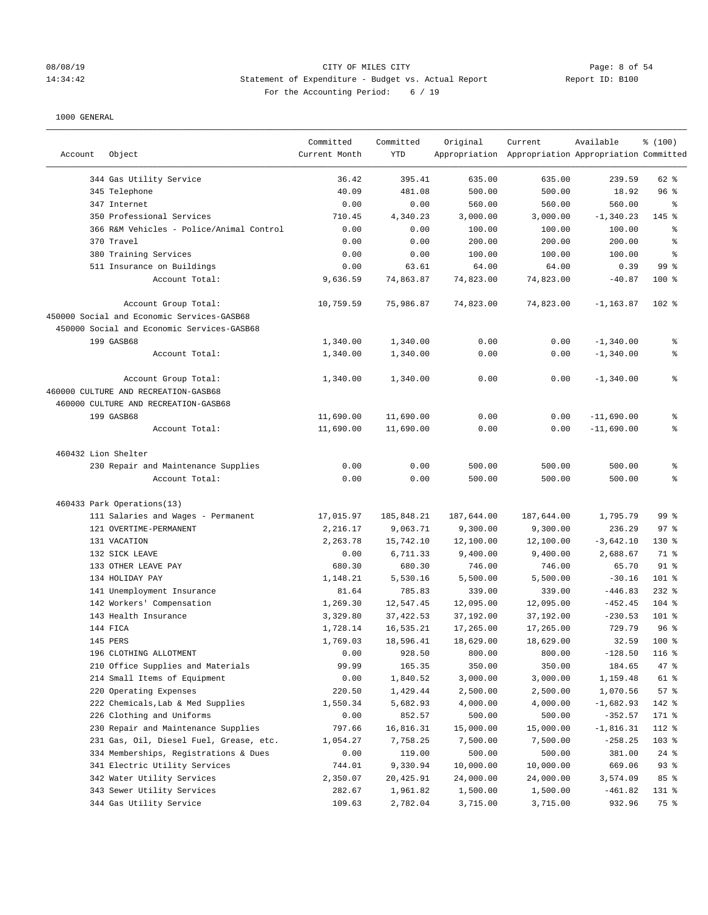# 08/08/19 Page: 8 of 54 14:34:42 Statement of Expenditure - Budget vs. Actual Report Report ID: B100 For the Accounting Period: 6 / 19

| Account             | Object                                     | Committed<br>Current Month | Committed<br><b>YTD</b> | Original   | Current<br>Appropriation Appropriation Appropriation Committed | Available    | % (100)         |
|---------------------|--------------------------------------------|----------------------------|-------------------------|------------|----------------------------------------------------------------|--------------|-----------------|
|                     | 344 Gas Utility Service                    | 36.42                      | 395.41                  | 635.00     | 635.00                                                         | 239.59       | 62 %            |
|                     | 345 Telephone                              | 40.09                      | 481.08                  | 500.00     | 500.00                                                         | 18.92        | 96 <sup>8</sup> |
|                     | 347 Internet                               | 0.00                       | 0.00                    | 560.00     | 560.00                                                         | 560.00       | နွ              |
|                     | 350 Professional Services                  | 710.45                     | 4,340.23                | 3,000.00   | 3,000.00                                                       | $-1, 340.23$ | 145 %           |
|                     | 366 R&M Vehicles - Police/Animal Control   | 0.00                       | 0.00                    | 100.00     | 100.00                                                         | 100.00       | ್ಠಿ             |
|                     | 370 Travel                                 | 0.00                       | 0.00                    | 200.00     | 200.00                                                         | 200.00       | ి               |
|                     | 380 Training Services                      | 0.00                       | 0.00                    | 100.00     | 100.00                                                         | 100.00       | နွ              |
|                     | 511 Insurance on Buildings                 | 0.00                       | 63.61                   | 64.00      | 64.00                                                          | 0.39         | 99 <sub>8</sub> |
|                     | Account Total:                             | 9,636.59                   | 74,863.87               | 74,823.00  | 74,823.00                                                      | $-40.87$     | $100$ %         |
|                     | Account Group Total:                       | 10,759.59                  | 75,986.87               | 74,823.00  | 74,823.00                                                      | $-1, 163.87$ | $102$ %         |
|                     | 450000 Social and Economic Services-GASB68 |                            |                         |            |                                                                |              |                 |
|                     | 450000 Social and Economic Services-GASB68 |                            |                         |            |                                                                |              |                 |
|                     | 199 GASB68                                 | 1,340.00                   | 1,340.00                | 0.00       | 0.00                                                           | $-1,340.00$  | ್ಠಿ             |
|                     | Account Total:                             | 1,340.00                   | 1,340.00                | 0.00       | 0.00                                                           | $-1,340.00$  | ి               |
|                     | Account Group Total:                       | 1,340.00                   | 1,340.00                | 0.00       | 0.00                                                           | $-1,340.00$  | ៖               |
|                     | 460000 CULTURE AND RECREATION-GASB68       |                            |                         |            |                                                                |              |                 |
|                     | 460000 CULTURE AND RECREATION-GASB68       |                            |                         |            |                                                                |              |                 |
|                     | 199 GASB68                                 | 11,690.00                  | 11,690.00               | 0.00       | 0.00                                                           | $-11,690.00$ | ್ಠಿ             |
|                     | Account Total:                             | 11,690.00                  | 11,690.00               | 0.00       | 0.00                                                           | $-11,690.00$ | ៖               |
| 460432 Lion Shelter |                                            |                            |                         |            |                                                                |              |                 |
|                     | 230 Repair and Maintenance Supplies        | 0.00                       | 0.00                    | 500.00     | 500.00                                                         | 500.00       | ್ಠಿ             |
|                     | Account Total:                             | 0.00                       | 0.00                    | 500.00     | 500.00                                                         | 500.00       | ి               |
|                     | 460433 Park Operations(13)                 |                            |                         |            |                                                                |              |                 |
|                     | 111 Salaries and Wages - Permanent         | 17,015.97                  | 185,848.21              | 187,644.00 | 187,644.00                                                     | 1,795.79     | 99 <sub>8</sub> |
|                     | 121 OVERTIME-PERMANENT                     | 2,216.17                   | 9,063.71                | 9,300.00   | 9,300.00                                                       | 236.29       | 97%             |
|                     | 131 VACATION                               | 2,263.78                   | 15,742.10               | 12,100.00  | 12,100.00                                                      | $-3,642.10$  | 130 %           |
|                     | 132 SICK LEAVE                             | 0.00                       | 6,711.33                | 9,400.00   | 9,400.00                                                       | 2,688.67     | 71 %            |
|                     | 133 OTHER LEAVE PAY                        | 680.30                     | 680.30                  | 746.00     | 746.00                                                         | 65.70        | $91$ %          |
|                     | 134 HOLIDAY PAY                            | 1,148.21                   | 5,530.16                | 5,500.00   | 5,500.00                                                       | $-30.16$     | 101 %           |
|                     | 141 Unemployment Insurance                 | 81.64                      | 785.83                  | 339.00     | 339.00                                                         | $-446.83$    | $232$ %         |
|                     | 142 Workers' Compensation                  | 1,269.30                   | 12,547.45               | 12,095.00  | 12,095.00                                                      | $-452.45$    | $104$ %         |
|                     | 143 Health Insurance                       | 3,329.80                   | 37, 422.53              | 37,192.00  | 37,192.00                                                      | $-230.53$    | 101 %           |
|                     | 144 FICA                                   | 1,728.14                   | 16,535.21               | 17,265.00  | 17,265.00                                                      | 729.79       | 96%             |
|                     | 145 PERS                                   | 1,769.03                   | 18,596.41               | 18,629.00  | 18,629.00                                                      | 32.59        | $100*$          |
|                     | 196 CLOTHING ALLOTMENT                     | 0.00                       | 928.50                  | 800.00     | 800.00                                                         | $-128.50$    | 116 %           |
|                     | 210 Office Supplies and Materials          | 99.99                      | 165.35                  | 350.00     | 350.00                                                         | 184.65       | 47 %            |
|                     | 214 Small Items of Equipment               | 0.00                       | 1,840.52                | 3,000.00   | 3,000.00                                                       | 1,159.48     | 61 %            |
|                     | 220 Operating Expenses                     | 220.50                     | 1,429.44                | 2,500.00   | 2,500.00                                                       | 1,070.56     | 57%             |
|                     | 222 Chemicals, Lab & Med Supplies          | 1,550.34                   | 5,682.93                | 4,000.00   | 4,000.00                                                       | $-1,682.93$  | 142 %           |
|                     | 226 Clothing and Uniforms                  | 0.00                       | 852.57                  | 500.00     | 500.00                                                         | $-352.57$    | 171 %           |
|                     | 230 Repair and Maintenance Supplies        | 797.66                     | 16,816.31               | 15,000.00  | 15,000.00                                                      | $-1,816.31$  | 112 %           |
|                     | 231 Gas, Oil, Diesel Fuel, Grease, etc.    | 1,054.27                   | 7,758.25                | 7,500.00   | 7,500.00                                                       | $-258.25$    | 103 %           |
|                     | 334 Memberships, Registrations & Dues      | 0.00                       | 119.00                  | 500.00     | 500.00                                                         | 381.00       | $24$ %          |
|                     | 341 Electric Utility Services              | 744.01                     | 9,330.94                | 10,000.00  | 10,000.00                                                      | 669.06       | 93%             |
|                     | 342 Water Utility Services                 | 2,350.07                   | 20,425.91               | 24,000.00  | 24,000.00                                                      | 3,574.09     | 85 %            |
|                     | 343 Sewer Utility Services                 | 282.67                     | 1,961.82                | 1,500.00   | 1,500.00                                                       | $-461.82$    | 131 %           |
|                     | 344 Gas Utility Service                    | 109.63                     | 2,782.04                | 3,715.00   | 3,715.00                                                       | 932.96       | 75 %            |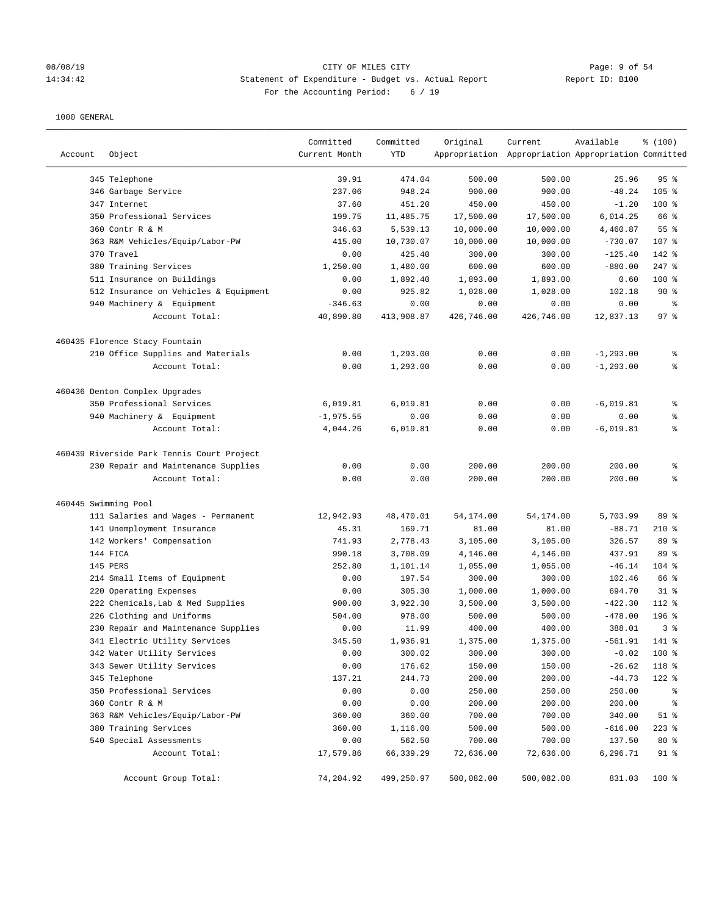### 08/08/19 Page: 9 of 54 14:34:42 Statement of Expenditure - Budget vs. Actual Report Report ID: B100 For the Accounting Period: 6 / 19

| Account              | Object                                                      | Committed<br>Current Month | Committed<br>YTD   | Original             | Current<br>Appropriation Appropriation Appropriation Committed | Available           | % (100)         |
|----------------------|-------------------------------------------------------------|----------------------------|--------------------|----------------------|----------------------------------------------------------------|---------------------|-----------------|
|                      | 345 Telephone                                               | 39.91                      | 474.04             | 500.00               | 500.00                                                         | 25.96               | 95%             |
|                      | 346 Garbage Service                                         | 237.06                     | 948.24             | 900.00               | 900.00                                                         | $-48.24$            | $105$ %         |
|                      | 347 Internet                                                | 37.60                      | 451.20             | 450.00               | 450.00                                                         | $-1.20$             | $100$ %         |
|                      | 350 Professional Services                                   | 199.75                     | 11,485.75          | 17,500.00            | 17,500.00                                                      | 6,014.25            | 66 %            |
|                      | 360 Contr R & M                                             | 346.63                     | 5,539.13           | 10,000.00            | 10,000.00                                                      | 4,460.87            | 55 <sup>8</sup> |
|                      | 363 R&M Vehicles/Equip/Labor-PW                             | 415.00                     | 10,730.07          | 10,000.00            | 10,000.00                                                      | $-730.07$           | 107 %           |
|                      | 370 Travel                                                  | 0.00                       | 425.40             | 300.00               | 300.00                                                         | $-125.40$           | 142 %           |
|                      | 380 Training Services                                       | 1,250.00                   | 1,480.00           | 600.00               | 600.00                                                         | $-880.00$           | $247$ %         |
|                      | 511 Insurance on Buildings                                  | 0.00                       | 1,892.40           | 1,893.00             | 1,893.00                                                       | 0.60                | $100*$          |
|                      | 512 Insurance on Vehicles & Equipment                       | 0.00                       | 925.82             | 1,028.00             | 1,028.00                                                       | 102.18              | 90%             |
|                      | 940 Machinery & Equipment                                   | $-346.63$                  | 0.00               | 0.00                 | 0.00                                                           | 0.00                | နွ              |
|                      | Account Total:                                              | 40,890.80                  | 413,908.87         | 426,746.00           | 426,746.00                                                     | 12,837.13           | 97%             |
|                      | 460435 Florence Stacy Fountain                              |                            |                    |                      |                                                                |                     |                 |
|                      | 210 Office Supplies and Materials                           | 0.00                       | 1,293.00           | 0.00                 | 0.00                                                           | $-1, 293.00$        | နွ              |
|                      | Account Total:                                              | 0.00                       | 1,293.00           | 0.00                 | 0.00                                                           | $-1, 293.00$        | နွ              |
|                      | 460436 Denton Complex Upgrades                              |                            |                    |                      |                                                                |                     |                 |
|                      | 350 Professional Services                                   | 6,019.81                   | 6,019.81           | 0.00                 | 0.00                                                           | $-6,019.81$         | ್ಠಿ             |
|                      | 940 Machinery & Equipment                                   | $-1, 975.55$               | 0.00               | 0.00                 | 0.00                                                           | 0.00                | နွ              |
|                      | Account Total:                                              | 4,044.26                   | 6,019.81           | 0.00                 | 0.00                                                           | $-6,019.81$         | ៖               |
|                      | 460439 Riverside Park Tennis Court Project                  |                            |                    |                      |                                                                |                     |                 |
|                      | 230 Repair and Maintenance Supplies                         | 0.00                       | 0.00               | 200.00               | 200.00                                                         | 200.00              | ್ಠಿ             |
|                      | Account Total:                                              | 0.00                       | 0.00               | 200.00               | 200.00                                                         | 200.00              | ి               |
| 460445 Swimming Pool |                                                             |                            |                    |                      |                                                                |                     |                 |
|                      | 111 Salaries and Wages - Permanent                          | 12,942.93                  | 48,470.01          | 54,174.00            | 54,174.00                                                      | 5,703.99            | 89 %            |
|                      | 141 Unemployment Insurance                                  | 45.31                      | 169.71             | 81.00                | 81.00                                                          | $-88.71$            | $210*$          |
|                      | 142 Workers' Compensation                                   | 741.93                     | 2,778.43           | 3,105.00             | 3,105.00                                                       | 326.57              | 89 %            |
|                      | 144 FICA                                                    | 990.18                     | 3,708.09           | 4,146.00             | 4,146.00                                                       | 437.91              | 89 %            |
|                      | 145 PERS                                                    | 252.80                     | 1,101.14           | 1,055.00             | 1,055.00                                                       | $-46.14$            | $104$ %         |
|                      | 214 Small Items of Equipment                                | 0.00                       | 197.54             | 300.00               | 300.00                                                         | 102.46              | 66 %            |
|                      | 220 Operating Expenses<br>222 Chemicals, Lab & Med Supplies | 0.00<br>900.00             | 305.30<br>3,922.30 | 1,000.00<br>3,500.00 | 1,000.00<br>3,500.00                                           | 694.70<br>$-422.30$ | $31$ %<br>112 % |
|                      | 226 Clothing and Uniforms                                   | 504.00                     | 978.00             | 500.00               | 500.00                                                         | $-478.00$           | 196 %           |
|                      | 230 Repair and Maintenance Supplies                         | 0.00                       | 11.99              | 400.00               | 400.00                                                         | 388.01              | 3%              |
|                      | 341 Electric Utility Services                               | 345.50                     | 1,936.91           | 1,375.00             | 1,375.00                                                       | $-561.91$           | $141$ %         |
|                      | 342 Water Utility Services                                  | 0.00                       | 300.02             | 300.00               | 300.00                                                         | $-0.02$             | 100 %           |
|                      | 343 Sewer Utility Services                                  | 0.00                       | 176.62             | 150.00               | 150.00                                                         | $-26.62$            | 118 %           |
|                      | 345 Telephone                                               | 137.21                     | 244.73             | 200.00               | 200.00                                                         | $-44.73$            | 122 %           |
|                      | 350 Professional Services                                   | 0.00                       | 0.00               | 250.00               | 250.00                                                         | 250.00              | ိစ              |
|                      | 360 Contr R & M                                             | 0.00                       | 0.00               | 200.00               | 200.00                                                         | 200.00              | ိစ              |
|                      | 363 R&M Vehicles/Equip/Labor-PW                             | 360.00                     | 360.00             | 700.00               | 700.00                                                         | 340.00              | $51$ %          |
|                      | 380 Training Services                                       | 360.00                     | 1,116.00           | 500.00               | 500.00                                                         | $-616.00$           | $223$ %         |
|                      | 540 Special Assessments                                     | 0.00                       | 562.50             | 700.00               | 700.00                                                         | 137.50              | $80*$           |
|                      | Account Total:                                              | 17,579.86                  | 66,339.29          | 72,636.00            | 72,636.00                                                      | 6,296.71            | $91$ %          |
|                      | Account Group Total:                                        | 74,204.92                  | 499,250.97         | 500,082.00           | 500,082.00                                                     | 831.03              | 100 %           |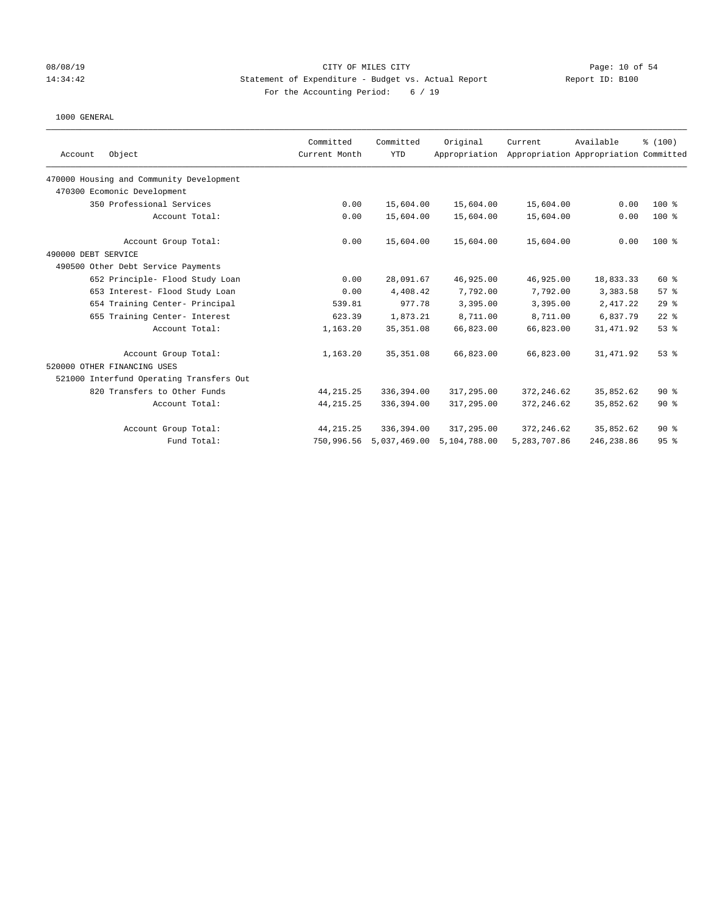## 08/08/19 Page: 10 of 54 14:34:42 Statement of Expenditure - Budget vs. Actual Report Report ID: B100 For the Accounting Period: 6 / 19

|                                          | Committed     | Committed    | Original      | Current      | Available                             | \$(100) |
|------------------------------------------|---------------|--------------|---------------|--------------|---------------------------------------|---------|
| Object<br>Account                        | Current Month | <b>YTD</b>   | Appropriation |              | Appropriation Appropriation Committed |         |
| 470000 Housing and Community Development |               |              |               |              |                                       |         |
| 470300 Ecomonic Development              |               |              |               |              |                                       |         |
| 350 Professional Services                | 0.00          | 15,604.00    | 15,604.00     | 15,604.00    | 0.00                                  | $100*$  |
| Account Total:                           | 0.00          | 15,604.00    | 15,604.00     | 15,604.00    | 0.00                                  | $100*$  |
| Account Group Total:                     | 0.00          | 15,604.00    | 15,604.00     | 15,604.00    | 0.00                                  | 100 %   |
| 490000 DEBT SERVICE                      |               |              |               |              |                                       |         |
| 490500 Other Debt Service Payments       |               |              |               |              |                                       |         |
| 652 Principle- Flood Study Loan          | 0.00          | 28,091.67    | 46,925.00     | 46,925.00    | 18,833.33                             | 60 %    |
| 653 Interest- Flood Study Loan           | 0.00          | 4,408.42     | 7,792.00      | 7,792.00     | 3,383.58                              | 57%     |
| 654 Training Center- Principal           | 539.81        | 977.78       | 3,395.00      | 3,395.00     | 2,417.22                              | 29%     |
| 655 Training Center- Interest            | 623.39        | 1,873.21     | 8,711.00      | 8,711.00     | 6,837.79                              | $22$ %  |
| Account Total:                           | 1,163.20      | 35, 351.08   | 66,823.00     | 66,823.00    | 31,471.92                             | 53%     |
| Account Group Total:                     | 1,163.20      | 35, 351.08   | 66,823.00     | 66,823.00    | 31,471.92                             | 53%     |
| 520000 OTHER FINANCING USES              |               |              |               |              |                                       |         |
| 521000 Interfund Operating Transfers Out |               |              |               |              |                                       |         |
| 820 Transfers to Other Funds             | 44, 215. 25   | 336,394.00   | 317,295.00    | 372, 246.62  | 35,852.62                             | 90%     |
| Account Total:                           | 44, 215. 25   | 336,394.00   | 317,295.00    | 372, 246.62  | 35,852.62                             | 90%     |
| Account Group Total:                     | 44, 215. 25   | 336,394.00   | 317,295.00    | 372, 246.62  | 35,852.62                             | $90*$   |
| Fund Total:                              | 750,996.56    | 5,037,469.00 | 5,104,788.00  | 5,283,707.86 | 246, 238.86                           | 95%     |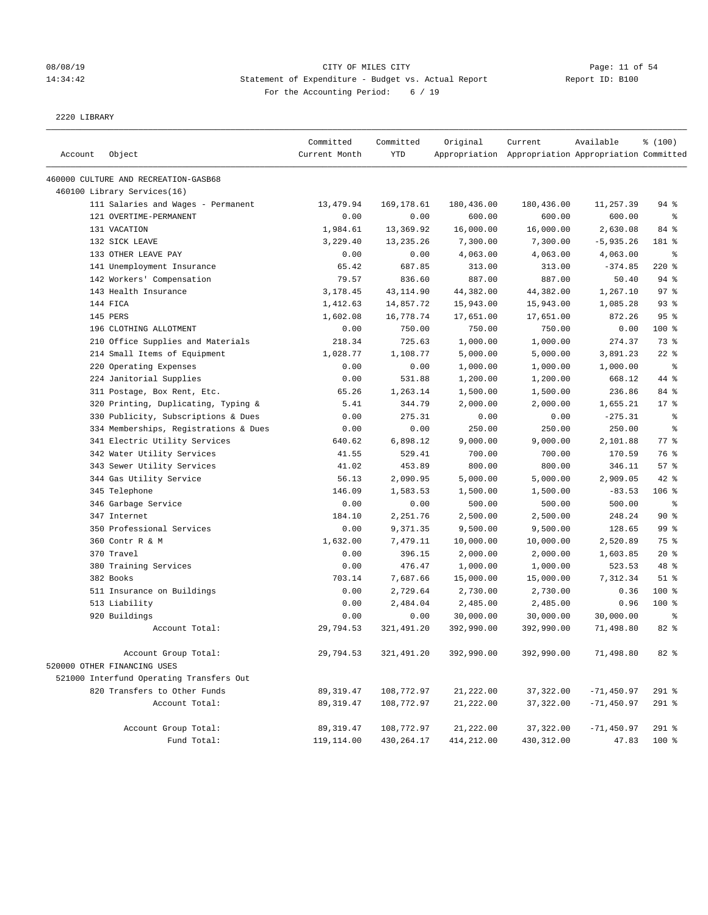# 08/08/19 Page: 11 of 54 14:34:42 Statement of Expenditure - Budget vs. Actual Report Report ID: B100 For the Accounting Period: 6 / 19

#### 2220 LIBRARY

| Account | Object                                              | Committed<br>Current Month | Committed<br><b>YTD</b> | Original   | Current<br>Appropriation Appropriation Appropriation Committed | Available    | % (100)    |
|---------|-----------------------------------------------------|----------------------------|-------------------------|------------|----------------------------------------------------------------|--------------|------------|
|         |                                                     |                            |                         |            |                                                                |              |            |
|         | 460000 CULTURE AND RECREATION-GASB68                |                            |                         |            |                                                                |              |            |
|         | 460100 Library Services(16)                         |                            |                         |            |                                                                |              |            |
|         | 111 Salaries and Wages - Permanent                  | 13,479.94                  | 169,178.61              | 180,436.00 | 180,436.00                                                     | 11,257.39    | 94 %       |
|         | 121 OVERTIME-PERMANENT                              | 0.00                       | 0.00                    | 600.00     | 600.00                                                         | 600.00       | $\epsilon$ |
|         | 131 VACATION                                        | 1,984.61                   | 13,369.92               | 16,000.00  | 16,000.00                                                      | 2,630.08     | 84 %       |
|         | 132 SICK LEAVE                                      | 3,229.40                   | 13,235.26               | 7,300.00   | 7,300.00                                                       | $-5,935.26$  | 181 %      |
|         | 133 OTHER LEAVE PAY                                 | 0.00                       | 0.00                    | 4,063.00   | 4,063.00                                                       | 4,063.00     | る          |
|         | 141 Unemployment Insurance                          | 65.42                      | 687.85                  | 313.00     | 313.00                                                         | $-374.85$    | $220$ %    |
|         | 142 Workers' Compensation                           | 79.57                      | 836.60                  | 887.00     | 887.00                                                         | 50.40        | 94%        |
|         | 143 Health Insurance                                | 3,178.45                   | 43, 114.90              | 44,382.00  | 44,382.00                                                      | 1,267.10     | 97%        |
|         | 144 FICA                                            | 1,412.63                   | 14,857.72               | 15,943.00  | 15,943.00                                                      | 1,085.28     | 93%        |
|         | 145 PERS                                            | 1,602.08                   | 16,778.74               | 17,651.00  | 17,651.00                                                      | 872.26       | 95%        |
|         | 196 CLOTHING ALLOTMENT                              | 0.00                       | 750.00                  | 750.00     | 750.00                                                         | 0.00         | 100 %      |
|         | 210 Office Supplies and Materials                   | 218.34                     | 725.63                  | 1,000.00   | 1,000.00                                                       | 274.37       | 73 %       |
|         | 214 Small Items of Equipment                        | 1,028.77                   | 1,108.77                | 5,000.00   | 5,000.00                                                       | 3,891.23     | $22$ %     |
|         | 220 Operating Expenses                              | 0.00                       | 0.00                    | 1,000.00   | 1,000.00                                                       | 1,000.00     | ి          |
|         | 224 Janitorial Supplies                             | 0.00                       | 531.88                  | 1,200.00   | 1,200.00                                                       | 668.12       | 44 %       |
|         | 311 Postage, Box Rent, Etc.                         | 65.26                      | 1,263.14                | 1,500.00   | 1,500.00                                                       | 236.86       | 84 %       |
|         | 320 Printing, Duplicating, Typing &                 | 5.41                       | 344.79                  | 2,000.00   | 2.000.00                                                       | 1,655.21     | $17*$      |
|         | 330 Publicity, Subscriptions & Dues                 | 0.00                       | 275.31                  | 0.00       | 0.00                                                           | $-275.31$    | ್ಠಿ        |
|         | 334 Memberships, Registrations & Dues               | 0.00                       | 0.00                    | 250.00     | 250.00                                                         | 250.00       | ి          |
|         | 341 Electric Utility Services                       | 640.62                     | 6,898.12                | 9,000.00   | 9,000.00                                                       | 2,101.88     | 77.8       |
|         | 342 Water Utility Services                          | 41.55                      | 529.41                  | 700.00     | 700.00                                                         | 170.59       | 76 %       |
|         | 343 Sewer Utility Services                          | 41.02                      | 453.89                  | 800.00     | 800.00                                                         | 346.11       | 57%        |
|         | 344 Gas Utility Service                             | 56.13                      | 2,090.95                | 5,000.00   | 5,000.00                                                       | 2,909.05     | 42 %       |
|         | 345 Telephone                                       | 146.09                     | 1,583.53                | 1,500.00   | 1,500.00                                                       | $-83.53$     | $106$ %    |
|         | 346 Garbage Service                                 | 0.00                       | 0.00                    | 500.00     | 500.00                                                         | 500.00       | る          |
|         | 347 Internet                                        | 184.10                     | 2,251.76                | 2,500.00   | 2,500.00                                                       | 248.24       | 90%        |
|         | 350 Professional Services                           | 0.00                       | 9,371.35                | 9,500.00   | 9,500.00                                                       | 128.65       | 99 %       |
|         | 360 Contr R & M                                     | 1,632.00                   | 7,479.11                | 10,000.00  | 10,000.00                                                      | 2,520.89     | 75 %       |
|         | 370 Travel                                          | 0.00                       | 396.15                  | 2,000.00   | 2,000.00                                                       | 1,603.85     | $20*$      |
|         | 380 Training Services                               | 0.00                       | 476.47                  | 1,000.00   | 1,000.00                                                       | 523.53       | 48 %       |
|         | 382 Books                                           | 703.14                     | 7,687.66                | 15,000.00  | 15,000.00                                                      | 7,312.34     | $51$ $%$   |
|         | 511 Insurance on Buildings                          | 0.00                       | 2,729.64                | 2,730.00   | 2,730.00                                                       | 0.36         | 100 %      |
|         | 513 Liability                                       | 0.00                       | 2,484.04                | 2,485.00   | 2,485.00                                                       | 0.96         | 100 %      |
|         | 920 Buildings                                       | 0.00                       | 0.00                    | 30,000.00  | 30,000.00                                                      | 30,000.00    | ి          |
|         | Account Total:                                      | 29,794.53                  | 321,491.20              | 392,990.00 | 392,990.00                                                     | 71,498.80    | 82 %       |
|         | Account Group Total:<br>520000 OTHER FINANCING USES | 29,794.53                  | 321,491.20              | 392,990.00 | 392,990.00                                                     | 71,498.80    | 82 %       |
|         | 521000 Interfund Operating Transfers Out            |                            |                         |            |                                                                |              |            |
|         | 820 Transfers to Other Funds                        | 89,319.47                  | 108,772.97              | 21,222.00  | 37,322.00                                                      | $-71,450.97$ | 291 %      |
|         | Account Total:                                      | 89, 319.47                 | 108,772.97              | 21,222.00  | 37,322.00                                                      | $-71,450.97$ | 291 %      |
|         | Account Group Total:                                | 89, 319.47                 | 108,772.97              | 21,222.00  | 37, 322.00                                                     | $-71,450.97$ | 291 %      |
|         | Fund Total:                                         | 119,114.00                 | 430,264.17              | 414,212.00 | 430, 312.00                                                    | 47.83        | 100 %      |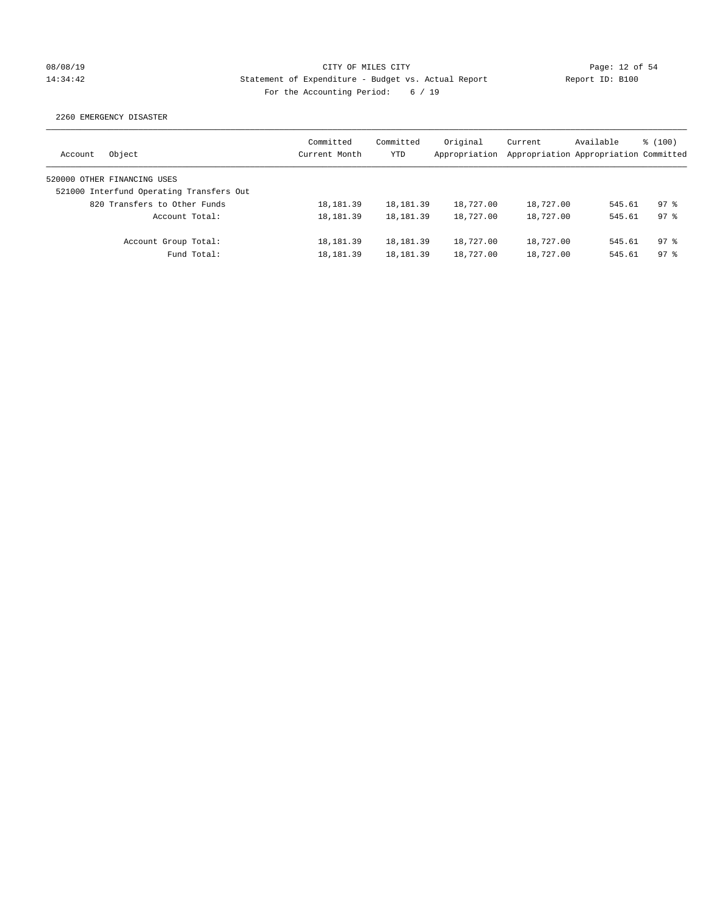## 08/08/19 Page: 12 of 54 14:34:42 Statement of Expenditure - Budget vs. Actual Report Report ID: B100 For the Accounting Period: 6 / 19

2260 EMERGENCY DISASTER

| Object<br>Account                        | Committed<br>Current Month | Committed<br><b>YTD</b> | Original<br>Appropriation | Current<br>Appropriation Appropriation Committed | Available | $\frac{100}{3}$ |
|------------------------------------------|----------------------------|-------------------------|---------------------------|--------------------------------------------------|-----------|-----------------|
| 520000 OTHER FINANCING USES              |                            |                         |                           |                                                  |           |                 |
| 521000 Interfund Operating Transfers Out |                            |                         |                           |                                                  |           |                 |
| 820 Transfers to Other Funds             | 18, 181.39                 | 18, 181.39              | 18,727.00                 | 18,727.00                                        | 545.61    | $97$ $%$        |
| Account Total:                           | 18, 181. 39                | 18, 181. 39             | 18,727.00                 | 18,727.00                                        | 545.61    | $97$ $%$        |
| Account Group Total:                     | 18,181.39                  | 18, 181. 39             | 18,727.00                 | 18,727.00                                        | 545.61    | $97$ $%$        |
| Fund Total:                              | 18, 181.39                 | 18, 181. 39             | 18,727.00                 | 18,727.00                                        | 545.61    | $97$ $%$        |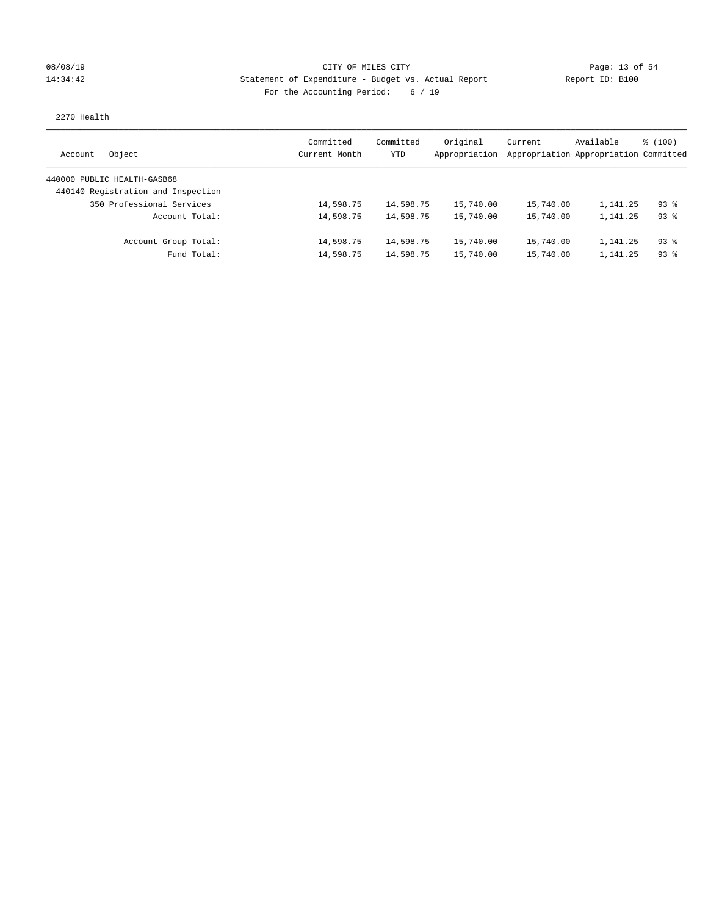## 08/08/19 Page: 13 of 54 14:34:42 Statement of Expenditure - Budget vs. Actual Report Report ID: B100 For the Accounting Period: 6 / 19

### 2270 Health

| Object<br>Account                  | Committed<br>Current Month | Committed<br><b>YTD</b> | Original<br>Appropriation | Current   | Available<br>Appropriation Appropriation Committed | \$(100)  |
|------------------------------------|----------------------------|-------------------------|---------------------------|-----------|----------------------------------------------------|----------|
| 440000 PUBLIC HEALTH-GASB68        |                            |                         |                           |           |                                                    |          |
| 440140 Registration and Inspection |                            |                         |                           |           |                                                    |          |
| 350 Professional Services          | 14,598.75                  | 14,598.75               | 15,740.00                 | 15,740.00 | 1,141.25                                           | $93$ $%$ |
| Account Total:                     | 14,598.75                  | 14,598.75               | 15,740.00                 | 15,740.00 | 1,141.25                                           | $93$ $%$ |
| Account Group Total:               | 14,598.75                  | 14,598.75               | 15,740.00                 | 15,740.00 | 1,141.25                                           | $93$ $%$ |
| Fund Total:                        | 14,598.75                  | 14,598.75               | 15,740.00                 | 15,740.00 | 1,141.25                                           | $93$ $%$ |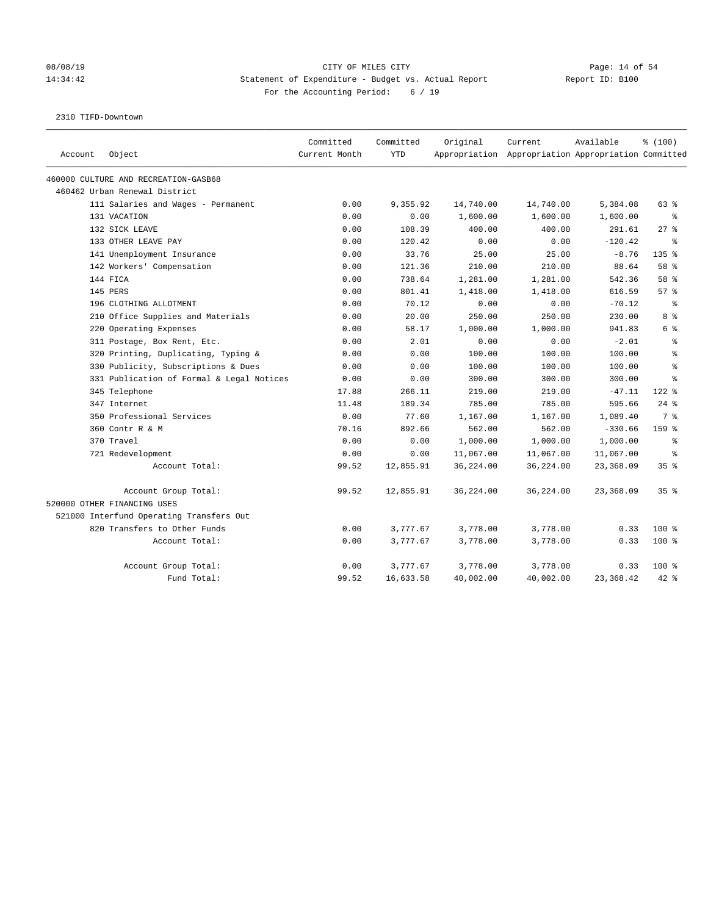### 08/08/19 Page: 14 of 54 14:34:42 Statement of Expenditure - Budget vs. Actual Report Report ID: B100 For the Accounting Period: 6 / 19

2310 TIFD-Downtown

| Account | Object                                    | Committed<br>Current Month | Committed<br><b>YTD</b> | Original  | Current<br>Appropriation Appropriation Appropriation Committed | Available | % (100)   |
|---------|-------------------------------------------|----------------------------|-------------------------|-----------|----------------------------------------------------------------|-----------|-----------|
|         | 460000 CULTURE AND RECREATION-GASB68      |                            |                         |           |                                                                |           |           |
|         | 460462 Urban Renewal District             |                            |                         |           |                                                                |           |           |
|         | 111 Salaries and Wages - Permanent        | 0.00                       | 9,355.92                | 14,740.00 | 14,740.00                                                      | 5,384.08  | 63 %      |
|         | 131 VACATION                              | 0.00                       | 0.00                    | 1,600.00  | 1,600.00                                                       | 1,600.00  | ి         |
|         | 132 SICK LEAVE                            | 0.00                       | 108.39                  | 400.00    | 400.00                                                         | 291.61    | $27$ $%$  |
|         | 133 OTHER LEAVE PAY                       | 0.00                       | 120.42                  | 0.00      | 0.00                                                           | $-120.42$ | နွ        |
|         | 141 Unemployment Insurance                | 0.00                       | 33.76                   | 25.00     | 25.00                                                          | $-8.76$   | $135$ $%$ |
|         | 142 Workers' Compensation                 | 0.00                       | 121.36                  | 210.00    | 210.00                                                         | 88.64     | 58 %      |
|         | 144 FICA                                  | 0.00                       | 738.64                  | 1,281.00  | 1,281.00                                                       | 542.36    | 58 %      |
|         | 145 PERS                                  | 0.00                       | 801.41                  | 1,418.00  | 1,418.00                                                       | 616.59    | 57%       |
|         | 196 CLOTHING ALLOTMENT                    | 0.00                       | 70.12                   | 0.00      | 0.00                                                           | $-70.12$  | န္        |
|         | 210 Office Supplies and Materials         | 0.00                       | 20.00                   | 250.00    | 250.00                                                         | 230.00    | 8 %       |
|         | 220 Operating Expenses                    | 0.00                       | 58.17                   | 1,000.00  | 1,000.00                                                       | 941.83    | 6 %       |
|         | 311 Postage, Box Rent, Etc.               | 0.00                       | 2.01                    | 0.00      | 0.00                                                           | $-2.01$   | 昙         |
|         | 320 Printing, Duplicating, Typing &       | 0.00                       | 0.00                    | 100.00    | 100.00                                                         | 100.00    | ま         |
|         | 330 Publicity, Subscriptions & Dues       | 0.00                       | 0.00                    | 100.00    | 100.00                                                         | 100.00    | $\approx$ |
|         | 331 Publication of Formal & Legal Notices | 0.00                       | 0.00                    | 300.00    | 300.00                                                         | 300.00    | 昙         |
|         | 345 Telephone                             | 17.88                      | 266.11                  | 219.00    | 219.00                                                         | $-47.11$  | $122$ $%$ |
|         | 347 Internet                              | 11.48                      | 189.34                  | 785.00    | 785.00                                                         | 595.66    | $24$ %    |
|         | 350 Professional Services                 | 0.00                       | 77.60                   | 1,167.00  | 1,167.00                                                       | 1,089.40  | 7 %       |
|         | 360 Contr R & M                           | 70.16                      | 892.66                  | 562.00    | 562.00                                                         | $-330.66$ | $159$ $%$ |
|         | 370 Travel                                | 0.00                       | 0.00                    | 1,000.00  | 1,000.00                                                       | 1,000.00  | နွ        |
|         | 721 Redevelopment                         | 0.00                       | 0.00                    | 11,067.00 | 11,067.00                                                      | 11,067.00 | နွ        |
|         | Account Total:                            | 99.52                      | 12,855.91               | 36,224.00 | 36,224.00                                                      | 23,368.09 | 35%       |
|         | Account Group Total:                      | 99.52                      | 12,855.91               | 36,224.00 | 36,224.00                                                      | 23,368.09 | 35%       |
|         | 520000 OTHER FINANCING USES               |                            |                         |           |                                                                |           |           |
|         | 521000 Interfund Operating Transfers Out  |                            |                         |           |                                                                |           |           |
|         | 820 Transfers to Other Funds              | 0.00                       | 3,777.67                | 3,778.00  | 3,778.00                                                       | 0.33      | $100*$    |
|         | Account Total:                            | 0.00                       | 3,777.67                | 3,778.00  | 3,778.00                                                       | 0.33      | $100$ %   |
|         | Account Group Total:                      | 0.00                       | 3,777.67                | 3,778.00  | 3,778.00                                                       | 0.33      | 100 %     |
|         | Fund Total:                               | 99.52                      | 16,633.58               | 40,002.00 | 40,002.00                                                      | 23,368.42 | $42*$     |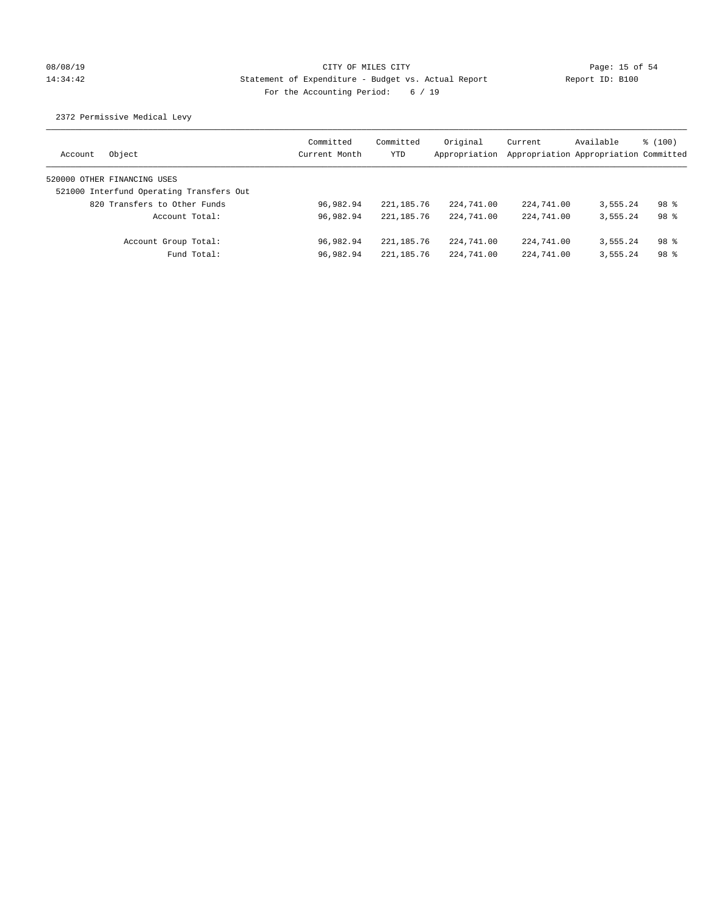# 08/08/19 Page: 15 of 54 14:34:42 Statement of Expenditure - Budget vs. Actual Report Report ID: B100 For the Accounting Period: 6 / 19

2372 Permissive Medical Levy

| Account | Object                                   | Committed<br>Current Month | Committed<br><b>YTD</b> | Original<br>Appropriation | Current<br>Appropriation Appropriation Committed | Available | $\frac{100}{3}$ |
|---------|------------------------------------------|----------------------------|-------------------------|---------------------------|--------------------------------------------------|-----------|-----------------|
|         | 520000 OTHER FINANCING USES              |                            |                         |                           |                                                  |           |                 |
|         | 521000 Interfund Operating Transfers Out |                            |                         |                           |                                                  |           |                 |
|         | 820 Transfers to Other Funds             | 96,982.94                  | 221, 185. 76            | 224,741.00                | 224,741.00                                       | 3,555.24  | 98 <sup>8</sup> |
|         | Account Total:                           | 96.982.94                  | 221, 185. 76            | 224,741.00                | 224,741.00                                       | 3,555.24  | 98 <sup>8</sup> |
|         | Account Group Total:                     | 96.982.94                  | 221, 185. 76            | 224,741.00                | 224,741.00                                       | 3,555.24  | 98 <sup>8</sup> |
|         | Fund Total:                              | 96,982.94                  | 221, 185. 76            | 224,741.00                | 224,741.00                                       | 3,555.24  | 98 <sup>8</sup> |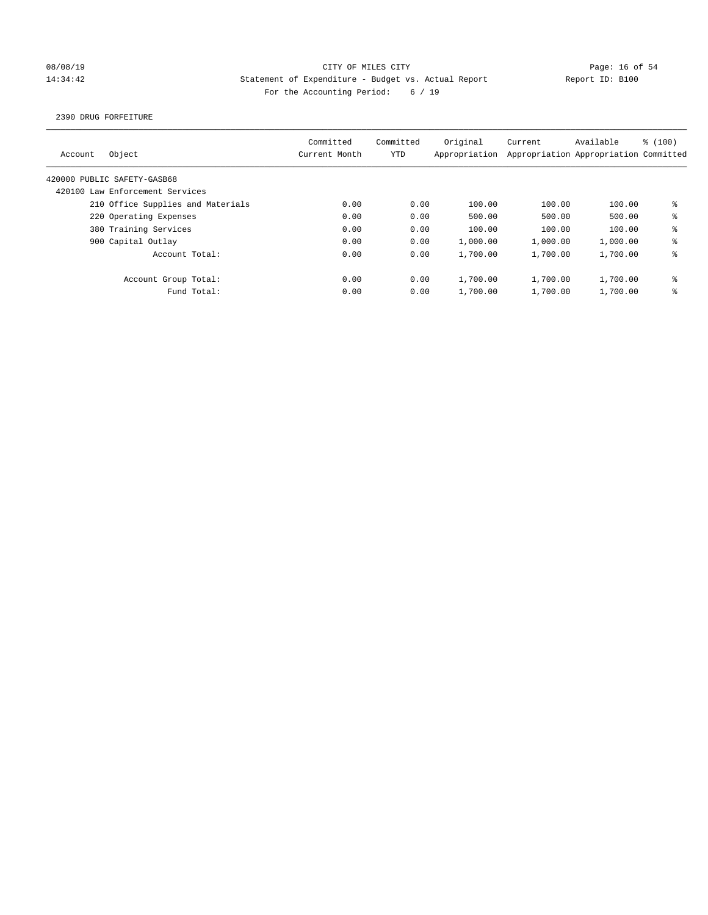## 08/08/19 Page: 16 of 54 14:34:42 Statement of Expenditure - Budget vs. Actual Report Report ID: B100 For the Accounting Period: 6 / 19

2390 DRUG FORFEITURE

| Account | Object                            | Committed<br>Current Month | Committed<br>YTD | Original<br>Appropriation | Current  | Available<br>Appropriation Appropriation Committed | \$(100) |
|---------|-----------------------------------|----------------------------|------------------|---------------------------|----------|----------------------------------------------------|---------|
|         | 420000 PUBLIC SAFETY-GASB68       |                            |                  |                           |          |                                                    |         |
|         | 420100 Law Enforcement Services   |                            |                  |                           |          |                                                    |         |
|         | 210 Office Supplies and Materials | 0.00                       | 0.00             | 100.00                    | 100.00   | 100.00                                             | ៖       |
|         | 220 Operating Expenses            | 0.00                       | 0.00             | 500.00                    | 500.00   | 500.00                                             | နွ      |
|         | 380 Training Services             | 0.00                       | 0.00             | 100.00                    | 100.00   | 100.00                                             | ి       |
|         | 900 Capital Outlay                | 0.00                       | 0.00             | 1,000.00                  | 1,000.00 | 1,000.00                                           | ి       |
|         | Account Total:                    | 0.00                       | 0.00             | 1,700.00                  | 1,700.00 | 1,700.00                                           | ి       |
|         | Account Group Total:              | 0.00                       | 0.00             | 1,700.00                  | 1,700.00 | 1,700.00                                           | ៖       |
|         | Fund Total:                       | 0.00                       | 0.00             | 1,700.00                  | 1,700.00 | 1,700.00                                           | ి       |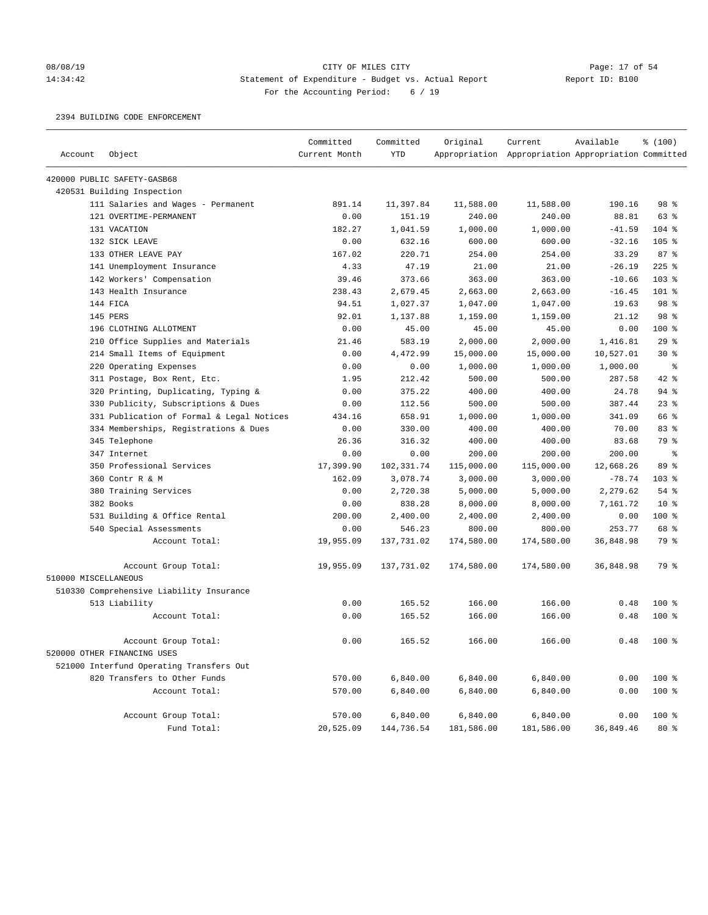# 08/08/19 Page: 17 of 54 14:34:42 Statement of Expenditure - Budget vs. Actual Report Changer Report ID: B100 For the Accounting Period: 6 / 19

2394 BUILDING CODE ENFORCEMENT

|                      |                                           | Committed     | Committed  | Original   | Current                                             | Available | % (100) |
|----------------------|-------------------------------------------|---------------|------------|------------|-----------------------------------------------------|-----------|---------|
| Account              | Object                                    | Current Month | <b>YTD</b> |            | Appropriation Appropriation Appropriation Committed |           |         |
|                      | 420000 PUBLIC SAFETY-GASB68               |               |            |            |                                                     |           |         |
|                      | 420531 Building Inspection                |               |            |            |                                                     |           |         |
|                      | 111 Salaries and Wages - Permanent        | 891.14        | 11,397.84  | 11,588.00  | 11,588.00                                           | 190.16    | 98 %    |
|                      | 121 OVERTIME-PERMANENT                    | 0.00          | 151.19     | 240.00     | 240.00                                              | 88.81     | 63 %    |
|                      | 131 VACATION                              | 182.27        | 1,041.59   | 1,000.00   | 1,000.00                                            | $-41.59$  | $104$ % |
|                      | 132 SICK LEAVE                            | 0.00          | 632.16     | 600.00     | 600.00                                              | $-32.16$  | $105$ % |
|                      | 133 OTHER LEAVE PAY                       | 167.02        | 220.71     | 254.00     | 254.00                                              | 33.29     | 87%     |
|                      | 141 Unemployment Insurance                | 4.33          | 47.19      | 21.00      | 21.00                                               | $-26.19$  | $225$ % |
|                      | 142 Workers' Compensation                 | 39.46         | 373.66     | 363.00     | 363.00                                              | $-10.66$  | $103$ % |
|                      | 143 Health Insurance                      | 238.43        | 2,679.45   | 2,663.00   | 2,663.00                                            | $-16.45$  | 101 %   |
|                      | 144 FICA                                  | 94.51         | 1,027.37   | 1,047.00   | 1,047.00                                            | 19.63     | 98 %    |
|                      | 145 PERS                                  | 92.01         | 1,137.88   | 1,159.00   | 1,159.00                                            | 21.12     | 98 %    |
|                      | 196 CLOTHING ALLOTMENT                    | 0.00          | 45.00      | 45.00      | 45.00                                               | 0.00      | $100$ % |
|                      | 210 Office Supplies and Materials         | 21.46         | 583.19     | 2,000.00   | 2,000.00                                            | 1,416.81  | 29%     |
|                      | 214 Small Items of Equipment              | 0.00          | 4,472.99   | 15,000.00  | 15,000.00                                           | 10,527.01 | $30*$   |
|                      | 220 Operating Expenses                    | 0.00          | 0.00       | 1,000.00   | 1,000.00                                            | 1,000.00  | နွ      |
|                      | 311 Postage, Box Rent, Etc.               | 1.95          | 212.42     | 500.00     | 500.00                                              | 287.58    | 42 %    |
|                      | 320 Printing, Duplicating, Typing &       | 0.00          | 375.22     | 400.00     | 400.00                                              | 24.78     | 94 %    |
|                      | 330 Publicity, Subscriptions & Dues       | 0.00          | 112.56     | 500.00     | 500.00                                              | 387.44    | 23%     |
|                      | 331 Publication of Formal & Legal Notices | 434.16        | 658.91     | 1,000.00   | 1,000.00                                            | 341.09    | 66 %    |
|                      | 334 Memberships, Registrations & Dues     | 0.00          | 330.00     | 400.00     | 400.00                                              | 70.00     | 83%     |
|                      | 345 Telephone                             | 26.36         | 316.32     | 400.00     | 400.00                                              | 83.68     | 79 %    |
|                      | 347 Internet                              | 0.00          | 0.00       | 200.00     | 200.00                                              | 200.00    | နွ      |
|                      | 350 Professional Services                 | 17,399.90     | 102,331.74 | 115,000.00 | 115,000.00                                          | 12,668.26 | 89 %    |
|                      | 360 Contr R & M                           | 162.09        | 3,078.74   | 3,000.00   | 3,000.00                                            | $-78.74$  | $103$ % |
|                      | 380 Training Services                     | 0.00          | 2,720.38   | 5,000.00   | 5,000.00                                            | 2,279.62  | 54 %    |
|                      | 382 Books                                 | 0.00          | 838.28     | 8,000.00   | 8,000.00                                            | 7,161.72  | $10*$   |
|                      | 531 Building & Office Rental              | 200.00        | 2,400.00   | 2,400.00   | 2,400.00                                            | 0.00      | 100 %   |
|                      | 540 Special Assessments                   | 0.00          | 546.23     | 800.00     | 800.00                                              | 253.77    | 68 %    |
|                      | Account Total:                            | 19,955.09     | 137,731.02 | 174,580.00 | 174,580.00                                          | 36,848.98 | 79 %    |
|                      | Account Group Total:                      | 19,955.09     | 137,731.02 | 174,580.00 | 174,580.00                                          | 36,848.98 | 79 %    |
| 510000 MISCELLANEOUS |                                           |               |            |            |                                                     |           |         |
|                      | 510330 Comprehensive Liability Insurance  |               |            |            |                                                     |           |         |
|                      | 513 Liability                             | 0.00          | 165.52     | 166.00     | 166.00                                              | 0.48      | $100$ % |
|                      | Account Total:                            | 0.00          | 165.52     | 166.00     | 166.00                                              | 0.48      | $100*$  |
|                      | Account Group Total:                      | 0.00          | 165.52     | 166.00     | 166.00                                              | 0.48      | $100*$  |
|                      | 520000 OTHER FINANCING USES               |               |            |            |                                                     |           |         |
|                      | 521000 Interfund Operating Transfers Out  |               |            |            |                                                     |           |         |
|                      | 820 Transfers to Other Funds              | 570.00        | 6,840.00   | 6,840.00   | 6,840.00                                            | 0.00      | 100 %   |
|                      | Account Total:                            | 570.00        | 6,840.00   | 6,840.00   | 6,840.00                                            | 0.00      | $100$ % |
|                      | Account Group Total:                      | 570.00        | 6,840.00   | 6,840.00   | 6,840.00                                            | 0.00      | $100$ % |
|                      | Fund Total:                               | 20,525.09     | 144,736.54 | 181,586.00 | 181,586.00                                          | 36,849.46 | $80*$   |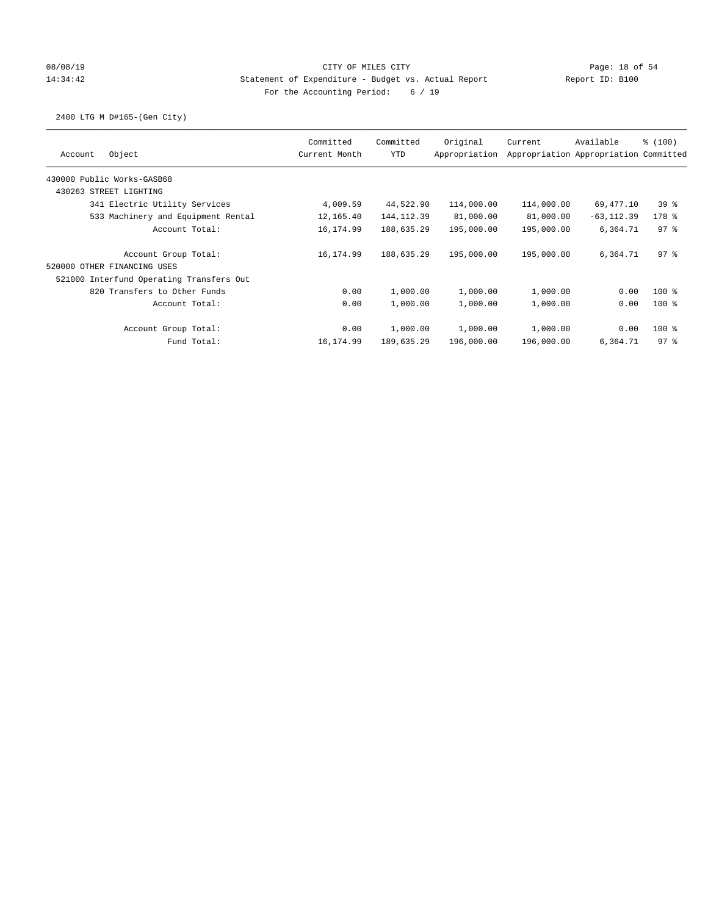## 08/08/19 Page: 18 of 54 14:34:42 Statement of Expenditure - Budget vs. Actual Report Report ID: B100 For the Accounting Period: 6 / 19

2400 LTG M D#165-(Gen City)

|                                          | Committed     | Committed   | Original      | Current    | Available                             | \$(100)         |
|------------------------------------------|---------------|-------------|---------------|------------|---------------------------------------|-----------------|
| Object<br>Account                        | Current Month | <b>YTD</b>  | Appropriation |            | Appropriation Appropriation Committed |                 |
| 430000 Public Works-GASB68               |               |             |               |            |                                       |                 |
| 430263 STREET LIGHTING                   |               |             |               |            |                                       |                 |
| 341 Electric Utility Services            | 4,009.59      | 44,522.90   | 114,000.00    | 114,000.00 | 69,477.10                             | 398             |
| 533 Machinery and Equipment Rental       | 12,165.40     | 144, 112.39 | 81,000.00     | 81,000.00  | $-63, 112.39$                         | 178 %           |
| Account Total:                           | 16,174.99     | 188,635.29  | 195,000.00    | 195,000.00 | 6,364.71                              | 97 <sub>8</sub> |
| Account Group Total:                     | 16,174.99     | 188,635.29  | 195,000.00    | 195,000.00 | 6,364.71                              | $97$ %          |
| 520000 OTHER FINANCING USES              |               |             |               |            |                                       |                 |
| 521000 Interfund Operating Transfers Out |               |             |               |            |                                       |                 |
| 820 Transfers to Other Funds             | 0.00          | 1,000.00    | 1,000.00      | 1,000.00   | 0.00                                  | $100$ %         |
| Account Total:                           | 0.00          | 1,000.00    | 1,000.00      | 1,000.00   | 0.00                                  | $100$ %         |
| Account Group Total:                     | 0.00          | 1,000.00    | 1,000.00      | 1,000.00   | 0.00                                  | $100$ %         |
| Fund Total:                              | 16,174.99     | 189,635.29  | 196,000.00    | 196,000.00 | 6,364.71                              | 97.8            |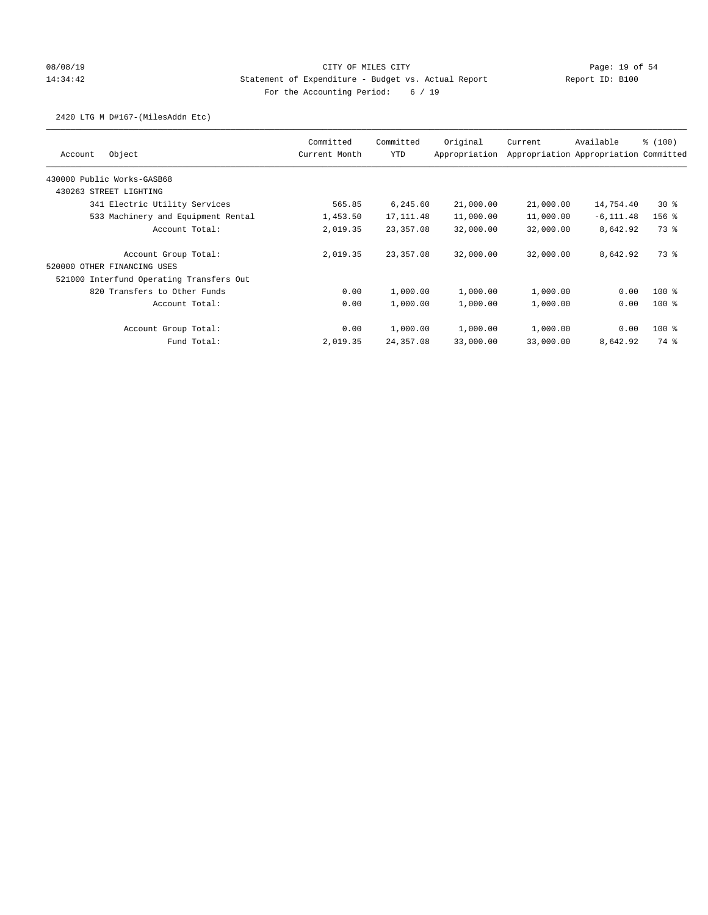## 08/08/19 Page: 19 of 54 14:34:42 Statement of Expenditure - Budget vs. Actual Report Report ID: B100 For the Accounting Period: 6 / 19

### 2420 LTG M D#167-(MilesAddn Etc)

| Object<br>Account                        | Committed<br>Current Month | Committed<br>YTD | Original<br>Appropriation | Current   | Available<br>Appropriation Appropriation Committed | % (100) |
|------------------------------------------|----------------------------|------------------|---------------------------|-----------|----------------------------------------------------|---------|
| 430000 Public Works-GASB68               |                            |                  |                           |           |                                                    |         |
| 430263 STREET LIGHTING                   |                            |                  |                           |           |                                                    |         |
| 341 Electric Utility Services            | 565.85                     | 6,245.60         | 21,000.00                 | 21,000.00 | 14,754.40                                          | $30*$   |
| 533 Machinery and Equipment Rental       | 1,453.50                   | 17, 111.48       | 11,000.00                 | 11,000.00 | $-6, 111.48$                                       | $156$ % |
| Account Total:                           | 2,019.35                   | 23,357.08        | 32,000.00                 | 32,000.00 | 8,642.92                                           | 73 %    |
| Account Group Total:                     | 2,019.35                   | 23,357.08        | 32,000.00                 | 32,000.00 | 8,642.92                                           | 73 %    |
| 520000 OTHER FINANCING USES              |                            |                  |                           |           |                                                    |         |
| 521000 Interfund Operating Transfers Out |                            |                  |                           |           |                                                    |         |
| 820 Transfers to Other Funds             | 0.00                       | 1,000.00         | 1,000.00                  | 1,000.00  | 0.00                                               | $100$ % |
| Account Total:                           | 0.00                       | 1,000.00         | 1,000.00                  | 1,000.00  | 0.00                                               | $100$ % |
| Account Group Total:                     | 0.00                       | 1,000.00         | 1,000.00                  | 1,000.00  | 0.00                                               | $100$ % |
| Fund Total:                              | 2,019.35                   | 24,357.08        | 33,000.00                 | 33,000.00 | 8,642.92                                           | 74 %    |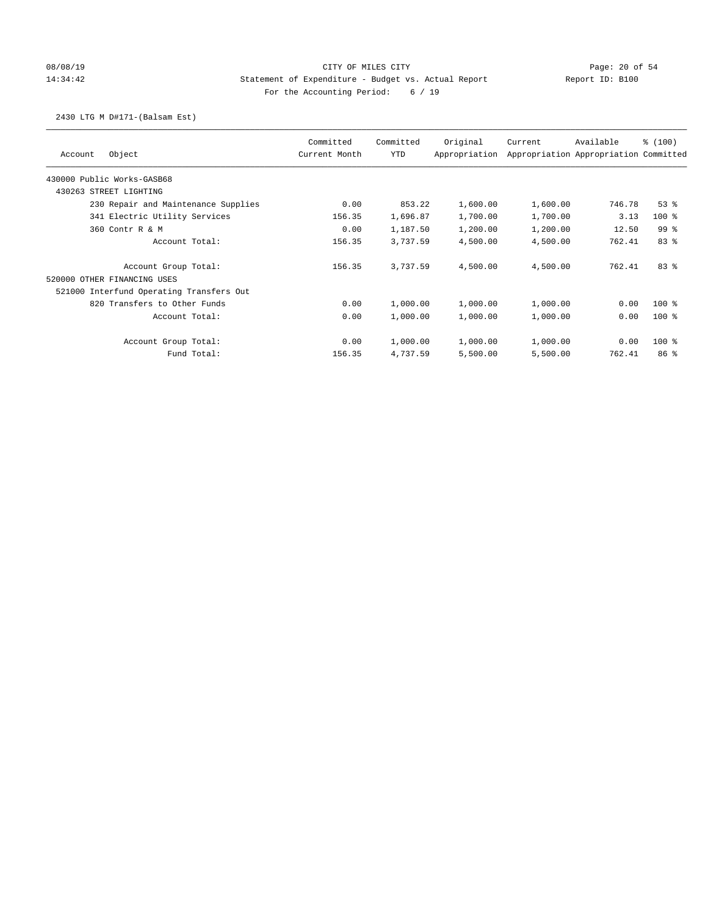## 08/08/19 Page: 20 of 54 14:34:42 Statement of Expenditure - Budget vs. Actual Report Report ID: B100 For the Accounting Period: 6 / 19

### 2430 LTG M D#171-(Balsam Est)

|         |                                          | Committed     | Committed  | Original      | Current                               | Available | % (100)         |
|---------|------------------------------------------|---------------|------------|---------------|---------------------------------------|-----------|-----------------|
| Account | Object                                   | Current Month | <b>YTD</b> | Appropriation | Appropriation Appropriation Committed |           |                 |
|         | 430000 Public Works-GASB68               |               |            |               |                                       |           |                 |
|         | 430263 STREET LIGHTING                   |               |            |               |                                       |           |                 |
|         | 230 Repair and Maintenance Supplies      | 0.00          | 853.22     | 1,600.00      | 1,600.00                              | 746.78    | 53%             |
|         | 341 Electric Utility Services            | 156.35        | 1,696.87   | 1,700.00      | 1,700.00                              | 3.13      | $100*$          |
|         | 360 Contr R & M                          | 0.00          | 1,187.50   | 1,200.00      | 1,200.00                              | 12.50     | 99 <sub>8</sub> |
|         | Account Total:                           | 156.35        | 3,737.59   | 4,500.00      | 4,500.00                              | 762.41    | 83%             |
|         | Account Group Total:                     | 156.35        | 3,737.59   | 4,500.00      | 4,500.00                              | 762.41    | 83%             |
|         | 520000 OTHER FINANCING USES              |               |            |               |                                       |           |                 |
|         | 521000 Interfund Operating Transfers Out |               |            |               |                                       |           |                 |
|         | 820 Transfers to Other Funds             | 0.00          | 1,000.00   | 1,000.00      | 1,000.00                              | 0.00      | $100*$          |
|         | Account Total:                           | 0.00          | 1,000.00   | 1,000.00      | 1,000.00                              | 0.00      | $100*$          |
|         | Account Group Total:                     | 0.00          | 1,000.00   | 1,000.00      | 1,000.00                              | 0.00      | $100*$          |
|         | Fund Total:                              | 156.35        | 4,737.59   | 5,500.00      | 5,500.00                              | 762.41    | 86 <sup>8</sup> |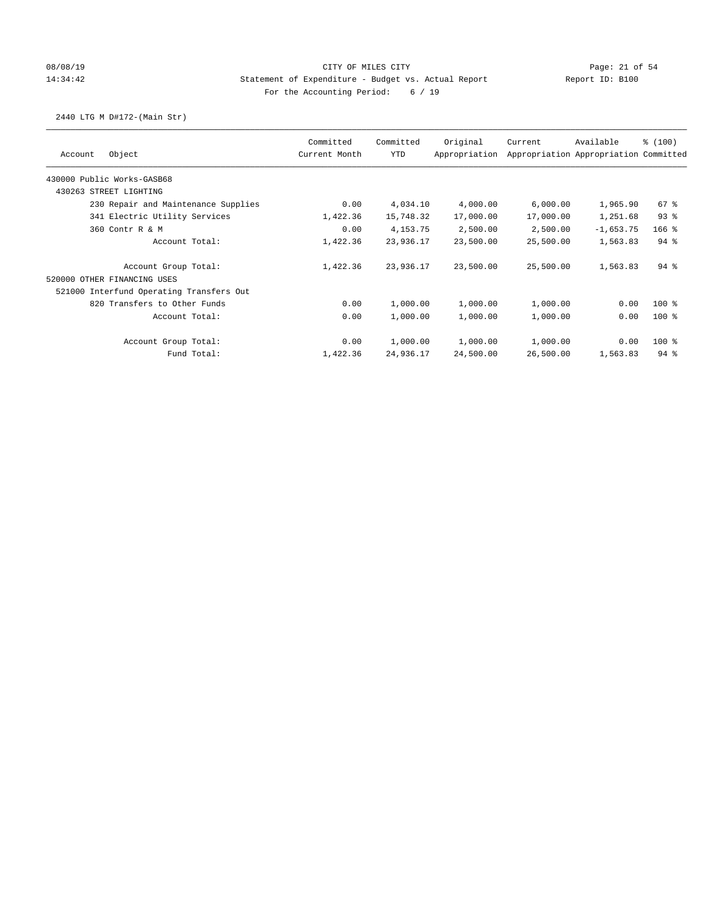## 08/08/19 Page: 21 of 54 14:34:42 Statement of Expenditure - Budget vs. Actual Report Report ID: B100 For the Accounting Period: 6 / 19

## 2440 LTG M D#172-(Main Str)

|                                          | Committed     | Committed  | Original      | Current   | Available                             | % (100)  |
|------------------------------------------|---------------|------------|---------------|-----------|---------------------------------------|----------|
| Object<br>Account                        | Current Month | YTD        | Appropriation |           | Appropriation Appropriation Committed |          |
| 430000 Public Works-GASB68               |               |            |               |           |                                       |          |
| 430263 STREET LIGHTING                   |               |            |               |           |                                       |          |
| 230 Repair and Maintenance Supplies      | 0.00          | 4,034.10   | 4,000.00      | 6,000.00  | 1,965.90                              | 67 %     |
| 341 Electric Utility Services            | 1,422.36      | 15,748.32  | 17,000.00     | 17,000.00 | 1,251.68                              | 93%      |
| 360 Contr R & M                          | 0.00          | 4, 153. 75 | 2,500.00      | 2,500.00  | $-1,653.75$                           | $166$ %  |
| Account Total:                           | 1,422.36      | 23,936.17  | 23,500.00     | 25,500.00 | 1,563.83                              | $94$ $%$ |
| Account Group Total:                     | 1,422.36      | 23,936.17  | 23,500.00     | 25,500.00 | 1,563.83                              | $94$ $%$ |
| 520000 OTHER FINANCING USES              |               |            |               |           |                                       |          |
| 521000 Interfund Operating Transfers Out |               |            |               |           |                                       |          |
| 820 Transfers to Other Funds             | 0.00          | 1,000.00   | 1,000.00      | 1,000.00  | 0.00                                  | $100$ %  |
| Account Total:                           | 0.00          | 1,000.00   | 1,000.00      | 1,000.00  | 0.00                                  | $100$ %  |
| Account Group Total:                     | 0.00          | 1,000.00   | 1,000.00      | 1,000.00  | 0.00                                  | $100$ %  |
| Fund Total:                              | 1,422.36      | 24,936.17  | 24,500.00     | 26,500.00 | 1,563.83                              | $94$ %   |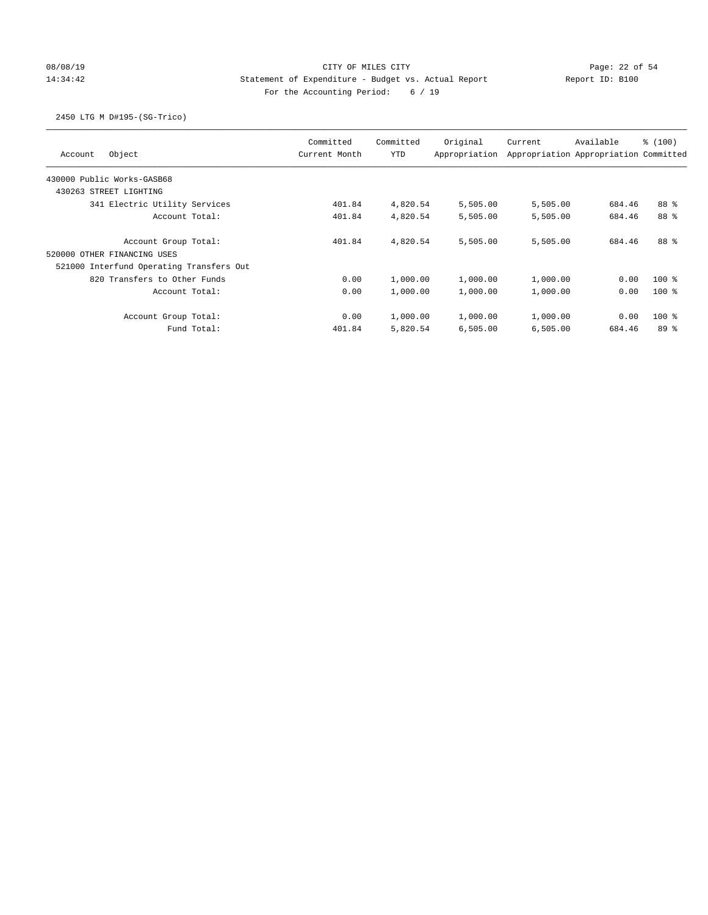# 08/08/19 Page: 22 of 54 14:34:42 Statement of Expenditure - Budget vs. Actual Report Report ID: B100 For the Accounting Period: 6 / 19

## 2450 LTG M D#195-(SG-Trico)

| Object<br>Account                        | Committed<br>Current Month | Committed<br><b>YTD</b> | Original<br>Appropriation | Current  | Available<br>Appropriation Appropriation Committed | % (100) |
|------------------------------------------|----------------------------|-------------------------|---------------------------|----------|----------------------------------------------------|---------|
| 430000 Public Works-GASB68               |                            |                         |                           |          |                                                    |         |
| 430263 STREET LIGHTING                   |                            |                         |                           |          |                                                    |         |
| 341 Electric Utility Services            | 401.84                     | 4,820.54                | 5,505.00                  | 5,505.00 | 684.46                                             | 88 %    |
| Account Total:                           | 401.84                     | 4,820.54                | 5,505.00                  | 5,505.00 | 684.46                                             | 88 %    |
| Account Group Total:                     | 401.84                     | 4,820.54                | 5,505.00                  | 5,505.00 | 684.46                                             | 88 %    |
| 520000 OTHER FINANCING USES              |                            |                         |                           |          |                                                    |         |
| 521000 Interfund Operating Transfers Out |                            |                         |                           |          |                                                    |         |
| 820 Transfers to Other Funds             | 0.00                       | 1,000.00                | 1,000.00                  | 1,000.00 | 0.00                                               | $100*$  |
| Account Total:                           | 0.00                       | 1,000.00                | 1,000.00                  | 1,000.00 | 0.00                                               | $100*$  |
| Account Group Total:                     | 0.00                       | 1,000.00                | 1,000.00                  | 1,000.00 | 0.00                                               | $100*$  |
| Fund Total:                              | 401.84                     | 5,820.54                | 6,505.00                  | 6,505.00 | 684.46                                             | 89%     |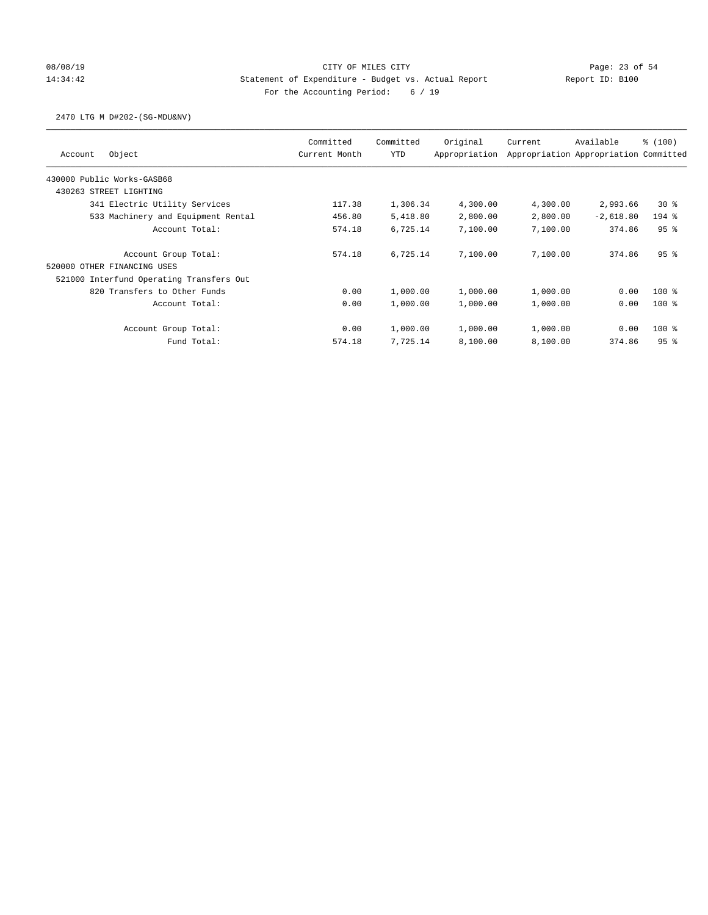## 08/08/19 Page: 23 of 54 14:34:42 Statement of Expenditure - Budget vs. Actual Report Report ID: B100 For the Accounting Period: 6 / 19

### 2470 LTG M D#202-(SG-MDU&NV)

| Object<br>Account                        | Committed<br>Current Month | Committed<br><b>YTD</b> | Original<br>Appropriation | Current  | Available<br>Appropriation Appropriation Committed | % (100) |
|------------------------------------------|----------------------------|-------------------------|---------------------------|----------|----------------------------------------------------|---------|
| 430000 Public Works-GASB68               |                            |                         |                           |          |                                                    |         |
| 430263 STREET LIGHTING                   |                            |                         |                           |          |                                                    |         |
| 341 Electric Utility Services            | 117.38                     | 1,306.34                | 4,300.00                  | 4,300.00 | 2,993.66                                           | $30*$   |
| 533 Machinery and Equipment Rental       | 456.80                     | 5,418.80                | 2,800.00                  | 2,800.00 | $-2,618.80$                                        | $194$ % |
| Account Total:                           | 574.18                     | 6,725.14                | 7,100.00                  | 7,100.00 | 374.86                                             | 95%     |
| Account Group Total:                     | 574.18                     | 6,725.14                | 7,100.00                  | 7,100.00 | 374.86                                             | 95%     |
| 520000 OTHER FINANCING USES              |                            |                         |                           |          |                                                    |         |
| 521000 Interfund Operating Transfers Out |                            |                         |                           |          |                                                    |         |
| 820 Transfers to Other Funds             | 0.00                       | 1,000.00                | 1,000.00                  | 1,000.00 | 0.00                                               | $100*$  |
| Account Total:                           | 0.00                       | 1,000.00                | 1,000.00                  | 1,000.00 | 0.00                                               | $100*$  |
| Account Group Total:                     | 0.00                       | 1,000.00                | 1,000.00                  | 1,000.00 | 0.00                                               | $100*$  |
| Fund Total:                              | 574.18                     | 7,725.14                | 8,100.00                  | 8,100.00 | 374.86                                             | 95%     |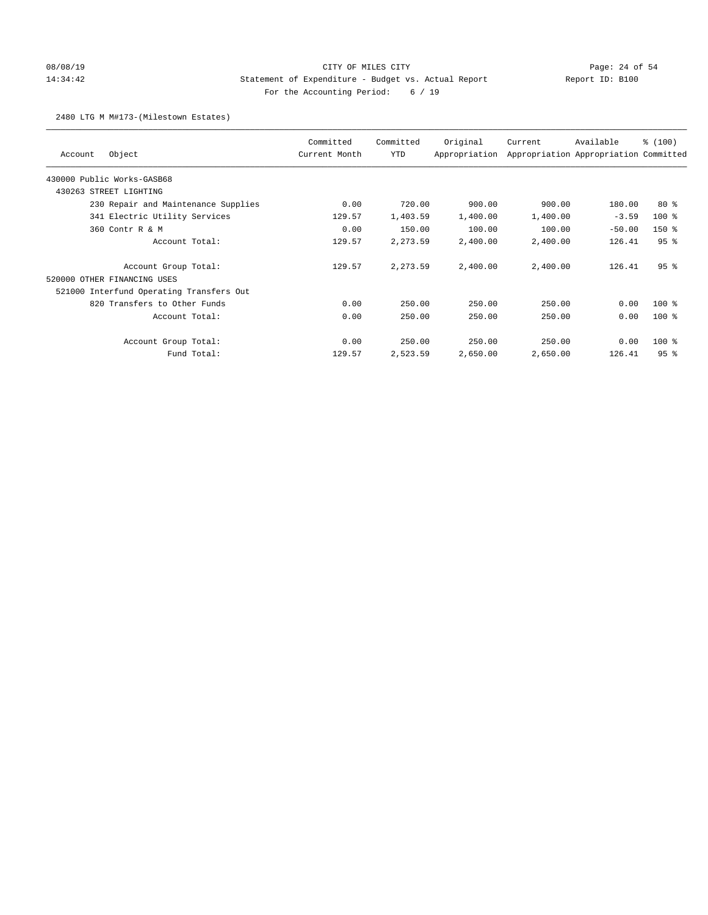# 08/08/19 Page: 24 of 54 14:34:42 Statement of Expenditure - Budget vs. Actual Report Report ID: B100 For the Accounting Period: 6 / 19

### 2480 LTG M M#173-(Milestown Estates)

| Object<br>Account                        | Committed<br>Current Month | Committed<br>YTD | Original<br>Appropriation | Current  | Available<br>Appropriation Appropriation Committed | % (100) |
|------------------------------------------|----------------------------|------------------|---------------------------|----------|----------------------------------------------------|---------|
| 430000 Public Works-GASB68               |                            |                  |                           |          |                                                    |         |
|                                          |                            |                  |                           |          |                                                    |         |
| 430263 STREET LIGHTING                   |                            |                  |                           |          |                                                    |         |
| 230 Repair and Maintenance Supplies      | 0.00                       | 720.00           | 900.00                    | 900.00   | 180.00                                             | $80*$   |
| 341 Electric Utility Services            | 129.57                     | 1,403.59         | 1,400.00                  | 1,400.00 | $-3.59$                                            | $100$ % |
| 360 Contr R & M                          | 0.00                       | 150.00           | 100.00                    | 100.00   | $-50.00$                                           | $150*$  |
| Account Total:                           | 129.57                     | 2,273.59         | 2,400.00                  | 2,400.00 | 126.41                                             | 95%     |
| Account Group Total:                     | 129.57                     | 2,273.59         | 2,400.00                  | 2,400.00 | 126.41                                             | 95%     |
| 520000 OTHER FINANCING USES              |                            |                  |                           |          |                                                    |         |
| 521000 Interfund Operating Transfers Out |                            |                  |                           |          |                                                    |         |
| 820 Transfers to Other Funds             | 0.00                       | 250.00           | 250.00                    | 250.00   | 0.00                                               | $100$ % |
| Account Total:                           | 0.00                       | 250.00           | 250.00                    | 250.00   | 0.00                                               | $100$ % |
| Account Group Total:                     | 0.00                       | 250.00           | 250.00                    | 250.00   | 0.00                                               | $100$ % |
| Fund Total:                              | 129.57                     | 2,523.59         | 2,650.00                  | 2,650.00 | 126.41                                             | 95%     |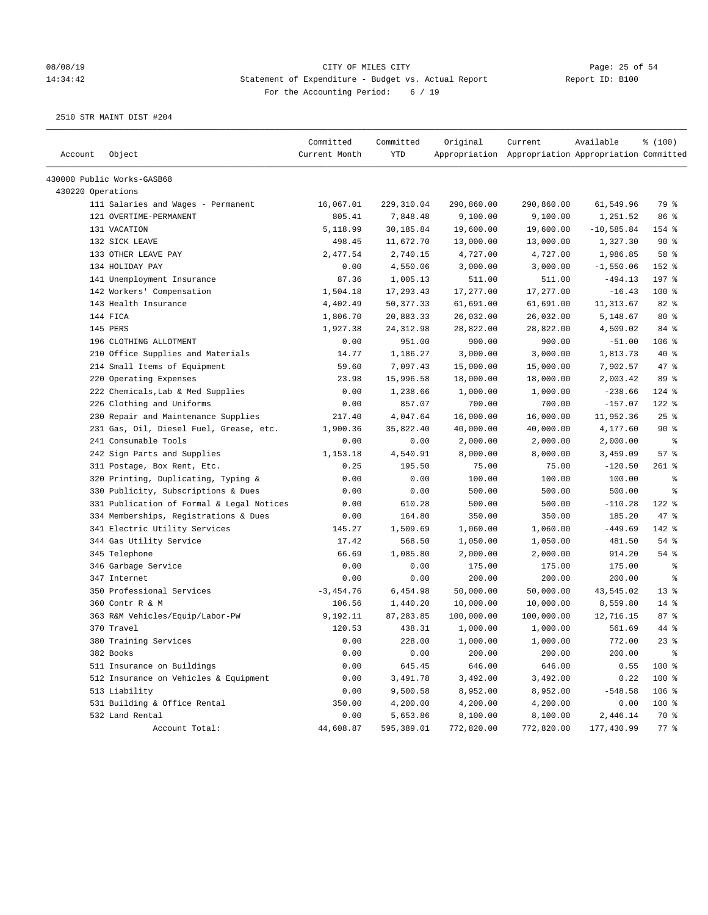### 08/08/19 Page: 25 of 54 14:34:42 Statement of Expenditure - Budget vs. Actual Report Report ID: B100 For the Accounting Period: 6 / 19

| Account           | Object                                    | Committed<br>Current Month | Committed<br><b>YTD</b> | Original   | Current<br>Appropriation Appropriation Appropriation Committed | Available    | % (100)    |
|-------------------|-------------------------------------------|----------------------------|-------------------------|------------|----------------------------------------------------------------|--------------|------------|
|                   | 430000 Public Works-GASB68                |                            |                         |            |                                                                |              |            |
| 430220 Operations |                                           |                            |                         |            |                                                                |              |            |
|                   | 111 Salaries and Wages - Permanent        | 16,067.01                  | 229, 310.04             | 290,860.00 | 290,860.00                                                     | 61,549.96    | 79 %       |
|                   | 121 OVERTIME-PERMANENT                    | 805.41                     | 7,848.48                | 9,100.00   | 9,100.00                                                       | 1,251.52     | 86 %       |
|                   | 131 VACATION                              | 5,118.99                   | 30,185.84               | 19,600.00  | 19,600.00                                                      | $-10,585.84$ | 154 %      |
|                   | 132 SICK LEAVE                            | 498.45                     | 11,672.70               | 13,000.00  | 13,000.00                                                      | 1,327.30     | 90%        |
|                   | 133 OTHER LEAVE PAY                       | 2,477.54                   | 2,740.15                | 4,727.00   | 4,727.00                                                       | 1,986.85     | 58 %       |
|                   | 134 HOLIDAY PAY                           | 0.00                       | 4,550.06                | 3,000.00   | 3,000.00                                                       | $-1,550.06$  | 152 %      |
|                   | 141 Unemployment Insurance                | 87.36                      | 1,005.13                | 511.00     | 511.00                                                         | $-494.13$    | 197 %      |
|                   | 142 Workers' Compensation                 | 1,504.18                   | 17,293.43               | 17,277.00  | 17,277.00                                                      | $-16.43$     | 100 %      |
|                   | 143 Health Insurance                      | 4,402.49                   | 50, 377.33              | 61,691.00  | 61,691.00                                                      | 11,313.67    | 82 %       |
|                   | 144 FICA                                  | 1,806.70                   | 20,883.33               | 26,032.00  | 26,032.00                                                      | 5,148.67     | $80*$      |
|                   | 145 PERS                                  | 1,927.38                   | 24, 312.98              | 28,822.00  | 28,822.00                                                      | 4,509.02     | 84 %       |
|                   | 196 CLOTHING ALLOTMENT                    | 0.00                       | 951.00                  | 900.00     | 900.00                                                         | $-51.00$     | 106 %      |
|                   | 210 Office Supplies and Materials         | 14.77                      | 1,186.27                | 3,000.00   | 3,000.00                                                       | 1,813.73     | $40*$      |
|                   | 214 Small Items of Equipment              | 59.60                      | 7,097.43                | 15,000.00  | 15,000.00                                                      | 7,902.57     | 47 %       |
|                   | 220 Operating Expenses                    | 23.98                      | 15,996.58               | 18,000.00  | 18,000.00                                                      | 2,003.42     | 89 %       |
|                   | 222 Chemicals, Lab & Med Supplies         | 0.00                       | 1,238.66                | 1,000.00   | 1,000.00                                                       | $-238.66$    | $124$ %    |
|                   | 226 Clothing and Uniforms                 | 0.00                       | 857.07                  | 700.00     | 700.00                                                         | $-157.07$    | 122 %      |
|                   | 230 Repair and Maintenance Supplies       | 217.40                     | 4,047.64                | 16,000.00  | 16,000.00                                                      | 11,952.36    | $25$ %     |
|                   | 231 Gas, Oil, Diesel Fuel, Grease, etc.   | 1,900.36                   | 35,822.40               | 40,000.00  | 40,000.00                                                      | 4,177.60     | 90%        |
|                   | 241 Consumable Tools                      | 0.00                       | 0.00                    | 2,000.00   | 2,000.00                                                       | 2,000.00     | ႜ          |
|                   | 242 Sign Parts and Supplies               | 1,153.18                   | 4,540.91                | 8,000.00   | 8,000.00                                                       | 3,459.09     | 57%        |
|                   | 311 Postage, Box Rent, Etc.               | 0.25                       | 195.50                  | 75.00      | 75.00                                                          | $-120.50$    | $261$ %    |
|                   | 320 Printing, Duplicating, Typing &       | 0.00                       | 0.00                    | 100.00     | 100.00                                                         | 100.00       | နွ         |
|                   | 330 Publicity, Subscriptions & Dues       | 0.00                       | 0.00                    | 500.00     | 500.00                                                         | 500.00       | နွ         |
|                   | 331 Publication of Formal & Legal Notices | 0.00                       | 610.28                  | 500.00     | 500.00                                                         | $-110.28$    | $122$ %    |
|                   | 334 Memberships, Registrations & Dues     | 0.00                       | 164.80                  | 350.00     | 350.00                                                         | 185.20       | $47$ %     |
|                   | 341 Electric Utility Services             | 145.27                     | 1,509.69                | 1,060.00   | 1,060.00                                                       | $-449.69$    | 142 %      |
|                   | 344 Gas Utility Service                   | 17.42                      | 568.50                  | 1,050.00   | 1,050.00                                                       | 481.50       | 54%        |
|                   | 345 Telephone                             | 66.69                      | 1,085.80                | 2,000.00   | 2,000.00                                                       | 914.20       | 54 %       |
|                   | 346 Garbage Service                       | 0.00                       | 0.00                    | 175.00     | 175.00                                                         | 175.00       | ႜ          |
|                   | 347 Internet                              | 0.00                       | 0.00                    | 200.00     | 200.00                                                         | 200.00       | ႜ          |
|                   | 350 Professional Services                 | $-3,454.76$                | 6,454.98                | 50,000.00  | 50,000.00                                                      | 43,545.02    | $13*$      |
|                   | 360 Contr R & M                           | 106.56                     | 1,440.20                | 10,000.00  | 10,000.00                                                      | 8,559.80     | $14$ %     |
|                   | 363 R&M Vehicles/Equip/Labor-PW           | 9,192.11                   | 87,283.85               | 100,000.00 | 100,000.00                                                     | 12,716.15    | 87%        |
|                   | 370 Travel                                | 120.53                     | 438.31                  | 1,000.00   | 1,000.00                                                       | 561.69       | 44 %       |
|                   | 380 Training Services                     | 0.00                       | 228.00                  | 1,000.00   | 1,000.00                                                       | 772.00       | 238        |
|                   | 382 Books                                 | 0.00                       | 0.00                    | 200.00     | 200.00                                                         | 200.00       | $\epsilon$ |
|                   | 511 Insurance on Buildings                | 0.00                       | 645.45                  | 646.00     | 646.00                                                         | 0.55         | 100 %      |
|                   | 512 Insurance on Vehicles & Equipment     | 0.00                       | 3,491.78                | 3,492.00   | 3,492.00                                                       | 0.22         | 100 %      |
|                   | 513 Liability                             | 0.00                       | 9,500.58                | 8,952.00   | 8,952.00                                                       | $-548.58$    | $106$ %    |
|                   | 531 Building & Office Rental              | 350.00                     | 4,200.00                | 4,200.00   | 4,200.00                                                       | 0.00         | 100 %      |
|                   | 532 Land Rental                           | 0.00                       | 5,653.86                | 8,100.00   | 8,100.00                                                       | 2,446.14     | 70 %       |
|                   | Account Total:                            | 44,608.87                  | 595,389.01              | 772,820.00 | 772,820.00                                                     | 177,430.99   | $77$ %     |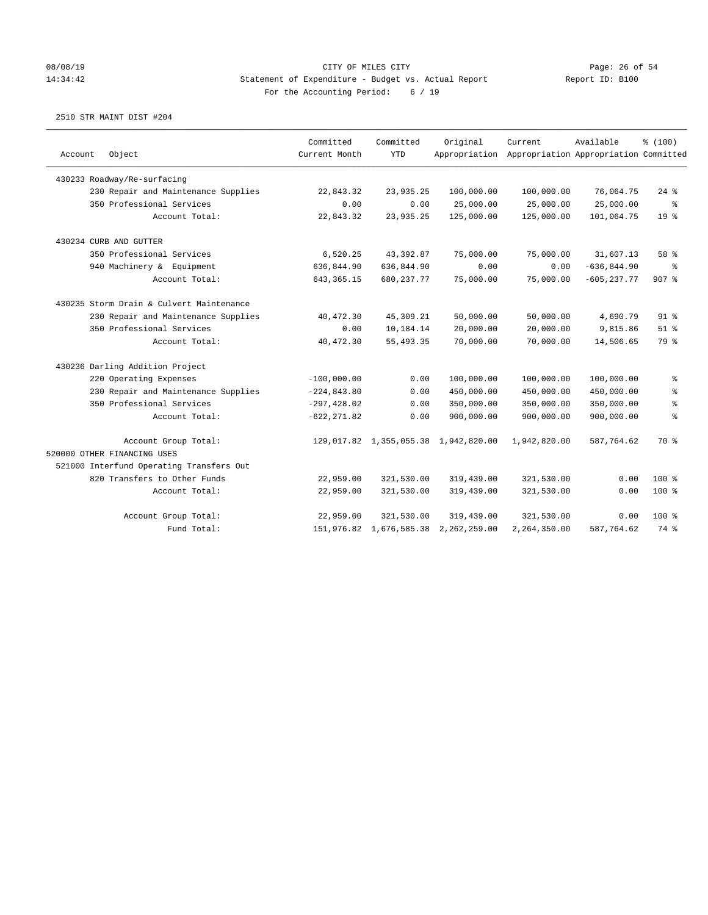### 08/08/19 Page: 26 of 54 14:34:42 Statement of Expenditure - Budget vs. Actual Report Report ID: B100 For the Accounting Period: 6 / 19

| Object<br>Account                        | Committed<br>Current Month | Committed<br><b>YTD</b> | Original<br>Appropriation            | Current      | Available<br>Appropriation Appropriation Committed | % (100)                  |
|------------------------------------------|----------------------------|-------------------------|--------------------------------------|--------------|----------------------------------------------------|--------------------------|
| 430233 Roadway/Re-surfacing              |                            |                         |                                      |              |                                                    |                          |
| 230 Repair and Maintenance Supplies      | 22,843.32                  | 23,935.25               | 100,000.00                           | 100,000.00   | 76,064.75                                          | $24$ %                   |
| 350 Professional Services                | 0.00                       | 0.00                    | 25,000.00                            | 25,000.00    | 25,000.00                                          | $\,{}^{\circ}\!\!\delta$ |
| Account Total:                           | 22,843.32                  | 23,935.25               | 125,000.00                           | 125,000.00   | 101,064.75                                         | 19 <sup>°</sup>          |
| 430234 CURB AND GUTTER                   |                            |                         |                                      |              |                                                    |                          |
| 350 Professional Services                | 6,520.25                   | 43,392.87               | 75,000.00                            | 75,000.00    | 31,607.13                                          | 58 %                     |
| 940 Machinery & Equipment                | 636,844.90                 | 636,844.90              | 0.00                                 | 0.00         | $-636, 844.90$                                     | ి                        |
| Account Total:                           | 643, 365. 15               | 680, 237.77             | 75,000.00                            | 75,000.00    | $-605, 237.77$                                     | $907$ %                  |
| 430235 Storm Drain & Culvert Maintenance |                            |                         |                                      |              |                                                    |                          |
| 230 Repair and Maintenance Supplies      | 40, 472.30                 | 45,309.21               | 50,000.00                            | 50,000.00    | 4,690.79                                           | $91$ %                   |
| 350 Professional Services                | 0.00                       | 10,184.14               | 20,000.00                            | 20,000.00    | 9,815.86                                           | $51$ %                   |
| Account Total:                           | 40, 472.30                 | 55, 493.35              | 70,000.00                            | 70,000.00    | 14,506.65                                          | 79 %                     |
| 430236 Darling Addition Project          |                            |                         |                                      |              |                                                    |                          |
| 220 Operating Expenses                   | $-100,000.00$              | 0.00                    | 100,000.00                           | 100,000.00   | 100,000.00                                         | နွ                       |
| 230 Repair and Maintenance Supplies      | $-224, 843.80$             | 0.00                    | 450,000.00                           | 450,000.00   | 450,000.00                                         | る                        |
| 350 Professional Services                | $-297, 428.02$             | 0.00                    | 350,000.00                           | 350,000.00   | 350,000.00                                         | ್ಠಿ                      |
| Account Total:                           | $-622, 271.82$             | 0.00                    | 900,000.00                           | 900,000.00   | 900,000.00                                         | $\epsilon$               |
| Account Group Total:                     |                            |                         | 129,017.82 1,355,055.38 1,942,820.00 | 1,942,820.00 | 587,764.62                                         | 70 %                     |
| 520000 OTHER FINANCING USES              |                            |                         |                                      |              |                                                    |                          |
| 521000 Interfund Operating Transfers Out |                            |                         |                                      |              |                                                    |                          |
| 820 Transfers to Other Funds             | 22,959.00                  | 321,530.00              | 319,439.00                           | 321,530.00   | 0.00                                               | $100*$                   |
| Account Total:                           | 22,959.00                  | 321,530.00              | 319,439.00                           | 321,530.00   | 0.00                                               | $100$ %                  |
| Account Group Total:                     | 22,959.00                  | 321,530.00              | 319,439.00                           | 321,530.00   | 0.00                                               | $100*$                   |
| Fund Total:                              |                            | 151,976.82 1,676,585.38 | 2,262,259.00                         | 2,264,350.00 | 587,764.62                                         | 74 %                     |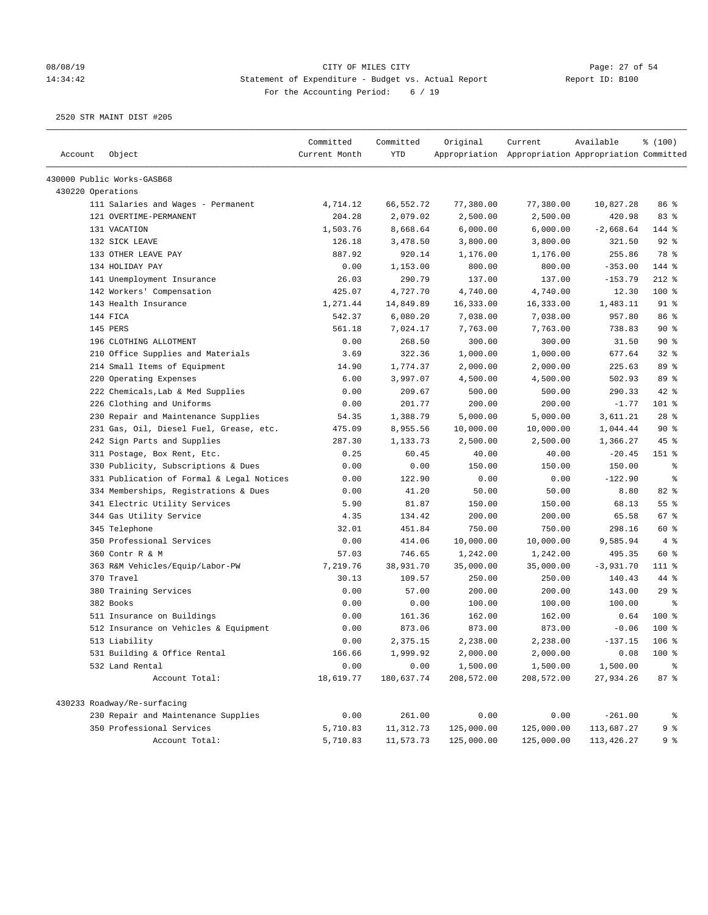# 08/08/19 CITY OF MILES CITY CHEREN CITY OF MILES COMPRES CONTRES CONTRES ON THE PAGE: 27 of 54 CONTRES CONTRES CONTRES CONTRES CONTRES CONTRES CONTRES PAGE: 11:34:42 14:34:42 Statement of Expenditure - Budget vs. Actual Report For the Accounting Period: 6 / 19

| Account           | Object                                    | Committed<br>Current Month | Committed<br><b>YTD</b> | Original         | Current<br>Appropriation Appropriation Appropriation Committed | Available           | \$(100)    |
|-------------------|-------------------------------------------|----------------------------|-------------------------|------------------|----------------------------------------------------------------|---------------------|------------|
|                   | 430000 Public Works-GASB68                |                            |                         |                  |                                                                |                     |            |
| 430220 Operations |                                           |                            |                         |                  |                                                                |                     |            |
|                   | 111 Salaries and Wages - Permanent        | 4,714.12                   | 66,552.72               | 77,380.00        | 77,380.00                                                      | 10,827.28           | 86 %       |
|                   | 121 OVERTIME-PERMANENT                    | 204.28                     | 2,079.02                | 2,500.00         | 2,500.00                                                       | 420.98              | 83 %       |
|                   | 131 VACATION                              | 1,503.76                   | 8,668.64                | 6,000.00         | 6,000.00                                                       | $-2,668.64$         | 144 %      |
|                   | 132 SICK LEAVE                            | 126.18                     | 3,478.50                | 3,800.00         | 3,800.00                                                       | 321.50              | 92%        |
|                   | 133 OTHER LEAVE PAY                       | 887.92                     | 920.14                  | 1,176.00         | 1,176.00                                                       | 255.86              | 78 %       |
|                   | 134 HOLIDAY PAY                           | 0.00                       | 1,153.00                | 800.00           | 800.00                                                         | $-353.00$           | 144 %      |
|                   | 141 Unemployment Insurance                | 26.03                      | 290.79                  | 137.00           | 137.00                                                         | $-153.79$           | $212$ %    |
|                   | 142 Workers' Compensation                 | 425.07                     | 4,727.70                | 4,740.00         | 4,740.00                                                       | 12.30               | $100$ %    |
|                   | 143 Health Insurance                      | 1,271.44                   | 14,849.89               | 16,333.00        | 16,333.00                                                      | 1,483.11            | $91$ %     |
|                   | 144 FICA                                  | 542.37                     | 6,080.20                | 7,038.00         | 7,038.00                                                       | 957.80              | 86 %       |
|                   | 145 PERS                                  | 561.18                     | 7,024.17                | 7,763.00         | 7,763.00                                                       | 738.83              | 90%        |
|                   | 196 CLOTHING ALLOTMENT                    | 0.00                       | 268.50                  | 300.00           | 300.00                                                         | 31.50               | $90*$      |
|                   | 210 Office Supplies and Materials         | 3.69                       | 322.36                  | 1,000.00         | 1,000.00                                                       | 677.64              | 32%        |
|                   | 214 Small Items of Equipment              | 14.90                      | 1,774.37                | 2,000.00         | 2,000.00                                                       | 225.63              | 89 %       |
|                   | 220 Operating Expenses                    | 6.00                       | 3,997.07                | 4,500.00         |                                                                | 502.93              | 89 %       |
|                   |                                           |                            |                         |                  | 4,500.00                                                       |                     |            |
|                   | 222 Chemicals, Lab & Med Supplies         | 0.00                       | 209.67                  | 500.00<br>200.00 | 500.00                                                         | 290.33              | 42 %       |
|                   | 226 Clothing and Uniforms                 | 0.00                       | 201.77                  | 5,000.00         | 200.00                                                         | $-1.77$<br>3,611.21 | 101 %      |
|                   | 230 Repair and Maintenance Supplies       | 54.35                      | 1,388.79                |                  | 5,000.00                                                       |                     | $28$ %     |
|                   | 231 Gas, Oil, Diesel Fuel, Grease, etc.   | 475.09                     | 8,955.56                | 10,000.00        | 10,000.00                                                      | 1,044.44            | $90*$      |
|                   | 242 Sign Parts and Supplies               | 287.30                     | 1,133.73                | 2,500.00         | 2,500.00                                                       | 1,366.27            | $45$ %     |
|                   | 311 Postage, Box Rent, Etc.               | 0.25                       | 60.45                   | 40.00            | 40.00                                                          | $-20.45$            | 151 %      |
|                   | 330 Publicity, Subscriptions & Dues       | 0.00                       | 0.00                    | 150.00           | 150.00                                                         | 150.00              | နွ         |
|                   | 331 Publication of Formal & Legal Notices | 0.00                       | 122.90                  | 0.00             | 0.00                                                           | $-122.90$           | နွ         |
|                   | 334 Memberships, Registrations & Dues     | 0.00                       | 41.20                   | 50.00            | 50.00                                                          | 8.80                | 82 %       |
|                   | 341 Electric Utility Services             | 5.90                       | 81.87                   | 150.00           | 150.00                                                         | 68.13               | 55 %       |
|                   | 344 Gas Utility Service                   | 4.35                       | 134.42                  | 200.00           | 200.00                                                         | 65.58               | 67%        |
|                   | 345 Telephone                             | 32.01                      | 451.84                  | 750.00           | 750.00                                                         | 298.16              | 60 %       |
|                   | 350 Professional Services                 | 0.00                       | 414.06                  | 10,000.00        | 10,000.00                                                      | 9,585.94            | $4\degree$ |
|                   | 360 Contr R & M                           | 57.03                      | 746.65                  | 1,242.00         | 1,242.00                                                       | 495.35              | 60 %       |
|                   | 363 R&M Vehicles/Equip/Labor-PW           | 7,219.76                   | 38,931.70               | 35,000.00        | 35,000.00                                                      | $-3,931.70$         | 111 %      |
|                   | 370 Travel                                | 30.13                      | 109.57                  | 250.00           | 250.00                                                         | 140.43              | 44 %       |
|                   | 380 Training Services                     | 0.00                       | 57.00                   | 200.00           | 200.00                                                         | 143.00              | 29%        |
|                   | 382 Books                                 | 0.00                       | 0.00                    | 100.00           | 100.00                                                         | 100.00              | နွ         |
|                   | 511 Insurance on Buildings                | 0.00                       | 161.36                  | 162.00           | 162.00                                                         | 0.64                | $100*$     |
|                   | 512 Insurance on Vehicles & Equipment     | 0.00                       | 873.06                  | 873.00           | 873.00                                                         | $-0.06$             | $100$ %    |
|                   | 513 Liability                             | 0.00                       | 2,375.15                | 2,238.00         | 2,238.00                                                       | $-137.15$           | $106$ %    |
|                   | 531 Building & Office Rental              | 166.66                     | 1,999.92                | 2,000.00         | 2,000.00                                                       | 0.08                | 100 %      |
|                   | 532 Land Rental                           | 0.00                       | 0.00                    | 1,500.00         | 1,500.00                                                       | 1,500.00            | န့         |
|                   | Account Total:                            | 18,619.77                  | 180,637.74              | 208,572.00       | 208,572.00                                                     | 27,934.26           | 87%        |
|                   | 430233 Roadway/Re-surfacing               |                            |                         |                  |                                                                |                     |            |
|                   | 230 Repair and Maintenance Supplies       | 0.00                       | 261.00                  | 0.00             | 0.00                                                           | $-261.00$           | ႜ          |
|                   | 350 Professional Services                 | 5,710.83                   | 11,312.73               | 125,000.00       | 125,000.00                                                     | 113,687.27          | 9 %        |
|                   | Account Total:                            | 5,710.83                   | 11,573.73               | 125,000.00       | 125,000.00                                                     | 113, 426.27         | 9 %        |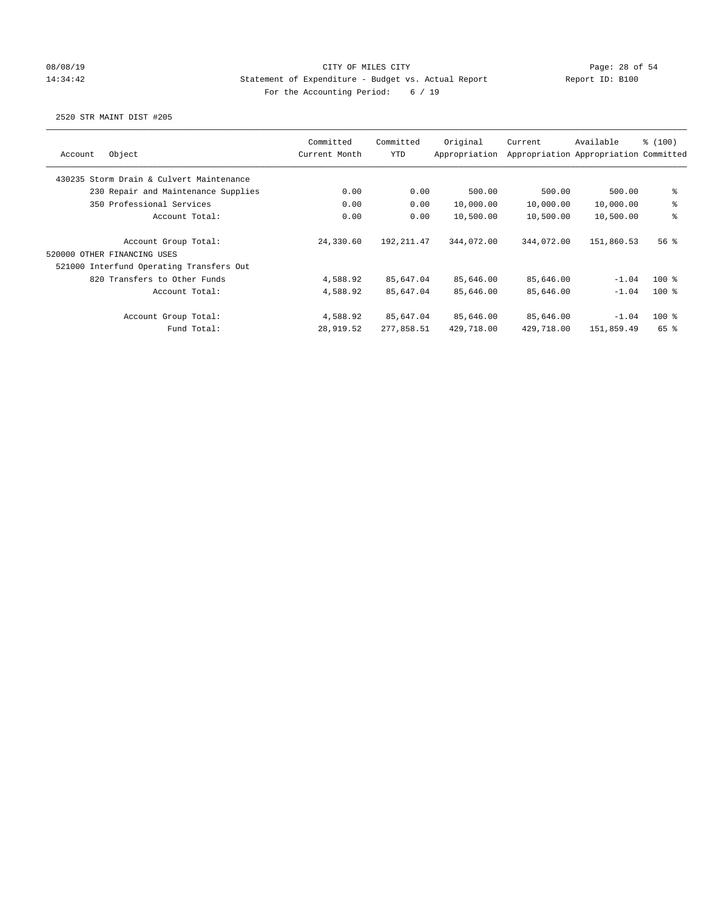# 08/08/19 Page: 28 of 54 14:34:42 Statement of Expenditure - Budget vs. Actual Report Report ID: B100 For the Accounting Period: 6 / 19

| Object<br>Account                        | Committed<br>Current Month | Committed<br><b>YTD</b> | Original<br>Appropriation | Current    | Available<br>Appropriation Appropriation Committed | \$(100) |
|------------------------------------------|----------------------------|-------------------------|---------------------------|------------|----------------------------------------------------|---------|
| 430235 Storm Drain & Culvert Maintenance |                            |                         |                           |            |                                                    |         |
| 230 Repair and Maintenance Supplies      | 0.00                       | 0.00                    | 500.00                    | 500.00     | 500.00                                             | နွ      |
| 350 Professional Services                | 0.00                       | 0.00                    | 10,000.00                 | 10,000.00  | 10,000.00                                          | ್ಠಿ     |
| Account Total:                           | 0.00                       | 0.00                    | 10,500.00                 | 10,500.00  | 10,500.00                                          | ి       |
| Account Group Total:                     | 24,330.60                  | 192, 211.47             | 344,072.00                | 344,072.00 | 151,860.53                                         | 56%     |
| 520000 OTHER FINANCING USES              |                            |                         |                           |            |                                                    |         |
| 521000 Interfund Operating Transfers Out |                            |                         |                           |            |                                                    |         |
| 820 Transfers to Other Funds             | 4,588.92                   | 85,647.04               | 85,646.00                 | 85,646.00  | $-1.04$                                            | $100*$  |
| Account Total:                           | 4,588.92                   | 85,647.04               | 85,646.00                 | 85,646.00  | $-1.04$                                            | $100*$  |
| Account Group Total:                     | 4,588.92                   | 85,647.04               | 85,646.00                 | 85,646.00  | $-1.04$                                            | $100*$  |
| Fund Total:                              | 28,919.52                  | 277,858.51              | 429,718.00                | 429,718.00 | 151,859.49                                         | 65 %    |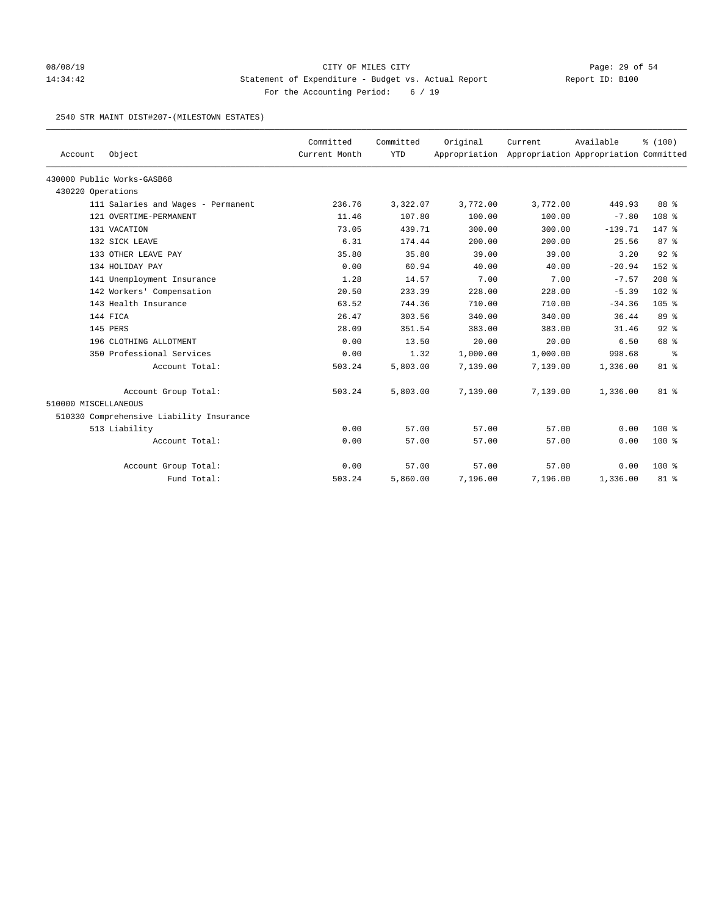## 08/08/19 Page: 29 of 54 14:34:42 Statement of Expenditure - Budget vs. Actual Report Report ID: B100 For the Accounting Period: 6 / 19

#### 2540 STR MAINT DIST#207-(MILESTOWN ESTATES)

| Account              | Object                                   | Committed<br>Current Month | Committed<br><b>YTD</b> | Original | Current<br>Appropriation Appropriation Appropriation Committed | Available | % (100)          |
|----------------------|------------------------------------------|----------------------------|-------------------------|----------|----------------------------------------------------------------|-----------|------------------|
|                      |                                          |                            |                         |          |                                                                |           |                  |
|                      | 430000 Public Works-GASB68               |                            |                         |          |                                                                |           |                  |
| 430220 Operations    |                                          |                            |                         |          |                                                                |           |                  |
|                      | 111 Salaries and Wages - Permanent       | 236.76                     | 3,322.07                | 3,772.00 | 3,772.00                                                       | 449.93    | 88 %             |
|                      | 121 OVERTIME-PERMANENT                   | 11.46                      | 107.80                  | 100.00   | 100.00                                                         | $-7.80$   | 108 <sup>8</sup> |
|                      | 131 VACATION                             | 73.05                      | 439.71                  | 300.00   | 300.00                                                         | $-139.71$ | $147$ %          |
|                      | 132 SICK LEAVE                           | 6.31                       | 174.44                  | 200.00   | 200.00                                                         | 25.56     | 87%              |
|                      | 133 OTHER LEAVE PAY                      | 35.80                      | 35.80                   | 39.00    | 39.00                                                          | 3.20      | $92$ $%$         |
|                      | 134 HOLIDAY PAY                          | 0.00                       | 60.94                   | 40.00    | 40.00                                                          | $-20.94$  | 152 %            |
|                      | 141 Unemployment Insurance               | 1.28                       | 14.57                   | 7.00     | 7.00                                                           | $-7.57$   | $208$ %          |
|                      | 142 Workers' Compensation                | 20.50                      | 233.39                  | 228.00   | 228.00                                                         | $-5.39$   | $102$ %          |
|                      | 143 Health Insurance                     | 63.52                      | 744.36                  | 710.00   | 710.00                                                         | $-34.36$  | $105$ %          |
|                      | 144 FICA                                 | 26.47                      | 303.56                  | 340.00   | 340.00                                                         | 36.44     | 89 %             |
|                      | 145 PERS                                 | 28.09                      | 351.54                  | 383.00   | 383.00                                                         | 31.46     | $92$ $%$         |
|                      | 196 CLOTHING ALLOTMENT                   | 0.00                       | 13.50                   | 20.00    | 20.00                                                          | 6.50      | 68 %             |
|                      | 350 Professional Services                | 0.00                       | 1.32                    | 1,000.00 | 1,000.00                                                       | 998.68    | နွ               |
|                      | Account Total:                           | 503.24                     | 5,803.00                | 7,139.00 | 7,139.00                                                       | 1,336.00  | 81 %             |
|                      | Account Group Total:                     | 503.24                     | 5,803.00                | 7,139.00 | 7,139.00                                                       | 1,336.00  | $81$ %           |
| 510000 MISCELLANEOUS |                                          |                            |                         |          |                                                                |           |                  |
|                      | 510330 Comprehensive Liability Insurance |                            |                         |          |                                                                |           |                  |
|                      | 513 Liability                            | 0.00                       | 57.00                   | 57.00    | 57.00                                                          | 0.00      | $100*$           |
|                      | Account Total:                           | 0.00                       | 57.00                   | 57.00    | 57.00                                                          | 0.00      | $100$ %          |
|                      | Account Group Total:                     | 0.00                       | 57.00                   | 57.00    | 57.00                                                          | 0.00      | $100$ %          |
|                      | Fund Total:                              | 503.24                     | 5,860.00                | 7,196.00 | 7,196.00                                                       | 1,336.00  | 81 %             |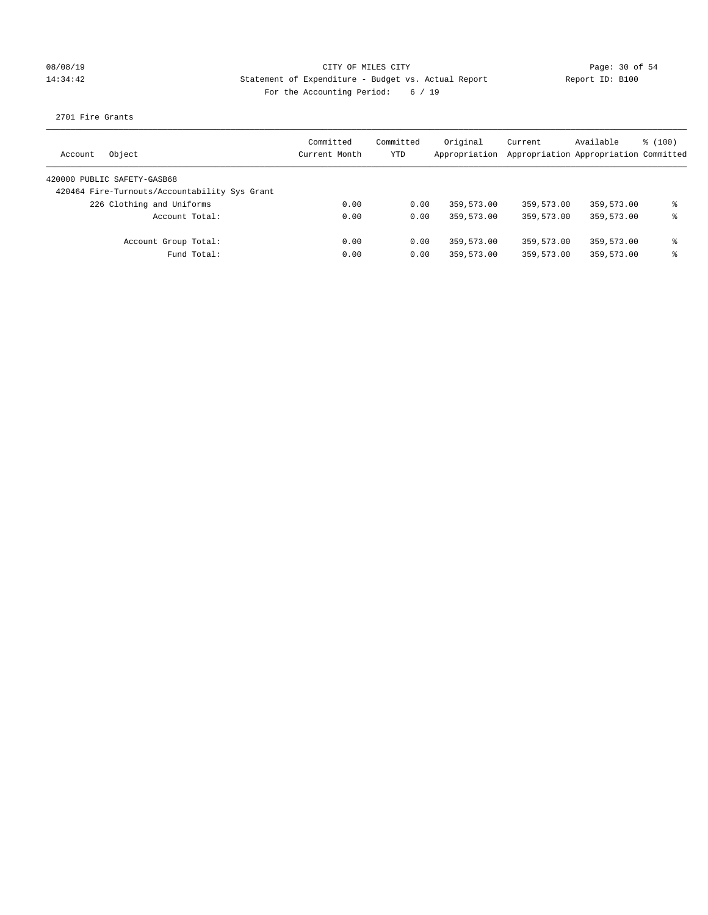### 08/08/19 Page: 30 of 54 14:34:42 Statement of Expenditure - Budget vs. Actual Report Report ID: B100 For the Accounting Period: 6 / 19

2701 Fire Grants

| Object<br>Account                             | Committed<br>Current Month | Committed<br><b>YTD</b> | Original<br>Appropriation | Current<br>Appropriation Appropriation Committed | Available  | $\frac{100}{3}$ |
|-----------------------------------------------|----------------------------|-------------------------|---------------------------|--------------------------------------------------|------------|-----------------|
| 420000 PUBLIC SAFETY-GASB68                   |                            |                         |                           |                                                  |            |                 |
| 420464 Fire-Turnouts/Accountability Sys Grant |                            |                         |                           |                                                  |            |                 |
| 226 Clothing and Uniforms                     | 0.00                       | 0.00                    | 359,573.00                | 359,573.00                                       | 359,573.00 | ま               |
| Account Total:                                | 0.00                       | 0.00                    | 359,573.00                | 359,573.00                                       | 359,573.00 | ⊱               |
| Account Group Total:                          | 0.00                       | 0.00                    | 359,573.00                | 359,573.00                                       | 359,573.00 | နွ              |
| Fund Total:                                   | 0.00                       | 0.00                    | 359,573.00                | 359,573.00                                       | 359,573.00 | ⊱               |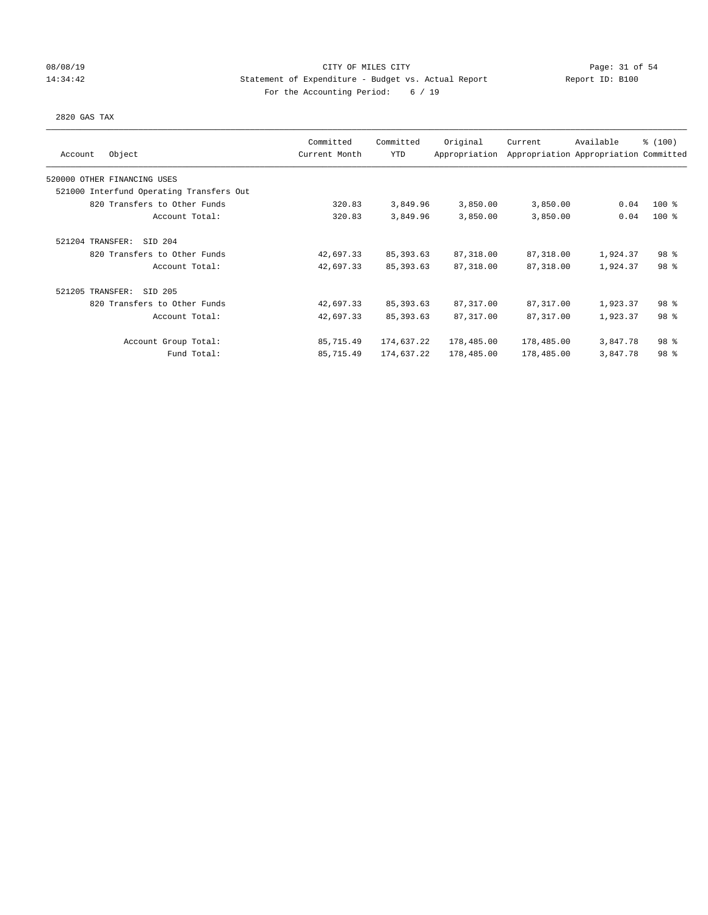## 08/08/19 Page: 31 of 54 14:34:42 Statement of Expenditure - Budget vs. Actual Report Report ID: B100 For the Accounting Period: 6 / 19

#### 2820 GAS TAX

| Object<br>Account                        | Committed<br>Current Month | Committed<br>YTD | Original<br>Appropriation | Current    | Available<br>Appropriation Appropriation Committed | \$(100)         |
|------------------------------------------|----------------------------|------------------|---------------------------|------------|----------------------------------------------------|-----------------|
|                                          |                            |                  |                           |            |                                                    |                 |
| 520000 OTHER FINANCING USES              |                            |                  |                           |            |                                                    |                 |
| 521000 Interfund Operating Transfers Out |                            |                  |                           |            |                                                    |                 |
| 820 Transfers to Other Funds             | 320.83                     | 3,849.96         | 3,850.00                  | 3,850.00   | 0.04                                               | $100$ %         |
| Account Total:                           | 320.83                     | 3,849.96         | 3,850.00                  | 3,850.00   | 0.04                                               | $100*$          |
| SID 204<br>521204 TRANSFER:              |                            |                  |                           |            |                                                    |                 |
| 820 Transfers to Other Funds             | 42,697.33                  | 85, 393.63       | 87,318.00                 | 87,318.00  | 1,924.37                                           | 98 <sup>8</sup> |
| Account Total:                           | 42,697.33                  | 85, 393.63       | 87,318.00                 | 87,318.00  | 1,924.37                                           | 98 <sup>8</sup> |
| 521205 TRANSFER:<br>SID 205              |                            |                  |                           |            |                                                    |                 |
| 820 Transfers to Other Funds             | 42,697.33                  | 85, 393.63       | 87, 317.00                | 87,317.00  | 1,923.37                                           | 98 %            |
| Account Total:                           | 42,697.33                  | 85, 393.63       | 87, 317.00                | 87, 317.00 | 1,923.37                                           | 98 <sup>8</sup> |
| Account Group Total:                     | 85,715.49                  | 174,637.22       | 178,485.00                | 178,485.00 | 3,847.78                                           | 98 %            |
| Fund Total:                              | 85,715.49                  | 174,637.22       | 178,485.00                | 178,485.00 | 3,847.78                                           | 98 <sup>8</sup> |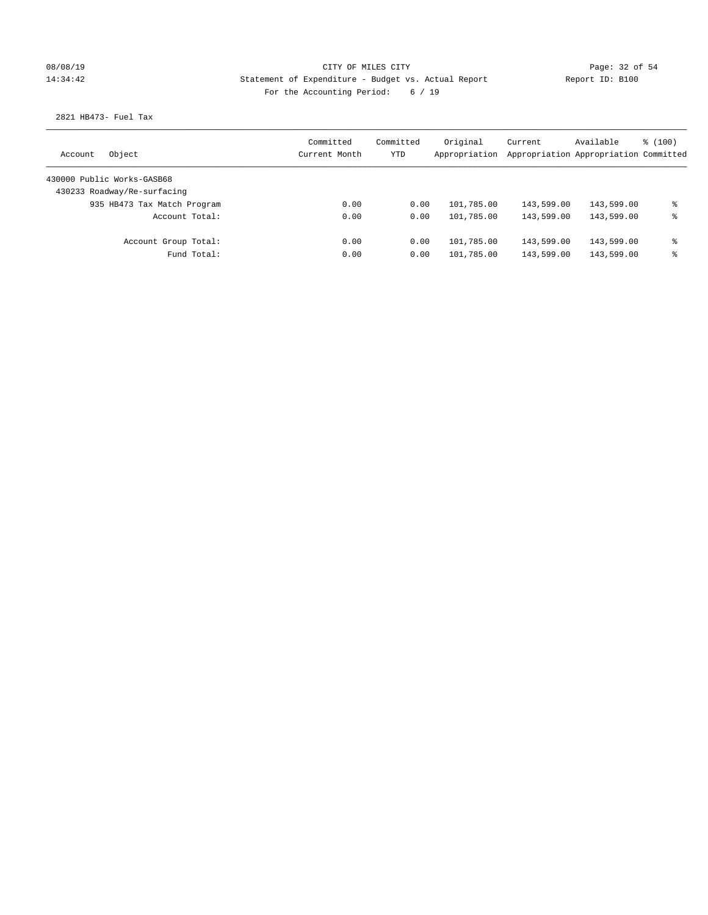## 08/08/19 Page: 32 of 54 14:34:42 Statement of Expenditure - Budget vs. Actual Report Report ID: B100 For the Accounting Period: 6 / 19

2821 HB473- Fuel Tax

| Object<br>Account           | Committed<br>Current Month | Committed<br><b>YTD</b> | Original<br>Appropriation | Current<br>Appropriation Appropriation Committed | Available  | $\frac{100}{3}$ |
|-----------------------------|----------------------------|-------------------------|---------------------------|--------------------------------------------------|------------|-----------------|
| 430000 Public Works-GASB68  |                            |                         |                           |                                                  |            |                 |
| 430233 Roadway/Re-surfacing |                            |                         |                           |                                                  |            |                 |
| 935 HB473 Tax Match Program | 0.00                       | 0.00                    | 101,785.00                | 143,599.00                                       | 143,599.00 | နွ              |
| Account Total:              | 0.00                       | 0.00                    | 101,785.00                | 143,599.00                                       | 143,599.00 | နွ              |
| Account Group Total:        | 0.00                       | 0.00                    | 101,785.00                | 143,599.00                                       | 143,599.00 | နွ              |
| Fund Total:                 | 0.00                       | 0.00                    | 101,785.00                | 143,599.00                                       | 143,599.00 | နွ              |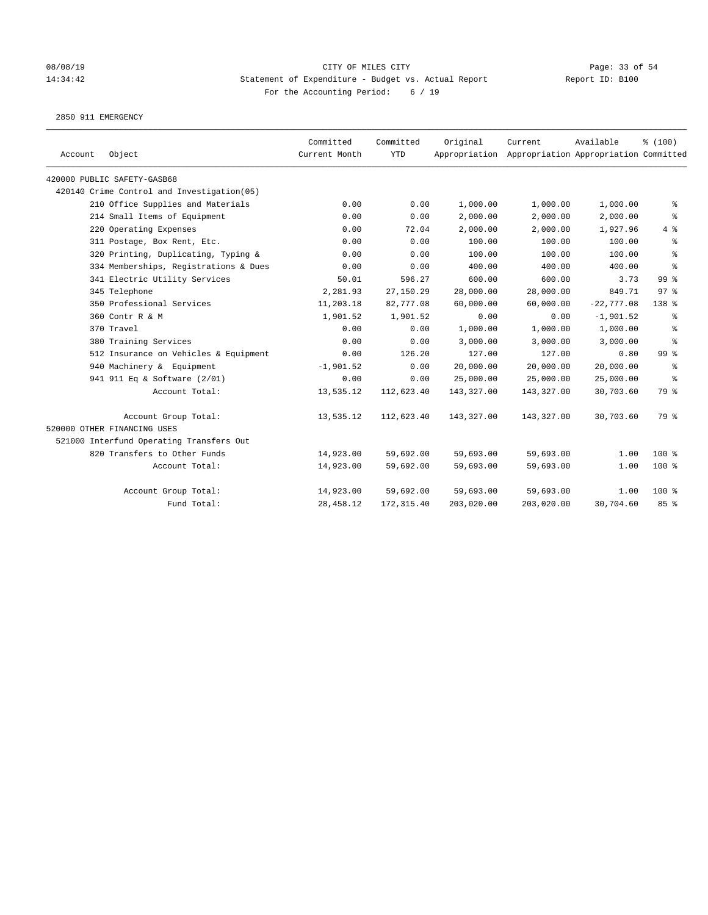### 08/08/19 Page: 33 of 54 14:34:42 Statement of Expenditure - Budget vs. Actual Report Report ID: B100 For the Accounting Period: 6 / 19

2850 911 EMERGENCY

| Account | Object                                      | Committed<br>Current Month | Committed<br><b>YTD</b> | Original   | Current<br>Appropriation Appropriation Appropriation Committed | Available    | % (100)         |
|---------|---------------------------------------------|----------------------------|-------------------------|------------|----------------------------------------------------------------|--------------|-----------------|
|         | 420000 PUBLIC SAFETY-GASB68                 |                            |                         |            |                                                                |              |                 |
|         | 420140 Crime Control and Investigation (05) |                            |                         |            |                                                                |              |                 |
|         | 210 Office Supplies and Materials           | 0.00                       | 0.00                    | 1,000.00   | 1,000.00                                                       | 1,000.00     | နွ              |
|         | 214 Small Items of Equipment                | 0.00                       | 0.00                    | 2,000.00   | 2,000.00                                                       | 2,000.00     | နွ              |
|         | 220 Operating Expenses                      | 0.00                       | 72.04                   | 2,000.00   | 2,000.00                                                       | 1,927.96     | 4%              |
|         | 311 Postage, Box Rent, Etc.                 | 0.00                       | 0.00                    | 100.00     | 100.00                                                         | 100.00       | る               |
|         | 320 Printing, Duplicating, Typing &         | 0.00                       | 0.00                    | 100.00     | 100.00                                                         | 100.00       | る               |
|         | 334 Memberships, Registrations & Dues       | 0.00                       | 0.00                    | 400.00     | 400.00                                                         | 400.00       | နွ              |
|         | 341 Electric Utility Services               | 50.01                      | 596.27                  | 600.00     | 600.00                                                         | 3.73         | 99 <sup>8</sup> |
|         | 345 Telephone                               | 2,281.93                   | 27,150.29               | 28,000.00  | 28,000.00                                                      | 849.71       | 97 <sup>8</sup> |
|         | 350 Professional Services                   | 11,203.18                  | 82,777.08               | 60,000.00  | 60,000.00                                                      | $-22,777.08$ | 138 %           |
|         | 360 Contr R & M                             | 1,901.52                   | 1,901.52                | 0.00       | 0.00                                                           | $-1,901.52$  | နွ              |
|         | 370 Travel                                  | 0.00                       | 0.00                    | 1,000.00   | 1,000.00                                                       | 1,000.00     | နွ              |
|         | 380 Training Services                       | 0.00                       | 0.00                    | 3,000.00   | 3,000.00                                                       | 3,000.00     | နွ              |
|         | 512 Insurance on Vehicles & Equipment       | 0.00                       | 126.20                  | 127.00     | 127.00                                                         | 0.80         | 99 <sup>8</sup> |
|         | 940 Machinery & Equipment                   | $-1,901.52$                | 0.00                    | 20,000.00  | 20,000.00                                                      | 20,000.00    | နွ              |
|         | 941 911 Eq & Software (2/01)                | 0.00                       | 0.00                    | 25,000.00  | 25,000.00                                                      | 25,000.00    | နွ              |
|         | Account Total:                              | 13,535.12                  | 112,623.40              | 143,327.00 | 143,327.00                                                     | 30,703.60    | 79 %            |
|         | Account Group Total:                        | 13,535.12                  | 112,623.40              | 143,327.00 | 143,327.00                                                     | 30,703.60    | 79 %            |
|         | 520000 OTHER FINANCING USES                 |                            |                         |            |                                                                |              |                 |
|         | 521000 Interfund Operating Transfers Out    |                            |                         |            |                                                                |              |                 |
|         | 820 Transfers to Other Funds                | 14,923.00                  | 59,692.00               | 59,693.00  | 59,693.00                                                      | 1.00         | $100*$          |
|         | Account Total:                              | 14,923.00                  | 59,692.00               | 59,693.00  | 59,693.00                                                      | 1.00         | 100 %           |
|         | Account Group Total:                        | 14,923.00                  | 59,692.00               | 59,693.00  | 59,693.00                                                      | 1.00         | $100*$          |
|         | Fund Total:                                 | 28, 458.12                 | 172, 315.40             | 203,020.00 | 203,020.00                                                     | 30,704.60    | 85%             |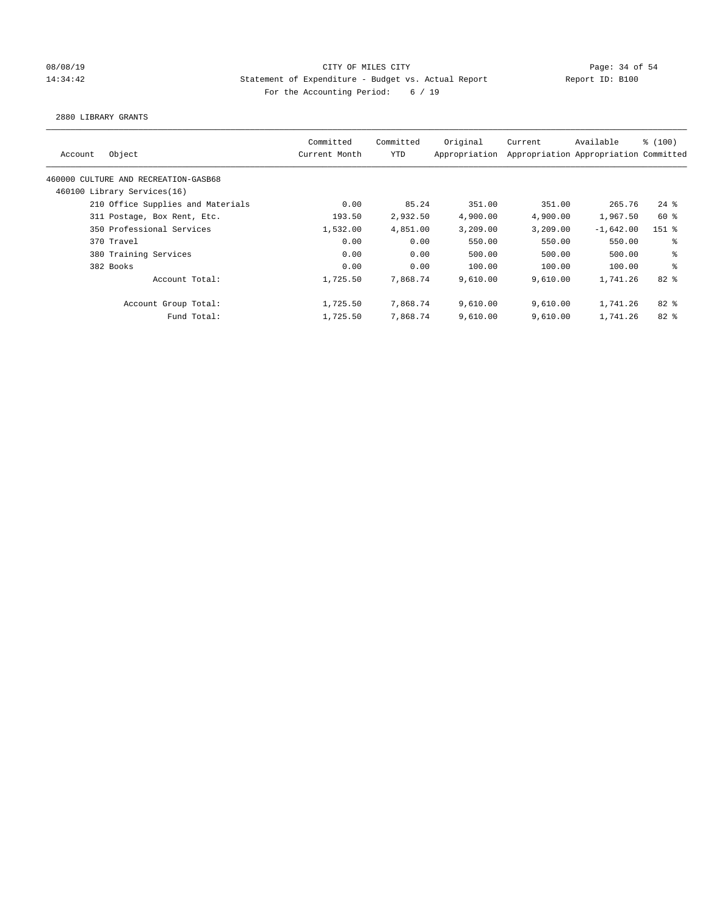## 08/08/19 Page: 34 of 54 14:34:42 Statement of Expenditure - Budget vs. Actual Report Report ID: B100 For the Accounting Period: 6 / 19

2880 LIBRARY GRANTS

| Account | Object                               | Committed<br>Current Month | Committed<br><b>YTD</b> | Original<br>Appropriation | Current  | Available<br>Appropriation Appropriation Committed | % (100)  |
|---------|--------------------------------------|----------------------------|-------------------------|---------------------------|----------|----------------------------------------------------|----------|
|         | 460000 CULTURE AND RECREATION-GASB68 |                            |                         |                           |          |                                                    |          |
|         | 460100 Library Services(16)          |                            |                         |                           |          |                                                    |          |
|         | 210 Office Supplies and Materials    | 0.00                       | 85.24                   | 351.00                    | 351.00   | 265.76                                             | $24$ $%$ |
|         | 311 Postage, Box Rent, Etc.          | 193.50                     | 2,932.50                | 4,900.00                  | 4,900.00 | 1,967.50                                           | $60*$    |
|         | 350 Professional Services            | 1,532.00                   | 4,851.00                | 3,209.00                  | 3,209.00 | $-1,642.00$                                        | $151$ %  |
|         | 370 Travel                           | 0.00                       | 0.00                    | 550.00                    | 550.00   | 550.00                                             | နွ       |
|         | 380 Training Services                | 0.00                       | 0.00                    | 500.00                    | 500.00   | 500.00                                             | နွ       |
|         | 382 Books                            | 0.00                       | 0.00                    | 100.00                    | 100.00   | 100.00                                             | ి        |
|         | Account Total:                       | 1,725.50                   | 7,868.74                | 9,610.00                  | 9.610.00 | 1,741.26                                           | $82*$    |
|         | Account Group Total:                 | 1,725.50                   | 7,868.74                | 9,610.00                  | 9,610.00 | 1,741.26                                           | $82*$    |
|         | Fund Total:                          | 1,725.50                   | 7,868.74                | 9,610.00                  | 9,610.00 | 1,741.26                                           | $82*$    |
|         |                                      |                            |                         |                           |          |                                                    |          |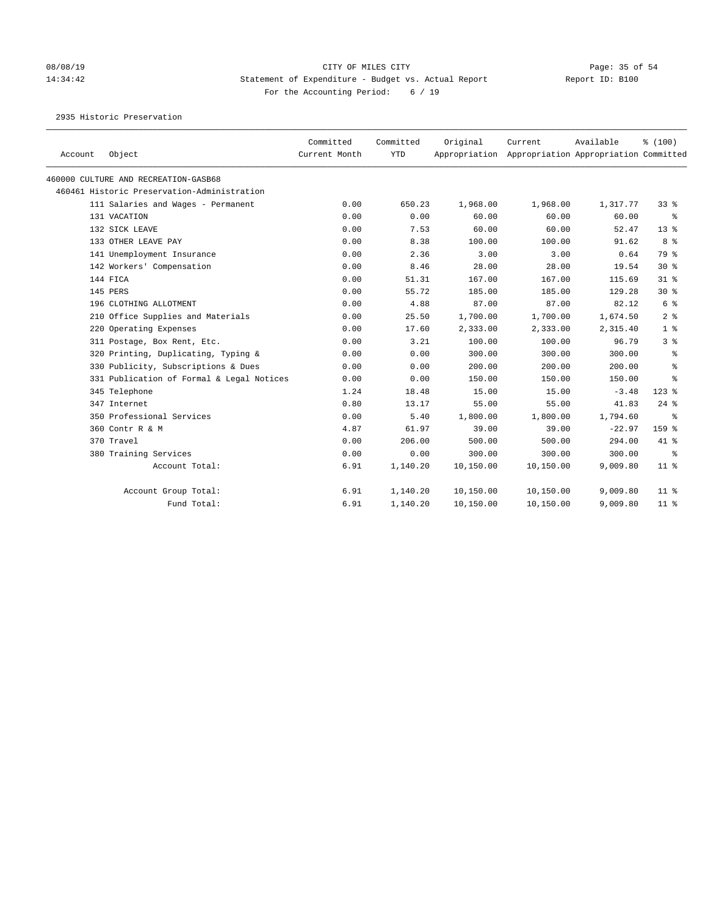# 08/08/19 Page: 35 of 54 14:34:42 Statement of Expenditure - Budget vs. Actual Report Report ID: B100 For the Accounting Period: 6 / 19

2935 Historic Preservation

| Account | Object                                      | Committed<br>Current Month | Committed<br><b>YTD</b> | Original  | Current<br>Appropriation Appropriation Appropriation Committed | Available | % (100)        |
|---------|---------------------------------------------|----------------------------|-------------------------|-----------|----------------------------------------------------------------|-----------|----------------|
|         | 460000 CULTURE AND RECREATION-GASB68        |                            |                         |           |                                                                |           |                |
|         | 460461 Historic Preservation-Administration |                            |                         |           |                                                                |           |                |
|         | 111 Salaries and Wages - Permanent          | 0.00                       | 650.23                  | 1,968.00  | 1,968.00                                                       | 1,317.77  | 338            |
|         | 131 VACATION                                | 0.00                       | 0.00                    | 60.00     | 60.00                                                          | 60.00     | ႜ              |
|         | 132 SICK LEAVE                              | 0.00                       | 7.53                    | 60.00     | 60.00                                                          | 52.47     | $13*$          |
|         | 133 OTHER LEAVE PAY                         | 0.00                       | 8.38                    | 100.00    | 100.00                                                         | 91.62     | 8 %            |
|         | 141 Unemployment Insurance                  | 0.00                       | 2.36                    | 3.00      | 3.00                                                           | 0.64      | 79 %           |
|         | 142 Workers' Compensation                   | 0.00                       | 8.46                    | 28.00     | 28.00                                                          | 19.54     | $30*$          |
|         | 144 FICA                                    | 0.00                       | 51.31                   | 167.00    | 167.00                                                         | 115.69    | $31*$          |
|         | 145 PERS                                    | 0.00                       | 55.72                   | 185.00    | 185.00                                                         | 129.28    | $30*$          |
|         | 196 CLOTHING ALLOTMENT                      | 0.00                       | 4.88                    | 87.00     | 87.00                                                          | 82.12     | 6 %            |
|         | 210 Office Supplies and Materials           | 0.00                       | 25.50                   | 1,700.00  | 1,700.00                                                       | 1,674.50  | 2 <sup>8</sup> |
|         | 220 Operating Expenses                      | 0.00                       | 17.60                   | 2,333.00  | 2,333.00                                                       | 2,315.40  | 1 <sup>8</sup> |
|         | 311 Postage, Box Rent, Etc.                 | 0.00                       | 3.21                    | 100.00    | 100.00                                                         | 96.79     | 3%             |
|         | 320 Printing, Duplicating, Typing &         | 0.00                       | 0.00                    | 300.00    | 300.00                                                         | 300.00    | ႜ              |
|         | 330 Publicity, Subscriptions & Dues         | 0.00                       | 0.00                    | 200.00    | 200.00                                                         | 200.00    | နွ             |
|         | 331 Publication of Formal & Legal Notices   | 0.00                       | 0.00                    | 150.00    | 150.00                                                         | 150.00    | ႜ              |
|         | 345 Telephone                               | 1.24                       | 18.48                   | 15.00     | 15.00                                                          | $-3.48$   | $123$ %        |
|         | 347 Internet                                | 0.80                       | 13.17                   | 55.00     | 55.00                                                          | 41.83     | $24$ %         |
|         | 350 Professional Services                   | 0.00                       | 5.40                    | 1,800.00  | 1,800.00                                                       | 1,794.60  | နွ             |
|         | 360 Contr R & M                             | 4.87                       | 61.97                   | 39.00     | 39.00                                                          | $-22.97$  | 159 %          |
|         | 370 Travel                                  | 0.00                       | 206.00                  | 500.00    | 500.00                                                         | 294.00    | 41 %           |
|         | 380 Training Services                       | 0.00                       | 0.00                    | 300.00    | 300.00                                                         | 300.00    | နွ             |
|         | Account Total:                              | 6.91                       | 1,140.20                | 10,150.00 | 10,150.00                                                      | 9,009.80  | $11$ %         |
|         | Account Group Total:                        | 6.91                       | 1,140.20                | 10,150.00 | 10,150.00                                                      | 9,009.80  | $11$ %         |
|         | Fund Total:                                 | 6.91                       | 1,140.20                | 10,150.00 | 10,150.00                                                      | 9,009.80  | $11$ %         |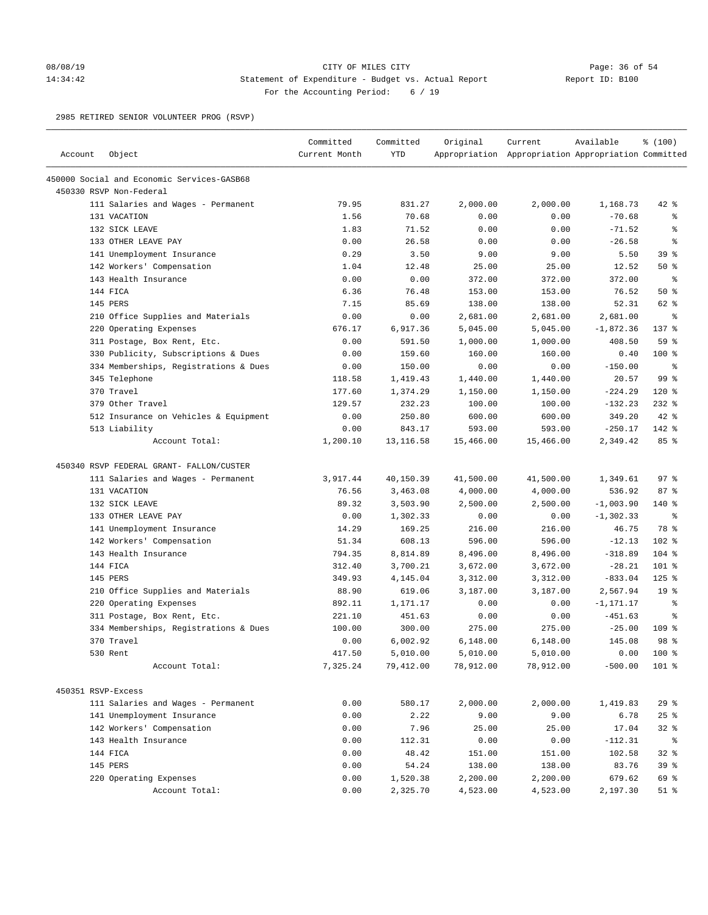# 08/08/19 Page: 36 of 54 14:34:42 Statement of Expenditure - Budget vs. Actual Report Changery Report ID: B100 For the Accounting Period: 6 / 19

2985 RETIRED SENIOR VOLUNTEER PROG (RSVP)

|                    |                                            | Committed     | Committed  | Original  | Current                                             | Available    | % (100)         |
|--------------------|--------------------------------------------|---------------|------------|-----------|-----------------------------------------------------|--------------|-----------------|
| Account            | Object                                     | Current Month | <b>YTD</b> |           | Appropriation Appropriation Appropriation Committed |              |                 |
|                    | 450000 Social and Economic Services-GASB68 |               |            |           |                                                     |              |                 |
|                    | 450330 RSVP Non-Federal                    |               |            |           |                                                     |              |                 |
|                    | 111 Salaries and Wages - Permanent         | 79.95         | 831.27     | 2,000.00  | 2,000.00                                            | 1,168.73     | 42 %            |
|                    | 131 VACATION                               | 1.56          | 70.68      | 0.00      | 0.00                                                | $-70.68$     | ್ಠಿ             |
|                    | 132 SICK LEAVE                             | 1.83          | 71.52      | 0.00      | 0.00                                                | $-71.52$     | る               |
|                    | 133 OTHER LEAVE PAY                        | 0.00          | 26.58      | 0.00      | 0.00                                                | $-26.58$     | る               |
|                    | 141 Unemployment Insurance                 | 0.29          | 3.50       | 9.00      | 9.00                                                | 5.50         | 39 %            |
|                    | 142 Workers' Compensation                  | 1.04          | 12.48      | 25.00     | 25.00                                               | 12.52        | 50%             |
|                    | 143 Health Insurance                       | 0.00          | 0.00       | 372.00    | 372.00                                              | 372.00       | နွ              |
|                    | 144 FICA                                   | 6.36          | 76.48      | 153.00    | 153.00                                              | 76.52        | 50%             |
|                    | 145 PERS                                   | 7.15          | 85.69      | 138.00    | 138.00                                              | 52.31        | 62 %            |
|                    | 210 Office Supplies and Materials          | 0.00          | 0.00       | 2,681.00  | 2,681.00                                            | 2,681.00     | နွ              |
|                    | 220 Operating Expenses                     | 676.17        | 6,917.36   | 5,045.00  | 5,045.00                                            | $-1,872.36$  | 137 %           |
|                    | 311 Postage, Box Rent, Etc.                | 0.00          | 591.50     | 1,000.00  | 1,000.00                                            | 408.50       | 59 %            |
|                    | 330 Publicity, Subscriptions & Dues        | 0.00          | 159.60     | 160.00    | 160.00                                              | 0.40         | $100*$          |
|                    | 334 Memberships, Registrations & Dues      | 0.00          | 150.00     | 0.00      | 0.00                                                | $-150.00$    | နွ              |
|                    | 345 Telephone                              | 118.58        | 1,419.43   | 1,440.00  | 1,440.00                                            | 20.57        | 99 %            |
|                    | 370 Travel                                 | 177.60        | 1,374.29   | 1,150.00  | 1,150.00                                            | $-224.29$    | $120*$          |
|                    | 379 Other Travel                           | 129.57        | 232.23     | 100.00    | 100.00                                              | $-132.23$    | $232$ %         |
|                    | 512 Insurance on Vehicles & Equipment      | 0.00          | 250.80     | 600.00    | 600.00                                              | 349.20       | $42$ %          |
|                    | 513 Liability                              | 0.00          | 843.17     | 593.00    | 593.00                                              | $-250.17$    | 142 %           |
|                    | Account Total:                             | 1,200.10      | 13,116.58  | 15,466.00 | 15,466.00                                           | 2,349.42     | 85%             |
|                    | 450340 RSVP FEDERAL GRANT- FALLON/CUSTER   |               |            |           |                                                     |              |                 |
|                    | 111 Salaries and Wages - Permanent         | 3,917.44      | 40,150.39  | 41,500.00 | 41,500.00                                           | 1,349.61     | 97%             |
|                    | 131 VACATION                               | 76.56         | 3,463.08   | 4,000.00  | 4,000.00                                            | 536.92       | 87%             |
|                    | 132 SICK LEAVE                             | 89.32         | 3,503.90   | 2,500.00  | 2,500.00                                            | $-1,003.90$  | 140 %           |
|                    | 133 OTHER LEAVE PAY                        | 0.00          | 1,302.33   | 0.00      | 0.00                                                | $-1, 302.33$ | နွ              |
|                    | 141 Unemployment Insurance                 | 14.29         | 169.25     | 216.00    | 216.00                                              | 46.75        | 78 %            |
|                    | 142 Workers' Compensation                  | 51.34         | 608.13     | 596.00    | 596.00                                              | $-12.13$     | $102$ %         |
|                    | 143 Health Insurance                       | 794.35        | 8,814.89   | 8,496.00  | 8,496.00                                            | $-318.89$    | $104$ %         |
|                    | 144 FICA                                   | 312.40        | 3,700.21   | 3,672.00  | 3,672.00                                            | $-28.21$     | 101 %           |
|                    | 145 PERS                                   | 349.93        | 4,145.04   | 3,312.00  | 3,312.00                                            | $-833.04$    | $125$ %         |
|                    | 210 Office Supplies and Materials          | 88.90         | 619.06     | 3,187.00  | 3,187.00                                            | 2,567.94     | 19 <sup>°</sup> |
|                    | 220 Operating Expenses                     | 892.11        | 1,171.17   | 0.00      | 0.00                                                | $-1, 171.17$ | ್ಠಿ             |
|                    | 311 Postage, Box Rent, Etc.                | 221.10        | 451.63     | 0.00      | 0.00                                                | $-451.63$    | နွ              |
|                    | 334 Memberships, Registrations & Dues      | 100.00        | 300.00     | 275.00    | 275.00                                              | $-25.00$     | 109 %           |
|                    | 370 Travel                                 | 0.00          | 6,002.92   | 6,148.00  | 6,148.00                                            | 145.08       | 98 <sup>8</sup> |
|                    | 530 Rent                                   | 417.50        | 5,010.00   | 5,010.00  | 5,010.00                                            | 0.00         | 100 %           |
|                    | Account Total:                             | 7,325.24      | 79,412.00  | 78,912.00 | 78,912.00                                           | $-500.00$    | $101$ %         |
|                    |                                            |               |            |           |                                                     |              |                 |
| 450351 RSVP-Excess |                                            |               |            |           |                                                     |              |                 |
|                    | 111 Salaries and Wages - Permanent         | 0.00          | 580.17     | 2,000.00  | 2,000.00                                            | 1,419.83     | 29%             |
|                    | 141 Unemployment Insurance                 | 0.00          | 2.22       | 9.00      | 9.00                                                | 6.78         | 25%             |
|                    | 142 Workers' Compensation                  | 0.00          | 7.96       | 25.00     | 25.00                                               | 17.04        | $32$ $%$        |
|                    | 143 Health Insurance                       | 0.00          | 112.31     | 0.00      | 0.00                                                | $-112.31$    | နွ              |
|                    | 144 FICA                                   | 0.00          | 48.42      | 151.00    | 151.00                                              | 102.58       | 32%             |
|                    | 145 PERS                                   | 0.00          | 54.24      | 138.00    | 138.00                                              | 83.76        | 39%             |
|                    | 220 Operating Expenses                     | 0.00          | 1,520.38   | 2,200.00  | 2,200.00                                            | 679.62       | 69 %            |
|                    | Account Total:                             | 0.00          | 2,325.70   | 4,523.00  | 4,523.00                                            | 2,197.30     | $51$ %          |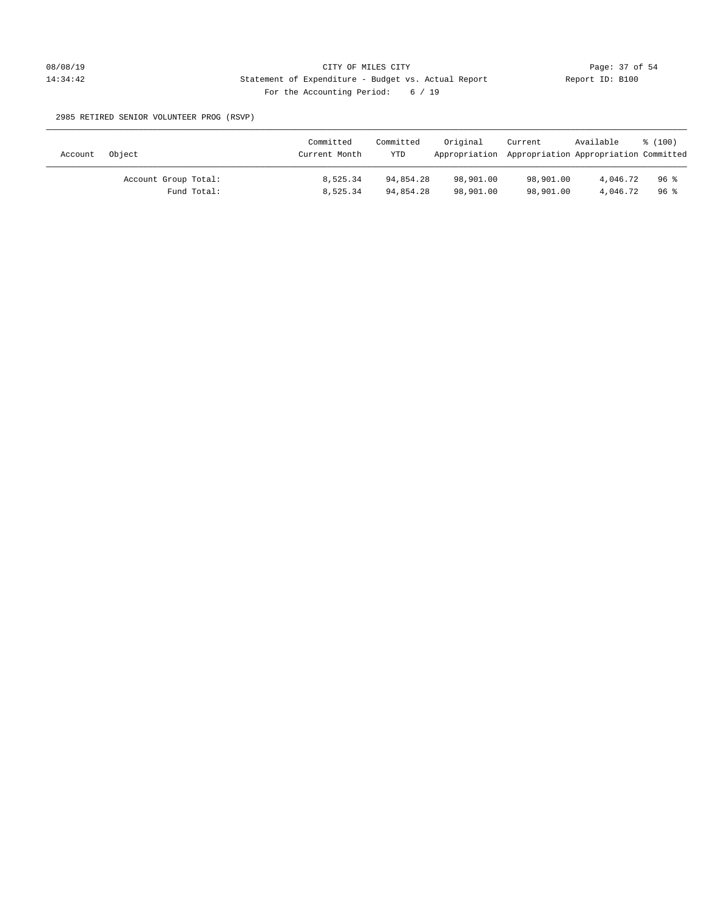2985 RETIRED SENIOR VOLUNTEER PROG (RSVP)

| Account | Object               | Committed<br>Current Month | Committed<br><b>YTD</b> | Original<br>Appropriation Appropriation Appropriation Committed | Current   | Available | % (100) |
|---------|----------------------|----------------------------|-------------------------|-----------------------------------------------------------------|-----------|-----------|---------|
|         | Account Group Total: | 8,525.34                   | 94,854.28               | 98,901.00                                                       | 98,901.00 | 4,046.72  | 96 %    |
|         | Fund Total:          | 8,525.34                   | 94,854.28               | 98,901.00                                                       | 98,901.00 | 4,046.72  | 96 %    |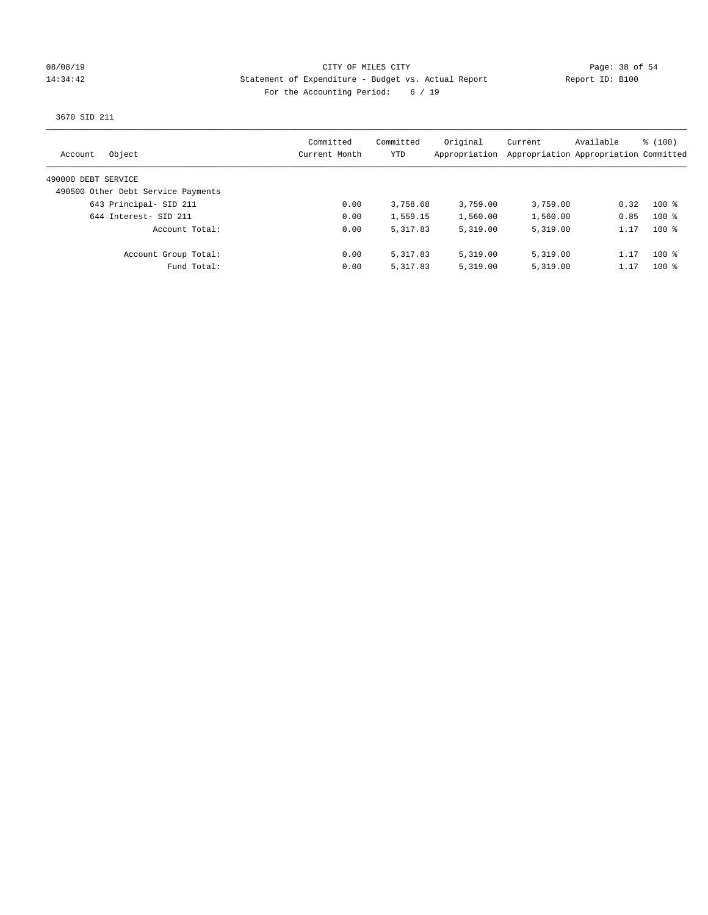### 08/08/19 Page: 38 of 54 14:34:42 Statement of Expenditure - Budget vs. Actual Report Report ID: B100 For the Accounting Period: 6 / 19

3670 SID 211

| Object<br>Account                  | Committed<br>Current Month | Committed<br>YTD | Original<br>Appropriation | Current  | Available<br>Appropriation Appropriation Committed | % (100) |
|------------------------------------|----------------------------|------------------|---------------------------|----------|----------------------------------------------------|---------|
| 490000 DEBT SERVICE                |                            |                  |                           |          |                                                    |         |
| 490500 Other Debt Service Payments |                            |                  |                           |          |                                                    |         |
| 643 Principal- SID 211             | 0.00                       | 3,758.68         | 3,759.00                  | 3,759.00 | 0.32                                               | $100*$  |
| 644 Interest- SID 211              | 0.00                       | 1,559.15         | 1,560.00                  | 1,560.00 | 0.85                                               | $100*$  |
| Account Total:                     | 0.00                       | 5, 317, 83       | 5,319.00                  | 5,319.00 | 1.17                                               | $100*$  |
| Account Group Total:               | 0.00                       | 5,317.83         | 5,319.00                  | 5,319.00 | 1.17                                               | $100*$  |
| Fund Total:                        | 0.00                       | 5,317.83         | 5,319.00                  | 5,319.00 | 1.17                                               | $100$ % |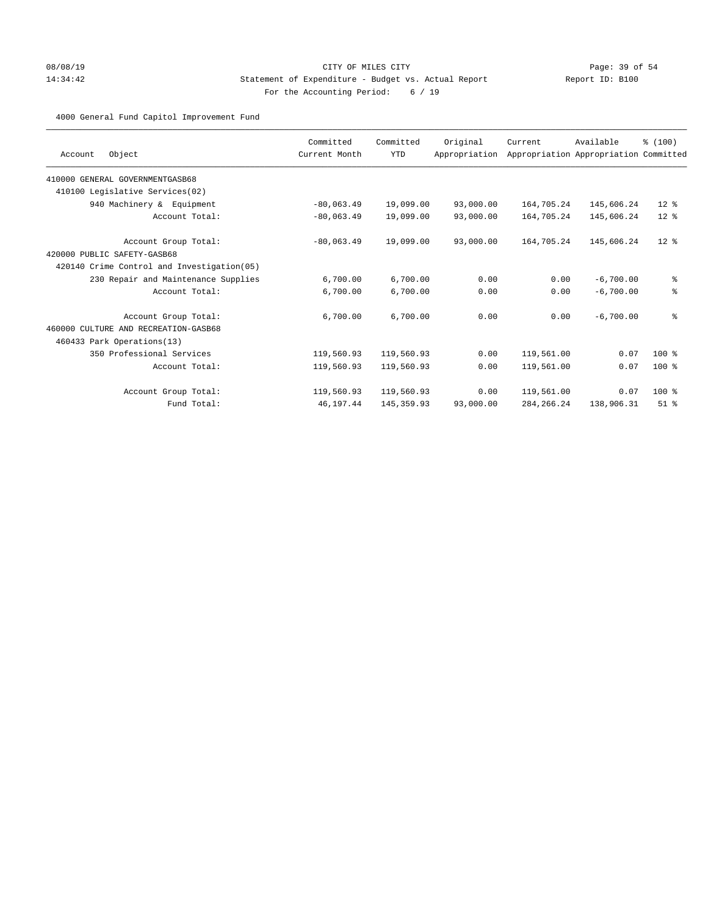# 08/08/19 Page: 39 of 54 14:34:42 Statement of Expenditure - Budget vs. Actual Report Changer Report ID: B100 For the Accounting Period: 6 / 19

# 4000 General Fund Capitol Improvement Fund

|                                            | Committed     | Committed   | Original      | Current      | Available                             | % (100)  |
|--------------------------------------------|---------------|-------------|---------------|--------------|---------------------------------------|----------|
| Object<br>Account                          | Current Month | <b>YTD</b>  | Appropriation |              | Appropriation Appropriation Committed |          |
| 410000 GENERAL GOVERNMENTGASB68            |               |             |               |              |                                       |          |
| 410100 Legislative Services(02)            |               |             |               |              |                                       |          |
| 940 Machinery & Equipment                  | $-80,063.49$  | 19,099.00   | 93,000.00     | 164,705.24   | 145,606.24                            | $12*$    |
| Account Total:                             | $-80,063.49$  | 19,099.00   | 93,000.00     | 164,705.24   | 145,606.24                            | $12*$    |
| Account Group Total:                       | $-80,063.49$  | 19,099.00   | 93,000.00     | 164,705.24   | 145,606.24                            | $12*$    |
| 420000 PUBLIC SAFETY-GASB68                |               |             |               |              |                                       |          |
| 420140 Crime Control and Investigation(05) |               |             |               |              |                                       |          |
| 230 Repair and Maintenance Supplies        | 6,700.00      | 6,700.00    | 0.00          | 0.00         | $-6.700.00$                           | ್ಠಿ      |
| Account Total:                             | 6,700.00      | 6,700.00    | 0.00          | 0.00         | $-6,700.00$                           | ್ಠಿ      |
| Account Group Total:                       | 6,700.00      | 6,700.00    | 0.00          | 0.00         | $-6,700.00$                           | ್ಠಿ      |
| 460000 CULTURE AND RECREATION-GASB68       |               |             |               |              |                                       |          |
| 460433 Park Operations (13)                |               |             |               |              |                                       |          |
| 350 Professional Services                  | 119,560.93    | 119,560.93  | 0.00          | 119,561.00   | 0.07                                  | $100*$   |
| Account Total:                             | 119,560.93    | 119,560.93  | 0.00          | 119,561.00   | 0.07                                  | $100*$   |
| Account Group Total:                       | 119,560.93    | 119,560.93  | 0.00          | 119,561.00   | 0.07                                  | 100 %    |
| Fund Total:                                | 46,197.44     | 145, 359.93 | 93,000.00     | 284, 266. 24 | 138,906.31                            | $51$ $%$ |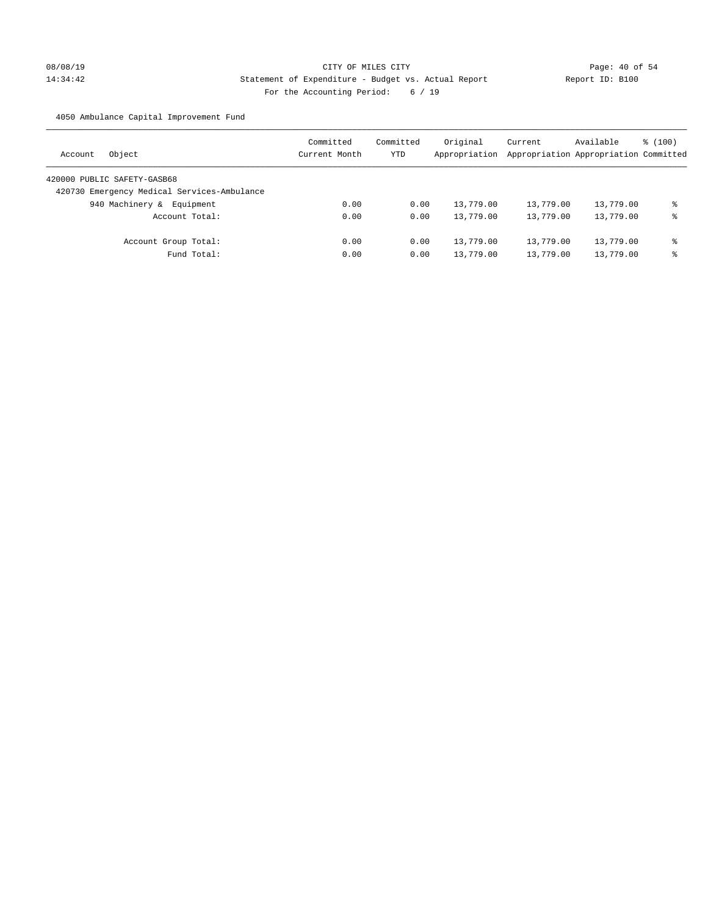# 08/08/19 Page: 40 of 54 14:34:42 Statement of Expenditure - Budget vs. Actual Report Report ID: B100 For the Accounting Period: 6 / 19

4050 Ambulance Capital Improvement Fund

| Object<br>Account                           | Committed<br>Current Month | Committed<br>YTD | Original<br>Appropriation | Current<br>Appropriation Appropriation Committed | Available | $\frac{100}{3}$ |
|---------------------------------------------|----------------------------|------------------|---------------------------|--------------------------------------------------|-----------|-----------------|
| 420000 PUBLIC SAFETY-GASB68                 |                            |                  |                           |                                                  |           |                 |
| 420730 Emergency Medical Services-Ambulance |                            |                  |                           |                                                  |           |                 |
| 940 Machinery &<br>Equipment                | 0.00                       | 0.00             | 13,779.00                 | 13,779.00                                        | 13,779.00 | ⊱               |
| Account Total:                              | 0.00                       | 0.00             | 13,779.00                 | 13,779.00                                        | 13,779.00 | နွ              |
| Account Group Total:                        | 0.00                       | 0.00             | 13,779.00                 | 13,779.00                                        | 13,779.00 | နွ              |
| Fund Total:                                 | 0.00                       | 0.00             | 13,779.00                 | 13,779.00                                        | 13,779.00 | ⊱               |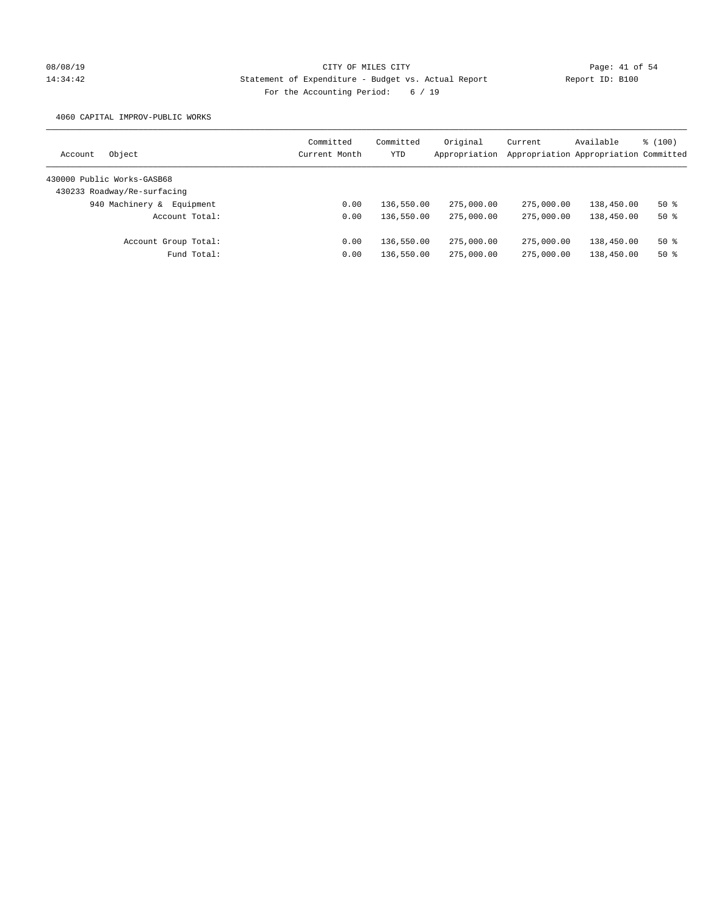# 08/08/19 Page: 41 of 54 14:34:42 Statement of Expenditure - Budget vs. Actual Report Report ID: B100 For the Accounting Period: 6 / 19

4060 CAPITAL IMPROV-PUBLIC WORKS

| Object<br>Account            | Committed<br>Current Month | Committed<br>YTD | Original<br>Appropriation | Current    | Available<br>Appropriation Appropriation Committed | \$(100) |
|------------------------------|----------------------------|------------------|---------------------------|------------|----------------------------------------------------|---------|
| 430000 Public Works-GASB68   |                            |                  |                           |            |                                                    |         |
| 430233 Roadway/Re-surfacing  |                            |                  |                           |            |                                                    |         |
| 940 Machinery &<br>Equipment | 0.00                       | 136,550.00       | 275,000.00                | 275,000.00 | 138,450.00                                         | $50*$   |
| Account Total:               | 0.00                       | 136,550.00       | 275,000.00                | 275,000.00 | 138,450.00                                         | $50*$   |
| Account Group Total:         | 0.00                       | 136,550.00       | 275,000.00                | 275,000.00 | 138,450.00                                         | $50*$   |
| Fund Total:                  | 0.00                       | 136,550.00       | 275,000.00                | 275,000.00 | 138,450.00                                         | 50 %    |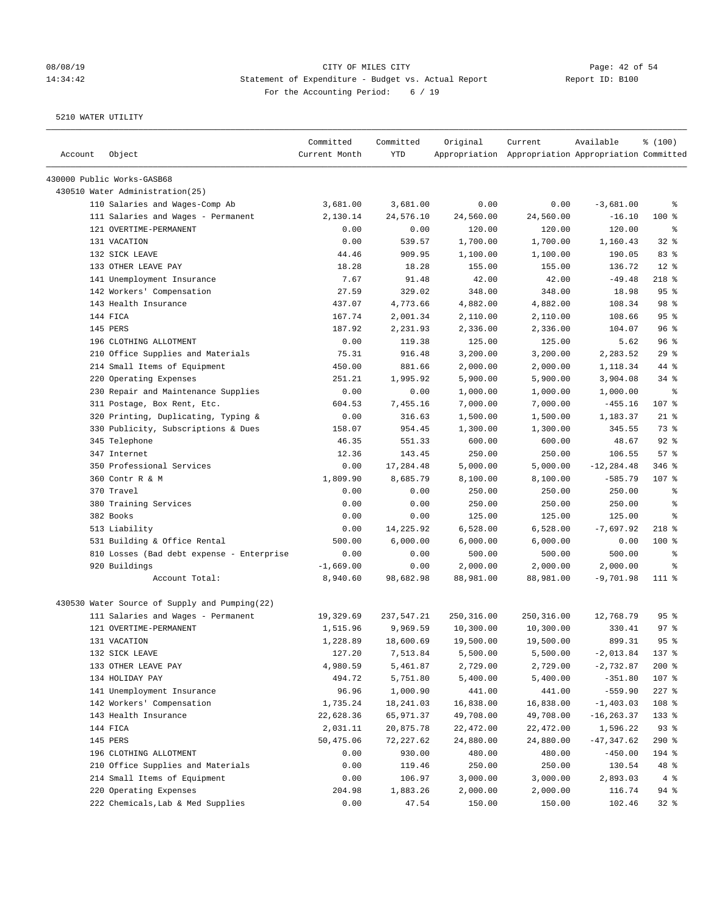# 08/08/19 Page: 42 of 54 14:34:42 Statement of Expenditure - Budget vs. Actual Report Changer Report ID: B100 For the Accounting Period: 6 / 19

| Account | Object                                        | Committed<br>Current Month | Committed<br><b>YTD</b> | Original   | Current<br>Appropriation Appropriation Appropriation Committed | Available     | % (100)    |
|---------|-----------------------------------------------|----------------------------|-------------------------|------------|----------------------------------------------------------------|---------------|------------|
|         | 430000 Public Works-GASB68                    |                            |                         |            |                                                                |               |            |
|         | 430510 Water Administration(25)               |                            |                         |            |                                                                |               |            |
|         | 110 Salaries and Wages-Comp Ab                | 3,681.00                   | 3,681.00                | 0.00       | 0.00                                                           | $-3,681.00$   | နွ         |
|         | 111 Salaries and Wages - Permanent            | 2,130.14                   | 24,576.10               | 24,560.00  | 24,560.00                                                      | $-16.10$      | 100 %      |
|         | 121 OVERTIME-PERMANENT                        | 0.00                       | 0.00                    | 120.00     | 120.00                                                         | 120.00        | $\epsilon$ |
|         | 131 VACATION                                  | 0.00                       | 539.57                  | 1,700.00   | 1,700.00                                                       | 1,160.43      | $32$ $%$   |
|         | 132 SICK LEAVE                                | 44.46                      | 909.95                  | 1,100.00   | 1,100.00                                                       | 190.05        | 83 %       |
|         | 133 OTHER LEAVE PAY                           | 18.28                      | 18.28                   | 155.00     | 155.00                                                         | 136.72        | $12*$      |
|         | 141 Unemployment Insurance                    | 7.67                       | 91.48                   | 42.00      | 42.00                                                          | $-49.48$      | 218 %      |
|         | 142 Workers' Compensation                     | 27.59                      | 329.02                  | 348.00     | 348.00                                                         | 18.98         | 95%        |
|         | 143 Health Insurance                          | 437.07                     | 4,773.66                | 4,882.00   | 4,882.00                                                       | 108.34        | 98 %       |
|         | 144 FICA                                      | 167.74                     | 2,001.34                | 2,110.00   | 2,110.00                                                       | 108.66        | 95%        |
|         | 145 PERS                                      | 187.92                     | 2,231.93                | 2,336.00   | 2,336.00                                                       | 104.07        | 96%        |
|         | 196 CLOTHING ALLOTMENT                        | 0.00                       | 119.38                  | 125.00     | 125.00                                                         | 5.62          | 96%        |
|         | 210 Office Supplies and Materials             | 75.31                      | 916.48                  | 3,200.00   | 3,200.00                                                       | 2,283.52      | 29%        |
|         | 214 Small Items of Equipment                  | 450.00                     | 881.66                  | 2,000.00   | 2,000.00                                                       | 1,118.34      | 44 %       |
|         | 220 Operating Expenses                        | 251.21                     | 1,995.92                | 5,900.00   | 5,900.00                                                       | 3,904.08      | $34$ $%$   |
|         | 230 Repair and Maintenance Supplies           | 0.00                       | 0.00                    | 1,000.00   | 1,000.00                                                       | 1,000.00      | နွ         |
|         | 311 Postage, Box Rent, Etc.                   | 604.53                     | 7,455.16                | 7,000.00   | 7,000.00                                                       | $-455.16$     | 107 %      |
|         | 320 Printing, Duplicating, Typing &           | 0.00                       | 316.63                  | 1,500.00   | 1,500.00                                                       | 1,183.37      | $21$ %     |
|         | 330 Publicity, Subscriptions & Dues           | 158.07                     | 954.45                  | 1,300.00   | 1,300.00                                                       | 345.55        | 73 %       |
|         | 345 Telephone                                 | 46.35                      | 551.33                  | 600.00     | 600.00                                                         | 48.67         | $92$ %     |
|         | 347 Internet                                  | 12.36                      | 143.45                  | 250.00     | 250.00                                                         | 106.55        | 57%        |
|         | 350 Professional Services                     | 0.00                       | 17,284.48               | 5,000.00   | 5,000.00                                                       | $-12, 284.48$ | 346 %      |
|         | 360 Contr R & M                               | 1,809.90                   | 8,685.79                | 8,100.00   | 8,100.00                                                       | $-585.79$     | 107 %      |
|         | 370 Travel                                    | 0.00                       | 0.00                    | 250.00     | 250.00                                                         | 250.00        | ್ಠಿ        |
|         | 380 Training Services                         | 0.00                       | 0.00                    | 250.00     | 250.00                                                         | 250.00        | နွ         |
|         | 382 Books                                     | 0.00                       | 0.00                    | 125.00     | 125.00                                                         | 125.00        | g          |
|         | 513 Liability                                 | 0.00                       | 14,225.92               | 6,528.00   | 6,528.00                                                       | $-7,697.92$   | $218$ %    |
|         | 531 Building & Office Rental                  | 500.00                     | 6,000.00                | 6,000.00   | 6,000.00                                                       | 0.00          | $100$ %    |
|         | 810 Losses (Bad debt expense - Enterprise     | 0.00                       | 0.00                    | 500.00     | 500.00                                                         | 500.00        | နွ         |
|         | 920 Buildings                                 | $-1,669.00$                | 0.00                    | 2,000.00   | 2,000.00                                                       | 2,000.00      | နွ         |
|         | Account Total:                                | 8,940.60                   | 98,682.98               | 88,981.00  | 88,981.00                                                      | $-9,701.98$   | $111$ %    |
|         | 430530 Water Source of Supply and Pumping(22) |                            |                         |            |                                                                |               |            |
|         | 111 Salaries and Wages - Permanent            | 19,329.69                  | 237,547.21              | 250,316.00 | 250,316.00                                                     | 12,768.79     | 95%        |
|         | 121 OVERTIME-PERMANENT                        | 1,515.96                   | 9,969.59                | 10,300.00  | 10,300.00                                                      | 330.41        | 97%        |
|         | 131 VACATION                                  | 1,228.89                   | 18,600.69               | 19,500.00  | 19,500.00                                                      | 899.31        | 95%        |
|         | 132 SICK LEAVE                                | 127.20                     | 7,513.84                | 5,500.00   | 5,500.00                                                       | $-2,013.84$   | 137 %      |
|         | 133 OTHER LEAVE PAY                           | 4,980.59                   | 5,461.87                | 2,729.00   | 2,729.00                                                       | $-2,732.87$   | $200$ %    |
|         | 134 HOLIDAY PAY                               | 494.72                     | 5,751.80                | 5,400.00   | 5,400.00                                                       | $-351.80$     | 107 %      |
|         | 141 Unemployment Insurance                    | 96.96                      | 1,000.90                | 441.00     | 441.00                                                         | $-559.90$     | $227$ %    |
|         | 142 Workers' Compensation                     | 1,735.24                   | 18,241.03               | 16,838.00  | 16,838.00                                                      | $-1,403.03$   | 108 %      |
|         | 143 Health Insurance                          | 22,628.36                  | 65,971.37               | 49,708.00  | 49,708.00                                                      | $-16, 263.37$ | 133 %      |
|         | 144 FICA                                      | 2,031.11                   | 20,875.78               | 22,472.00  | 22,472.00                                                      | 1,596.22      | 93%        |
|         | 145 PERS                                      | 50,475.06                  | 72,227.62               | 24,880.00  | 24,880.00                                                      | $-47,347.62$  | $290$ %    |
|         | 196 CLOTHING ALLOTMENT                        | 0.00                       | 930.00                  | 480.00     | 480.00                                                         | $-450.00$     | 194 %      |
|         | 210 Office Supplies and Materials             | 0.00                       | 119.46                  | 250.00     | 250.00                                                         | 130.54        | 48 %       |
|         | 214 Small Items of Equipment                  | 0.00                       | 106.97                  | 3,000.00   | 3,000.00                                                       | 2,893.03      | 4%         |
|         | 220 Operating Expenses                        | 204.98                     | 1,883.26                | 2,000.00   | 2,000.00                                                       | 116.74        | 94%        |
|         | 222 Chemicals, Lab & Med Supplies             | 0.00                       | 47.54                   | 150.00     | 150.00                                                         | 102.46        | 32%        |
|         |                                               |                            |                         |            |                                                                |               |            |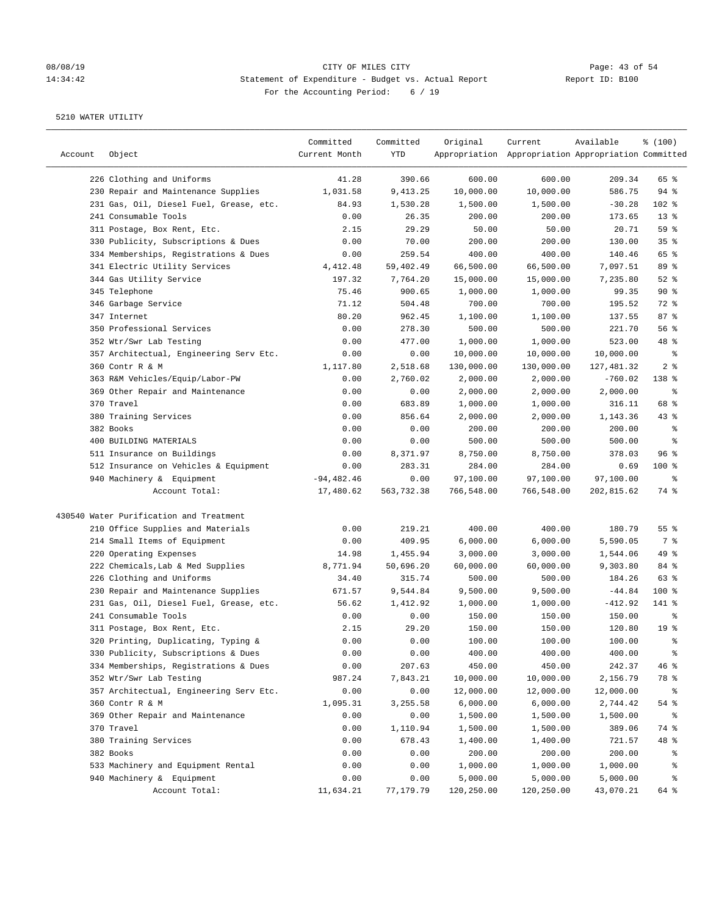# 08/08/19 Page: 43 of 54 14:34:42 Statement of Expenditure - Budget vs. Actual Report Changer Report ID: B100 For the Accounting Period: 6 / 19

| Appropriation Appropriation Appropriation Committed<br>226 Clothing and Uniforms<br>41.28<br>390.66<br>600.00<br>600.00<br>209.34<br>65 %<br>230 Repair and Maintenance Supplies<br>1,031.58<br>9,413.25<br>10,000.00<br>10,000.00<br>586.75<br>$94$ %<br>231 Gas, Oil, Diesel Fuel, Grease, etc.<br>1,500.00<br>1,500.00<br>$-30.28$<br>102 %<br>84.93<br>1,530.28<br>241 Consumable Tools<br>$13*$<br>0.00<br>26.35<br>200.00<br>200.00<br>173.65<br>59 %<br>311 Postage, Box Rent, Etc.<br>2.15<br>29.29<br>50.00<br>50.00<br>20.71<br>35%<br>330 Publicity, Subscriptions & Dues<br>0.00<br>70.00<br>200.00<br>200.00<br>130.00<br>65 %<br>334 Memberships, Registrations & Dues<br>0.00<br>259.54<br>400.00<br>400.00<br>140.46<br>341 Electric Utility Services<br>4, 412.48<br>59,402.49<br>66,500.00<br>66,500.00<br>7,097.51<br>89 %<br>$52$ %<br>344 Gas Utility Service<br>197.32<br>7,764.20<br>15,000.00<br>15,000.00<br>7,235.80<br>90%<br>345 Telephone<br>75.46<br>900.65<br>1,000.00<br>1,000.00<br>99.35<br>346 Garbage Service<br>700.00<br>72 %<br>71.12<br>504.48<br>700.00<br>195.52<br>80.20<br>347 Internet<br>962.45<br>1,100.00<br>87%<br>1,100.00<br>137.55<br>350 Professional Services<br>0.00<br>278.30<br>500.00<br>500.00<br>221.70<br>56%<br>352 Wtr/Swr Lab Testing<br>0.00<br>477.00<br>1,000.00<br>1,000.00<br>523.00<br>48 %<br>357 Architectual, Engineering Serv Etc.<br>0.00<br>0.00<br>10,000.00<br>10,000.00<br>10,000.00<br>್ಠಿ<br>2 <sub>8</sub><br>360 Contr R & M<br>1,117.80<br>2,518.68<br>130,000.00<br>130,000.00<br>127,481.32<br>363 R&M Vehicles/Equip/Labor-PW<br>2,760.02<br>2,000.00<br>2,000.00<br>$-760.02$<br>138 %<br>0.00<br>369 Other Repair and Maintenance<br>0.00<br>0.00<br>2,000.00<br>2,000.00<br>2,000.00<br>နွ<br>68 %<br>370 Travel<br>0.00<br>683.89<br>1,000.00<br>1,000.00<br>316.11<br>380 Training Services<br>856.64<br>2,000.00<br>2,000.00<br>1,143.36<br>$43$ %<br>0.00<br>382 Books<br>0.00<br>0.00<br>200.00<br>200.00<br>200.00<br>နွ<br>400 BUILDING MATERIALS<br>0.00<br>500.00<br>500.00<br>0.00<br>500.00<br>နွ<br>511 Insurance on Buildings<br>0.00<br>8,371.97<br>8,750.00<br>8,750.00<br>378.03<br>96%<br>512 Insurance on Vehicles & Equipment<br>0.00<br>283.31<br>284.00<br>284.00<br>0.69<br>$100$ %<br>940 Machinery & Equipment<br>$-94, 482.46$<br>0.00<br>97,100.00<br>97,100.00<br>97,100.00<br>್ಠಿ<br>17,480.62<br>563,732.38<br>766,548.00<br>766,548.00<br>202,815.62<br>74 %<br>Account Total:<br>430540 Water Purification and Treatment<br>210 Office Supplies and Materials<br>0.00<br>219.21<br>400.00<br>400.00<br>180.79<br>55%<br>214 Small Items of Equipment<br>0.00<br>409.95<br>6,000.00<br>6,000.00<br>5,590.05<br>7 %<br>49 %<br>220 Operating Expenses<br>14.98<br>1,455.94<br>3,000.00<br>3,000.00<br>1,544.06<br>222 Chemicals, Lab & Med Supplies<br>8,771.94<br>50,696.20<br>60,000.00<br>60,000.00<br>84 %<br>9,303.80<br>226 Clothing and Uniforms<br>34.40<br>315.74<br>500.00<br>500.00<br>184.26<br>63%<br>230 Repair and Maintenance Supplies<br>671.57<br>9,544.84<br>9,500.00<br>9,500.00<br>$-44.84$<br>100 %<br>231 Gas, Oil, Diesel Fuel, Grease, etc.<br>1,412.92<br>1,000.00<br>$-412.92$<br>141 %<br>56.62<br>1,000.00<br>241 Consumable Tools<br>0.00<br>0.00<br>150.00<br>150.00<br>150.00<br>နွ<br>29.20<br>311 Postage, Box Rent, Etc.<br>2.15<br>150.00<br>150.00<br>120.80<br>19 <sup>°</sup><br>320 Printing, Duplicating, Typing &<br>0.00<br>0.00<br>100.00<br>100.00<br>100.00<br>ి<br>330 Publicity, Subscriptions & Dues<br>0.00<br>0.00<br>400.00<br>400.00<br>400.00<br>್ಠಿ<br>334 Memberships, Registrations & Dues<br>0.00<br>207.63<br>450.00<br>450.00<br>242.37<br>46 %<br>352 Wtr/Swr Lab Testing<br>987.24<br>7,843.21<br>10,000.00<br>10,000.00<br>2,156.79<br>78 %<br>357 Architectual, Engineering Serv Etc.<br>0.00<br>0.00<br>12,000.00<br>12,000.00<br>12,000.00<br>ႜ<br>360 Contr R & M<br>1,095.31<br>3,255.58<br>6,000.00<br>6,000.00<br>54 %<br>2,744.42<br>369 Other Repair and Maintenance<br>1,500.00<br>1,500.00<br>1,500.00<br>0.00<br>0.00<br>್ಠಿ<br>370 Travel<br>0.00<br>1,110.94<br>1,500.00<br>74 %<br>1,500.00<br>389.06<br>380 Training Services<br>678.43<br>48 %<br>0.00<br>1,400.00<br>1,400.00<br>721.57<br>382 Books<br>0.00<br>200.00<br>0.00<br>200.00<br>200.00<br>ႜ<br>533 Machinery and Equipment Rental<br>0.00<br>0.00<br>1,000.00<br>1,000.00<br>1,000.00<br>ိစ<br>940 Machinery & Equipment<br>0.00<br>0.00<br>5,000.00<br>5,000.00<br>5,000.00<br>နွ | Account | Object         | Committed<br>Current Month | Committed<br>YTD | Original   | Current    | Available | % (100) |
|--------------------------------------------------------------------------------------------------------------------------------------------------------------------------------------------------------------------------------------------------------------------------------------------------------------------------------------------------------------------------------------------------------------------------------------------------------------------------------------------------------------------------------------------------------------------------------------------------------------------------------------------------------------------------------------------------------------------------------------------------------------------------------------------------------------------------------------------------------------------------------------------------------------------------------------------------------------------------------------------------------------------------------------------------------------------------------------------------------------------------------------------------------------------------------------------------------------------------------------------------------------------------------------------------------------------------------------------------------------------------------------------------------------------------------------------------------------------------------------------------------------------------------------------------------------------------------------------------------------------------------------------------------------------------------------------------------------------------------------------------------------------------------------------------------------------------------------------------------------------------------------------------------------------------------------------------------------------------------------------------------------------------------------------------------------------------------------------------------------------------------------------------------------------------------------------------------------------------------------------------------------------------------------------------------------------------------------------------------------------------------------------------------------------------------------------------------------------------------------------------------------------------------------------------------------------------------------------------------------------------------------------------------------------------------------------------------------------------------------------------------------------------------------------------------------------------------------------------------------------------------------------------------------------------------------------------------------------------------------------------------------------------------------------------------------------------------------------------------------------------------------------------------------------------------------------------------------------------------------------------------------------------------------------------------------------------------------------------------------------------------------------------------------------------------------------------------------------------------------------------------------------------------------------------------------------------------------------------------------------------------------------------------------------------------------------------------------------------------------------------------------------------------------------------------------------------------------------------------------------------------------------------------------------------------------------------------------------------------------------------------------------------------------------------------------------------------------------------------------------------------------------------------------------------------------------------------------------------------------------------------------------------------------------------------------------------------------------------------------------------------------------------------------------------------------------------------------------------------------------------------------------------------------------------------|---------|----------------|----------------------------|------------------|------------|------------|-----------|---------|
|                                                                                                                                                                                                                                                                                                                                                                                                                                                                                                                                                                                                                                                                                                                                                                                                                                                                                                                                                                                                                                                                                                                                                                                                                                                                                                                                                                                                                                                                                                                                                                                                                                                                                                                                                                                                                                                                                                                                                                                                                                                                                                                                                                                                                                                                                                                                                                                                                                                                                                                                                                                                                                                                                                                                                                                                                                                                                                                                                                                                                                                                                                                                                                                                                                                                                                                                                                                                                                                                                                                                                                                                                                                                                                                                                                                                                                                                                                                                                                                                                                                                                                                                                                                                                                                                                                                                                                                                                                                                                                                                                        |         |                |                            |                  |            |            |           |         |
|                                                                                                                                                                                                                                                                                                                                                                                                                                                                                                                                                                                                                                                                                                                                                                                                                                                                                                                                                                                                                                                                                                                                                                                                                                                                                                                                                                                                                                                                                                                                                                                                                                                                                                                                                                                                                                                                                                                                                                                                                                                                                                                                                                                                                                                                                                                                                                                                                                                                                                                                                                                                                                                                                                                                                                                                                                                                                                                                                                                                                                                                                                                                                                                                                                                                                                                                                                                                                                                                                                                                                                                                                                                                                                                                                                                                                                                                                                                                                                                                                                                                                                                                                                                                                                                                                                                                                                                                                                                                                                                                                        |         |                |                            |                  |            |            |           |         |
|                                                                                                                                                                                                                                                                                                                                                                                                                                                                                                                                                                                                                                                                                                                                                                                                                                                                                                                                                                                                                                                                                                                                                                                                                                                                                                                                                                                                                                                                                                                                                                                                                                                                                                                                                                                                                                                                                                                                                                                                                                                                                                                                                                                                                                                                                                                                                                                                                                                                                                                                                                                                                                                                                                                                                                                                                                                                                                                                                                                                                                                                                                                                                                                                                                                                                                                                                                                                                                                                                                                                                                                                                                                                                                                                                                                                                                                                                                                                                                                                                                                                                                                                                                                                                                                                                                                                                                                                                                                                                                                                                        |         |                |                            |                  |            |            |           |         |
|                                                                                                                                                                                                                                                                                                                                                                                                                                                                                                                                                                                                                                                                                                                                                                                                                                                                                                                                                                                                                                                                                                                                                                                                                                                                                                                                                                                                                                                                                                                                                                                                                                                                                                                                                                                                                                                                                                                                                                                                                                                                                                                                                                                                                                                                                                                                                                                                                                                                                                                                                                                                                                                                                                                                                                                                                                                                                                                                                                                                                                                                                                                                                                                                                                                                                                                                                                                                                                                                                                                                                                                                                                                                                                                                                                                                                                                                                                                                                                                                                                                                                                                                                                                                                                                                                                                                                                                                                                                                                                                                                        |         |                |                            |                  |            |            |           |         |
|                                                                                                                                                                                                                                                                                                                                                                                                                                                                                                                                                                                                                                                                                                                                                                                                                                                                                                                                                                                                                                                                                                                                                                                                                                                                                                                                                                                                                                                                                                                                                                                                                                                                                                                                                                                                                                                                                                                                                                                                                                                                                                                                                                                                                                                                                                                                                                                                                                                                                                                                                                                                                                                                                                                                                                                                                                                                                                                                                                                                                                                                                                                                                                                                                                                                                                                                                                                                                                                                                                                                                                                                                                                                                                                                                                                                                                                                                                                                                                                                                                                                                                                                                                                                                                                                                                                                                                                                                                                                                                                                                        |         |                |                            |                  |            |            |           |         |
|                                                                                                                                                                                                                                                                                                                                                                                                                                                                                                                                                                                                                                                                                                                                                                                                                                                                                                                                                                                                                                                                                                                                                                                                                                                                                                                                                                                                                                                                                                                                                                                                                                                                                                                                                                                                                                                                                                                                                                                                                                                                                                                                                                                                                                                                                                                                                                                                                                                                                                                                                                                                                                                                                                                                                                                                                                                                                                                                                                                                                                                                                                                                                                                                                                                                                                                                                                                                                                                                                                                                                                                                                                                                                                                                                                                                                                                                                                                                                                                                                                                                                                                                                                                                                                                                                                                                                                                                                                                                                                                                                        |         |                |                            |                  |            |            |           |         |
|                                                                                                                                                                                                                                                                                                                                                                                                                                                                                                                                                                                                                                                                                                                                                                                                                                                                                                                                                                                                                                                                                                                                                                                                                                                                                                                                                                                                                                                                                                                                                                                                                                                                                                                                                                                                                                                                                                                                                                                                                                                                                                                                                                                                                                                                                                                                                                                                                                                                                                                                                                                                                                                                                                                                                                                                                                                                                                                                                                                                                                                                                                                                                                                                                                                                                                                                                                                                                                                                                                                                                                                                                                                                                                                                                                                                                                                                                                                                                                                                                                                                                                                                                                                                                                                                                                                                                                                                                                                                                                                                                        |         |                |                            |                  |            |            |           |         |
|                                                                                                                                                                                                                                                                                                                                                                                                                                                                                                                                                                                                                                                                                                                                                                                                                                                                                                                                                                                                                                                                                                                                                                                                                                                                                                                                                                                                                                                                                                                                                                                                                                                                                                                                                                                                                                                                                                                                                                                                                                                                                                                                                                                                                                                                                                                                                                                                                                                                                                                                                                                                                                                                                                                                                                                                                                                                                                                                                                                                                                                                                                                                                                                                                                                                                                                                                                                                                                                                                                                                                                                                                                                                                                                                                                                                                                                                                                                                                                                                                                                                                                                                                                                                                                                                                                                                                                                                                                                                                                                                                        |         |                |                            |                  |            |            |           |         |
|                                                                                                                                                                                                                                                                                                                                                                                                                                                                                                                                                                                                                                                                                                                                                                                                                                                                                                                                                                                                                                                                                                                                                                                                                                                                                                                                                                                                                                                                                                                                                                                                                                                                                                                                                                                                                                                                                                                                                                                                                                                                                                                                                                                                                                                                                                                                                                                                                                                                                                                                                                                                                                                                                                                                                                                                                                                                                                                                                                                                                                                                                                                                                                                                                                                                                                                                                                                                                                                                                                                                                                                                                                                                                                                                                                                                                                                                                                                                                                                                                                                                                                                                                                                                                                                                                                                                                                                                                                                                                                                                                        |         |                |                            |                  |            |            |           |         |
|                                                                                                                                                                                                                                                                                                                                                                                                                                                                                                                                                                                                                                                                                                                                                                                                                                                                                                                                                                                                                                                                                                                                                                                                                                                                                                                                                                                                                                                                                                                                                                                                                                                                                                                                                                                                                                                                                                                                                                                                                                                                                                                                                                                                                                                                                                                                                                                                                                                                                                                                                                                                                                                                                                                                                                                                                                                                                                                                                                                                                                                                                                                                                                                                                                                                                                                                                                                                                                                                                                                                                                                                                                                                                                                                                                                                                                                                                                                                                                                                                                                                                                                                                                                                                                                                                                                                                                                                                                                                                                                                                        |         |                |                            |                  |            |            |           |         |
|                                                                                                                                                                                                                                                                                                                                                                                                                                                                                                                                                                                                                                                                                                                                                                                                                                                                                                                                                                                                                                                                                                                                                                                                                                                                                                                                                                                                                                                                                                                                                                                                                                                                                                                                                                                                                                                                                                                                                                                                                                                                                                                                                                                                                                                                                                                                                                                                                                                                                                                                                                                                                                                                                                                                                                                                                                                                                                                                                                                                                                                                                                                                                                                                                                                                                                                                                                                                                                                                                                                                                                                                                                                                                                                                                                                                                                                                                                                                                                                                                                                                                                                                                                                                                                                                                                                                                                                                                                                                                                                                                        |         |                |                            |                  |            |            |           |         |
|                                                                                                                                                                                                                                                                                                                                                                                                                                                                                                                                                                                                                                                                                                                                                                                                                                                                                                                                                                                                                                                                                                                                                                                                                                                                                                                                                                                                                                                                                                                                                                                                                                                                                                                                                                                                                                                                                                                                                                                                                                                                                                                                                                                                                                                                                                                                                                                                                                                                                                                                                                                                                                                                                                                                                                                                                                                                                                                                                                                                                                                                                                                                                                                                                                                                                                                                                                                                                                                                                                                                                                                                                                                                                                                                                                                                                                                                                                                                                                                                                                                                                                                                                                                                                                                                                                                                                                                                                                                                                                                                                        |         |                |                            |                  |            |            |           |         |
|                                                                                                                                                                                                                                                                                                                                                                                                                                                                                                                                                                                                                                                                                                                                                                                                                                                                                                                                                                                                                                                                                                                                                                                                                                                                                                                                                                                                                                                                                                                                                                                                                                                                                                                                                                                                                                                                                                                                                                                                                                                                                                                                                                                                                                                                                                                                                                                                                                                                                                                                                                                                                                                                                                                                                                                                                                                                                                                                                                                                                                                                                                                                                                                                                                                                                                                                                                                                                                                                                                                                                                                                                                                                                                                                                                                                                                                                                                                                                                                                                                                                                                                                                                                                                                                                                                                                                                                                                                                                                                                                                        |         |                |                            |                  |            |            |           |         |
|                                                                                                                                                                                                                                                                                                                                                                                                                                                                                                                                                                                                                                                                                                                                                                                                                                                                                                                                                                                                                                                                                                                                                                                                                                                                                                                                                                                                                                                                                                                                                                                                                                                                                                                                                                                                                                                                                                                                                                                                                                                                                                                                                                                                                                                                                                                                                                                                                                                                                                                                                                                                                                                                                                                                                                                                                                                                                                                                                                                                                                                                                                                                                                                                                                                                                                                                                                                                                                                                                                                                                                                                                                                                                                                                                                                                                                                                                                                                                                                                                                                                                                                                                                                                                                                                                                                                                                                                                                                                                                                                                        |         |                |                            |                  |            |            |           |         |
|                                                                                                                                                                                                                                                                                                                                                                                                                                                                                                                                                                                                                                                                                                                                                                                                                                                                                                                                                                                                                                                                                                                                                                                                                                                                                                                                                                                                                                                                                                                                                                                                                                                                                                                                                                                                                                                                                                                                                                                                                                                                                                                                                                                                                                                                                                                                                                                                                                                                                                                                                                                                                                                                                                                                                                                                                                                                                                                                                                                                                                                                                                                                                                                                                                                                                                                                                                                                                                                                                                                                                                                                                                                                                                                                                                                                                                                                                                                                                                                                                                                                                                                                                                                                                                                                                                                                                                                                                                                                                                                                                        |         |                |                            |                  |            |            |           |         |
|                                                                                                                                                                                                                                                                                                                                                                                                                                                                                                                                                                                                                                                                                                                                                                                                                                                                                                                                                                                                                                                                                                                                                                                                                                                                                                                                                                                                                                                                                                                                                                                                                                                                                                                                                                                                                                                                                                                                                                                                                                                                                                                                                                                                                                                                                                                                                                                                                                                                                                                                                                                                                                                                                                                                                                                                                                                                                                                                                                                                                                                                                                                                                                                                                                                                                                                                                                                                                                                                                                                                                                                                                                                                                                                                                                                                                                                                                                                                                                                                                                                                                                                                                                                                                                                                                                                                                                                                                                                                                                                                                        |         |                |                            |                  |            |            |           |         |
|                                                                                                                                                                                                                                                                                                                                                                                                                                                                                                                                                                                                                                                                                                                                                                                                                                                                                                                                                                                                                                                                                                                                                                                                                                                                                                                                                                                                                                                                                                                                                                                                                                                                                                                                                                                                                                                                                                                                                                                                                                                                                                                                                                                                                                                                                                                                                                                                                                                                                                                                                                                                                                                                                                                                                                                                                                                                                                                                                                                                                                                                                                                                                                                                                                                                                                                                                                                                                                                                                                                                                                                                                                                                                                                                                                                                                                                                                                                                                                                                                                                                                                                                                                                                                                                                                                                                                                                                                                                                                                                                                        |         |                |                            |                  |            |            |           |         |
|                                                                                                                                                                                                                                                                                                                                                                                                                                                                                                                                                                                                                                                                                                                                                                                                                                                                                                                                                                                                                                                                                                                                                                                                                                                                                                                                                                                                                                                                                                                                                                                                                                                                                                                                                                                                                                                                                                                                                                                                                                                                                                                                                                                                                                                                                                                                                                                                                                                                                                                                                                                                                                                                                                                                                                                                                                                                                                                                                                                                                                                                                                                                                                                                                                                                                                                                                                                                                                                                                                                                                                                                                                                                                                                                                                                                                                                                                                                                                                                                                                                                                                                                                                                                                                                                                                                                                                                                                                                                                                                                                        |         |                |                            |                  |            |            |           |         |
|                                                                                                                                                                                                                                                                                                                                                                                                                                                                                                                                                                                                                                                                                                                                                                                                                                                                                                                                                                                                                                                                                                                                                                                                                                                                                                                                                                                                                                                                                                                                                                                                                                                                                                                                                                                                                                                                                                                                                                                                                                                                                                                                                                                                                                                                                                                                                                                                                                                                                                                                                                                                                                                                                                                                                                                                                                                                                                                                                                                                                                                                                                                                                                                                                                                                                                                                                                                                                                                                                                                                                                                                                                                                                                                                                                                                                                                                                                                                                                                                                                                                                                                                                                                                                                                                                                                                                                                                                                                                                                                                                        |         |                |                            |                  |            |            |           |         |
|                                                                                                                                                                                                                                                                                                                                                                                                                                                                                                                                                                                                                                                                                                                                                                                                                                                                                                                                                                                                                                                                                                                                                                                                                                                                                                                                                                                                                                                                                                                                                                                                                                                                                                                                                                                                                                                                                                                                                                                                                                                                                                                                                                                                                                                                                                                                                                                                                                                                                                                                                                                                                                                                                                                                                                                                                                                                                                                                                                                                                                                                                                                                                                                                                                                                                                                                                                                                                                                                                                                                                                                                                                                                                                                                                                                                                                                                                                                                                                                                                                                                                                                                                                                                                                                                                                                                                                                                                                                                                                                                                        |         |                |                            |                  |            |            |           |         |
|                                                                                                                                                                                                                                                                                                                                                                                                                                                                                                                                                                                                                                                                                                                                                                                                                                                                                                                                                                                                                                                                                                                                                                                                                                                                                                                                                                                                                                                                                                                                                                                                                                                                                                                                                                                                                                                                                                                                                                                                                                                                                                                                                                                                                                                                                                                                                                                                                                                                                                                                                                                                                                                                                                                                                                                                                                                                                                                                                                                                                                                                                                                                                                                                                                                                                                                                                                                                                                                                                                                                                                                                                                                                                                                                                                                                                                                                                                                                                                                                                                                                                                                                                                                                                                                                                                                                                                                                                                                                                                                                                        |         |                |                            |                  |            |            |           |         |
|                                                                                                                                                                                                                                                                                                                                                                                                                                                                                                                                                                                                                                                                                                                                                                                                                                                                                                                                                                                                                                                                                                                                                                                                                                                                                                                                                                                                                                                                                                                                                                                                                                                                                                                                                                                                                                                                                                                                                                                                                                                                                                                                                                                                                                                                                                                                                                                                                                                                                                                                                                                                                                                                                                                                                                                                                                                                                                                                                                                                                                                                                                                                                                                                                                                                                                                                                                                                                                                                                                                                                                                                                                                                                                                                                                                                                                                                                                                                                                                                                                                                                                                                                                                                                                                                                                                                                                                                                                                                                                                                                        |         |                |                            |                  |            |            |           |         |
|                                                                                                                                                                                                                                                                                                                                                                                                                                                                                                                                                                                                                                                                                                                                                                                                                                                                                                                                                                                                                                                                                                                                                                                                                                                                                                                                                                                                                                                                                                                                                                                                                                                                                                                                                                                                                                                                                                                                                                                                                                                                                                                                                                                                                                                                                                                                                                                                                                                                                                                                                                                                                                                                                                                                                                                                                                                                                                                                                                                                                                                                                                                                                                                                                                                                                                                                                                                                                                                                                                                                                                                                                                                                                                                                                                                                                                                                                                                                                                                                                                                                                                                                                                                                                                                                                                                                                                                                                                                                                                                                                        |         |                |                            |                  |            |            |           |         |
|                                                                                                                                                                                                                                                                                                                                                                                                                                                                                                                                                                                                                                                                                                                                                                                                                                                                                                                                                                                                                                                                                                                                                                                                                                                                                                                                                                                                                                                                                                                                                                                                                                                                                                                                                                                                                                                                                                                                                                                                                                                                                                                                                                                                                                                                                                                                                                                                                                                                                                                                                                                                                                                                                                                                                                                                                                                                                                                                                                                                                                                                                                                                                                                                                                                                                                                                                                                                                                                                                                                                                                                                                                                                                                                                                                                                                                                                                                                                                                                                                                                                                                                                                                                                                                                                                                                                                                                                                                                                                                                                                        |         |                |                            |                  |            |            |           |         |
|                                                                                                                                                                                                                                                                                                                                                                                                                                                                                                                                                                                                                                                                                                                                                                                                                                                                                                                                                                                                                                                                                                                                                                                                                                                                                                                                                                                                                                                                                                                                                                                                                                                                                                                                                                                                                                                                                                                                                                                                                                                                                                                                                                                                                                                                                                                                                                                                                                                                                                                                                                                                                                                                                                                                                                                                                                                                                                                                                                                                                                                                                                                                                                                                                                                                                                                                                                                                                                                                                                                                                                                                                                                                                                                                                                                                                                                                                                                                                                                                                                                                                                                                                                                                                                                                                                                                                                                                                                                                                                                                                        |         |                |                            |                  |            |            |           |         |
|                                                                                                                                                                                                                                                                                                                                                                                                                                                                                                                                                                                                                                                                                                                                                                                                                                                                                                                                                                                                                                                                                                                                                                                                                                                                                                                                                                                                                                                                                                                                                                                                                                                                                                                                                                                                                                                                                                                                                                                                                                                                                                                                                                                                                                                                                                                                                                                                                                                                                                                                                                                                                                                                                                                                                                                                                                                                                                                                                                                                                                                                                                                                                                                                                                                                                                                                                                                                                                                                                                                                                                                                                                                                                                                                                                                                                                                                                                                                                                                                                                                                                                                                                                                                                                                                                                                                                                                                                                                                                                                                                        |         |                |                            |                  |            |            |           |         |
|                                                                                                                                                                                                                                                                                                                                                                                                                                                                                                                                                                                                                                                                                                                                                                                                                                                                                                                                                                                                                                                                                                                                                                                                                                                                                                                                                                                                                                                                                                                                                                                                                                                                                                                                                                                                                                                                                                                                                                                                                                                                                                                                                                                                                                                                                                                                                                                                                                                                                                                                                                                                                                                                                                                                                                                                                                                                                                                                                                                                                                                                                                                                                                                                                                                                                                                                                                                                                                                                                                                                                                                                                                                                                                                                                                                                                                                                                                                                                                                                                                                                                                                                                                                                                                                                                                                                                                                                                                                                                                                                                        |         |                |                            |                  |            |            |           |         |
|                                                                                                                                                                                                                                                                                                                                                                                                                                                                                                                                                                                                                                                                                                                                                                                                                                                                                                                                                                                                                                                                                                                                                                                                                                                                                                                                                                                                                                                                                                                                                                                                                                                                                                                                                                                                                                                                                                                                                                                                                                                                                                                                                                                                                                                                                                                                                                                                                                                                                                                                                                                                                                                                                                                                                                                                                                                                                                                                                                                                                                                                                                                                                                                                                                                                                                                                                                                                                                                                                                                                                                                                                                                                                                                                                                                                                                                                                                                                                                                                                                                                                                                                                                                                                                                                                                                                                                                                                                                                                                                                                        |         |                |                            |                  |            |            |           |         |
|                                                                                                                                                                                                                                                                                                                                                                                                                                                                                                                                                                                                                                                                                                                                                                                                                                                                                                                                                                                                                                                                                                                                                                                                                                                                                                                                                                                                                                                                                                                                                                                                                                                                                                                                                                                                                                                                                                                                                                                                                                                                                                                                                                                                                                                                                                                                                                                                                                                                                                                                                                                                                                                                                                                                                                                                                                                                                                                                                                                                                                                                                                                                                                                                                                                                                                                                                                                                                                                                                                                                                                                                                                                                                                                                                                                                                                                                                                                                                                                                                                                                                                                                                                                                                                                                                                                                                                                                                                                                                                                                                        |         |                |                            |                  |            |            |           |         |
|                                                                                                                                                                                                                                                                                                                                                                                                                                                                                                                                                                                                                                                                                                                                                                                                                                                                                                                                                                                                                                                                                                                                                                                                                                                                                                                                                                                                                                                                                                                                                                                                                                                                                                                                                                                                                                                                                                                                                                                                                                                                                                                                                                                                                                                                                                                                                                                                                                                                                                                                                                                                                                                                                                                                                                                                                                                                                                                                                                                                                                                                                                                                                                                                                                                                                                                                                                                                                                                                                                                                                                                                                                                                                                                                                                                                                                                                                                                                                                                                                                                                                                                                                                                                                                                                                                                                                                                                                                                                                                                                                        |         |                |                            |                  |            |            |           |         |
|                                                                                                                                                                                                                                                                                                                                                                                                                                                                                                                                                                                                                                                                                                                                                                                                                                                                                                                                                                                                                                                                                                                                                                                                                                                                                                                                                                                                                                                                                                                                                                                                                                                                                                                                                                                                                                                                                                                                                                                                                                                                                                                                                                                                                                                                                                                                                                                                                                                                                                                                                                                                                                                                                                                                                                                                                                                                                                                                                                                                                                                                                                                                                                                                                                                                                                                                                                                                                                                                                                                                                                                                                                                                                                                                                                                                                                                                                                                                                                                                                                                                                                                                                                                                                                                                                                                                                                                                                                                                                                                                                        |         |                |                            |                  |            |            |           |         |
|                                                                                                                                                                                                                                                                                                                                                                                                                                                                                                                                                                                                                                                                                                                                                                                                                                                                                                                                                                                                                                                                                                                                                                                                                                                                                                                                                                                                                                                                                                                                                                                                                                                                                                                                                                                                                                                                                                                                                                                                                                                                                                                                                                                                                                                                                                                                                                                                                                                                                                                                                                                                                                                                                                                                                                                                                                                                                                                                                                                                                                                                                                                                                                                                                                                                                                                                                                                                                                                                                                                                                                                                                                                                                                                                                                                                                                                                                                                                                                                                                                                                                                                                                                                                                                                                                                                                                                                                                                                                                                                                                        |         |                |                            |                  |            |            |           |         |
|                                                                                                                                                                                                                                                                                                                                                                                                                                                                                                                                                                                                                                                                                                                                                                                                                                                                                                                                                                                                                                                                                                                                                                                                                                                                                                                                                                                                                                                                                                                                                                                                                                                                                                                                                                                                                                                                                                                                                                                                                                                                                                                                                                                                                                                                                                                                                                                                                                                                                                                                                                                                                                                                                                                                                                                                                                                                                                                                                                                                                                                                                                                                                                                                                                                                                                                                                                                                                                                                                                                                                                                                                                                                                                                                                                                                                                                                                                                                                                                                                                                                                                                                                                                                                                                                                                                                                                                                                                                                                                                                                        |         |                |                            |                  |            |            |           |         |
|                                                                                                                                                                                                                                                                                                                                                                                                                                                                                                                                                                                                                                                                                                                                                                                                                                                                                                                                                                                                                                                                                                                                                                                                                                                                                                                                                                                                                                                                                                                                                                                                                                                                                                                                                                                                                                                                                                                                                                                                                                                                                                                                                                                                                                                                                                                                                                                                                                                                                                                                                                                                                                                                                                                                                                                                                                                                                                                                                                                                                                                                                                                                                                                                                                                                                                                                                                                                                                                                                                                                                                                                                                                                                                                                                                                                                                                                                                                                                                                                                                                                                                                                                                                                                                                                                                                                                                                                                                                                                                                                                        |         |                |                            |                  |            |            |           |         |
|                                                                                                                                                                                                                                                                                                                                                                                                                                                                                                                                                                                                                                                                                                                                                                                                                                                                                                                                                                                                                                                                                                                                                                                                                                                                                                                                                                                                                                                                                                                                                                                                                                                                                                                                                                                                                                                                                                                                                                                                                                                                                                                                                                                                                                                                                                                                                                                                                                                                                                                                                                                                                                                                                                                                                                                                                                                                                                                                                                                                                                                                                                                                                                                                                                                                                                                                                                                                                                                                                                                                                                                                                                                                                                                                                                                                                                                                                                                                                                                                                                                                                                                                                                                                                                                                                                                                                                                                                                                                                                                                                        |         |                |                            |                  |            |            |           |         |
|                                                                                                                                                                                                                                                                                                                                                                                                                                                                                                                                                                                                                                                                                                                                                                                                                                                                                                                                                                                                                                                                                                                                                                                                                                                                                                                                                                                                                                                                                                                                                                                                                                                                                                                                                                                                                                                                                                                                                                                                                                                                                                                                                                                                                                                                                                                                                                                                                                                                                                                                                                                                                                                                                                                                                                                                                                                                                                                                                                                                                                                                                                                                                                                                                                                                                                                                                                                                                                                                                                                                                                                                                                                                                                                                                                                                                                                                                                                                                                                                                                                                                                                                                                                                                                                                                                                                                                                                                                                                                                                                                        |         |                |                            |                  |            |            |           |         |
|                                                                                                                                                                                                                                                                                                                                                                                                                                                                                                                                                                                                                                                                                                                                                                                                                                                                                                                                                                                                                                                                                                                                                                                                                                                                                                                                                                                                                                                                                                                                                                                                                                                                                                                                                                                                                                                                                                                                                                                                                                                                                                                                                                                                                                                                                                                                                                                                                                                                                                                                                                                                                                                                                                                                                                                                                                                                                                                                                                                                                                                                                                                                                                                                                                                                                                                                                                                                                                                                                                                                                                                                                                                                                                                                                                                                                                                                                                                                                                                                                                                                                                                                                                                                                                                                                                                                                                                                                                                                                                                                                        |         |                |                            |                  |            |            |           |         |
|                                                                                                                                                                                                                                                                                                                                                                                                                                                                                                                                                                                                                                                                                                                                                                                                                                                                                                                                                                                                                                                                                                                                                                                                                                                                                                                                                                                                                                                                                                                                                                                                                                                                                                                                                                                                                                                                                                                                                                                                                                                                                                                                                                                                                                                                                                                                                                                                                                                                                                                                                                                                                                                                                                                                                                                                                                                                                                                                                                                                                                                                                                                                                                                                                                                                                                                                                                                                                                                                                                                                                                                                                                                                                                                                                                                                                                                                                                                                                                                                                                                                                                                                                                                                                                                                                                                                                                                                                                                                                                                                                        |         |                |                            |                  |            |            |           |         |
|                                                                                                                                                                                                                                                                                                                                                                                                                                                                                                                                                                                                                                                                                                                                                                                                                                                                                                                                                                                                                                                                                                                                                                                                                                                                                                                                                                                                                                                                                                                                                                                                                                                                                                                                                                                                                                                                                                                                                                                                                                                                                                                                                                                                                                                                                                                                                                                                                                                                                                                                                                                                                                                                                                                                                                                                                                                                                                                                                                                                                                                                                                                                                                                                                                                                                                                                                                                                                                                                                                                                                                                                                                                                                                                                                                                                                                                                                                                                                                                                                                                                                                                                                                                                                                                                                                                                                                                                                                                                                                                                                        |         |                |                            |                  |            |            |           |         |
|                                                                                                                                                                                                                                                                                                                                                                                                                                                                                                                                                                                                                                                                                                                                                                                                                                                                                                                                                                                                                                                                                                                                                                                                                                                                                                                                                                                                                                                                                                                                                                                                                                                                                                                                                                                                                                                                                                                                                                                                                                                                                                                                                                                                                                                                                                                                                                                                                                                                                                                                                                                                                                                                                                                                                                                                                                                                                                                                                                                                                                                                                                                                                                                                                                                                                                                                                                                                                                                                                                                                                                                                                                                                                                                                                                                                                                                                                                                                                                                                                                                                                                                                                                                                                                                                                                                                                                                                                                                                                                                                                        |         |                |                            |                  |            |            |           |         |
|                                                                                                                                                                                                                                                                                                                                                                                                                                                                                                                                                                                                                                                                                                                                                                                                                                                                                                                                                                                                                                                                                                                                                                                                                                                                                                                                                                                                                                                                                                                                                                                                                                                                                                                                                                                                                                                                                                                                                                                                                                                                                                                                                                                                                                                                                                                                                                                                                                                                                                                                                                                                                                                                                                                                                                                                                                                                                                                                                                                                                                                                                                                                                                                                                                                                                                                                                                                                                                                                                                                                                                                                                                                                                                                                                                                                                                                                                                                                                                                                                                                                                                                                                                                                                                                                                                                                                                                                                                                                                                                                                        |         |                |                            |                  |            |            |           |         |
|                                                                                                                                                                                                                                                                                                                                                                                                                                                                                                                                                                                                                                                                                                                                                                                                                                                                                                                                                                                                                                                                                                                                                                                                                                                                                                                                                                                                                                                                                                                                                                                                                                                                                                                                                                                                                                                                                                                                                                                                                                                                                                                                                                                                                                                                                                                                                                                                                                                                                                                                                                                                                                                                                                                                                                                                                                                                                                                                                                                                                                                                                                                                                                                                                                                                                                                                                                                                                                                                                                                                                                                                                                                                                                                                                                                                                                                                                                                                                                                                                                                                                                                                                                                                                                                                                                                                                                                                                                                                                                                                                        |         |                |                            |                  |            |            |           |         |
|                                                                                                                                                                                                                                                                                                                                                                                                                                                                                                                                                                                                                                                                                                                                                                                                                                                                                                                                                                                                                                                                                                                                                                                                                                                                                                                                                                                                                                                                                                                                                                                                                                                                                                                                                                                                                                                                                                                                                                                                                                                                                                                                                                                                                                                                                                                                                                                                                                                                                                                                                                                                                                                                                                                                                                                                                                                                                                                                                                                                                                                                                                                                                                                                                                                                                                                                                                                                                                                                                                                                                                                                                                                                                                                                                                                                                                                                                                                                                                                                                                                                                                                                                                                                                                                                                                                                                                                                                                                                                                                                                        |         |                |                            |                  |            |            |           |         |
|                                                                                                                                                                                                                                                                                                                                                                                                                                                                                                                                                                                                                                                                                                                                                                                                                                                                                                                                                                                                                                                                                                                                                                                                                                                                                                                                                                                                                                                                                                                                                                                                                                                                                                                                                                                                                                                                                                                                                                                                                                                                                                                                                                                                                                                                                                                                                                                                                                                                                                                                                                                                                                                                                                                                                                                                                                                                                                                                                                                                                                                                                                                                                                                                                                                                                                                                                                                                                                                                                                                                                                                                                                                                                                                                                                                                                                                                                                                                                                                                                                                                                                                                                                                                                                                                                                                                                                                                                                                                                                                                                        |         |                |                            |                  |            |            |           |         |
|                                                                                                                                                                                                                                                                                                                                                                                                                                                                                                                                                                                                                                                                                                                                                                                                                                                                                                                                                                                                                                                                                                                                                                                                                                                                                                                                                                                                                                                                                                                                                                                                                                                                                                                                                                                                                                                                                                                                                                                                                                                                                                                                                                                                                                                                                                                                                                                                                                                                                                                                                                                                                                                                                                                                                                                                                                                                                                                                                                                                                                                                                                                                                                                                                                                                                                                                                                                                                                                                                                                                                                                                                                                                                                                                                                                                                                                                                                                                                                                                                                                                                                                                                                                                                                                                                                                                                                                                                                                                                                                                                        |         |                |                            |                  |            |            |           |         |
|                                                                                                                                                                                                                                                                                                                                                                                                                                                                                                                                                                                                                                                                                                                                                                                                                                                                                                                                                                                                                                                                                                                                                                                                                                                                                                                                                                                                                                                                                                                                                                                                                                                                                                                                                                                                                                                                                                                                                                                                                                                                                                                                                                                                                                                                                                                                                                                                                                                                                                                                                                                                                                                                                                                                                                                                                                                                                                                                                                                                                                                                                                                                                                                                                                                                                                                                                                                                                                                                                                                                                                                                                                                                                                                                                                                                                                                                                                                                                                                                                                                                                                                                                                                                                                                                                                                                                                                                                                                                                                                                                        |         |                |                            |                  |            |            |           |         |
|                                                                                                                                                                                                                                                                                                                                                                                                                                                                                                                                                                                                                                                                                                                                                                                                                                                                                                                                                                                                                                                                                                                                                                                                                                                                                                                                                                                                                                                                                                                                                                                                                                                                                                                                                                                                                                                                                                                                                                                                                                                                                                                                                                                                                                                                                                                                                                                                                                                                                                                                                                                                                                                                                                                                                                                                                                                                                                                                                                                                                                                                                                                                                                                                                                                                                                                                                                                                                                                                                                                                                                                                                                                                                                                                                                                                                                                                                                                                                                                                                                                                                                                                                                                                                                                                                                                                                                                                                                                                                                                                                        |         |                |                            |                  |            |            |           |         |
|                                                                                                                                                                                                                                                                                                                                                                                                                                                                                                                                                                                                                                                                                                                                                                                                                                                                                                                                                                                                                                                                                                                                                                                                                                                                                                                                                                                                                                                                                                                                                                                                                                                                                                                                                                                                                                                                                                                                                                                                                                                                                                                                                                                                                                                                                                                                                                                                                                                                                                                                                                                                                                                                                                                                                                                                                                                                                                                                                                                                                                                                                                                                                                                                                                                                                                                                                                                                                                                                                                                                                                                                                                                                                                                                                                                                                                                                                                                                                                                                                                                                                                                                                                                                                                                                                                                                                                                                                                                                                                                                                        |         |                |                            |                  |            |            |           |         |
|                                                                                                                                                                                                                                                                                                                                                                                                                                                                                                                                                                                                                                                                                                                                                                                                                                                                                                                                                                                                                                                                                                                                                                                                                                                                                                                                                                                                                                                                                                                                                                                                                                                                                                                                                                                                                                                                                                                                                                                                                                                                                                                                                                                                                                                                                                                                                                                                                                                                                                                                                                                                                                                                                                                                                                                                                                                                                                                                                                                                                                                                                                                                                                                                                                                                                                                                                                                                                                                                                                                                                                                                                                                                                                                                                                                                                                                                                                                                                                                                                                                                                                                                                                                                                                                                                                                                                                                                                                                                                                                                                        |         |                |                            |                  |            |            |           |         |
|                                                                                                                                                                                                                                                                                                                                                                                                                                                                                                                                                                                                                                                                                                                                                                                                                                                                                                                                                                                                                                                                                                                                                                                                                                                                                                                                                                                                                                                                                                                                                                                                                                                                                                                                                                                                                                                                                                                                                                                                                                                                                                                                                                                                                                                                                                                                                                                                                                                                                                                                                                                                                                                                                                                                                                                                                                                                                                                                                                                                                                                                                                                                                                                                                                                                                                                                                                                                                                                                                                                                                                                                                                                                                                                                                                                                                                                                                                                                                                                                                                                                                                                                                                                                                                                                                                                                                                                                                                                                                                                                                        |         | Account Total: | 11,634.21                  | 77,179.79        | 120,250.00 | 120,250.00 | 43,070.21 | 64 %    |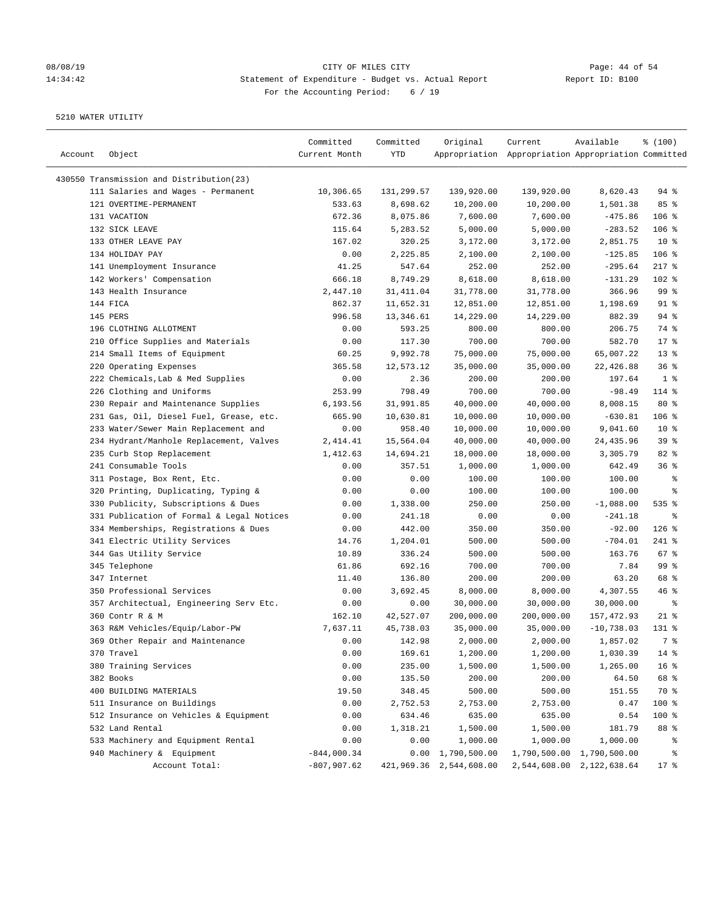# 08/08/19 Page: 44 of 54 14:34:42 Statement of Expenditure - Budget vs. Actual Report Changer Report ID: B100 For the Accounting Period: 6 / 19

| Account | Object                                    | Committed<br>Current Month | Committed<br>YTD | Original                  | Current<br>Appropriation Appropriation Appropriation Committed | Available                 | % (100)         |
|---------|-------------------------------------------|----------------------------|------------------|---------------------------|----------------------------------------------------------------|---------------------------|-----------------|
|         |                                           |                            |                  |                           |                                                                |                           |                 |
|         | 430550 Transmission and Distribution(23)  |                            |                  |                           |                                                                |                           |                 |
|         | 111 Salaries and Wages - Permanent        | 10,306.65                  | 131,299.57       | 139,920.00                | 139,920.00                                                     | 8,620.43                  | $94$ %          |
|         | 121 OVERTIME-PERMANENT                    | 533.63                     | 8,698.62         | 10,200.00                 | 10,200.00                                                      | 1,501.38                  | 85%             |
|         | 131 VACATION                              | 672.36                     | 8,075.86         | 7,600.00                  | 7,600.00                                                       | $-475.86$                 | $106$ %         |
|         | 132 SICK LEAVE                            | 115.64                     | 5,283.52         | 5,000.00                  | 5,000.00                                                       | $-283.52$                 | $106$ %         |
|         | 133 OTHER LEAVE PAY                       | 167.02                     | 320.25           | 3,172.00                  | 3,172.00                                                       | 2,851.75                  | $10*$           |
|         | 134 HOLIDAY PAY                           | 0.00                       | 2,225.85         | 2,100.00                  | 2,100.00                                                       | $-125.85$                 | $106$ %         |
|         | 141 Unemployment Insurance                | 41.25                      | 547.64           | 252.00                    | 252.00                                                         | $-295.64$                 | $217$ %         |
|         | 142 Workers' Compensation                 | 666.18                     | 8,749.29         | 8,618.00                  | 8,618.00                                                       | $-131.29$                 | 102 %           |
|         | 143 Health Insurance                      | 2,447.10                   | 31,411.04        | 31,778.00                 | 31,778.00                                                      | 366.96                    | 99 %            |
|         | 144 FICA                                  | 862.37                     | 11,652.31        | 12,851.00                 | 12,851.00                                                      | 1,198.69                  | $91$ %          |
|         | 145 PERS                                  | 996.58                     | 13,346.61        | 14,229.00                 | 14,229.00                                                      | 882.39                    | $94$ %          |
|         | 196 CLOTHING ALLOTMENT                    | 0.00                       | 593.25           | 800.00                    | 800.00                                                         | 206.75                    | 74 %            |
|         | 210 Office Supplies and Materials         | 0.00                       | 117.30           | 700.00                    | 700.00                                                         | 582.70                    | 17.8            |
|         | 214 Small Items of Equipment              | 60.25                      | 9,992.78         | 75,000.00                 | 75,000.00                                                      | 65,007.22                 | 13 <sup>°</sup> |
|         | 220 Operating Expenses                    | 365.58                     | 12,573.12        | 35,000.00                 | 35,000.00                                                      | 22,426.88                 | 36%             |
|         | 222 Chemicals, Lab & Med Supplies         | 0.00                       | 2.36             | 200.00                    | 200.00                                                         | 197.64                    | 1 <sup>8</sup>  |
|         | 226 Clothing and Uniforms                 | 253.99                     | 798.49           | 700.00                    | 700.00                                                         | $-98.49$                  | 114 %           |
|         | 230 Repair and Maintenance Supplies       | 6,193.56                   | 31,991.85        | 40,000.00                 | 40,000.00                                                      | 8,008.15                  | $80*$           |
|         | 231 Gas, Oil, Diesel Fuel, Grease, etc.   | 665.90                     | 10,630.81        | 10,000.00                 | 10,000.00                                                      | $-630.81$                 | $106$ %         |
|         | 233 Water/Sewer Main Replacement and      | 0.00                       | 958.40           | 10,000.00                 | 10,000.00                                                      | 9,041.60                  | 10 <sup>°</sup> |
|         | 234 Hydrant/Manhole Replacement, Valves   | 2,414.41                   | 15,564.04        | 40,000.00                 | 40,000.00                                                      | 24,435.96                 | 39 <sup>8</sup> |
|         | 235 Curb Stop Replacement                 | 1,412.63                   | 14,694.21        | 18,000.00                 | 18,000.00                                                      | 3,305.79                  | 82%             |
|         | 241 Consumable Tools                      | 0.00                       | 357.51           | 1,000.00                  | 1,000.00                                                       | 642.49                    | 36%             |
|         | 311 Postage, Box Rent, Etc.               | 0.00                       | 0.00             | 100.00                    | 100.00                                                         | 100.00                    | ್ಠಿ             |
|         | 320 Printing, Duplicating, Typing &       | 0.00                       | 0.00             | 100.00                    | 100.00                                                         | 100.00                    | နွ              |
|         | 330 Publicity, Subscriptions & Dues       | 0.00                       | 1,338.00         | 250.00                    | 250.00                                                         | $-1,088.00$               | 535 %           |
|         | 331 Publication of Formal & Legal Notices | 0.00                       | 241.18           | 0.00                      | 0.00                                                           | $-241.18$                 | နွ              |
|         | 334 Memberships, Registrations & Dues     | 0.00                       | 442.00           | 350.00                    | 350.00                                                         | $-92.00$                  | $126$ %         |
|         | 341 Electric Utility Services             | 14.76                      | 1,204.01         | 500.00                    | 500.00                                                         | $-704.01$                 | 241 %           |
|         | 344 Gas Utility Service                   | 10.89                      | 336.24           | 500.00                    | 500.00                                                         | 163.76                    | 67%             |
|         | 345 Telephone                             | 61.86                      | 692.16           | 700.00                    | 700.00                                                         | 7.84                      | 99 <sup>8</sup> |
|         | 347 Internet                              | 11.40                      | 136.80           | 200.00                    | 200.00                                                         | 63.20                     | 68 %            |
|         | 350 Professional Services                 | 0.00                       | 3,692.45         | 8,000.00                  | 8,000.00                                                       | 4,307.55                  | 46%             |
|         | 357 Architectual, Engineering Serv Etc.   | 0.00                       | 0.00             | 30,000.00                 | 30,000.00                                                      | 30,000.00                 | ್ಠಿ             |
|         | 360 Contr R & M                           | 162.10                     | 42,527.07        | 200,000.00                | 200,000.00                                                     | 157,472.93                | $21$ %          |
|         | 363 R&M Vehicles/Equip/Labor-PW           | 7,637.11                   | 45,738.03        | 35,000.00                 | 35,000.00                                                      | $-10,738.03$              | 131 %           |
|         | 369 Other Repair and Maintenance          | 0.00                       | 142.98           | 2,000.00                  | 2,000.00                                                       | 1,857.02                  | 7 %             |
|         | 370 Travel                                | 0.00                       | 169.61           | 1,200.00                  | 1,200.00                                                       | 1,030.39                  | $14*$           |
|         | 380 Training Services                     | 0.00                       | 235.00           | 1,500.00                  | 1,500.00                                                       | 1,265.00                  | 16 <sup>°</sup> |
|         | 382 Books                                 | 0.00                       | 135.50           | 200.00                    | 200.00                                                         | 64.50                     | 68 %            |
|         | 400 BUILDING MATERIALS                    | 19.50                      | 348.45           | 500.00                    | 500.00                                                         | 151.55                    | 70 %            |
|         | 511 Insurance on Buildings                | 0.00                       | 2,752.53         | 2,753.00                  | 2,753.00                                                       | 0.47                      | 100 %           |
|         | 512 Insurance on Vehicles & Equipment     | 0.00                       | 634.46           | 635.00                    | 635.00                                                         | 0.54                      | $100$ %         |
|         | 532 Land Rental                           | 0.00                       | 1,318.21         | 1,500.00                  | 1,500.00                                                       | 181.79                    | 88 %            |
|         | 533 Machinery and Equipment Rental        | 0.00                       | 0.00             | 1,000.00                  | 1,000.00                                                       | 1,000.00                  | ိစ              |
|         | 940 Machinery & Equipment                 | $-844,000.34$              |                  | $0.00 \quad 1,790,500.00$ |                                                                | 1,790,500.00 1,790,500.00 | ႜ               |
|         | Account Total:                            | $-807,907.62$              |                  | 421,969.36 2,544,608.00   |                                                                | 2,544,608.00 2,122,638.64 | 17 <sub>8</sub> |
|         |                                           |                            |                  |                           |                                                                |                           |                 |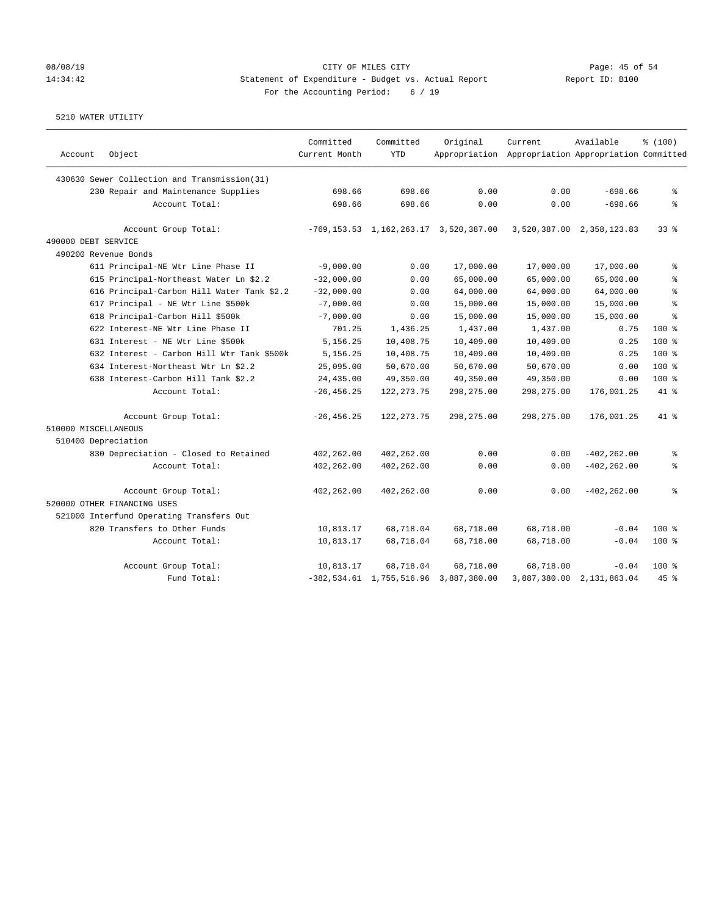### 08/08/19 Page: 45 of 54 14:34:42 Statement of Expenditure - Budget vs. Actual Report Report ID: B100 For the Accounting Period: 6 / 19

|                                              | Committed     | Committed    | Original                                                 | Current                                             | Available                 | % (100)    |
|----------------------------------------------|---------------|--------------|----------------------------------------------------------|-----------------------------------------------------|---------------------------|------------|
| Object<br>Account                            | Current Month | <b>YTD</b>   |                                                          | Appropriation Appropriation Appropriation Committed |                           |            |
| 430630 Sewer Collection and Transmission(31) |               |              |                                                          |                                                     |                           |            |
| 230 Repair and Maintenance Supplies          | 698.66        | 698.66       | 0.00                                                     | 0.00                                                | $-698.66$                 | 昙          |
| Account Total:                               | 698.66        | 698.66       | 0.00                                                     | 0.00                                                | $-698.66$                 | 昙          |
| Account Group Total:                         |               |              | $-769, 153.53 \quad 1, 162, 263.17 \quad 3, 520, 387.00$ |                                                     | 3,520,387.00 2,358,123.83 | 338        |
| 490000 DEBT SERVICE                          |               |              |                                                          |                                                     |                           |            |
| 490200 Revenue Bonds                         |               |              |                                                          |                                                     |                           |            |
| 611 Principal-NE Wtr Line Phase II           | $-9,000.00$   | 0.00         | 17,000.00                                                | 17,000.00                                           | 17,000.00                 | る          |
| 615 Principal-Northeast Water Ln \$2.2       | $-32,000.00$  | 0.00         | 65,000.00                                                | 65,000.00                                           | 65,000.00                 | 昙          |
| 616 Principal-Carbon Hill Water Tank \$2.2   | $-32,000.00$  | 0.00         | 64,000.00                                                | 64,000.00                                           | 64,000.00                 | $\approx$  |
| 617 Principal - NE Wtr Line \$500k           | $-7,000.00$   | 0.00         | 15,000.00                                                | 15,000.00                                           | 15,000.00                 | 昙          |
| 618 Principal-Carbon Hill \$500k             | $-7,000.00$   | 0.00         | 15,000.00                                                | 15,000.00                                           | 15,000.00                 | $\approx$  |
| 622 Interest-NE Wtr Line Phase II            | 701.25        | 1,436.25     | 1,437.00                                                 | 1,437.00                                            | 0.75                      | $100*$     |
| 631 Interest - NE Wtr Line \$500k            | 5,156.25      | 10,408.75    | 10,409.00                                                | 10,409.00                                           | 0.25                      | $100*$     |
| 632 Interest - Carbon Hill Wtr Tank \$500k   | 5,156.25      | 10,408.75    | 10,409.00                                                | 10,409.00                                           | 0.25                      | $100*$     |
| 634 Interest-Northeast Wtr Ln \$2.2          | 25,095.00     | 50,670.00    | 50,670.00                                                | 50,670.00                                           | 0.00                      | $100*$     |
| 638 Interest-Carbon Hill Tank \$2.2          | 24, 435.00    | 49,350.00    | 49,350.00                                                | 49,350.00                                           | 0.00                      | $100*$     |
| Account Total:                               | $-26, 456.25$ | 122, 273. 75 | 298,275.00                                               | 298,275.00                                          | 176,001.25                | 41.8       |
| Account Group Total:                         | $-26, 456.25$ | 122, 273. 75 | 298,275.00                                               | 298,275.00                                          | 176,001.25                | $41*$      |
| 510000 MISCELLANEOUS                         |               |              |                                                          |                                                     |                           |            |
| 510400 Depreciation                          |               |              |                                                          |                                                     |                           |            |
| 830 Depreciation - Closed to Retained        | 402,262.00    | 402,262.00   | 0.00                                                     | 0.00                                                | $-402, 262.00$            | る          |
| Account Total:                               | 402,262.00    | 402,262.00   | 0.00                                                     | 0.00                                                | $-402, 262, 00$           | $\epsilon$ |
| Account Group Total:                         | 402,262.00    | 402,262.00   | 0.00                                                     | 0.00                                                | $-402, 262.00$            | る          |
| 520000 OTHER FINANCING USES                  |               |              |                                                          |                                                     |                           |            |
| 521000 Interfund Operating Transfers Out     |               |              |                                                          |                                                     |                           |            |
| 820 Transfers to Other Funds                 | 10,813.17     | 68,718.04    | 68,718.00                                                | 68,718.00                                           | $-0.04$                   | $100*$     |
| Account Total:                               | 10,813.17     | 68,718.04    | 68,718.00                                                | 68,718.00                                           | $-0.04$                   | $100$ %    |
| Account Group Total:                         | 10,813.17     | 68,718.04    | 68,718.00                                                | 68,718.00                                           | $-0.04$                   | $100*$     |
| Fund Total:                                  |               |              | $-382, 534.61 \quad 1, 755, 516.96 \quad 3, 887, 380.00$ |                                                     | 3,887,380.00 2,131,863.04 | 45%        |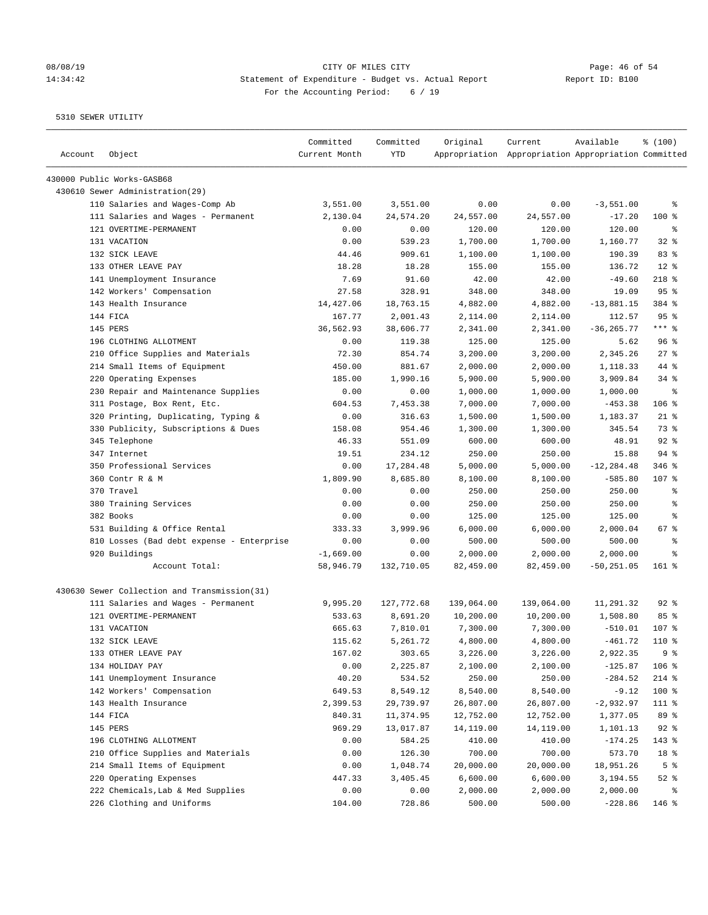# 08/08/19 CITY OF MILES CITY<br>14:34:42 34:42 Statement of Expenditure - Budget vs. Actual Report<br>14:34:42 Report ID: B100 14:34:42 Statement of Expenditure - Budget vs. Actual Report For the Accounting Period: 6 / 19

————————————————————————————————————————————————————————————————————————————————————————————————————————————————————————————————————

|         |                                              | Committed     | Committed  | Original   | Current                                             | Available     | \$(100)         |
|---------|----------------------------------------------|---------------|------------|------------|-----------------------------------------------------|---------------|-----------------|
| Account | Object                                       | Current Month | YTD        |            | Appropriation Appropriation Appropriation Committed |               |                 |
|         | 430000 Public Works-GASB68                   |               |            |            |                                                     |               |                 |
|         | 430610 Sewer Administration(29)              |               |            |            |                                                     |               |                 |
|         | 110 Salaries and Wages-Comp Ab               | 3,551.00      | 3,551.00   | 0.00       | 0.00                                                | $-3,551.00$   | ႜ               |
|         | 111 Salaries and Wages - Permanent           | 2,130.04      | 24,574.20  | 24,557.00  | 24,557.00                                           | $-17.20$      | $100$ %         |
|         | 121 OVERTIME-PERMANENT                       | 0.00          | 0.00       | 120.00     | 120.00                                              | 120.00        | ႜ               |
|         | 131 VACATION                                 | 0.00          | 539.23     | 1,700.00   | 1,700.00                                            | 1,160.77      | $32$ $%$        |
|         | 132 SICK LEAVE                               | 44.46         | 909.61     | 1,100.00   | 1,100.00                                            | 190.39        | 83%             |
|         | 133 OTHER LEAVE PAY                          | 18.28         | 18.28      | 155.00     | 155.00                                              | 136.72        | $12*$           |
|         | 141 Unemployment Insurance                   | 7.69          | 91.60      | 42.00      | 42.00                                               | $-49.60$      | $218$ %         |
|         | 142 Workers' Compensation                    | 27.58         | 328.91     | 348.00     | 348.00                                              | 19.09         | 95%             |
|         | 143 Health Insurance                         | 14,427.06     | 18,763.15  | 4,882.00   | 4,882.00                                            | $-13,881.15$  | 384 %           |
|         | 144 FICA                                     | 167.77        | 2,001.43   | 2,114.00   | 2,114.00                                            | 112.57        | 95%             |
|         | 145 PERS                                     | 36,562.93     | 38,606.77  | 2,341.00   | 2,341.00                                            | $-36, 265.77$ | $***$ $8$       |
|         | 196 CLOTHING ALLOTMENT                       | 0.00          | 119.38     | 125.00     | 125.00                                              | 5.62          | 96 <sup>°</sup> |
|         | 210 Office Supplies and Materials            | 72.30         | 854.74     | 3,200.00   | 3,200.00                                            | 2,345.26      | $27$ %          |
|         | 214 Small Items of Equipment                 | 450.00        | 881.67     | 2,000.00   | 2,000.00                                            | 1,118.33      | 44 %            |
|         | 220 Operating Expenses                       | 185.00        | 1,990.16   | 5,900.00   | 5,900.00                                            | 3,909.84      | 34%             |
|         | 230 Repair and Maintenance Supplies          | 0.00          | 0.00       | 1,000.00   | 1,000.00                                            | 1,000.00      | ႜ               |
|         | 311 Postage, Box Rent, Etc.                  | 604.53        | 7,453.38   | 7,000.00   | 7,000.00                                            | $-453.38$     | 106 %           |
|         | 320 Printing, Duplicating, Typing &          | 0.00          | 316.63     | 1,500.00   | 1,500.00                                            | 1,183.37      | $21$ %          |
|         | 330 Publicity, Subscriptions & Dues          | 158.08        | 954.46     | 1,300.00   | 1,300.00                                            | 345.54        | 73 %            |
|         | 345 Telephone                                | 46.33         | 551.09     | 600.00     | 600.00                                              | 48.91         | $92$ $%$        |
|         | 347 Internet                                 | 19.51         | 234.12     | 250.00     | 250.00                                              | 15.88         | 94%             |
|         | 350 Professional Services                    | 0.00          | 17,284.48  | 5,000.00   | 5,000.00                                            | $-12, 284.48$ | $346$ $%$       |
|         | 360 Contr R & M                              | 1,809.90      | 8,685.80   | 8,100.00   | 8,100.00                                            | $-585.80$     | 107 %           |
|         | 370 Travel                                   | 0.00          | 0.00       | 250.00     | 250.00                                              | 250.00        | ႜ               |
|         | 380 Training Services                        | 0.00          | 0.00       | 250.00     | 250.00                                              | 250.00        | ႜ               |
|         | 382 Books                                    | 0.00          | 0.00       | 125.00     | 125.00                                              | 125.00        | ႜ               |
|         | 531 Building & Office Rental                 | 333.33        | 3,999.96   | 6,000.00   | 6,000.00                                            | 2,000.04      | 67 %            |
|         | 810 Losses (Bad debt expense - Enterprise    | 0.00          | 0.00       | 500.00     | 500.00                                              | 500.00        | ႜ               |
|         | 920 Buildings                                | $-1,669.00$   | 0.00       | 2,000.00   | 2,000.00                                            | 2,000.00      | နွ              |
|         | Account Total:                               | 58,946.79     | 132,710.05 | 82,459.00  | 82,459.00                                           | $-50, 251.05$ | $161$ %         |
|         | 430630 Sewer Collection and Transmission(31) |               |            |            |                                                     |               |                 |
|         | 111 Salaries and Wages - Permanent           | 9,995.20      | 127,772.68 | 139,064.00 | 139,064.00                                          | 11,291.32     | $92$ $%$        |
|         | 121 OVERTIME-PERMANENT                       | 533.63        | 8,691.20   | 10,200.00  | 10,200.00                                           | 1,508.80      | 85%             |
|         | 131 VACATION                                 | 665.63        | 7,810.01   | 7,300.00   | 7,300.00                                            | $-510.01$     | $107$ %         |
|         | 132 SICK LEAVE                               | 115.62        | 5,261.72   | 4,800.00   | 4,800.00                                            | $-461.72$     | 110 %           |
|         | 133 OTHER LEAVE PAY                          | 167.02        | 303.65     | 3,226.00   | 3,226.00                                            | 2,922.35      | 9 <sup>°</sup>  |
|         | 134 HOLIDAY PAY                              | 0.00          | 2,225.87   | 2,100.00   | 2,100.00                                            | $-125.87$     | 106 %           |
|         | 141 Unemployment Insurance                   | 40.20         | 534.52     | 250.00     | 250.00                                              | $-284.52$     | $214$ %         |
|         | 142 Workers' Compensation                    | 649.53        | 8,549.12   | 8,540.00   | 8,540.00                                            | $-9.12$       | 100 %           |
|         | 143 Health Insurance                         | 2,399.53      | 29,739.97  | 26,807.00  |                                                     | $-2,932.97$   | 111 %           |
|         | 144 FICA                                     | 840.31        | 11,374.95  | 12,752.00  | 26,807.00<br>12,752.00                              |               | 89 %            |
|         | 145 PERS                                     |               |            |            |                                                     | 1,377.05      |                 |
|         |                                              | 969.29        | 13,017.87  | 14,119.00  | 14,119.00                                           | 1,101.13      | $92$ $%$        |
|         | 196 CLOTHING ALLOTMENT                       | 0.00          | 584.25     | 410.00     | 410.00                                              | $-174.25$     | 143 %           |
|         | 210 Office Supplies and Materials            | 0.00          | 126.30     | 700.00     | 700.00                                              | 573.70        | 18 %            |
|         | 214 Small Items of Equipment                 | 0.00          | 1,048.74   | 20,000.00  | 20,000.00                                           | 18,951.26     | 5 <sup>°</sup>  |
|         | 220 Operating Expenses                       | 447.33        | 3,405.45   | 6,600.00   | 6,600.00                                            | 3,194.55      | $52$ $%$        |
|         | 222 Chemicals, Lab & Med Supplies            | 0.00          | 0.00       | 2,000.00   | 2,000.00                                            | 2,000.00      | နွ              |
|         | 226 Clothing and Uniforms                    | 104.00        | 728.86     | 500.00     | 500.00                                              | $-228.86$     | 146 %           |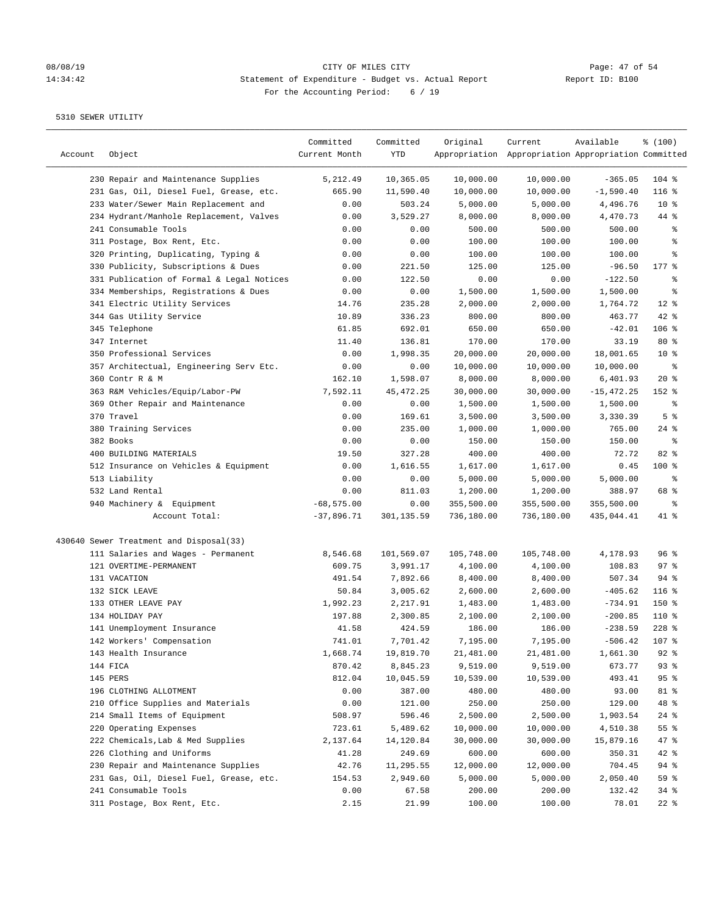# 08/08/19 CITY OF MILES CITY<br>14:34:42 34:42 Statement of Expenditure - Budget vs. Actual Report Report ID: B100 14:34:42 Statement of Expenditure - Budget vs. Actual Report For the Accounting Period: 6 / 19

| Account | Object                                    | Committed<br>Current Month | Committed<br>YTD | Original   | Current<br>Appropriation Appropriation Appropriation Committed | Available     | % (100)         |
|---------|-------------------------------------------|----------------------------|------------------|------------|----------------------------------------------------------------|---------------|-----------------|
|         | 230 Repair and Maintenance Supplies       | 5,212.49                   | 10,365.05        | 10,000.00  | 10,000.00                                                      | $-365.05$     | $104$ %         |
|         | 231 Gas, Oil, Diesel Fuel, Grease, etc.   | 665.90                     | 11,590.40        | 10,000.00  | 10,000.00                                                      | $-1,590.40$   | $116$ %         |
|         | 233 Water/Sewer Main Replacement and      | 0.00                       | 503.24           | 5,000.00   | 5,000.00                                                       | 4,496.76      | $10*$           |
|         | 234 Hydrant/Manhole Replacement, Valves   | 0.00                       | 3,529.27         | 8,000.00   | 8,000.00                                                       | 4,470.73      | 44 %            |
|         | 241 Consumable Tools                      | 0.00                       | 0.00             | 500.00     | 500.00                                                         | 500.00        | ್ಠಿ             |
|         | 311 Postage, Box Rent, Etc.               | 0.00                       | 0.00             | 100.00     | 100.00                                                         | 100.00        | ి               |
|         | 320 Printing, Duplicating, Typing &       | 0.00                       | 0.00             | 100.00     | 100.00                                                         | 100.00        | နွ              |
|         | 330 Publicity, Subscriptions & Dues       | 0.00                       | 221.50           | 125.00     | 125.00                                                         | $-96.50$      | $177$ %         |
|         | 331 Publication of Formal & Legal Notices | 0.00                       | 122.50           | 0.00       | 0.00                                                           | $-122.50$     | နွ              |
|         | 334 Memberships, Registrations & Dues     | 0.00                       | 0.00             | 1,500.00   | 1,500.00                                                       | 1,500.00      | ್ಠಿ             |
|         | 341 Electric Utility Services             | 14.76                      | 235.28           | 2,000.00   | 2,000.00                                                       | 1,764.72      | $12$ %          |
|         | 344 Gas Utility Service                   | 10.89                      | 336.23           | 800.00     | 800.00                                                         | 463.77        | $42$ %          |
|         | 345 Telephone                             | 61.85                      | 692.01           | 650.00     | 650.00                                                         | $-42.01$      | $106$ %         |
|         | 347 Internet                              | 11.40                      | 136.81           | 170.00     | 170.00                                                         | 33.19         | $80*$           |
|         | 350 Professional Services                 | 0.00                       | 1,998.35         | 20,000.00  | 20,000.00                                                      | 18,001.65     | $10*$           |
|         | 357 Architectual, Engineering Serv Etc.   | 0.00                       | 0.00             | 10,000.00  | 10,000.00                                                      | 10,000.00     | နွ              |
|         | 360 Contr R & M                           | 162.10                     | 1,598.07         | 8,000.00   | 8,000.00                                                       | 6,401.93      | $20*$           |
|         | 363 R&M Vehicles/Equip/Labor-PW           | 7,592.11                   | 45, 472.25       | 30,000.00  | 30,000.00                                                      | $-15, 472.25$ | 152 %           |
|         | 369 Other Repair and Maintenance          | 0.00                       | 0.00             | 1,500.00   | 1,500.00                                                       | 1,500.00      | ್ಠಿ             |
|         | 370 Travel                                | 0.00                       | 169.61           | 3,500.00   | 3,500.00                                                       | 3,330.39      | 5 <sup>°</sup>  |
|         | 380 Training Services                     | 0.00                       | 235.00           | 1,000.00   | 1,000.00                                                       | 765.00        | $24$ %          |
|         | 382 Books                                 | 0.00                       | 0.00             | 150.00     | 150.00                                                         | 150.00        | နွ              |
|         | 400 BUILDING MATERIALS                    | 19.50                      | 327.28           | 400.00     | 400.00                                                         | 72.72         | $82$ %          |
|         | 512 Insurance on Vehicles & Equipment     | 0.00                       | 1,616.55         | 1,617.00   | 1,617.00                                                       | 0.45          | $100$ %         |
|         | 513 Liability                             | 0.00                       | 0.00             | 5,000.00   | 5,000.00                                                       | 5,000.00      | ್ಠಿ             |
|         | 532 Land Rental                           | 0.00                       | 811.03           | 1,200.00   | 1,200.00                                                       | 388.97        | 68 %            |
|         | 940 Machinery & Equipment                 | $-68, 575.00$              | 0.00             | 355,500.00 | 355,500.00                                                     | 355,500.00    | နွ              |
|         | Account Total:                            | $-37,896.71$               | 301,135.59       | 736,180.00 | 736,180.00                                                     | 435,044.41    | 41 %            |
|         | 430640 Sewer Treatment and Disposal(33)   |                            |                  |            |                                                                |               |                 |
|         | 111 Salaries and Wages - Permanent        | 8,546.68                   | 101,569.07       | 105,748.00 | 105,748.00                                                     | 4,178.93      | 96 <sup>8</sup> |
|         | 121 OVERTIME-PERMANENT                    | 609.75                     | 3,991.17         | 4,100.00   | 4,100.00                                                       | 108.83        | $97$ %          |
|         | 131 VACATION                              | 491.54                     | 7,892.66         | 8,400.00   | 8,400.00                                                       | 507.34        | $94$ %          |
|         | 132 SICK LEAVE                            | 50.84                      | 3,005.62         | 2,600.00   | 2,600.00                                                       | $-405.62$     | $116$ %         |
|         | 133 OTHER LEAVE PAY                       | 1,992.23                   | 2,217.91         | 1,483.00   | 1,483.00                                                       | $-734.91$     | 150 %           |
|         | 134 HOLIDAY PAY                           | 197.88                     | 2,300.85         | 2,100.00   | 2,100.00                                                       | $-200.85$     | 110 %           |
|         | 141 Unemployment Insurance                | 41.58                      | 424.59           | 186.00     | 186.00                                                         | $-238.59$     | $228$ %         |
|         | 142 Workers' Compensation                 | 741.01                     | 7,701.42         | 7,195.00   | 7,195.00                                                       | $-506.42$     | $107$ $%$       |
|         | 143 Health Insurance                      | 1,668.74                   | 19,819.70        | 21,481.00  | 21,481.00                                                      | 1,661.30      | $92$ $%$        |
|         | 144 FICA                                  | 870.42                     | 8,845.23         | 9,519.00   | 9,519.00                                                       | 673.77        | 93%             |
|         | 145 PERS                                  | 812.04                     | 10,045.59        | 10,539.00  | 10,539.00                                                      | 493.41        | 95%             |
|         | 196 CLOTHING ALLOTMENT                    | 0.00                       | 387.00           | 480.00     | 480.00                                                         | 93.00         | 81 %            |
|         | 210 Office Supplies and Materials         | 0.00                       | 121.00           | 250.00     | 250.00                                                         | 129.00        | 48 %            |
|         | 214 Small Items of Equipment              | 508.97                     | 596.46           | 2,500.00   | 2,500.00                                                       | 1,903.54      | $24$ %          |
|         | 220 Operating Expenses                    | 723.61                     | 5,489.62         | 10,000.00  | 10,000.00                                                      | 4,510.38      | 55%             |
|         | 222 Chemicals, Lab & Med Supplies         | 2,137.64                   | 14,120.84        | 30,000.00  | 30,000.00                                                      | 15,879.16     | 47 %            |
|         | 226 Clothing and Uniforms                 | 41.28                      | 249.69           | 600.00     | 600.00                                                         | 350.31        | $42$ %          |
|         | 230 Repair and Maintenance Supplies       | 42.76                      | 11,295.55        | 12,000.00  | 12,000.00                                                      | 704.45        | $94$ %          |
|         | 231 Gas, Oil, Diesel Fuel, Grease, etc.   | 154.53                     | 2,949.60         | 5,000.00   | 5,000.00                                                       | 2,050.40      | 59 %            |
|         | 241 Consumable Tools                      | 0.00                       | 67.58            | 200.00     | 200.00                                                         | 132.42        | 34%             |
|         | 311 Postage, Box Rent, Etc.               | 2.15                       | 21.99            | 100.00     | 100.00                                                         | 78.01         | $22$ %          |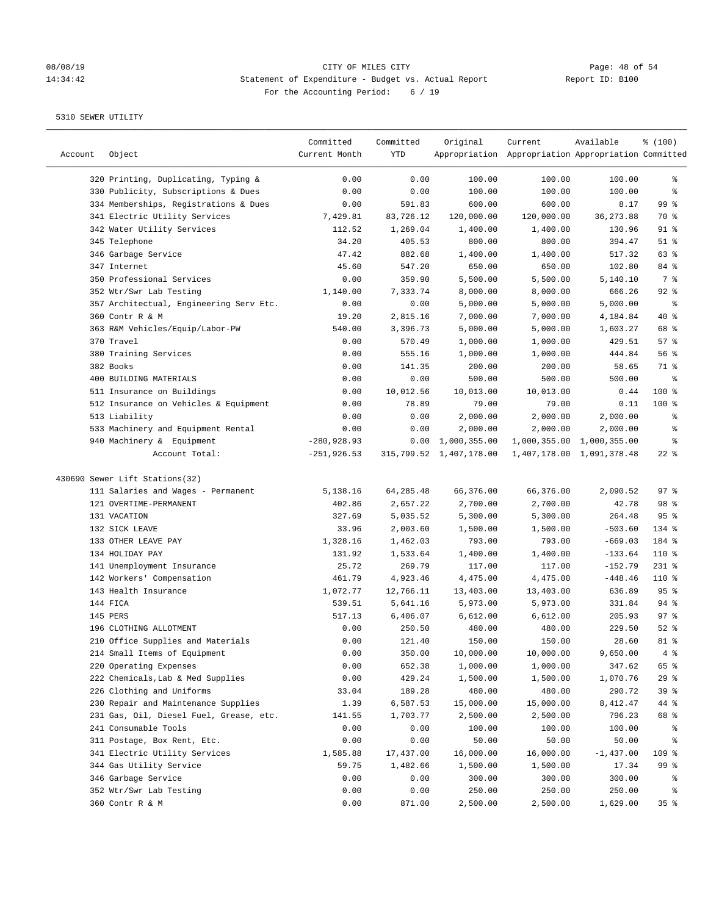# 08/08/19 CITY OF MILES CITY CONSIDENT Page: 48 of 54<br>14:34:42 Statement of Expenditure - Budget vs. Actual Report (Report ID: B100 14:34:42 Statement of Expenditure - Budget vs. Actual Report For the Accounting Period: 6 / 19

————————————————————————————————————————————————————————————————————————————————————————————————————————————————————————————————————

|         |                                         | Committed     | Committed  | Original                  | Current                                             | Available                 | % (100)         |
|---------|-----------------------------------------|---------------|------------|---------------------------|-----------------------------------------------------|---------------------------|-----------------|
| Account | Object                                  | Current Month | <b>YTD</b> |                           | Appropriation Appropriation Appropriation Committed |                           |                 |
|         | 320 Printing, Duplicating, Typing &     | 0.00          | 0.00       | 100.00                    | 100.00                                              | 100.00                    | နွ              |
|         | 330 Publicity, Subscriptions & Dues     | 0.00          | 0.00       | 100.00                    | 100.00                                              | 100.00                    | နွ              |
|         | 334 Memberships, Registrations & Dues   | 0.00          | 591.83     | 600.00                    | 600.00                                              | 8.17                      | 99 <sup>°</sup> |
|         | 341 Electric Utility Services           | 7,429.81      | 83,726.12  | 120,000.00                | 120,000.00                                          | 36, 273.88                | 70 %            |
|         | 342 Water Utility Services              | 112.52        | 1,269.04   | 1,400.00                  | 1,400.00                                            | 130.96                    | $91$ %          |
|         | 345 Telephone                           | 34.20         | 405.53     | 800.00                    | 800.00                                              | 394.47                    | $51$ %          |
|         | 346 Garbage Service                     | 47.42         | 882.68     | 1,400.00                  | 1,400.00                                            | 517.32                    | 63%             |
|         | 347 Internet                            | 45.60         | 547.20     | 650.00                    | 650.00                                              | 102.80                    | 84 %            |
|         | 350 Professional Services               | 0.00          | 359.90     | 5,500.00                  | 5,500.00                                            | 5,140.10                  | 7 %             |
|         | 352 Wtr/Swr Lab Testing                 | 1,140.00      | 7,333.74   | 8,000.00                  | 8,000.00                                            | 666.26                    | $92$ $%$        |
|         | 357 Architectual, Engineering Serv Etc. | 0.00          | 0.00       | 5,000.00                  | 5,000.00                                            | 5,000.00                  | နွ              |
|         | 360 Contr R & M                         | 19.20         | 2,815.16   | 7,000.00                  | 7,000.00                                            | 4,184.84                  | $40*$           |
|         | 363 R&M Vehicles/Equip/Labor-PW         | 540.00        | 3,396.73   | 5,000.00                  | 5,000.00                                            | 1,603.27                  | 68 %            |
|         | 370 Travel                              | 0.00          | 570.49     | 1,000.00                  | 1,000.00                                            | 429.51                    | 57%             |
|         | 380 Training Services                   | 0.00          | 555.16     | 1,000.00                  | 1,000.00                                            | 444.84                    | 56%             |
|         | 382 Books                               | 0.00          | 141.35     | 200.00                    | 200.00                                              | 58.65                     | 71 %            |
|         | 400 BUILDING MATERIALS                  | 0.00          | 0.00       | 500.00                    | 500.00                                              | 500.00                    | နွ              |
|         | 511 Insurance on Buildings              | 0.00          | 10,012.56  | 10,013.00                 | 10,013.00                                           | 0.44                      | $100*$          |
|         | 512 Insurance on Vehicles & Equipment   | 0.00          | 78.89      | 79.00                     | 79.00                                               | 0.11                      | $100*$          |
|         | 513 Liability                           | 0.00          | 0.00       | 2,000.00                  | 2,000.00                                            | 2,000.00                  | ႜ               |
|         | 533 Machinery and Equipment Rental      | 0.00          | 0.00       | 2,000.00                  | 2,000.00                                            | 2,000.00                  | နွ              |
|         | 940 Machinery & Equipment               | $-280,928.93$ |            | $0.00 \quad 1,000,355.00$ |                                                     | 1,000,355.00 1,000,355.00 | နွ              |
|         | Account Total:                          | $-251,926.53$ |            | 315,799.52 1,407,178.00   |                                                     | 1,407,178.00 1,091,378.48 | $22$ %          |
|         |                                         |               |            |                           |                                                     |                           |                 |
|         | 430690 Sewer Lift Stations(32)          |               |            |                           |                                                     |                           |                 |
|         | 111 Salaries and Wages - Permanent      | 5,138.16      | 64,285.48  | 66,376.00                 | 66,376.00                                           | 2,090.52                  | 97%             |
|         | 121 OVERTIME-PERMANENT                  | 402.86        | 2,657.22   | 2,700.00                  | 2,700.00                                            | 42.78                     | 98 %            |
|         | 131 VACATION                            | 327.69        | 5,035.52   | 5,300.00                  | 5,300.00                                            | 264.48                    | 95%             |
|         | 132 SICK LEAVE                          | 33.96         | 2,003.60   | 1,500.00                  | 1,500.00                                            | $-503.60$                 | 134 %           |
|         | 133 OTHER LEAVE PAY                     | 1,328.16      | 1,462.03   | 793.00                    | 793.00                                              | $-669.03$                 | 184 %           |
|         | 134 HOLIDAY PAY                         | 131.92        | 1,533.64   | 1,400.00                  | 1,400.00                                            | $-133.64$                 | $110*$          |
|         | 141 Unemployment Insurance              | 25.72         | 269.79     | 117.00                    | 117.00                                              | $-152.79$                 | $231$ %         |
|         | 142 Workers' Compensation               | 461.79        | 4,923.46   | 4,475.00                  | 4,475.00                                            | $-448.46$                 | $110*$          |
|         | 143 Health Insurance                    | 1,072.77      | 12,766.11  | 13,403.00                 | 13,403.00                                           | 636.89                    | 95%             |
|         | 144 FICA                                | 539.51        | 5,641.16   | 5,973.00                  | 5,973.00                                            | 331.84                    | $94$ %          |
|         | 145 PERS                                | 517.13        | 6,406.07   | 6,612.00                  | 6,612.00                                            | 205.93                    | 97%             |
|         | 196 CLOTHING ALLOTMENT                  | 0.00          | 250.50     | 480.00                    | 480.00                                              | 229.50                    | $52$ $%$        |
|         | 210 Office Supplies and Materials       | 0.00          | 121.40     | 150.00                    | 150.00                                              | 28.60                     | 81 %            |
|         | 214 Small Items of Equipment            | 0.00          | 350.00     | 10,000.00                 | 10,000.00                                           | 9,650.00                  | $4\degree$      |
|         | 220 Operating Expenses                  | 0.00          | 652.38     | 1,000.00                  | 1,000.00                                            | 347.62                    | 65 %            |
|         | 222 Chemicals, Lab & Med Supplies       | 0.00          | 429.24     | 1,500.00                  | 1,500.00                                            | 1,070.76                  | 29%             |
|         | 226 Clothing and Uniforms               | 33.04         | 189.28     | 480.00                    | 480.00                                              | 290.72                    | 39%             |
|         | 230 Repair and Maintenance Supplies     | 1.39          | 6,587.53   | 15,000.00                 | 15,000.00                                           | 8,412.47                  | 44 %            |
|         | 231 Gas, Oil, Diesel Fuel, Grease, etc. | 141.55        | 1,703.77   | 2,500.00                  | 2,500.00                                            | 796.23                    | 68 %            |
|         | 241 Consumable Tools                    | 0.00          | 0.00       | 100.00                    | 100.00                                              | 100.00                    | န့              |
|         | 311 Postage, Box Rent, Etc.             | 0.00          | 0.00       | 50.00                     | 50.00                                               | 50.00                     | န့              |
|         | 341 Electric Utility Services           | 1,585.88      | 17,437.00  | 16,000.00                 | 16,000.00                                           | $-1,437.00$               | 109 %           |
|         | 344 Gas Utility Service                 | 59.75         | 1,482.66   | 1,500.00                  | 1,500.00                                            | 17.34                     | 99 %            |
|         | 346 Garbage Service                     | 0.00          | 0.00       | 300.00                    | 300.00                                              | 300.00                    | ိစ              |
|         | 352 Wtr/Swr Lab Testing                 | 0.00          | 0.00       | 250.00                    | 250.00                                              | 250.00                    | န့              |
|         | 360 Contr R & M                         | 0.00          | 871.00     | 2,500.00                  | 2,500.00                                            | 1,629.00                  | 35%             |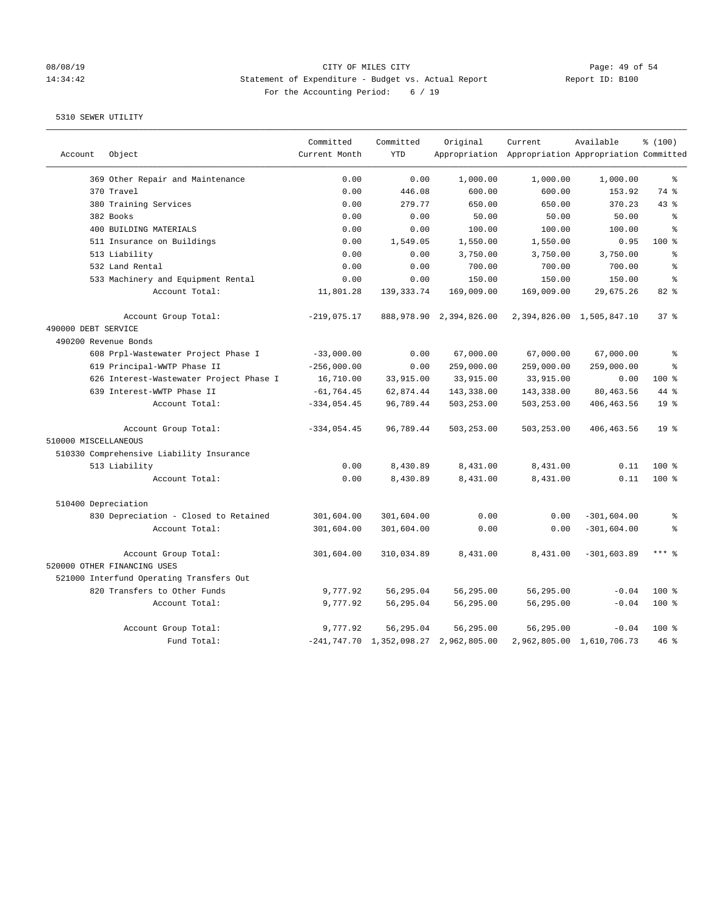# 08/08/19 CITY OF MILES CITY<br>14:34:42 31:34:42 Statement of Expenditure - Budget vs. Actual Report<br>Page: 49 of 54 14:34:42 Statement of Expenditure - Budget vs. Actual Report For the Accounting Period: 6 / 19

|                      |                                          | Committed     | Committed    | Original                                     | Current                                             | Available                 | % (100)         |
|----------------------|------------------------------------------|---------------|--------------|----------------------------------------------|-----------------------------------------------------|---------------------------|-----------------|
| Account              | Object                                   | Current Month | <b>YTD</b>   |                                              | Appropriation Appropriation Appropriation Committed |                           |                 |
|                      | 369 Other Repair and Maintenance         | 0.00          | 0.00         | 1,000.00                                     | 1,000.00                                            | 1,000.00                  | $\epsilon$      |
|                      | 370 Travel                               | 0.00          | 446.08       | 600.00                                       | 600.00                                              | 153.92                    | 74 %            |
|                      | 380 Training Services                    | 0.00          | 279.77       | 650.00                                       | 650.00                                              | 370.23                    | 43%             |
|                      | 382 Books                                | 0.00          | 0.00         | 50.00                                        | 50.00                                               | 50.00                     | $\epsilon$      |
|                      | 400 BUILDING MATERIALS                   | 0.00          | 0.00         | 100.00                                       | 100.00                                              | 100.00                    | $\approx$       |
|                      | 511 Insurance on Buildings               | 0.00          | 1,549.05     | 1,550.00                                     | 1,550.00                                            | 0.95                      | 100%            |
|                      | 513 Liability                            | 0.00          | 0.00         | 3,750.00                                     | 3,750.00                                            | 3,750.00                  | 昙               |
|                      | 532 Land Rental                          | 0.00          | 0.00         | 700.00                                       | 700.00                                              | 700.00                    | ٥Ŗ              |
|                      | 533 Machinery and Equipment Rental       | 0.00          | 0.00         | 150.00                                       | 150.00                                              | 150.00                    | န့              |
|                      | Account Total:                           | 11,801.28     | 139, 333. 74 | 169,009.00                                   | 169,009.00                                          | 29,675.26                 | 82%             |
|                      | Account Group Total:                     | $-219,075.17$ |              | 888, 978. 90 2, 394, 826. 00                 |                                                     | 2,394,826.00 1,505,847.10 | 37 <sup>8</sup> |
| 490000 DEBT SERVICE  |                                          |               |              |                                              |                                                     |                           |                 |
| 490200 Revenue Bonds |                                          |               |              |                                              |                                                     |                           |                 |
|                      | 608 Prpl-Wastewater Project Phase I      | $-33,000.00$  | 0.00         | 67,000.00                                    | 67,000.00                                           | 67,000.00                 | ៖               |
|                      | 619 Principal-WWTP Phase II              | $-256,000.00$ | 0.00         | 259,000.00                                   | 259,000.00                                          | 259,000.00                | $\approx$       |
|                      | 626 Interest-Wastewater Project Phase I  | 16,710.00     | 33,915.00    | 33,915.00                                    | 33,915.00                                           | 0.00                      | 100%            |
|                      | 639 Interest-WWTP Phase II               | $-61, 764.45$ | 62,874.44    | 143,338.00                                   | 143,338.00                                          | 80,463.56                 | 44 %            |
|                      | Account Total:                           | $-334,054.45$ | 96,789.44    | 503,253.00                                   | 503,253.00                                          | 406, 463.56               | 19 <sup>°</sup> |
|                      | Account Group Total:                     | $-334,054.45$ | 96,789.44    | 503,253.00                                   | 503,253.00                                          | 406, 463.56               | $19*$           |
| 510000 MISCELLANEOUS |                                          |               |              |                                              |                                                     |                           |                 |
|                      | 510330 Comprehensive Liability Insurance |               |              |                                              |                                                     |                           |                 |
|                      | 513 Liability                            | 0.00          | 8,430.89     | 8,431.00                                     | 8,431.00                                            | 0.11                      | 100%            |
|                      | Account Total:                           | 0.00          | 8,430.89     | 8,431.00                                     | 8,431.00                                            | 0.11                      | 100 %           |
| 510400 Depreciation  |                                          |               |              |                                              |                                                     |                           |                 |
|                      | 830 Depreciation - Closed to Retained    | 301,604.00    | 301,604.00   | 0.00                                         | 0.00                                                | $-301,604.00$             | ್ಠಿ             |
|                      | Account Total:                           | 301,604.00    | 301,604.00   | 0.00                                         | 0.00                                                | $-301,604.00$             | ి               |
|                      | Account Group Total:                     | 301,604.00    | 310,034.89   | 8,431.00                                     | 8,431.00                                            | $-301,603.89$             | $***$ 8         |
|                      | 520000 OTHER FINANCING USES              |               |              |                                              |                                                     |                           |                 |
|                      | 521000 Interfund Operating Transfers Out |               |              |                                              |                                                     |                           |                 |
|                      | 820 Transfers to Other Funds             | 9,777.92      | 56,295.04    | 56,295.00                                    | 56,295.00                                           | $-0.04$                   | 100 %           |
|                      | Account Total:                           | 9,777.92      | 56,295.04    | 56,295.00                                    | 56,295.00                                           | $-0.04$                   | 100 %           |
|                      | Account Group Total:                     | 9,777.92      | 56,295.04    | 56,295.00                                    | 56,295.00                                           | $-0.04$                   | $100*$          |
|                      | Fund Total:                              |               |              | $-241, 747.70$ 1, 352, 098.27 2, 962, 805.00 |                                                     | 2,962,805.00 1,610,706.73 | $46$ %          |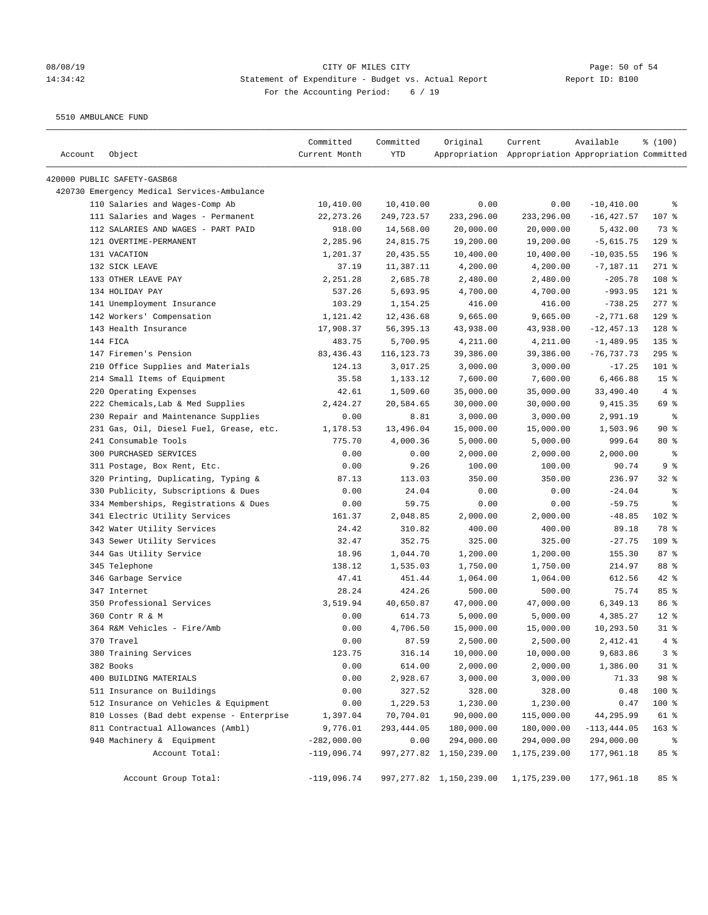# 08/08/19 Page: 50 of 54 14:34:42 Statement of Expenditure - Budget vs. Actual Report Report ID: B100 For the Accounting Period: 6 / 19

5510 AMBULANCE FUND

| Account | Object                                      | Committed<br>Current Month | Committed<br>YTD | Original                   | Current<br>Appropriation Appropriation Appropriation Committed | Available      | \$(100)         |
|---------|---------------------------------------------|----------------------------|------------------|----------------------------|----------------------------------------------------------------|----------------|-----------------|
|         | 420000 PUBLIC SAFETY-GASB68                 |                            |                  |                            |                                                                |                |                 |
|         | 420730 Emergency Medical Services-Ambulance |                            |                  |                            |                                                                |                |                 |
|         | 110 Salaries and Wages-Comp Ab              | 10,410.00                  | 10,410.00        | 0.00                       | 0.00                                                           | $-10, 410.00$  | ႜ               |
|         | 111 Salaries and Wages - Permanent          | 22, 273. 26                | 249,723.57       | 233,296.00                 | 233,296.00                                                     | $-16, 427.57$  | 107 %           |
|         | 112 SALARIES AND WAGES - PART PAID          | 918.00                     | 14,568.00        | 20,000.00                  | 20,000.00                                                      | 5,432.00       | 73 %            |
|         | 121 OVERTIME-PERMANENT                      | 2,285.96                   | 24,815.75        | 19,200.00                  | 19,200.00                                                      | $-5,615.75$    | $129$ %         |
|         | 131 VACATION                                | 1,201.37                   | 20,435.55        | 10,400.00                  | 10,400.00                                                      | $-10,035.55$   | $196$ %         |
|         | 132 SICK LEAVE                              | 37.19                      | 11,387.11        | 4,200.00                   | 4,200.00                                                       | $-7,187.11$    | $271$ %         |
|         | 133 OTHER LEAVE PAY                         | 2,251.28                   | 2,685.78         | 2,480.00                   | 2,480.00                                                       | $-205.78$      | 108 %           |
|         | 134 HOLIDAY PAY                             | 537.26                     | 5,693.95         | 4,700.00                   | 4,700.00                                                       | $-993.95$      | $121$ %         |
|         | 141 Unemployment Insurance                  | 103.29                     | 1,154.25         | 416.00                     | 416.00                                                         | $-738.25$      | $277$ $%$       |
|         | 142 Workers' Compensation                   | 1,121.42                   | 12,436.68        | 9,665.00                   | 9,665.00                                                       | $-2,771.68$    | $129$ %         |
|         | 143 Health Insurance                        | 17,908.37                  | 56, 395. 13      | 43,938.00                  | 43,938.00                                                      | $-12, 457.13$  | $128$ %         |
|         | 144 FICA                                    | 483.75                     | 5,700.95         | 4,211.00                   | 4,211.00                                                       | $-1,489.95$    | 135 %           |
|         | 147 Firemen's Pension                       | 83, 436. 43                | 116, 123. 73     | 39,386.00                  | 39,386.00                                                      | $-76,737.73$   | $295$ %         |
|         | 210 Office Supplies and Materials           | 124.13                     | 3,017.25         | 3,000.00                   | 3,000.00                                                       | $-17.25$       | 101 %           |
|         | 214 Small Items of Equipment                | 35.58                      | 1,133.12         | 7,600.00                   | 7,600.00                                                       | 6,466.88       | 15 <sup>°</sup> |
|         | 220 Operating Expenses                      | 42.61                      | 1,509.60         | 35,000.00                  | 35,000.00                                                      | 33,490.40      | 4%              |
|         | 222 Chemicals, Lab & Med Supplies           | 2,424.27                   | 20,584.65        | 30,000.00                  | 30,000.00                                                      | 9,415.35       | 69 %            |
|         | 230 Repair and Maintenance Supplies         | 0.00                       | 8.81             | 3,000.00                   | 3,000.00                                                       | 2,991.19       | နွ              |
|         | 231 Gas, Oil, Diesel Fuel, Grease, etc.     | 1,178.53                   | 13,496.04        | 15,000.00                  | 15,000.00                                                      | 1,503.96       | 90%             |
|         | 241 Consumable Tools                        | 775.70                     | 4,000.36         | 5,000.00                   | 5,000.00                                                       | 999.64         | $80*$           |
|         | 300 PURCHASED SERVICES                      | 0.00                       | 0.00             | 2,000.00                   | 2,000.00                                                       | 2,000.00       | ႜ               |
|         | 311 Postage, Box Rent, Etc.                 | 0.00                       | 9.26             | 100.00                     | 100.00                                                         | 90.74          | 9%              |
|         | 320 Printing, Duplicating, Typing &         | 87.13                      | 113.03           | 350.00                     | 350.00                                                         | 236.97         | $32$ $%$        |
|         | 330 Publicity, Subscriptions & Dues         | 0.00                       | 24.04            | 0.00                       | 0.00                                                           | $-24.04$       | နွ              |
|         | 334 Memberships, Registrations & Dues       | 0.00                       | 59.75            | 0.00                       | 0.00                                                           | $-59.75$       | ి               |
|         | 341 Electric Utility Services               | 161.37                     | 2,048.85         | 2,000.00                   | 2,000.00                                                       | $-48.85$       | 102 %           |
|         | 342 Water Utility Services                  | 24.42                      | 310.82           | 400.00                     | 400.00                                                         | 89.18          | 78 %            |
|         | 343 Sewer Utility Services                  | 32.47                      | 352.75           | 325.00                     | 325.00                                                         | $-27.75$       | 109 %           |
|         | 344 Gas Utility Service                     | 18.96                      | 1,044.70         | 1,200.00                   | 1,200.00                                                       | 155.30         | 87%             |
|         | 345 Telephone                               | 138.12                     | 1,535.03         | 1,750.00                   | 1,750.00                                                       | 214.97         | 88 %            |
|         | 346 Garbage Service                         | 47.41                      | 451.44           | 1,064.00                   | 1,064.00                                                       | 612.56         | $42$ %          |
|         | 347 Internet                                | 28.24                      | 424.26           | 500.00                     | 500.00                                                         | 75.74          | 85 %            |
|         | 350 Professional Services                   | 3,519.94                   | 40,650.87        | 47,000.00                  | 47,000.00                                                      | 6,349.13       | 86 %            |
|         | 360 Contr R & M                             | 0.00                       | 614.73           | 5,000.00                   | 5,000.00                                                       | 4,385.27       | $12*$           |
|         | 364 R&M Vehicles - Fire/Amb                 | 0.00                       | 4,706.50         | 15,000.00                  | 15,000.00                                                      | 10,293.50      | $31$ %          |
|         | 370 Travel                                  | 0.00                       | 87.59            | 2,500.00                   | 2,500.00                                                       | 2,412.41       | 4%              |
|         | 380 Training Services                       | 123.75                     | 316.14           | 10,000.00                  | 10,000.00                                                      | 9,683.86       | 3%              |
|         | 382 Books                                   | 0.00                       | 614.00           | 2,000.00                   | 2,000.00                                                       | 1,386.00       | $31$ %          |
|         | 400 BUILDING MATERIALS                      | 0.00                       | 2,928.67         | 3,000.00                   | 3,000.00                                                       | 71.33          | 98 %            |
|         | 511 Insurance on Buildings                  | 0.00                       | 327.52           | 328.00                     | 328.00                                                         | 0.48           | 100 %           |
|         | 512 Insurance on Vehicles & Equipment       | 0.00                       | 1,229.53         | 1,230.00                   | 1,230.00                                                       | 0.47           | 100 %           |
|         | 810 Losses (Bad debt expense - Enterprise   | 1,397.04                   | 70,704.01        | 90,000.00                  | 115,000.00                                                     | 44,295.99      | 61 %            |
|         | 811 Contractual Allowances (Ambl)           | 9,776.01                   | 293, 444.05      | 180,000.00                 | 180,000.00                                                     | $-113, 444.05$ | $163$ %         |
|         | 940 Machinery & Equipment                   | $-282,000.00$              | 0.00             | 294,000.00                 | 294,000.00                                                     | 294,000.00     | ៖               |
|         | Account Total:                              | $-119,096.74$              |                  | 997, 277.82 1, 150, 239.00 | 1,175,239.00                                                   | 177,961.18     | 85 %            |
|         | Account Group Total:                        | $-119,096.74$              |                  | 997, 277.82 1, 150, 239.00 | 1,175,239.00                                                   | 177,961.18     | 85%             |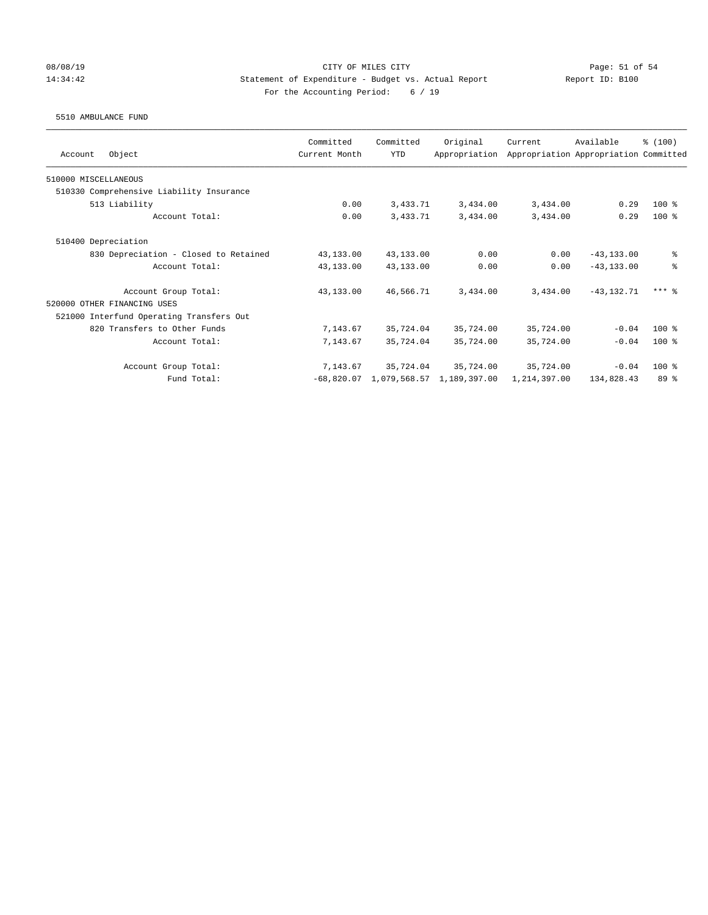### 08/08/19 Page: 51 of 54 14:34:42 Statement of Expenditure - Budget vs. Actual Report Report ID: B100 For the Accounting Period: 6 / 19

### 5510 AMBULANCE FUND

| Object<br>Account                        | Committed<br>Current Month | Committed<br><b>YTD</b> | Original<br>Appropriation | Current      | Available<br>Appropriation Appropriation Committed | % (100)         |
|------------------------------------------|----------------------------|-------------------------|---------------------------|--------------|----------------------------------------------------|-----------------|
| 510000 MISCELLANEOUS                     |                            |                         |                           |              |                                                    |                 |
| 510330 Comprehensive Liability Insurance |                            |                         |                           |              |                                                    |                 |
| 513 Liability                            | 0.00                       | 3,433.71                | 3,434.00                  | 3,434.00     | 0.29                                               | $100$ %         |
| Account Total:                           | 0.00                       | 3,433.71                | 3,434.00                  | 3,434.00     | 0.29                                               | $100$ %         |
| 510400 Depreciation                      |                            |                         |                           |              |                                                    |                 |
| 830 Depreciation - Closed to Retained    | 43,133.00                  | 43,133.00               | 0.00                      | 0.00         | $-43, 133, 00$                                     | ి               |
| Account Total:                           | 43,133.00                  | 43,133.00               | 0.00                      | 0.00         | $-43, 133, 00$                                     | $\approx$       |
| Account Group Total:                     | 43,133.00                  | 46,566.71               | 3,434.00                  | 3,434,00     | $-43, 132, 71$                                     | $***$ 2         |
| 520000 OTHER FINANCING USES              |                            |                         |                           |              |                                                    |                 |
| 521000 Interfund Operating Transfers Out |                            |                         |                           |              |                                                    |                 |
| 820 Transfers to Other Funds             | 7,143.67                   | 35,724.04               | 35,724.00                 | 35,724.00    | $-0.04$                                            | $100$ %         |
| Account Total:                           | 7,143.67                   | 35,724.04               | 35,724.00                 | 35,724.00    | $-0.04$                                            | $100*$          |
| Account Group Total:                     | 7,143.67                   | 35,724.04               | 35,724.00                 | 35,724.00    | $-0.04$                                            | $100$ %         |
| Fund Total:                              | $-68,820.07$               |                         | 1,079,568.57 1,189,397.00 | 1,214,397.00 | 134,828.43                                         | 89 <sup>8</sup> |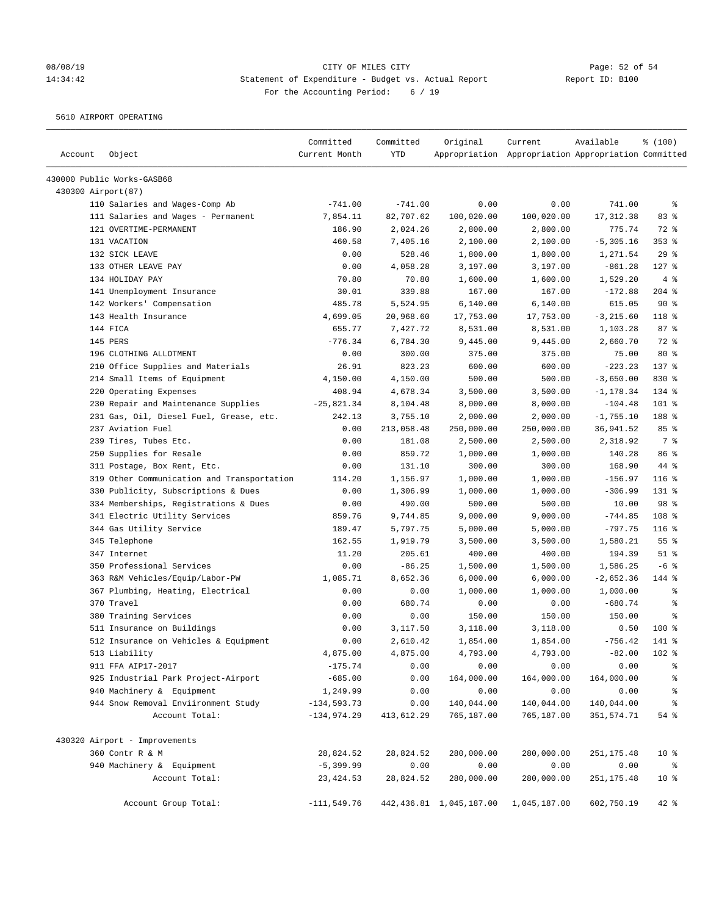# 08/08/19 CITY OF MILES CITY CONSIDENT Page: 52 of 54<br>14:34:42 Statement of Expenditure - Budget vs. Actual Report (Report ID: B100 14:34:42 Statement of Expenditure - Budget vs. Actual Report For the Accounting Period: 6 / 19

5610 AIRPORT OPERATING

| Account            | Object                                     | Committed<br>Current Month | Committed<br><b>YTD</b> | Original   | Current<br>Appropriation Appropriation Appropriation Committed | Available    | \$(100)                  |
|--------------------|--------------------------------------------|----------------------------|-------------------------|------------|----------------------------------------------------------------|--------------|--------------------------|
|                    | 430000 Public Works-GASB68                 |                            |                         |            |                                                                |              |                          |
| 430300 Airport(87) |                                            |                            |                         |            |                                                                |              |                          |
|                    | 110 Salaries and Wages-Comp Ab             | $-741.00$                  | $-741.00$               | 0.00       | 0.00                                                           | 741.00       | နွ                       |
|                    | 111 Salaries and Wages - Permanent         | 7,854.11                   | 82,707.62               | 100,020.00 | 100,020.00                                                     | 17,312.38    | 83 %                     |
|                    | 121 OVERTIME-PERMANENT                     | 186.90                     | 2,024.26                | 2,800.00   | 2,800.00                                                       | 775.74       | 72 %                     |
|                    | 131 VACATION                               | 460.58                     | 7,405.16                | 2,100.00   | 2,100.00                                                       | $-5, 305.16$ | $353$ $%$                |
|                    | 132 SICK LEAVE                             | 0.00                       | 528.46                  | 1,800.00   | 1,800.00                                                       | 1,271.54     | 29%                      |
|                    | 133 OTHER LEAVE PAY                        | 0.00                       | 4,058.28                | 3,197.00   | 3,197.00                                                       | $-861.28$    | $127$ %                  |
|                    | 134 HOLIDAY PAY                            | 70.80                      | 70.80                   | 1,600.00   | 1,600.00                                                       | 1,529.20     | 4%                       |
|                    | 141 Unemployment Insurance                 | 30.01                      | 339.88                  | 167.00     | 167.00                                                         | $-172.88$    | $204$ %                  |
|                    | 142 Workers' Compensation                  | 485.78                     | 5,524.95                | 6,140.00   | 6,140.00                                                       | 615.05       | 90%                      |
|                    | 143 Health Insurance                       | 4,699.05                   | 20,968.60               | 17,753.00  | 17,753.00                                                      | $-3, 215.60$ | 118 %                    |
|                    | 144 FICA                                   | 655.77                     | 7,427.72                | 8,531.00   | 8,531.00                                                       | 1,103.28     | 87%                      |
|                    | 145 PERS                                   | $-776.34$                  | 6,784.30                | 9,445.00   | 9,445.00                                                       | 2,660.70     | 72 %                     |
|                    | 196 CLOTHING ALLOTMENT                     | 0.00                       | 300.00                  | 375.00     | 375.00                                                         | 75.00        | $80*$                    |
|                    | 210 Office Supplies and Materials          | 26.91                      | 823.23                  | 600.00     | 600.00                                                         | $-223.23$    | 137 %                    |
|                    | 214 Small Items of Equipment               | 4,150.00                   | 4,150.00                | 500.00     | 500.00                                                         | $-3,650.00$  | 830 %                    |
|                    | 220 Operating Expenses                     | 408.94                     | 4,678.34                | 3,500.00   | 3,500.00                                                       | $-1, 178.34$ | 134 %                    |
|                    | 230 Repair and Maintenance Supplies        | $-25,821.34$               | 8,104.48                | 8,000.00   | 8,000.00                                                       | $-104.48$    | 101 %                    |
|                    | 231 Gas, Oil, Diesel Fuel, Grease, etc.    | 242.13                     | 3,755.10                | 2,000.00   | 2,000.00                                                       | $-1,755.10$  | 188 %                    |
|                    | 237 Aviation Fuel                          | 0.00                       | 213,058.48              | 250,000.00 | 250,000.00                                                     | 36,941.52    | 85%                      |
|                    | 239 Tires, Tubes Etc.                      | 0.00                       | 181.08                  | 2,500.00   | 2,500.00                                                       | 2,318.92     | 7 %                      |
|                    | 250 Supplies for Resale                    | 0.00                       | 859.72                  | 1,000.00   | 1,000.00                                                       | 140.28       | 86 %                     |
|                    | 311 Postage, Box Rent, Etc.                | 0.00                       | 131.10                  | 300.00     | 300.00                                                         | 168.90       | 44 %                     |
|                    | 319 Other Communication and Transportation | 114.20                     | 1,156.97                | 1,000.00   | 1,000.00                                                       | $-156.97$    | $116$ %                  |
|                    | 330 Publicity, Subscriptions & Dues        | 0.00                       | 1,306.99                | 1,000.00   | 1,000.00                                                       | $-306.99$    | 131 %                    |
|                    | 334 Memberships, Registrations & Dues      | 0.00                       | 490.00                  | 500.00     | 500.00                                                         | 10.00        | 98 %                     |
|                    | 341 Electric Utility Services              | 859.76                     | 9,744.85                | 9,000.00   | 9,000.00                                                       | $-744.85$    | 108 %                    |
|                    | 344 Gas Utility Service                    | 189.47                     | 5,797.75                | 5,000.00   | 5,000.00                                                       | $-797.75$    | $116$ %                  |
|                    | 345 Telephone                              | 162.55                     | 1,919.79                | 3,500.00   | 3,500.00                                                       | 1,580.21     | 55 %                     |
|                    | 347 Internet                               | 11.20                      | 205.61                  | 400.00     | 400.00                                                         | 194.39       | $51$ %                   |
|                    | 350 Professional Services                  | 0.00                       | $-86.25$                | 1,500.00   | 1,500.00                                                       | 1,586.25     | $-6$ %                   |
|                    | 363 R&M Vehicles/Equip/Labor-PW            | 1,085.71                   | 8,652.36                | 6,000.00   | 6,000.00                                                       | $-2,652.36$  | 144 %                    |
|                    | 367 Plumbing, Heating, Electrical          | 0.00                       | 0.00                    | 1,000.00   | 1,000.00                                                       | 1,000.00     | る                        |
|                    | 370 Travel                                 | 0.00                       | 680.74                  | 0.00       | 0.00                                                           | $-680.74$    | ್ಠಿ                      |
|                    | 380 Training Services                      | 0.00                       | 0.00                    | 150.00     | 150.00                                                         | 150.00       | る                        |
|                    | 511 Insurance on Buildings                 | 0.00                       | 3,117.50                | 3,118.00   | 3,118.00                                                       | 0.50         | $100$ %                  |
|                    | 512 Insurance on Vehicles & Equipment      | 0.00                       | 2,610.42                | 1,854.00   | 1,854.00                                                       | $-756.42$    | $141$ %                  |
|                    | 513 Liability                              | 4,875.00                   | 4,875.00                | 4,793.00   | 4,793.00                                                       | $-82.00$     | 102 %                    |
|                    | 911 FFA AIP17-2017                         | $-175.74$                  | 0.00                    | 0.00       | 0.00                                                           | 0.00         | $\,$ $\,$ $\,$           |
|                    | 925 Industrial Park Project-Airport        | $-685.00$                  | 0.00                    | 164,000.00 | 164,000.00                                                     | 164,000.00   | $\,$ $\,$ $\,$           |
|                    | 940 Machinery & Equipment                  | 1,249.99                   | 0.00                    | 0.00       | 0.00                                                           | 0.00         | $\,{}^{\circ}_{\circ}\,$ |
|                    | 944 Snow Removal Enviironment Study        | $-134,593.73$              | 0.00                    | 140,044.00 | 140,044.00                                                     | 140,044.00   | $\,$ $\,$ $\,$           |
|                    | Account Total:                             | $-134,974.29$              | 413,612.29              | 765,187.00 | 765,187.00                                                     | 351,574.71   | 54 %                     |
|                    | 430320 Airport - Improvements              |                            |                         |            |                                                                |              |                          |
|                    | 360 Contr R & M                            | 28,824.52                  | 28,824.52               | 280,000.00 | 280,000.00                                                     | 251, 175.48  | 10 <sup>°</sup>          |
|                    | 940 Machinery & Equipment                  | $-5, 399.99$               | 0.00                    | 0.00       | 0.00                                                           | 0.00         | နွ                       |
|                    | Account Total:                             | 23, 424.53                 | 28,824.52               | 280,000.00 | 280,000.00                                                     | 251,175.48   | $10*$                    |
|                    | Account Group Total:                       | $-111,549.76$              |                         |            | 442, 436.81 1, 045, 187.00 1, 045, 187.00                      | 602,750.19   | 42 %                     |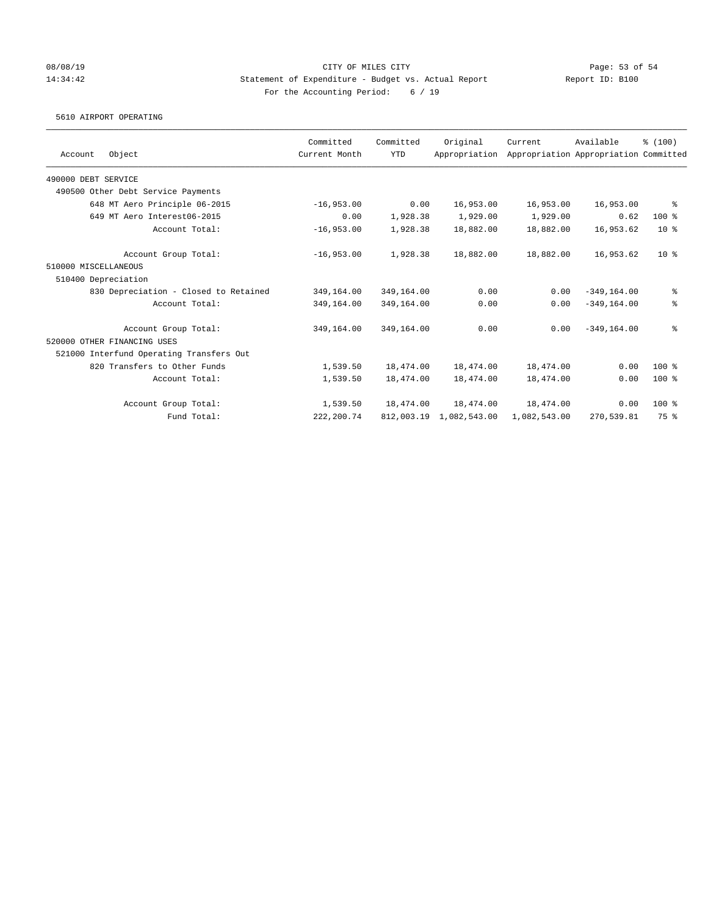### 08/08/19 Page: 53 of 54 14:34:42 Statement of Expenditure - Budget vs. Actual Report Report ID: B100 For the Accounting Period: 6 / 19

### 5610 AIRPORT OPERATING

|                                          | Committed     | Committed  | Original      | Current      | Available                             | % (100)         |
|------------------------------------------|---------------|------------|---------------|--------------|---------------------------------------|-----------------|
| Object<br>Account                        | Current Month | <b>YTD</b> | Appropriation |              | Appropriation Appropriation Committed |                 |
| 490000 DEBT SERVICE                      |               |            |               |              |                                       |                 |
| 490500 Other Debt Service Payments       |               |            |               |              |                                       |                 |
| 648 MT Aero Principle 06-2015            | $-16,953.00$  | 0.00       | 16,953.00     | 16,953.00    | 16,953.00                             | ႜ               |
| 649 MT Aero Interest06-2015              | 0.00          | 1,928.38   | 1,929.00      | 1,929.00     | 0.62                                  | $100$ %         |
| Account Total:                           | $-16,953.00$  | 1,928.38   | 18,882.00     | 18,882.00    | 16,953.62                             | $10*$           |
| Account Group Total:                     | $-16,953.00$  | 1,928.38   | 18,882.00     | 18,882.00    | 16,953.62                             | 10 <sup>8</sup> |
| 510000 MISCELLANEOUS                     |               |            |               |              |                                       |                 |
| 510400 Depreciation                      |               |            |               |              |                                       |                 |
| 830 Depreciation - Closed to Retained    | 349,164.00    | 349,164.00 | 0.00          | 0.00         | $-349, 164.00$                        | နွ              |
| Account Total:                           | 349,164.00    | 349,164.00 | 0.00          | 0.00         | $-349, 164, 00$                       | နွ              |
| Account Group Total:                     | 349,164.00    | 349,164.00 | 0.00          | 0.00         | $-349.164.00$                         | နွ              |
| 520000 OTHER FINANCING USES              |               |            |               |              |                                       |                 |
| 521000 Interfund Operating Transfers Out |               |            |               |              |                                       |                 |
| 820 Transfers to Other Funds             | 1,539.50      | 18,474.00  | 18,474.00     | 18,474.00    | 0.00                                  | $100$ %         |
| Account Total:                           | 1,539.50      | 18,474.00  | 18,474.00     | 18,474.00    | 0.00                                  | $100$ %         |
| Account Group Total:                     | 1,539.50      | 18,474.00  | 18,474.00     | 18,474.00    | 0.00                                  | $100$ %         |
| Fund Total:                              | 222, 200.74   | 812,003.19 | 1,082,543.00  | 1,082,543.00 | 270,539.81                            | 75 %            |